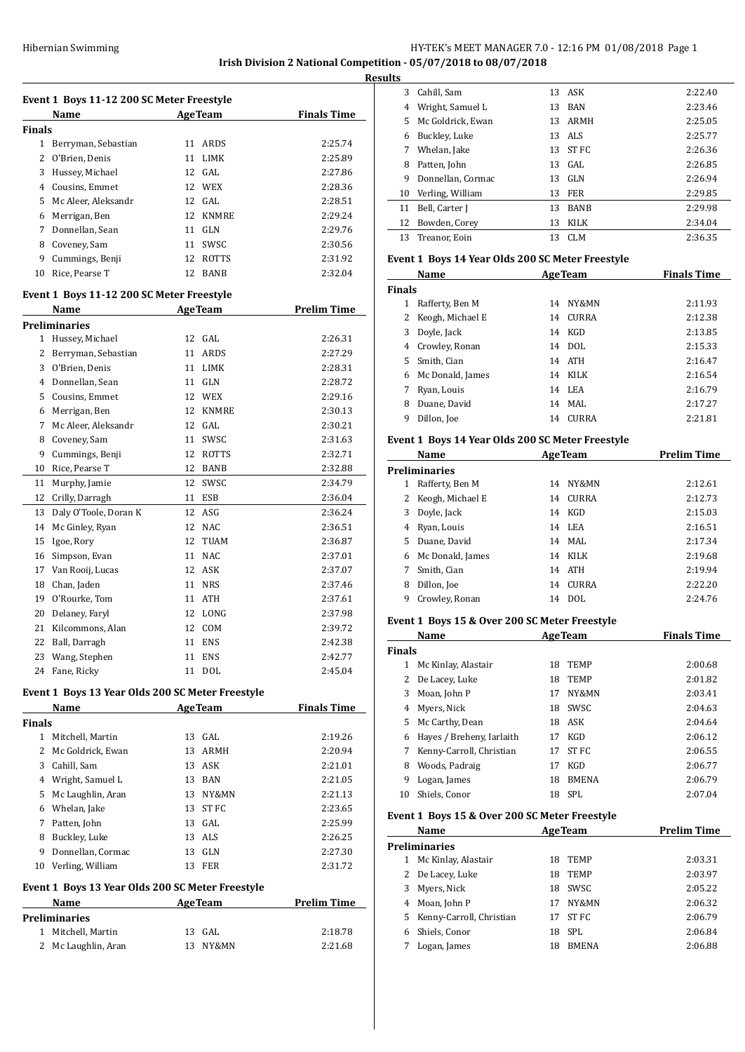# HY-TEK's MEET MANAGER 7.0 - 12:16 PM 01/08/2018 Page 1 **Irish Division 2 National Competition - 05/07/2018 to 08/07/2018**

**Results**

|               | Event 1 Boys 11-12 200 SC Meter Freestyle        |    |                |                    |  |  |  |
|---------------|--------------------------------------------------|----|----------------|--------------------|--|--|--|
|               | Name                                             |    | <b>AgeTeam</b> | <b>Finals Time</b> |  |  |  |
| <b>Finals</b> |                                                  |    |                |                    |  |  |  |
| 1             | Berryman, Sebastian                              | 11 | ARDS           | 2:25.74            |  |  |  |
| 2             | O'Brien, Denis                                   | 11 | LIMK           | 2:25.89            |  |  |  |
| 3             | Hussey, Michael                                  | 12 | GAL            | 2:27.86            |  |  |  |
| 4             | Cousins, Emmet                                   | 12 | WEX            | 2:28.36            |  |  |  |
| 5             | Mc Aleer, Aleksandr                              |    | 12 GAL         | 2:28.51            |  |  |  |
| 6             | Merrigan, Ben                                    | 12 | <b>KNMRE</b>   | 2:29.24            |  |  |  |
| 7             | Donnellan, Sean                                  |    | 11 GLN         | 2:29.76            |  |  |  |
| 8             | Coveney, Sam                                     | 11 | SWSC           | 2:30.56            |  |  |  |
| 9             | Cummings, Benji                                  | 12 | ROTTS          | 2:31.92            |  |  |  |
| 10            | Rice, Pearse T                                   | 12 | BANB           | 2:32.04            |  |  |  |
|               | Event 1 Boys 11-12 200 SC Meter Freestyle        |    |                |                    |  |  |  |
|               | Name                                             |    | <b>AgeTeam</b> | <b>Prelim Time</b> |  |  |  |
|               | <b>Preliminaries</b>                             |    |                |                    |  |  |  |
| $\mathbf{1}$  | Hussey, Michael                                  | 12 | GAL            | 2:26.31            |  |  |  |
| 2             | Berryman, Sebastian                              |    | 11 ARDS        | 2:27.29            |  |  |  |
| 3             | O'Brien, Denis                                   | 11 | LIMK           | 2:28.31            |  |  |  |
| 4             | Donnellan, Sean                                  |    | 11 GLN         | 2:28.72            |  |  |  |
| 5             | Cousins, Emmet                                   |    | 12 WEX         | 2:29.16            |  |  |  |
| 6             | Merrigan, Ben                                    | 12 | <b>KNMRE</b>   | 2:30.13            |  |  |  |
| 7             | Mc Aleer, Aleksandr                              |    | 12 GAL         | 2:30.21            |  |  |  |
| 8             | Coveney, Sam                                     |    | 11 SWSC        | 2:31.63            |  |  |  |
| 9             | Cummings, Benji                                  | 12 | ROTTS          | 2:32.71            |  |  |  |
| 10            | Rice, Pearse T                                   | 12 | BANB           | 2:32.88            |  |  |  |
| 11            | Murphy, Jamie                                    | 12 | SWSC           | 2:34.79            |  |  |  |
| 12            | Crilly, Darragh                                  | 11 | ESB            | 2:36.04            |  |  |  |
| 13            | Daly O'Toole, Doran K                            | 12 | ASG            | 2:36.24            |  |  |  |
| 14            | Mc Ginley, Ryan                                  | 12 | <b>NAC</b>     | 2:36.51            |  |  |  |
| 15            | Igoe, Rory                                       | 12 | TUAM           | 2:36.87            |  |  |  |
| 16            | Simpson, Evan                                    |    | 11 NAC         | 2:37.01            |  |  |  |
| 17            | Van Rooij, Lucas                                 | 12 | ASK            | 2:37.07            |  |  |  |
| 18            | Chan, Jaden                                      | 11 | <b>NRS</b>     | 2:37.46            |  |  |  |
| 19            | O'Rourke, Tom                                    | 11 | ATH            | 2:37.61            |  |  |  |
| 20            | Delaney, Faryl                                   | 12 | LONG           | 2:37.98            |  |  |  |
| 21            | Kilcommons, Alan                                 | 12 | COM            | 2:39.72            |  |  |  |
|               | 22 Ball, Darragh                                 |    | 11 ENS         | 2:42.38            |  |  |  |
|               | 23 Wang, Stephen                                 |    | 11 ENS         | 2:42.77            |  |  |  |
|               | 24 Fane, Ricky                                   | 11 | DOL            | 2:45.04            |  |  |  |
|               | Event 1 Boys 13 Year Olds 200 SC Meter Freestyle |    |                |                    |  |  |  |
|               | Name                                             |    | <b>AgeTeam</b> | <b>Finals Time</b> |  |  |  |
| <b>Finals</b> |                                                  |    |                |                    |  |  |  |
| $\mathbf{1}$  | Mitchell, Martin                                 |    | 13 GAL         | 2:19.26            |  |  |  |
|               | 2 Mc Goldrick, Ewan                              |    | 13 ARMH        | 2:20.94            |  |  |  |
|               | 3 Cahill, Sam                                    |    | 13 ASK         | 2:21.01            |  |  |  |
|               | 4 Wright, Samuel L                               |    | 13 BAN         | 2:21.05            |  |  |  |
|               | 5 Mc Laughlin, Aran                              |    | 13 NY&MN       | 2:21.13            |  |  |  |
|               | 6 Whelan, Jake                                   |    | 13 ST FC       | 2:23.65            |  |  |  |
| 7             | Patten, John                                     |    | 13 GAL         | 2:25.99            |  |  |  |
|               | 8 Buckley, Luke                                  |    | 13 ALS         | 2:26.25            |  |  |  |
| 9             | Donnellan, Cormac                                |    | 13 GLN         | 2:27.30            |  |  |  |
| 10            | Verling, William                                 |    | 13 FER         | 2:31.72            |  |  |  |
|               | Event 1 Boys 13 Year Olds 200 SC Meter Freestyle |    |                |                    |  |  |  |
|               | Name                                             |    | <b>AgeTeam</b> | <b>Prelim Time</b> |  |  |  |
|               | <b>Preliminaries</b>                             |    |                |                    |  |  |  |
| $\mathbf{1}$  | Mitchell, Martin                                 | 13 | GAL            | 2:18.78            |  |  |  |
| 2             | Mc Laughlin, Aran                                | 13 | NY&MN          | 2:21.68            |  |  |  |

| uns |                   |     |             |         |
|-----|-------------------|-----|-------------|---------|
| 3   | Cahill, Sam       |     | 13 ASK      | 2:22.40 |
| 4   | Wright, Samuel L  | 13  | <b>BAN</b>  | 2:23.46 |
| 5.  | Mc Goldrick, Ewan | 13. | ARMH        | 2:25.05 |
| 6   | Buckley, Luke     |     | 13 ALS      | 2:25.77 |
| 7   | Whelan, Jake      |     | 13 ST FC    | 2:26.36 |
| 8   | Patten, John      | 13  | GAL.        | 2:26.85 |
| 9   | Donnellan, Cormac | 13  | GLN         | 2:26.94 |
| 10  | Verling, William  | 13  | FER         | 2:29.85 |
| 11  | Bell, Carter J    | 13  | <b>BANB</b> | 2:29.98 |
| 12  | Bowden, Corey     | 13  | KILK        | 2:34.04 |
| 13  | Treanor, Eoin     | 13  | CLM         | 2:36.35 |
|     |                   |     |             |         |

#### **Event 1 Boys 14 Year Olds 200 SC Meter Freestyle**

|               | Name             | <b>AgeTeam</b> |              | <b>Finals Time</b> |
|---------------|------------------|----------------|--------------|--------------------|
| <b>Finals</b> |                  |                |              |                    |
| 1             | Rafferty, Ben M  | 14             | NY&MN        | 2:11.93            |
|               | Keogh, Michael E | 14             | CURRA        | 2:12.38            |
| 3             | Doyle, Jack      | 14             | KGD          | 2:13.85            |
|               | 4 Crowley, Ronan | 14             | DOL.         | 2:15.33            |
| 5.            | Smith, Cian      |                | 14 ATH       | 2:16.47            |
| 6             | Mc Donald, James | 14             | KILK         | 2:16.54            |
|               | Ryan, Louis      |                | 14 LEA       | 2:16.79            |
| 8             | Duane, David     |                | 14 MAL       | 2:17.27            |
| 9             | Dillon, Joe      | 14             | <b>CURRA</b> | 2:21.81            |
|               |                  |                |              |                    |

# **Event 1 Boys 14 Year Olds 200 SC Meter Freestyle**

|    | Name             |    | <b>AgeTeam</b> | <b>Prelim Time</b> |
|----|------------------|----|----------------|--------------------|
|    | Preliminaries    |    |                |                    |
| 1  | Rafferty, Ben M  | 14 | NY&MN          | 2:12.61            |
| 2  | Keogh, Michael E | 14 | CURRA          | 2:12.73            |
| 3  | Doyle, Jack      | 14 | KGD            | 2:15.03            |
| 4  | Ryan, Louis      |    | 14 LEA         | 2:16.51            |
| 5. | Duane, David     |    | 14 MAL         | 2:17.34            |
| 6  | Mc Donald, James | 14 | KILK           | 2:19.68            |
|    | Smith, Cian      | 14 | ATH            | 2:19.94            |
| 8  | Dillon, Joe      | 14 | <b>CURRA</b>   | 2:22.20            |
| 9  | Crowley, Ronan   | 14 | DOL            | 2:24.76            |

#### **Event 1 Boys 15 & Over 200 SC Meter Freestyle**

| Name          |                           |    | <b>AgeTeam</b> | <b>Finals Time</b> |  |
|---------------|---------------------------|----|----------------|--------------------|--|
| <b>Finals</b> |                           |    |                |                    |  |
|               | Mc Kinlay, Alastair       | 18 | <b>TEMP</b>    | 2:00.68            |  |
| 2             | De Lacey, Luke            | 18 | <b>TEMP</b>    | 2:01.82            |  |
| 3             | Moan, John P              | 17 | NY&MN          | 2:03.41            |  |
| 4             | Myers, Nick               | 18 | SWSC           | 2:04.63            |  |
| 5.            | Mc Carthy, Dean           | 18 | ASK            | 2:04.64            |  |
| 6             | Hayes / Breheny, Iarlaith | 17 | KGD            | 2:06.12            |  |
|               | Kenny-Carroll, Christian  | 17 | ST FC          | 2:06.55            |  |
| 8             | Woods, Padraig            | 17 | <b>KGD</b>     | 2:06.77            |  |
| 9             | Logan, James              | 18 | <b>BMENA</b>   | 2:06.79            |  |
| 10            | Shiels, Conor             |    | 18 SPL         | 2:07.04            |  |

#### **Event 1 Boys 15 & Over 200 SC Meter Freestyle**

|    | Name                     |    | <b>AgeTeam</b> | <b>Prelim Time</b> |
|----|--------------------------|----|----------------|--------------------|
|    | Preliminaries            |    |                |                    |
| 1  | Mc Kinlay, Alastair      | 18 | <b>TEMP</b>    | 2:03.31            |
|    | 2 De Lacey, Luke         | 18 | <b>TEMP</b>    | 2:03.97            |
| 3  | Myers, Nick              | 18 | SWSC           | 2:05.22            |
| 4  | Moan, John P             | 17 | NY&MN          | 2:06.32            |
| 5. | Kenny-Carroll, Christian | 17 | ST FC          | 2:06.79            |
| 6  | Shiels, Conor            | 18 | SPL            | 2:06.84            |
|    | Logan, James             | 18 | <b>BMENA</b>   | 2:06.88            |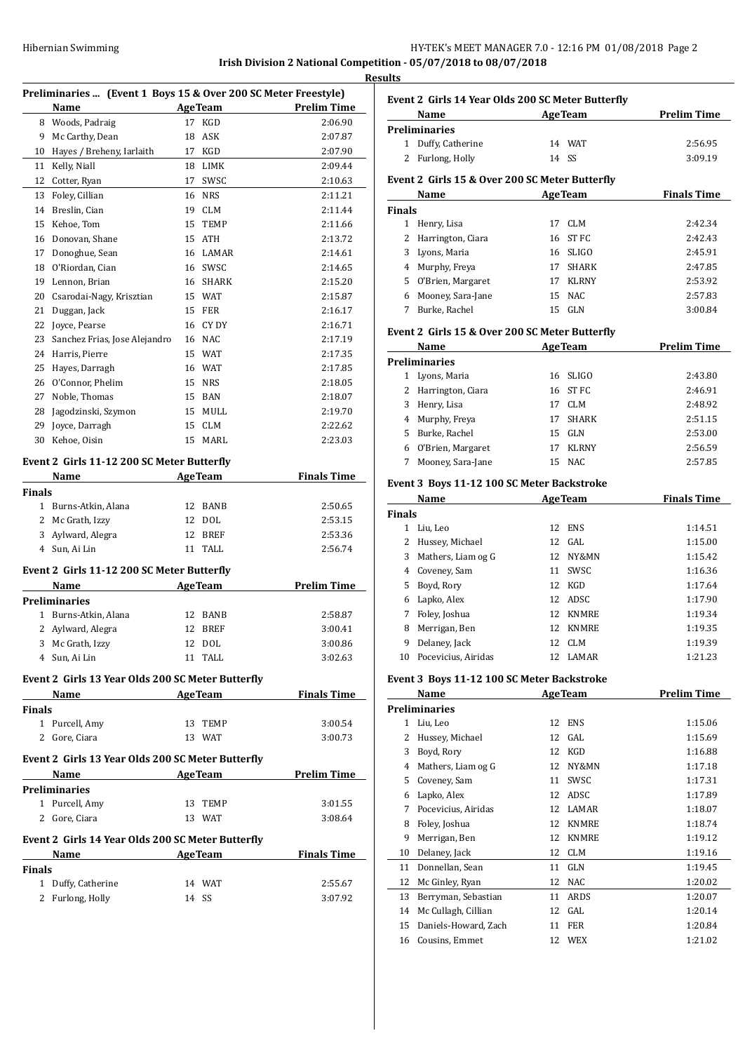| Hibernian Swimming | HY-TEK's MEET MANAGER 7.0 - 12:16 PM 01/08/2018 Page 2           |
|--------------------|------------------------------------------------------------------|
|                    | Irish Division 2 National Competition - 05/07/2018 to 08/07/2018 |

**Results**

|               | Preliminaries  (Event 1 Boys 15 & Over 200 SC Meter Freestyle)<br>Name |       | <b>AgeTeam</b> | <b>Prelim Time</b>                           |
|---------------|------------------------------------------------------------------------|-------|----------------|----------------------------------------------|
|               | 8 Woods, Padraig                                                       | 17    | KGD            | 2:06.90                                      |
| 9             | Mc Carthy, Dean                                                        | 18    | ASK            | 2:07.87                                      |
| 10            | Hayes / Breheny, Iarlaith                                              | 17    | KGD            | 2:07.90                                      |
| 11            | Kelly, Niall                                                           | 18    | LIMK           | 2:09.44                                      |
| 12            | Cotter, Ryan                                                           | 17    | SWSC           | 2:10.63                                      |
| 13            | Foley, Cillian                                                         | 16    | <b>NRS</b>     | 2:11.21                                      |
| 14            | Breslin, Cian                                                          | 19    | <b>CLM</b>     | 2:11.44                                      |
| 15            | Kehoe, Tom                                                             | 15    | <b>TEMP</b>    | 2:11.66                                      |
| 16            | Donovan, Shane                                                         | 15    | ATH            | 2:13.72                                      |
| 17            | Donoghue, Sean                                                         |       | 16 LAMAR       | 2:14.61                                      |
| 18            | O'Riordan, Cian                                                        |       | 16 SWSC        | 2:14.65                                      |
| 19            | Lennon, Brian                                                          |       | 16 SHARK       | 2:15.20                                      |
| 20            | Csarodai-Nagy, Krisztian                                               |       | 15 WAT         | 2:15.87                                      |
| 21            | Duggan, Jack                                                           | 15    | FER            | 2:16.17                                      |
| 22            | Joyce, Pearse                                                          |       | 16 CY DY       | 2:16.71                                      |
| 23            | Sanchez Frias, Jose Alejandro                                          |       | 16 NAC         | 2:17.19                                      |
| 24            | Harris, Pierre                                                         |       | 15 WAT         | 2:17.35                                      |
| 25            | Hayes, Darragh                                                         |       | 16 WAT         | 2:17.85                                      |
| 26            | O'Connor, Phelim                                                       |       | 15 NRS         | 2:18.05                                      |
| 27            | Noble, Thomas                                                          |       | 15 BAN         | 2:18.07                                      |
| 28            | Jagodzinski, Szymon                                                    |       | 15 MULL        | 2:19.70                                      |
| 29            | Joyce, Darragh                                                         | 15    | CLM            | 2:22.62                                      |
| 30            | Kehoe, Oisin                                                           | 15    | MARL           | 2:23.03                                      |
|               |                                                                        |       |                |                                              |
|               | Event 2 Girls 11-12 200 SC Meter Butterfly                             |       |                |                                              |
|               | Name                                                                   |       | <b>AgeTeam</b> | <b>Finals Time</b>                           |
| <b>Finals</b> |                                                                        |       |                |                                              |
|               | 1 Burns-Atkin, Alana                                                   | 12    | <b>BANB</b>    | 2:50.65                                      |
|               | 2 Mc Grath, Izzy                                                       |       | 12 DOL         | 2:53.15                                      |
| 3             | Aylward, Alegra                                                        |       | 12 BREF        | 2:53.36                                      |
| 4             | Sun, Ai Lin                                                            | 11    | TALL           | 2:56.74                                      |
|               | Event 2 Girls 11-12 200 SC Meter Butterfly                             |       |                |                                              |
|               | Name                                                                   |       | <b>AgeTeam</b> | <b>Prelim Time</b>                           |
|               | Preliminaries                                                          |       |                |                                              |
| 1             | Burns-Atkin, Alana                                                     |       | 12 BANB        | 2:58.87                                      |
| 2             | Aylward, Alegra                                                        |       | 12 BREF        | 3:00.41                                      |
|               | 3 Mc Grath, Izzy                                                       |       | 12 DOL         | 3:00.86                                      |
|               | 4 Sun, Ai Lin                                                          |       | 11 TALL        | 3:02.63                                      |
|               | Event 2 Girls 13 Year Olds 200 SC Meter Butterfly                      |       |                |                                              |
|               | Name AgeTeam                                                           |       |                | <b>Finals Time</b>                           |
| <b>Finals</b> |                                                                        |       |                |                                              |
|               | 1 Purcell, Amy                                                         |       | 13 TEMP        | 3:00.54                                      |
|               | 2 Gore, Ciara                                                          |       | 13 WAT         | 3:00.73                                      |
|               |                                                                        |       |                |                                              |
|               | Event 2 Girls 13 Year Olds 200 SC Meter Butterfly                      |       |                |                                              |
|               | Name                                                                   |       |                | <b>Example 2 Second Age Team Prelim Time</b> |
|               | Preliminaries                                                          |       |                |                                              |
|               | 1 Purcell, Amy                                                         |       | 13 TEMP        | 3:01.55                                      |
|               | 2 Gore, Ciara                                                          |       | 13 WAT         | 3:08.64                                      |
|               | Event 2 Girls 14 Year Olds 200 SC Meter Butterfly                      |       |                |                                              |
|               | Name                                                                   |       | AgeTeam        | <b>Finals Time</b>                           |
| Finals        |                                                                        |       |                |                                              |
|               | 1 Duffy, Catherine                                                     |       | 14 WAT         | 2:55.67                                      |
|               | 2 Furlong, Holly                                                       | 14 SS |                | 3:07.92                                      |

|                | Event 2 Girls 14 Year Olds 200 SC Meter Butterfly                           |       |                |                    |
|----------------|-----------------------------------------------------------------------------|-------|----------------|--------------------|
|                | <b>Example 21 Age Team</b><br>Name                                          |       |                | <b>Prelim Time</b> |
|                | <b>Preliminaries</b>                                                        |       |                |                    |
|                | 1 Duffy, Catherine                                                          |       | 14 WAT         | 2:56.95            |
| 2              | Furlong, Holly                                                              | 14 SS |                | 3:09.19            |
|                | Event 2 Girls 15 & Over 200 SC Meter Butterfly                              |       |                |                    |
|                | AgeTeam<br>Name                                                             |       |                | <b>Finals Time</b> |
| <b>Finals</b>  |                                                                             |       |                |                    |
| $\mathbf{1}$   | Henry, Lisa                                                                 | 17    | CLM            | 2:42.34            |
| 2              | Harrington, Ciara                                                           | 16    | ST FC          | 2:42.43            |
| 3              | Lyons, Maria                                                                |       | 16 SLIGO       | 2:45.91            |
|                | 4 Murphy, Freya                                                             |       | 17 SHARK       | 2:47.85            |
|                | 5 O'Brien, Margaret                                                         |       | 17 KLRNY       | 2:53.92            |
|                | 6 Mooney, Sara-Jane                                                         |       | 15 NAC         | 2:57.83            |
| 7              | Burke, Rachel                                                               |       | 15 GLN         | 3:00.84            |
|                |                                                                             |       |                |                    |
|                | Event 2 Girls 15 & Over 200 SC Meter Butterfly<br><b>Example 2</b> Age Team |       |                | <b>Prelim Time</b> |
|                | Name                                                                        |       |                |                    |
| 1              | <b>Preliminaries</b><br>Lyons, Maria                                        |       | 16 SLIGO       | 2:43.80            |
| 2              |                                                                             |       | ST FC          | 2:46.91            |
|                | Harrington, Ciara                                                           | 16    |                |                    |
| 3              | Henry, Lisa                                                                 | 17    | <b>CLM</b>     | 2:48.92            |
|                | 4 Murphy, Freya                                                             | 17    | <b>SHARK</b>   | 2:51.15            |
| 5              | Burke, Rachel                                                               |       | 15 GLN         | 2:53.00            |
|                | 6 O'Brien, Margaret                                                         |       | 17 KLRNY       | 2:56.59            |
| 7              | Mooney, Sara-Jane                                                           |       | 15 NAC         | 2:57.85            |
|                | Event 3 Boys 11-12 100 SC Meter Backstroke                                  |       |                |                    |
|                | Name                                                                        |       | <b>AgeTeam</b> | <b>Finals Time</b> |
| <b>Finals</b>  |                                                                             |       |                |                    |
| $\mathbf{1}$   | Liu, Leo                                                                    |       | 12 ENS         | 1:14.51            |
| 2              | Hussey, Michael                                                             |       | 12 GAL         | 1:15.00            |
| 3              | Mathers, Liam og G                                                          |       | 12 NY&MN       | 1:15.42            |
| 4              | Coveney, Sam                                                                | 11    | SWSC           | 1:16.36            |
| 5              | Boyd, Rory                                                                  |       | 12 KGD         | 1:17.64            |
| 6              | Lapko, Alex                                                                 |       | 12 ADSC        | 1:17.90            |
| 7              | Foley, Joshua                                                               |       | 12 KNMRE       | 1:19.34            |
| 8              | Merrigan, Ben                                                               |       | 12 KNMRE       | 1:19.35            |
| 9              | Delaney, Jack                                                               |       | 12 CLM         | 1:19.39            |
|                | 10 Pocevicius, Airidas                                                      |       | 12 LAMAR       | 1:21.23            |
|                |                                                                             |       |                |                    |
|                | Event 3 Boys 11-12 100 SC Meter Backstroke<br>Name                          |       | <b>AgeTeam</b> | <b>Prelim Time</b> |
|                | <b>Preliminaries</b>                                                        |       |                |                    |
| $\mathbf{1}$   | Liu, Leo                                                                    | 12    | ENS            | 1:15.06            |
| 2              | Hussey, Michael                                                             | 12    | GAL            | 1:15.69            |
| 3              | Boyd, Rory                                                                  |       | 12 KGD         | 1:16.88            |
|                |                                                                             |       |                |                    |
| $\overline{4}$ | Mathers, Liam og G                                                          | 12    | NY&MN          | 1:17.18            |
| 5              | Coveney, Sam                                                                | 11    | SWSC           | 1:17.31            |
| 6              | Lapko, Alex                                                                 |       | 12 ADSC        | 1:17.89            |
| 7              | Pocevicius, Airidas                                                         | 12    | LAMAR          | 1:18.07            |
| 8              | Foley, Joshua                                                               |       | 12 KNMRE       | 1:18.74            |
| 9              | Merrigan, Ben                                                               |       | 12 KNMRE       | 1:19.12            |
| 10             | Delaney, Jack                                                               |       | 12 CLM         | 1:19.16            |
| 11             | Donnellan, Sean                                                             | 11    | GLN            | 1:19.45            |
| 12             | Mc Ginley, Ryan                                                             | 12    | NAC            | 1:20.02            |
| 13             | Berryman, Sebastian                                                         | 11    | ARDS           | 1:20.07            |
| 14             | Mc Cullagh, Cillian                                                         |       | 12 GAL         | 1:20.14            |
| 15             | Daniels-Howard, Zach                                                        | 11    | FER            | 1:20.84            |
| 16             | Cousins, Emmet                                                              |       | 12 WEX         | 1:21.02            |
|                |                                                                             |       |                |                    |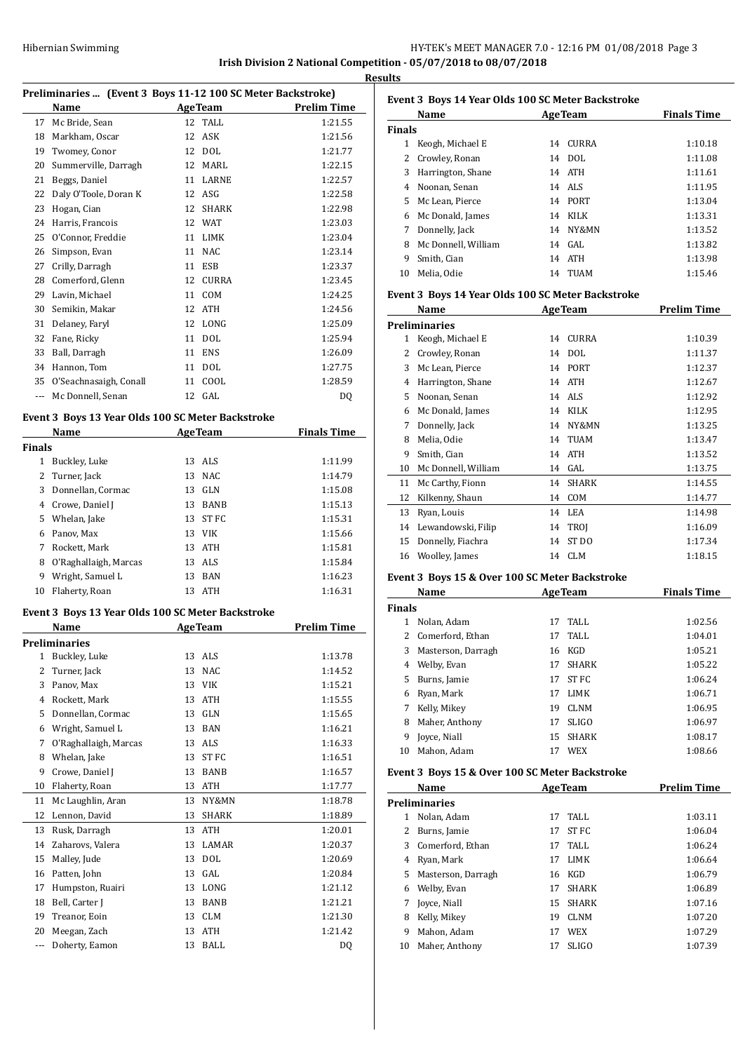# HY-TEK's MEET MANAGER 7.0 - 12:16 PM 01/08/2018 Page 3 **Irish Division 2 National Competition - 05/07/2018 to 08/07/2018**

**Results**

|               | Preliminaries  (Event 3 Boys 11-12 100 SC Meter Backstroke) |    |                   |                     |
|---------------|-------------------------------------------------------------|----|-------------------|---------------------|
|               | Name                                                        |    |                   | AgeTeam Prelim Time |
|               | 17 Mc Bride, Sean                                           |    | 12 TALL           | 1:21.55             |
|               | 18 Markham, Oscar                                           |    | 12 ASK            | 1:21.56             |
|               | 19 Twomey, Conor                                            |    | 12 DOL            | 1:21.77             |
| 20            | Summerville, Darragh                                        |    | 12 MARL           | 1:22.15             |
| 21            | Beggs, Daniel                                               |    | 11 LARNE          | 1:22.57             |
| 22            | Daly O'Toole, Doran K                                       |    | 12 ASG            | 1:22.58             |
| 23            | Hogan, Cian                                                 |    | 12 SHARK          | 1:22.98             |
| 24            | Harris, Francois                                            |    | 12 WAT            | 1:23.03             |
|               | 25 O'Connor, Freddie                                        |    | 11 LIMK           | 1:23.04             |
| 26            | Simpson, Evan                                               |    | 11 NAC            | 1:23.14             |
| 27            | Crilly, Darragh                                             |    | 11 ESB            | 1:23.37             |
|               | 28 Comerford, Glenn                                         |    | 12 CURRA          | 1:23.45             |
|               | 29 Lavin, Michael                                           |    | 11 COM            | 1:24.25             |
| 30            | Semikin, Makar                                              |    | 12 ATH            | 1:24.56             |
| 31            | Delaney, Faryl                                              |    | 12 LONG           | 1:25.09             |
| 32            | Fane, Ricky                                                 |    | 11 DOL            | 1:25.94             |
| 33            | Ball, Darragh                                               |    | 11 ENS            | 1:26.09             |
|               | 34 Hannon, Tom                                              |    | 11 DOL<br>11 COOL | 1:27.75             |
|               | 35 O'Seachnasaigh, Conall                                   |    | 12 GAL            | 1:28.59             |
| $---$         | Mc Donnell, Senan                                           |    |                   | DQ                  |
|               | Event 3 Boys 13 Year Olds 100 SC Meter Backstroke           |    |                   |                     |
| <b>Finals</b> | Name                                                        |    | <b>AgeTeam</b>    | <b>Finals Time</b>  |
|               | 1 Buckley, Luke                                             |    | 13 ALS            | 1:11.99             |
|               | 2 Turner, Jack                                              |    | 13 NAC            | 1:14.79             |
|               | 3 Donnellan, Cormac                                         |    | 13 GLN            | 1:15.08             |
|               | 4 Crowe, Daniel J                                           |    | 13 BANB           | 1:15.13             |
|               | 5 Whelan, Jake                                              |    | 13 ST FC          | 1:15.31             |
|               | 6 Panov, Max                                                |    | 13 VIK            | 1:15.66             |
| 7             | Rockett, Mark                                               |    | 13 ATH            | 1:15.81             |
|               | 8 O'Raghallaigh, Marcas                                     |    | 13 ALS            | 1:15.84             |
|               | 9 Wright, Samuel L                                          |    | 13 BAN            | 1:16.23             |
| 10            | Flaherty, Roan                                              |    | 13 ATH            | 1:16.31             |
|               | Event 3 Boys 13 Year Olds 100 SC Meter Backstroke           |    |                   |                     |
|               | Name                                                        |    | <b>AgeTeam</b>    | <b>Prelim Time</b>  |
|               | <b>Preliminaries</b>                                        |    |                   |                     |
|               | 1 Buckley, Luke                                             |    | 13 ALS            | 1:13.78             |
| 2             | Turner, Jack                                                |    | 13 NAC            | 1:14.52             |
| 3             | Panov, Max                                                  |    | 13 VIK            | 1:15.21             |
| 4             | Rockett, Mark                                               |    | 13 ATH            | 1:15.55             |
|               | 5 Donnellan, Cormac                                         |    | 13 GLN            | 1:15.65             |
|               | 6 Wright, Samuel L                                          |    | 13 BAN            | 1:16.21             |
| 7             | O'Raghallaigh, Marcas                                       |    | 13 ALS            | 1:16.33             |
|               | 8 Whelan, Jake                                              |    | 13 ST FC          | 1:16.51             |
| 9             | Crowe, Daniel J                                             | 13 | BANB              | 1:16.57             |
| 10            | Flaherty, Roan                                              |    | 13 ATH            | 1:17.77             |
| 11            | Mc Laughlin, Aran                                           | 13 | NY&MN             | 1:18.78             |
| 12            | Lennon, David                                               |    | 13 SHARK          | 1:18.89             |
| 13            | Rusk, Darragh                                               |    | 13 ATH            | 1:20.01             |
| 14            | Zaharovs, Valera                                            |    | 13 LAMAR          | 1:20.37             |
| 15            | Malley, Jude                                                |    | 13 DOL            | 1:20.69             |
|               | Patten, John                                                |    | 13 GAL            | 1:20.84             |
| 16            | Humpston, Ruairi                                            |    | 13 LONG           | 1:21.12             |
| 17            |                                                             |    |                   |                     |
| 18            | Bell, Carter J                                              |    | 13 BANB           | 1:21.21             |
| 19            | Treanor, Eoin                                               |    | 13 CLM            | 1:21.30             |
| 20            | Meegan, Zach                                                |    | 13 ATH            | 1:21.42             |

|               | Name                |    | <b>AgeTeam</b> | <b>Finals Time</b> |
|---------------|---------------------|----|----------------|--------------------|
| <b>Finals</b> |                     |    |                |                    |
| 1             | Keogh, Michael E    | 14 | CURRA          | 1:10.18            |
| 2             | Crowley, Ronan      |    | 14 DOL         | 1:11.08            |
| 3             | Harrington, Shane   |    | 14 ATH         | 1:11.61            |
| 4             | Noonan, Senan       |    | 14 ALS         | 1:11.95            |
| 5.            | Mc Lean, Pierce     |    | 14 PORT        | 1:13.04            |
| 6             | Mc Donald, James    |    | 14 KILK        | 1:13.31            |
| 7             | Donnelly, Jack      | 14 | NY&MN          | 1:13.52            |
| 8             | Mc Donnell, William |    | $14$ GAL       | 1:13.82            |
| 9             | Smith, Cian         |    | 14 ATH         | 1:13.98            |
| 10            | Melia. Odie         |    | 14 TUAM        | 1:15.46            |
|               |                     |    |                |                    |

# **Event 3 Boys 14 Year Olds 100 SC Meter Backstroke**

|    | Name                 | <b>AgeTeam</b> |                  | <b>Prelim Time</b> |
|----|----------------------|----------------|------------------|--------------------|
|    | <b>Preliminaries</b> |                |                  |                    |
| 1  | Keogh, Michael E     | 14             | <b>CURRA</b>     | 1:10.39            |
| 2  | Crowley, Ronan       | 14             | <b>DOL</b>       | 1:11.37            |
| 3  | Mc Lean, Pierce      | 14             | <b>PORT</b>      | 1:12.37            |
| 4  | Harrington, Shane    | 14             | <b>ATH</b>       | 1:12.67            |
| 5. | Noonan, Senan        | 14             | ALS              | 1:12.92            |
| 6  | Mc Donald, James     | 14             | <b>KILK</b>      | 1:12.95            |
| 7  | Donnelly, Jack       | 14             | NY&MN            | 1:13.25            |
| 8  | Melia, Odie          | 14             | <b>TUAM</b>      | 1:13.47            |
| 9  | Smith, Cian          | 14             | <b>ATH</b>       | 1:13.52            |
| 10 | Mc Donnell, William  | 14             | GAL              | 1:13.75            |
| 11 | Mc Carthy, Fionn     | 14             | <b>SHARK</b>     | 1:14.55            |
| 12 | Kilkenny, Shaun      | 14             | COM              | 1:14.77            |
| 13 | Ryan, Louis          | 14             | LEA              | 1:14.98            |
| 14 | Lewandowski, Filip   | 14             | <b>TROI</b>      | 1:16.09            |
| 15 | Donnelly, Fiachra    | 14             | ST <sub>DO</sub> | 1:17.34            |
| 16 | Woolley, James       | 14             | <b>CLM</b>       | 1:18.15            |
|    |                      |                |                  |                    |

# **Event 3 Boys 15 & Over 100 SC Meter Backstroke**

|               | Name               |    | <b>AgeTeam</b> | <b>Finals Time</b> |  |
|---------------|--------------------|----|----------------|--------------------|--|
| <b>Finals</b> |                    |    |                |                    |  |
|               | Nolan, Adam        | 17 | TALL           | 1:02.56            |  |
| 2             | Comerford, Ethan   | 17 | TALL           | 1:04.01            |  |
| 3             | Masterson, Darragh | 16 | KGD            | 1:05.21            |  |
| 4             | Welby, Evan        | 17 | <b>SHARK</b>   | 1:05.22            |  |
| 5.            | Burns, Jamie       | 17 | ST FC          | 1:06.24            |  |
| 6             | Ryan, Mark         | 17 | LIMK           | 1:06.71            |  |
| 7             | Kelly, Mikey       | 19 | <b>CLNM</b>    | 1:06.95            |  |
| 8             | Maher, Anthony     | 17 | <b>SLIGO</b>   | 1:06.97            |  |
| 9             | Joyce, Niall       | 15 | <b>SHARK</b>   | 1:08.17            |  |
| 10            | Mahon, Adam        | 17 | WEX            | 1:08.66            |  |

# **Event 3 Boys 15 & Over 100 SC Meter Backstroke**

| Name |                      |    | <b>AgeTeam</b> | <b>Prelim Time</b> |
|------|----------------------|----|----------------|--------------------|
|      | <b>Preliminaries</b> |    |                |                    |
| 1    | Nolan, Adam          | 17 | TALL           | 1:03.11            |
|      | Burns, Jamie         | 17 | ST FC          | 1:06.04            |
| 3    | Comerford, Ethan     | 17 | TALL           | 1:06.24            |
| 4    | Ryan, Mark           | 17 | <b>LIMK</b>    | 1:06.64            |
| 5.   | Masterson, Darragh   | 16 | KGD            | 1:06.79            |
| 6    | Welby, Evan          | 17 | <b>SHARK</b>   | 1:06.89            |
| 7    | Joyce, Niall         | 15 | <b>SHARK</b>   | 1:07.16            |
| 8    | Kelly, Mikey         | 19 | <b>CLNM</b>    | 1:07.20            |
| 9    | Mahon, Adam          | 17 | <b>WEX</b>     | 1:07.29            |
| 10   | Maher, Anthony       | 17 | <b>SLIGO</b>   | 1:07.39            |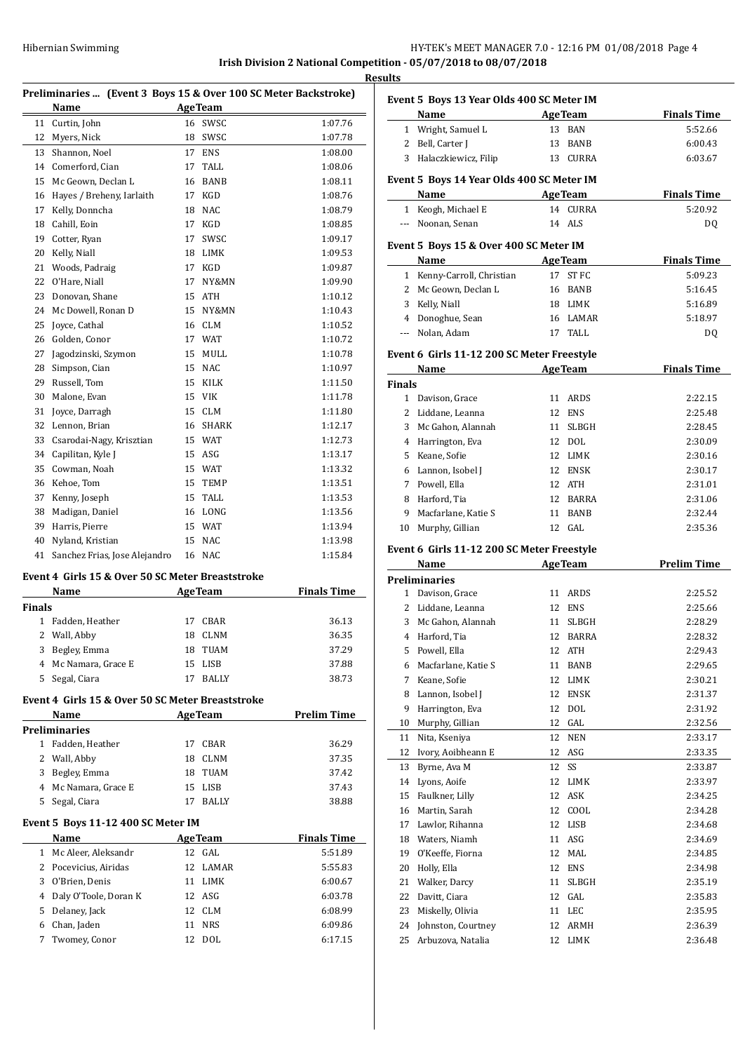# HY-TEK's MEET MANAGER 7.0 - 12:16 PM 01/08/2018 Page 4 **Irish Division 2 National Competition - 05/07/2018 to 08/07/2018**

**Results**

j.

# **Preliminaries ... (Event 3 Boys 15 & Over 100 SC Meter Backstroke)**

|    | Name                          |    | <b>AgeTeam</b> |         |
|----|-------------------------------|----|----------------|---------|
| 11 | Curtin, John                  | 16 | SWSC           | 1:07.76 |
| 12 | Myers, Nick                   | 18 | SWSC           | 1:07.78 |
| 13 | Shannon, Noel                 | 17 | <b>ENS</b>     | 1:08.00 |
| 14 | Comerford, Cian               | 17 | <b>TALL</b>    | 1:08.06 |
| 15 | Mc Geown. Declan L            | 16 | <b>BANB</b>    | 1:08.11 |
| 16 | Hayes / Breheny, Iarlaith     | 17 | <b>KGD</b>     | 1:08.76 |
| 17 | Kelly, Donncha                | 18 | <b>NAC</b>     | 1:08.79 |
| 18 | Cahill, Eoin                  | 17 | KGD            | 1:08.85 |
| 19 | Cotter, Ryan                  | 17 | SWSC           | 1:09.17 |
| 20 | Kelly, Niall                  | 18 | <b>LIMK</b>    | 1:09.53 |
| 21 | Woods, Padraig                | 17 | <b>KGD</b>     | 1:09.87 |
| 22 | O'Hare, Niall                 | 17 | NY&MN          | 1:09.90 |
| 23 | Donovan, Shane                | 15 | <b>ATH</b>     | 1:10.12 |
| 24 | Mc Dowell, Ronan D            | 15 | NY&MN          | 1:10.43 |
| 25 | Joyce, Cathal                 | 16 | <b>CLM</b>     | 1:10.52 |
| 26 | Golden, Conor                 | 17 | <b>WAT</b>     | 1:10.72 |
| 27 | Jagodzinski, Szymon           | 15 | MULL           | 1:10.78 |
| 28 | Simpson, Cian                 | 15 | <b>NAC</b>     | 1:10.97 |
| 29 | Russell, Tom                  | 15 | <b>KILK</b>    | 1:11.50 |
| 30 | Malone, Evan                  | 15 | <b>VIK</b>     | 1:11.78 |
| 31 | Joyce, Darragh                | 15 | <b>CLM</b>     | 1:11.80 |
| 32 | Lennon, Brian                 | 16 | <b>SHARK</b>   | 1:12.17 |
| 33 | Csarodai-Nagy, Krisztian      | 15 | <b>WAT</b>     | 1:12.73 |
| 34 | Capilitan, Kyle J             | 15 | ASG            | 1:13.17 |
| 35 | Cowman, Noah                  | 15 | <b>WAT</b>     | 1:13.32 |
| 36 | Kehoe, Tom                    | 15 | <b>TEMP</b>    | 1:13.51 |
| 37 | Kenny, Joseph                 | 15 | <b>TALL</b>    | 1:13.53 |
| 38 | Madigan, Daniel               | 16 | LONG           | 1:13.56 |
| 39 | Harris, Pierre                | 15 | <b>WAT</b>     | 1:13.94 |
| 40 | Nyland, Kristian              | 15 | <b>NAC</b>     | 1:13.98 |
| 41 | Sanchez Frias, Jose Alejandro | 16 | <b>NAC</b>     | 1:15.84 |

# **Event 4 Girls 15 & Over 50 SC Meter Breaststroke**

| Name                 |    |              | <b>Finals Time</b>     |
|----------------------|----|--------------|------------------------|
| <b>Finals</b>        |    |              |                        |
| 1 Fadden, Heather    | 17 | CBAR         | 36.13                  |
| 2 Wall, Abby         | 18 | CLNM         | 36.35                  |
| Begley, Emma         | 18 | TUAM         | 37.29                  |
| 4 Mc Namara, Grace E | 15 |              | 37.88                  |
| Segal, Ciara         | 17 | <b>BALLY</b> | 38.73                  |
|                      |    |              | <b>AgeTeam</b><br>LISB |

**Event 4 Girls 15 & Over 50 SC Meter Breaststroke**

|    | <b>Name</b>          |    | <b>AgeTeam</b> | <b>Prelim Time</b> |
|----|----------------------|----|----------------|--------------------|
|    | Preliminaries        |    |                |                    |
|    | Fadden, Heather      | 17 | CBAR           | 36.29              |
|    | 2 Wall, Abby         | 18 | CLNM           | 37.35              |
| 3  | Begley, Emma         | 18 | TUAM           | 37.42              |
|    | 4 Mc Namara, Grace E |    | 15 LISB        | 37.43              |
| 5. | Segal, Ciara         |    | <b>BALLY</b>   | 38.88              |
|    |                      |    |                |                    |

#### **Event 5 Boys 11-12 400 SC Meter IM**

 $\overline{a}$ 

|    | Name                    |     | <b>AgeTeam</b> | <b>Finals Time</b> |
|----|-------------------------|-----|----------------|--------------------|
|    | 1 Mc Aleer, Aleksandr   | 12. | GAL.           | 5:51.89            |
|    | 2 Pocevicius, Airidas   |     | 12 LAMAR       | 5:55.83            |
| 3  | O'Brien, Denis          |     | 11 LIMK        | 6:00.67            |
|    | 4 Daly O'Toole, Doran K |     | 12 ASG         | 6:03.78            |
| 5. | Delanev, Jack           |     | 12 CLM         | 6:08.99            |
| 6  | Chan, Jaden             | 11  | <b>NRS</b>     | 6:09.86            |
|    | Twomey, Conor           |     | DOL            | 6:17.15            |

|                                           | Event 5 Boys 13 Year Olds 400 SC Meter IM |                    |                |                    |  |
|-------------------------------------------|-------------------------------------------|--------------------|----------------|--------------------|--|
|                                           | Name                                      |                    | <b>AgeTeam</b> | <b>Finals Time</b> |  |
|                                           | 1 Wright, Samuel L                        | 13                 | <b>BAN</b>     | 5:52.66            |  |
|                                           | 2 Bell, Carter J                          | 13                 | <b>BANB</b>    | 6:00.43            |  |
|                                           | 3 Halaczkiewicz, Filip                    | 13                 | <b>CURRA</b>   | 6:03.67            |  |
| Event 5 Boys 14 Year Olds 400 SC Meter IM |                                           |                    |                |                    |  |
|                                           | Name                                      | <b>Finals Time</b> |                |                    |  |

| Name               | <b>AgeTeam</b> | <b>Finals Time</b> |
|--------------------|----------------|--------------------|
| 1 Keogh, Michael E | 14 CURRA       | 5:20.92            |
| --- Noonan, Senan  | 14 ALS         | DQ                 |

#### **Event 5 Boys 15 & Over 400 SC Meter IM**

| Name                       | <b>AgeTeam</b> | <b>Finals Time</b> |
|----------------------------|----------------|--------------------|
| 1 Kenny-Carroll, Christian | 17 ST FC       | 5:09.23            |
| 2 Mc Geown, Declan L       | 16 BANB        | 5:16.45            |
| 3 Kelly, Niall             | 18 LIMK        | 5:16.89            |
| 4 Donoghue, Sean           | 16 LAMAR       | 5:18.97            |
| --- Nolan, Adam            | TALL.          | D <sub>0</sub>     |
|                            |                |                    |

#### **Event 6 Girls 11-12 200 SC Meter Freestyle**

| Name          |                     |     | <b>AgeTeam</b> | <b>Finals Time</b> |  |
|---------------|---------------------|-----|----------------|--------------------|--|
| <b>Finals</b> |                     |     |                |                    |  |
| 1             | Davison, Grace      | 11  | ARDS           | 2:22.15            |  |
| 2             | Liddane, Leanna     |     | 12 ENS         | 2:25.48            |  |
| 3             | Mc Gahon, Alannah   | 11  | <b>SLBGH</b>   | 2:28.45            |  |
| 4             | Harrington, Eva     |     | 12 DOL         | 2:30.09            |  |
| 5.            | Keane, Sofie        | 12. | LIMK           | 2:30.16            |  |
| 6             | Lannon, Isobel J    | 12  | <b>ENSK</b>    | 2:30.17            |  |
| 7             | Powell, Ella        |     | 12 ATH         | 2:31.01            |  |
| 8             | Harford, Tia        | 12  | <b>BARRA</b>   | 2:31.06            |  |
| 9             | Macfarlane, Katie S | 11  | <b>BANB</b>    | 2:32.44            |  |
| 10            | Murphy, Gillian     |     | 12 GAL         | 2:35.36            |  |

## **Event 6 Girls 11-12 200 SC Meter Freestyle**

|    | Name                |    | <b>AgeTeam</b> | <b>Prelim Time</b> |
|----|---------------------|----|----------------|--------------------|
|    | Preliminaries       |    |                |                    |
| 1  | Davison, Grace      | 11 | ARDS           | 2:25.52            |
| 2  | Liddane, Leanna     | 12 | <b>ENS</b>     | 2:25.66            |
| 3  | Mc Gahon, Alannah   | 11 | <b>SLBGH</b>   | 2:28.29            |
| 4  | Harford, Tia        | 12 | <b>BARRA</b>   | 2:28.32            |
| 5  | Powell, Ella        | 12 | <b>ATH</b>     | 2:29.43            |
| 6  | Macfarlane, Katie S | 11 | <b>BANB</b>    | 2:29.65            |
| 7  | Keane, Sofie        | 12 | <b>LIMK</b>    | 2:30.21            |
| 8  | Lannon, Isobel J    | 12 | <b>ENSK</b>    | 2:31.37            |
| 9  | Harrington, Eva     | 12 | <b>DOL</b>     | 2:31.92            |
| 10 | Murphy, Gillian     | 12 | GAL            | 2:32.56            |
| 11 | Nita, Kseniya       | 12 | <b>NEN</b>     | 2:33.17            |
| 12 | Ivory, Aoibheann E  | 12 | ASG            | 2:33.35            |
| 13 | Byrne, Ava M        | 12 | SS             | 2:33.87            |
| 14 | Lyons, Aoife        | 12 | <b>LIMK</b>    | 2:33.97            |
| 15 | Faulkner, Lilly     | 12 | <b>ASK</b>     | 2:34.25            |
| 16 | Martin, Sarah       | 12 | COOL           | 2:34.28            |
| 17 | Lawlor, Rihanna     | 12 | <b>LISB</b>    | 2:34.68            |
| 18 | Waters, Niamh       | 11 | ASG            | 2:34.69            |
| 19 | O'Keeffe, Fiorna    | 12 | <b>MAL</b>     | 2:34.85            |
| 20 | Holly, Ella         | 12 | <b>ENS</b>     | 2:34.98            |
| 21 | Walker, Darcy       | 11 | <b>SLBGH</b>   | 2:35.19            |
| 22 | Davitt, Ciara       | 12 | GAL            | 2:35.83            |
| 23 | Miskelly, Olivia    | 11 | <b>LEC</b>     | 2:35.95            |
| 24 | Johnston, Courtney  | 12 | <b>ARMH</b>    | 2:36.39            |
| 25 | Arbuzova, Natalia   | 12 | LIMK           | 2:36.48            |
|    |                     |    |                |                    |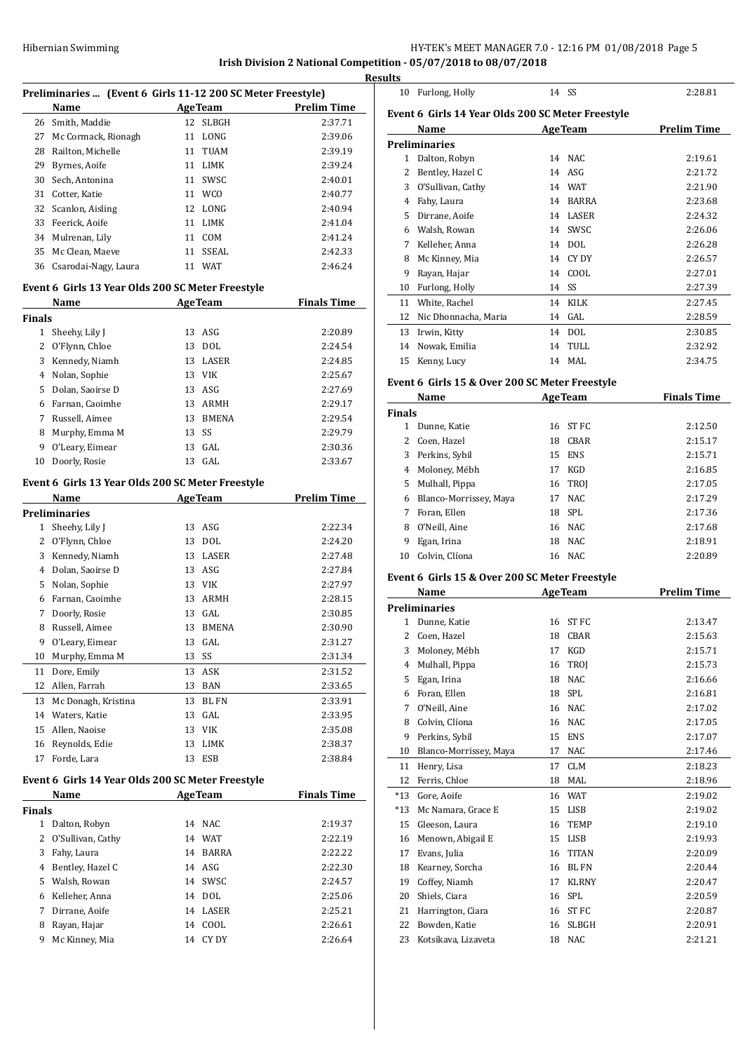**Irish Division 2 National Competition - 05/07/2018 to 08/07/2018**

|              | Preliminaries  (Event 6 Girls 11-12 200 SC Meter Freestyle) |    |                |                    |
|--------------|-------------------------------------------------------------|----|----------------|--------------------|
|              | Name                                                        |    | <b>AgeTeam</b> | <b>Prelim Time</b> |
| 26           | Smith, Maddie                                               |    | 12 SLBGH       | 2:37.71            |
| 27           | Mc Cormack, Rionagh                                         | 11 | LONG           | 2:39.06            |
| 28           | Railton, Michelle                                           |    | 11 TUAM        | 2:39.19            |
| 29           | Byrnes, Aoife                                               |    | 11 LIMK        | 2:39.24            |
| 30           | Sech, Antonina                                              |    | 11 SWSC        | 2:40.01            |
| 31           | Cotter, Katie                                               |    | 11 WCO         | 2:40.77            |
| 32           | Scanlon, Aisling                                            |    | 12 LONG        | 2:40.94            |
| 33           | Feerick, Aoife                                              |    | 11 LIMK        | 2:41.04            |
| 34           | Mulrenan, Lily                                              |    | 11 COM         | 2:41.24            |
| 35           | Mc Clean, Maeve                                             | 11 | SSEAL          | 2:42.33            |
| 36           | Csarodai-Nagy, Laura                                        | 11 | WAT            | 2:46.24            |
|              |                                                             |    |                |                    |
|              | Event 6 Girls 13 Year Olds 200 SC Meter Freestyle           |    | <b>AgeTeam</b> | <b>Finals Time</b> |
|              | Name                                                        |    |                |                    |
| Finals<br>1  |                                                             | 13 | ASG            | 2:20.89            |
| 2            | Sheehy, Lily J                                              | 13 | DOL            | 2:24.54            |
|              | O'Flynn, Chloe                                              |    |                |                    |
| 3            | Kennedy, Niamh                                              |    | 13 LASER       | 2:24.85            |
| 4            | Nolan, Sophie                                               |    | 13 VIK         | 2:25.67            |
| 5            | Dolan, Saoirse D                                            |    | 13 ASG         | 2:27.69            |
| 6            | Farnan, Caoimhe                                             |    | 13 ARMH        | 2:29.17            |
| 7            | Russell, Aimee                                              |    | 13 BMENA       | 2:29.54            |
| 8            | Murphy, Emma M                                              | 13 | SS             | 2:29.79            |
| 9            | O'Leary, Eimear                                             | 13 | GAL            | 2:30.36            |
| 10           | Doorly, Rosie                                               | 13 | GAL            | 2:33.67            |
|              | Event 6 Girls 13 Year Olds 200 SC Meter Freestyle           |    |                |                    |
|              | <b>Name</b>                                                 |    | <b>AgeTeam</b> | <b>Prelim Time</b> |
|              | Preliminaries                                               |    |                |                    |
| 1            | Sheehy, Lily J                                              | 13 | ASG            | 2:22.34            |
| 2            | O'Flynn, Chloe                                              | 13 | DOL            | 2:24.20            |
| 3            | Kennedy, Niamh                                              |    | 13 LASER       | 2:27.48            |
| 4            | Dolan, Saoirse D                                            |    | 13 ASG         | 2:27.84            |
| 5            | Nolan, Sophie                                               |    | 13 VIK         | 2:27.97            |
| 6            | Farnan, Caoimhe                                             |    | 13 ARMH        | 2:28.15            |
| 7            | Doorly, Rosie                                               | 13 | GAL            | 2:30.85            |
| 8            | Russell, Aimee                                              | 13 | <b>BMENA</b>   | 2:30.90            |
| 9            | O'Leary, Eimear                                             | 13 | GAL            | 2:31.27            |
| 10           | Murphy, Emma M                                              | 13 | SS             | 2:31.34            |
| 11           | Dore, Emily                                                 | 13 | ASK            | 2:31.52            |
| 12           | Allen, Farrah                                               | 13 | BAN            | 2:33.65            |
| 13           | Mc Donagh, Kristina                                         | 13 | <b>BLFN</b>    | 2:33.91            |
| 14           | Waters, Katie                                               | 13 | GAL            | 2:33.95            |
| 15           | Allen, Naoise                                               | 13 | VIK            | 2:35.08            |
| 16           | Reynolds, Edie                                              | 13 | LIMK           | 2:38.37            |
| 17           | Forde, Lara                                                 | 13 | ESB            | 2:38.84            |
|              |                                                             |    |                |                    |
|              | Event 6 Girls 14 Year Olds 200 SC Meter Freestyle           |    |                |                    |
|              | Name                                                        |    | <b>AgeTeam</b> | <b>Finals Time</b> |
| Finals       |                                                             |    |                |                    |
| $\mathbf{1}$ | Dalton, Robyn                                               | 14 | NAC            | 2:19.37            |
| 2            | O'Sullivan, Cathy                                           |    | 14 WAT         | 2:22.19            |
| 3            | Fahy, Laura                                                 | 14 | <b>BARRA</b>   | 2:22.22            |
| 4            | Bentley, Hazel C                                            |    | 14 ASG         | 2:22.30            |
| 5            | Walsh, Rowan                                                | 14 | SWSC           | 2:24.57            |
| 6            | Kelleher, Anna                                              | 14 | DOL            | 2:25.06            |
| 7            | Dirrane, Aoife                                              | 14 | LASER          | 2:25.21            |
| 8            | Rayan, Hajar                                                | 14 | COOL           | 2:26.61            |
| 9            | Mc Kinney, Mia                                              | 14 | CY DY          | 2:26.64            |

| <b>Results</b> |                                                   |       |                |                    |
|----------------|---------------------------------------------------|-------|----------------|--------------------|
| 10             | Furlong, Holly                                    | 14 SS |                | 2:28.81            |
|                | Event 6 Girls 14 Year Olds 200 SC Meter Freestyle |       |                |                    |
|                | Name                                              |       | <b>AgeTeam</b> | <b>Prelim Time</b> |
|                | <b>Preliminaries</b>                              |       |                |                    |
| 1              | Dalton, Robyn                                     |       | 14 NAC         | 2:19.61            |
| 2              | Bentley, Hazel C                                  |       | $14$ ASG       | 2:21.72            |
| 3              | O'Sullivan, Cathy                                 |       | 14 WAT         | 2:21.90            |
| 4              | Fahy, Laura                                       | 14    | <b>BARRA</b>   | 2:23.68            |
| 5              | Dirrane, Aoife                                    | 14    | LASER          | 2:24.32            |
| 6              | Walsh, Rowan                                      |       | 14 SWSC        | 2:26.06            |
| 7              | Kelleher, Anna                                    |       | 14 DOL         | 2:26.28            |
| 8              | Mc Kinney, Mia                                    | 14    | CY DY          | 2:26.57            |
| 9              | Rayan, Hajar                                      |       | 14 COOL        | 2:27.01            |
| 10             | Furlong, Holly                                    | 14    | SS             | 2:27.39            |
| 11             | White, Rachel                                     | 14    | <b>KILK</b>    | 2:27.45            |
| 12             | Nic Dhonnacha, Maria                              |       | $14$ GAL       | 2:28.59            |
| 13             | Irwin, Kitty                                      | 14    | DOL            | 2:30.85            |
| 14             | Nowak, Emilia                                     | 14    | TULL           | 2:32.92            |
| 15             | Kenny, Lucy                                       | 14    | MAL            | 2:34.75            |
|                |                                                   |       |                |                    |

#### **Event 6 Girls 15 & Over 200 SC Meter Freestyle**

|               | Name                   |    | <b>AgeTeam</b> | <b>Finals Time</b> |
|---------------|------------------------|----|----------------|--------------------|
| <b>Finals</b> |                        |    |                |                    |
|               | Dunne, Katie           | 16 | ST FC          | 2:12.50            |
|               | Coen, Hazel            | 18 | CBAR           | 2:15.17            |
| 3             | Perkins, Sybil         | 15 | <b>ENS</b>     | 2:15.71            |
| 4             | Moloney, Mébh          | 17 | KGD            | 2:16.85            |
| 5.            | Mulhall, Pippa         |    | 16 TROJ        | 2:17.05            |
| 6             | Blanco-Morrissey, Maya | 17 | NAC.           | 2:17.29            |
|               | Foran. Ellen           |    | 18 SPL         | 2:17.36            |
| 8             | O'Neill, Aine          |    | 16 NAC         | 2:17.68            |
| 9             | Egan, Irina            | 18 | NAC.           | 2:18.91            |
| 10            | Colvin, Clíona         |    | 16 NAC         | 2:20.89            |

# **Event 6 Girls 15 & Over 200 SC Meter Freestyle**

|                          | Name                   |    | <b>AgeTeam</b>   | <b>Prelim Time</b> |
|--------------------------|------------------------|----|------------------|--------------------|
|                          | <b>Preliminaries</b>   |    |                  |                    |
| $\mathbf{1}$             | Dunne, Katie           | 16 | <b>STFC</b>      | 2:13.47            |
| $\overline{\mathcal{L}}$ | Coen, Hazel            | 18 | CBAR             | 2:15.63            |
| 3                        | Moloney, Mébh          | 17 | <b>KGD</b>       | 2:15.71            |
| 4                        | Mulhall, Pippa         | 16 | <b>TROI</b>      | 2:15.73            |
| 5                        | Egan, Irina            | 18 | <b>NAC</b>       | 2:16.66            |
| 6                        | Foran, Ellen           | 18 | <b>SPL</b>       | 2:16.81            |
| 7                        | O'Neill, Aine          | 16 | <b>NAC</b>       | 2:17.02            |
| 8                        | Colvin, Clíona         | 16 | <b>NAC</b>       | 2:17.05            |
| 9                        | Perkins, Sybil         | 15 | <b>ENS</b>       | 2:17.07            |
| 10                       | Blanco-Morrissey, Maya | 17 | <b>NAC</b>       | 2:17.46            |
| 11                       | Henry, Lisa            | 17 | <b>CLM</b>       | 2:18.23            |
| 12                       | Ferris, Chloe          | 18 | MAL              | 2:18.96            |
| $*13$                    | Gore, Aoife            | 16 | <b>WAT</b>       | 2:19.02            |
| $*13$                    | Mc Namara, Grace E     | 15 | <b>LISB</b>      | 2:19.02            |
| 15                       | Gleeson, Laura         | 16 | <b>TEMP</b>      | 2:19.10            |
| 16                       | Menown, Abigail E      | 15 | <b>LISB</b>      | 2:19.93            |
| 17                       | Evans, Julia           | 16 | <b>TITAN</b>     | 2:20.09            |
| 18                       | Kearney, Sorcha        | 16 | <b>BLFN</b>      | 2:20.44            |
| 19                       | Coffey, Niamh          | 17 | <b>KLRNY</b>     | 2:20.47            |
| 20                       | Shiels, Ciara          | 16 | <b>SPL</b>       | 2:20.59            |
| 21                       | Harrington, Ciara      | 16 | ST <sub>FC</sub> | 2:20.87            |
| 22                       | Bowden, Katie          | 16 | <b>SLBGH</b>     | 2:20.91            |
| 23                       | Kotsikava, Lizaveta    | 18 | <b>NAC</b>       | 2:21.21            |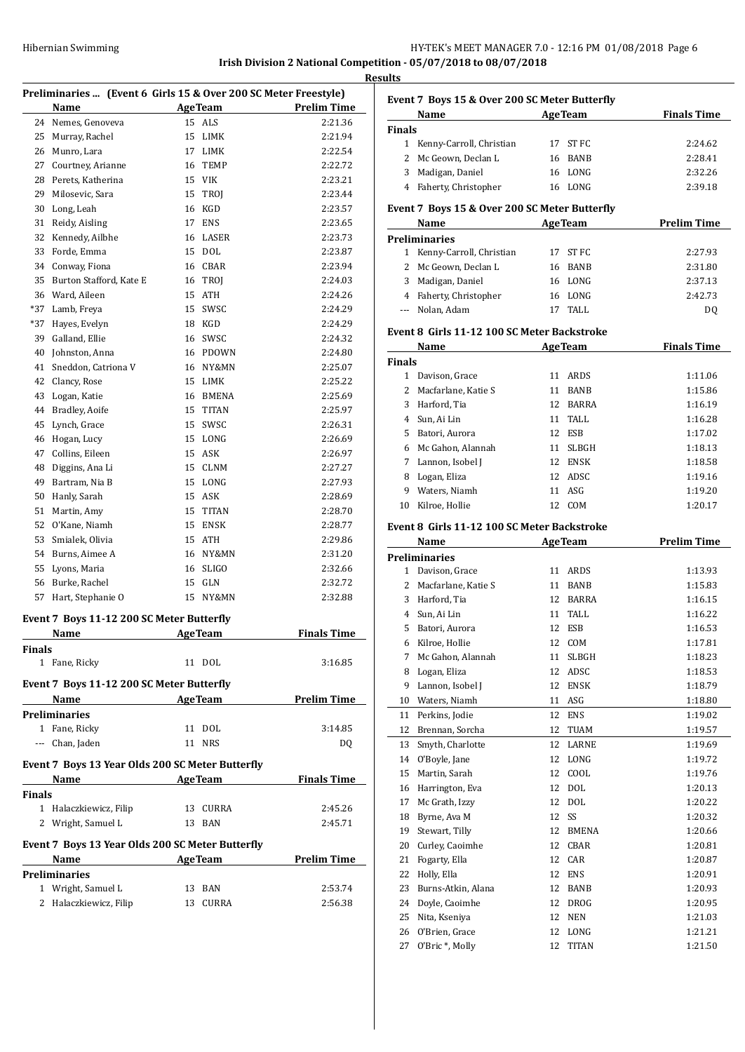| Hibernian Swimming | HY-TEK's MEET MANAGER 7.0 - 12:16 PM 01/08/2018 Page 6               |
|--------------------|----------------------------------------------------------------------|
|                    | Irish Division 2 National Competition - $05/07/2018$ to $08/07/2018$ |

**Results**

| Preliminaries  (Event 6 Girls 15 & Over 200 SC Meter Freestyle) |                                                  |    |                |                    |  |
|-----------------------------------------------------------------|--------------------------------------------------|----|----------------|--------------------|--|
|                                                                 | Name                                             |    | <b>AgeTeam</b> | <b>Prelim Time</b> |  |
| 24                                                              | Nemes, Genoveva                                  | 15 | ALS            | 2:21.36            |  |
| 25                                                              | Murray, Rachel                                   | 15 | LIMK           | 2:21.94            |  |
| 26                                                              | Munro, Lara                                      |    | 17 LIMK        | 2:22.54            |  |
| 27                                                              | Courtney, Arianne                                | 16 | TEMP           | 2:22.72            |  |
| 28                                                              | Perets, Katherina                                |    | 15 VIK         | 2:23.21            |  |
| 29                                                              | Milosevic, Sara                                  | 15 | TROJ           | 2:23.44            |  |
| 30                                                              | Long, Leah                                       | 16 | KGD            | 2:23.57            |  |
| 31                                                              | Reidy, Aisling                                   | 17 | <b>ENS</b>     | 2:23.65            |  |
| 32                                                              | Kennedy, Ailbhe                                  | 16 | LASER          | 2:23.73            |  |
| 33                                                              | Forde, Emma                                      | 15 | <b>DOL</b>     | 2:23.87            |  |
| 34                                                              | Conway, Fiona                                    |    | 16 CBAR        | 2:23.94            |  |
| 35                                                              | Burton Stafford, Kate E                          |    | 16 TROJ        | 2:24.03            |  |
| 36                                                              | Ward, Aileen                                     | 15 | ATH            | 2:24.26            |  |
| *37                                                             | Lamb, Freya                                      | 15 | SWSC           | 2:24.29            |  |
| *37                                                             | Hayes, Evelyn                                    |    | 18 KGD         | 2:24.29            |  |
| 39                                                              | Galland, Ellie                                   |    | 16 SWSC        | 2:24.32            |  |
| 40                                                              | Johnston, Anna                                   |    | 16 PDOWN       | 2:24.80            |  |
| 41                                                              | Sneddon, Catriona V                              |    | 16 NY&MN       | 2:25.07            |  |
| 42                                                              | Clancy, Rose                                     |    | 15 LIMK        | 2:25.22            |  |
|                                                                 |                                                  |    |                |                    |  |
| 43                                                              | Logan, Katie                                     |    | 16 BMENA       | 2:25.69            |  |
| 44                                                              | Bradley, Aoife                                   | 15 | <b>TITAN</b>   | 2:25.97            |  |
| 45                                                              | Lynch, Grace                                     | 15 | SWSC           | 2:26.31            |  |
| 46                                                              | Hogan, Lucy                                      |    | 15 LONG        | 2:26.69            |  |
| 47                                                              | Collins, Eileen                                  | 15 | ASK            | 2:26.97            |  |
| 48                                                              | Diggins, Ana Li                                  | 15 | <b>CLNM</b>    | 2:27.27            |  |
| 49                                                              | Bartram, Nia B                                   |    | 15 LONG        | 2:27.93            |  |
| 50                                                              | Hanly, Sarah                                     |    | 15 ASK         | 2:28.69            |  |
| 51                                                              | Martin, Amy                                      | 15 | TITAN          | 2:28.70            |  |
| 52                                                              | O'Kane, Niamh                                    | 15 | ENSK           | 2:28.77            |  |
| 53                                                              | Smialek, Olivia                                  |    | 15 ATH         | 2:29.86            |  |
|                                                                 | 54 Burns, Aimee A                                |    | 16 NY&MN       | 2:31.20            |  |
| 55                                                              | Lyons, Maria                                     |    | 16 SLIGO       | 2:32.66            |  |
| 56                                                              | Burke, Rachel                                    | 15 | <b>GLN</b>     | 2:32.72            |  |
| 57                                                              | Hart, Stephanie O                                | 15 | NY&MN          | 2:32.88            |  |
|                                                                 | Event 7 Boys 11-12 200 SC Meter Butterfly        |    |                |                    |  |
|                                                                 | Name                                             |    | <b>AgeTeam</b> | <b>Finals Time</b> |  |
|                                                                 |                                                  |    |                |                    |  |
| Finals                                                          |                                                  |    |                |                    |  |
|                                                                 | 1 Fane, Ricky                                    |    | 11 DOL         | 3:16.85            |  |
|                                                                 | Event 7 Boys 11-12 200 SC Meter Butterfly        |    |                |                    |  |
|                                                                 | Name<br><b>Example 21 Age Team</b>               |    |                | <b>Prelim Time</b> |  |
|                                                                 | <b>Preliminaries</b>                             |    |                |                    |  |
|                                                                 | 1 Fane, Ricky                                    |    | 11 DOL         | 3:14.85            |  |
|                                                                 | --- Chan, Jaden                                  |    | 11 NRS         | DQ                 |  |
|                                                                 |                                                  |    |                |                    |  |
|                                                                 | Event 7 Boys 13 Year Olds 200 SC Meter Butterfly |    |                |                    |  |
|                                                                 | Name $\qquad \qquad$                             |    | <b>AgeTeam</b> | <b>Finals Time</b> |  |
| Finals                                                          |                                                  |    |                |                    |  |
|                                                                 | 1 Halaczkiewicz, Filip                           |    | 13 CURRA       | 2:45.26            |  |
|                                                                 | 2 Wright, Samuel L                               |    | 13 BAN         | 2:45.71            |  |
|                                                                 | Event 7 Boys 13 Year Olds 200 SC Meter Butterfly |    |                |                    |  |
|                                                                 | Name                                             |    | <b>AgeTeam</b> | <b>Prelim Time</b> |  |
|                                                                 | <b>Preliminaries</b>                             |    |                |                    |  |
|                                                                 | 1 Wright, Samuel L                               |    | 13 BAN         | 2:53.74            |  |
|                                                                 | 2 Halaczkiewicz, Filip                           | 13 | CURRA          | 2:56.38            |  |
|                                                                 |                                                  |    |                |                    |  |

|               | Event 7 Boys 15 & Over 200 SC Meter Butterfly |    |                |                    |
|---------------|-----------------------------------------------|----|----------------|--------------------|
|               | Name AgeTeam                                  |    |                | <b>Finals Time</b> |
| <b>Finals</b> |                                               |    |                |                    |
|               | 1 Kenny-Carroll, Christian                    |    | 17 ST FC       | 2:24.62            |
|               | 2 Mc Geown, Declan L                          |    | 16 BANB        | 2:28.41            |
|               | 3 Madigan, Daniel                             |    | 16 LONG        | 2:32.26            |
|               | 4 Faherty, Christopher                        |    | 16 LONG        | 2:39.18            |
|               |                                               |    |                |                    |
|               | Event 7 Boys 15 & Over 200 SC Meter Butterfly |    |                |                    |
|               | Name                                          |    | <b>AgeTeam</b> | <b>Prelim Time</b> |
|               | <b>Preliminaries</b>                          |    |                |                    |
|               | 1 Kenny-Carroll, Christian                    |    | 17 ST FC       | 2:27.93            |
|               | 2 Mc Geown, Declan L                          |    | 16 BANB        | 2:31.80            |
|               | 3 Madigan, Daniel                             |    | 16 LONG        | 2:37.13            |
|               | 4 Faherty, Christopher                        |    | 16 LONG        | 2:42.73            |
|               | --- Nolan, Adam                               |    | 17 TALL        | DQ                 |
|               |                                               |    |                |                    |
|               | Event 8 Girls 11-12 100 SC Meter Backstroke   |    |                |                    |
|               | Name                                          |    | <b>AgeTeam</b> | <b>Finals Time</b> |
| Finals        |                                               |    |                |                    |
|               | 1 Davison, Grace                              |    | 11 ARDS        | 1:11.06            |
|               | 2 Macfarlane, Katie S                         | 11 | <b>BANB</b>    | 1:15.86            |
|               | 3 Harford, Tia                                |    | 12 BARRA       | 1:16.19            |
|               | 4 Sun, Ai Lin                                 | 11 | TALL           | 1:16.28            |
|               | 5 Batori, Aurora                              |    | 12 ESB         | 1:17.02            |
|               | 6 Mc Gahon, Alannah                           | 11 | <b>SLBGH</b>   | 1:18.13            |
|               | 7 Lannon, Isobel J                            |    | 12 ENSK        | 1:18.58            |
|               | 8 Logan, Eliza                                |    | 12 ADSC        | 1:19.16            |
|               | 9 Waters, Niamh                               |    | 11 ASG         | 1:19.20            |
|               | 10 Kilroe, Hollie                             |    | 12 COM         | 1:20.17            |
|               |                                               |    |                |                    |
|               | Event 8 Girls 11-12 100 SC Meter Backstroke   |    |                |                    |
|               | Name                                          |    | <b>AgeTeam</b> | <b>Prelim Time</b> |
|               | <b>Preliminaries</b>                          |    |                |                    |
|               | 1 Davison, Grace                              |    | 11 ARDS        | 1:13.93            |
|               | 2 Macfarlane, Katie S                         |    | 11 BANB        | 1:15.83            |
|               | 3 Harford, Tia                                |    | 12 BARRA       | 1:16.15            |
|               | 4 Sun, Ai Lin                                 | 11 | TALL           | 1:16.22            |
|               | 5 Batori, Aurora                              |    | 12 ESB         | 1:16.53            |
|               | 6 Kilroe, Hollie                              |    | 12 COM         | 1:17.81            |
|               | 7 Mc Gahon, Alannah                           |    | 11 SLBGH       | 1:18.23            |
| 8             | Logan, Eliza                                  | 12 | ADSC           | 1:18.53            |
| 9             | Lannon, Isobel J                              | 12 | <b>ENSK</b>    | 1:18.79            |
| 10            | Waters, Niamh                                 | 11 | ASG            | 1:18.80            |
| 11            | Perkins, Jodie                                | 12 | ENS            | 1:19.02            |
| 12            | Brennan, Sorcha                               | 12 | TUAM           | 1:19.57            |
| 13            | Smyth, Charlotte                              | 12 | LARNE          | 1:19.69            |
| 14            | O'Boyle, Jane                                 | 12 | LONG           | 1:19.72            |
| 15            | Martin, Sarah                                 | 12 | COOL           | 1:19.76            |
| 16            | Harrington, Eva                               | 12 | DOL            | 1:20.13            |
| 17            | Mc Grath, Izzy                                | 12 | DOL            | 1:20.22            |
| 18            | Byrne, Ava M                                  | 12 | SS             | 1:20.32            |
| 19            | Stewart, Tilly                                | 12 | BMENA          | 1:20.66            |
| 20            | Curley, Caoimhe                               | 12 | CBAR           | 1:20.81            |
| 21            | Fogarty, Ella                                 | 12 | CAR            | 1:20.87            |
| 22            | Holly, Ella                                   | 12 | <b>ENS</b>     | 1:20.91            |
| 23            | Burns-Atkin, Alana                            | 12 | BANB           | 1:20.93            |
| 24            | Doyle, Caoimhe                                | 12 | DROG           | 1:20.95            |
| 25            | Nita, Kseniya                                 | 12 | NEN            | 1:21.03            |
| 26            | O'Brien, Grace                                | 12 | ${\tt LONG}$   | 1:21.21            |
| 27            | O'Bric *, Molly                               | 12 | TITAN          | 1:21.50            |
|               |                                               |    |                |                    |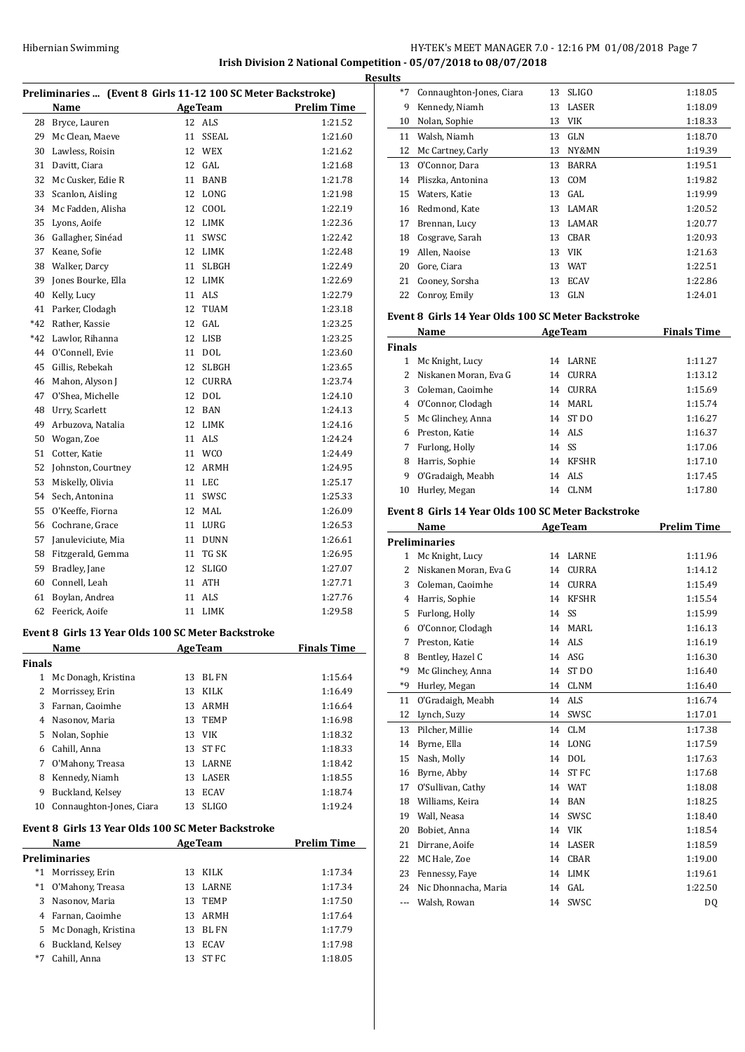# HY-TEK's MEET MANAGER 7.0 - 12:16 PM 01/08/2018 Page 7 **Irish Division 2 National Competition - 05/07/2018 to 08/07/2018**

**Results**

| Preliminaries  (Event 8 Girls 11-12 100 SC Meter Backstroke) |                                                    |         |                |                    |
|--------------------------------------------------------------|----------------------------------------------------|---------|----------------|--------------------|
|                                                              | Name                                               |         | <b>AgeTeam</b> | <b>Prelim Time</b> |
| 28                                                           | Bryce, Lauren                                      | 12      | ALS            | 1:21.52            |
| 29                                                           | Mc Clean, Maeve                                    | 11      | SSEAL          | 1:21.60            |
| 30                                                           | Lawless, Roisin                                    | 12      | <b>WEX</b>     | 1:21.62            |
| 31                                                           | Davitt, Ciara                                      | 12      | GAL            | 1:21.68            |
| 32                                                           | Mc Cusker, Edie R                                  | 11      | <b>BANB</b>    | 1:21.78            |
| 33                                                           | Scanlon, Aisling                                   |         | 12 LONG        | 1:21.98            |
| 34                                                           | Mc Fadden, Alisha                                  |         | 12 COOL        | 1:22.19            |
| 35                                                           | Lyons, Aoife                                       |         | 12 LIMK        | 1:22.36            |
| 36                                                           | Gallagher, Sinéad                                  | 11      | SWSC           | 1:22.42            |
| 37                                                           | Keane, Sofie                                       |         | 12 LIMK        | 1:22.48            |
| 38                                                           | Walker, Darcy                                      | 11      | <b>SLBGH</b>   | 1:22.49            |
| 39                                                           | Jones Bourke, Ella                                 | 12      | LIMK           | 1:22.69            |
| 40                                                           | Kelly, Lucy                                        | 11      | ALS            | 1:22.79            |
| 41                                                           | Parker, Clodagh                                    | 12      | <b>TUAM</b>    | 1:23.18            |
| $*42$                                                        | Rather, Kassie                                     | 12      | GAL            | 1:23.25            |
| $*42$                                                        | Lawlor, Rihanna                                    | 12      | LISB           | 1:23.25            |
| 44                                                           | O'Connell, Evie                                    | 11      | DOL            | 1:23.60            |
| 45                                                           | Gillis, Rebekah                                    | 12      | <b>SLBGH</b>   | 1:23.65            |
| 46                                                           | Mahon, Alyson J                                    |         | 12 CURRA       | 1:23.74            |
| 47                                                           | O'Shea, Michelle                                   | 12      | <b>DOL</b>     | 1:24.10            |
| 48                                                           | Urry, Scarlett                                     | 12      | <b>BAN</b>     | 1:24.13            |
| 49                                                           | Arbuzova, Natalia                                  | 12      | LIMK           | 1:24.16            |
| 50                                                           | Wogan, Zoe                                         | 11      | ALS            | 1:24.24            |
| 51                                                           | Cotter, Katie                                      | 11      | <b>WCO</b>     | 1:24.49            |
| 52                                                           | Johnston, Courtney                                 | 12      | ARMH           | 1:24.95            |
| 53                                                           | Miskelly, Olivia                                   | 11      | <b>LEC</b>     | 1:25.17            |
| 54                                                           | Sech, Antonina                                     | 11      | SWSC           | 1:25.33            |
| 55                                                           | O'Keeffe, Fiorna                                   | 12      | MAL            | 1:26.09            |
| 56                                                           | Cochrane, Grace                                    | 11      | LURG           | 1:26.53            |
| 57                                                           | Januleviciute, Mia                                 | 11      | <b>DUNN</b>    | 1:26.61            |
| 58                                                           | Fitzgerald, Gemma                                  | 11      | TG SK          | 1:26.95            |
| 59                                                           | Bradley, Jane                                      | 12      | <b>SLIGO</b>   | 1:27.07            |
| 60                                                           | Connell, Leah                                      | 11      | ATH            | 1:27.71            |
| 61                                                           | Boylan, Andrea                                     | 11      | ALS            | 1:27.76            |
| 62                                                           | Feerick, Aoife                                     | 11      | LIMK           | 1:29.58            |
|                                                              | Event 8 Girls 13 Year Olds 100 SC Meter Backstroke |         |                |                    |
|                                                              | Name                                               | AgeTeam |                | Finals Time        |
| Finals                                                       |                                                    |         |                |                    |
| $\mathbf{1}$                                                 | Mc Donagh, Kristina                                | 13      | BL FN          | 1:15.64            |
| 2                                                            | Morrissey, Erin                                    | 13      | KILK           | 1:16.49            |
| 3                                                            | Farnan, Caoimhe                                    | 13      | ARMH           | 1:16.64            |
| 4                                                            | Nasonov, Maria                                     | 13      | <b>TEMP</b>    | 1:16.98            |
| 5                                                            | Nolan, Sophie                                      | 13      | VIK            | 1:18.32            |
| 6                                                            | Cahill, Anna                                       | 13      | ST FC          | 1:18.33            |

| $*7$ | Connaughton-Jones, Ciara | 13 | <b>SLIGO</b> | 1:18.05 |
|------|--------------------------|----|--------------|---------|
| 9    | Kennedy, Niamh           | 13 | LASER        | 1:18.09 |
| 10   | Nolan, Sophie            | 13 | VIK          | 1:18.33 |
| 11   | Walsh, Niamh             | 13 | <b>GLN</b>   | 1:18.70 |
| 12   | Mc Cartney, Carly        | 13 | NY&MN        | 1:19.39 |
| 13   | O'Connor, Dara           | 13 | <b>BARRA</b> | 1:19.51 |
| 14   | Pliszka, Antonina        | 13 | COM          | 1:19.82 |
| 15   | Waters, Katie            | 13 | GAL          | 1:19.99 |
| 16   | Redmond, Kate            | 13 | LAMAR        | 1:20.52 |
| 17   | Brennan, Lucy            | 13 | <b>LAMAR</b> | 1:20.77 |
| 18   | Cosgrave, Sarah          | 13 | CBAR         | 1:20.93 |
| 19   | Allen, Naoise            | 13 | <b>VIK</b>   | 1:21.63 |
| 20   | Gore, Ciara              | 13 | <b>WAT</b>   | 1:22.51 |
| 21   | Cooney, Sorsha           | 13 | <b>ECAV</b>  | 1:22.86 |
| 22   | Conroy, Emily            | 13 | <b>GLN</b>   | 1:24.01 |

# **Event 8 Girls 14 Year Olds 100 SC Meter Backstroke**

| Name          |                       |    | <b>AgeTeam</b> | <b>Finals Time</b> |  |
|---------------|-----------------------|----|----------------|--------------------|--|
| <b>Finals</b> |                       |    |                |                    |  |
| 1             | Mc Knight, Lucy       | 14 | <b>LARNE</b>   | 1:11.27            |  |
| 2             | Niskanen Moran, Eva G | 14 | CURRA          | 1:13.12            |  |
| 3             | Coleman, Caoimhe      | 14 | <b>CURRA</b>   | 1:15.69            |  |
| 4             | O'Connor, Clodagh     | 14 | MARI.          | 1:15.74            |  |
| 5.            | Mc Glinchey, Anna     | 14 | ST DO          | 1:16.27            |  |
| 6             | Preston, Katie        |    | 14 ALS         | 1:16.37            |  |
| 7             | Furlong, Holly        |    | 14 SS          | 1:17.06            |  |
| 8             | Harris, Sophie        | 14 | KFSHR          | 1:17.10            |  |
| 9             | O'Gradaigh, Meabh     |    | 14 ALS         | 1:17.45            |  |
| 10            | Hurley, Megan         | 14 | CLNM           | 1:17.80            |  |

#### **Event 8 Girls 14 Year Olds 100 SC Meter Backstroke**

| Name                    |                       |    | <b>AgeTeam</b>   | <b>Prelim Time</b> |  |
|-------------------------|-----------------------|----|------------------|--------------------|--|
|                         | <b>Preliminaries</b>  |    |                  |                    |  |
| 1                       | Mc Knight, Lucy       | 14 | <b>LARNE</b>     | 1:11.96            |  |
| $\overline{\mathbf{c}}$ | Niskanen Moran, Eva G | 14 | <b>CURRA</b>     | 1:14.12            |  |
| 3                       | Coleman, Caoimhe      | 14 | <b>CURRA</b>     | 1:15.49            |  |
| 4                       | Harris, Sophie        | 14 | <b>KFSHR</b>     | 1:15.54            |  |
| 5                       | Furlong, Holly        | 14 | SS               | 1:15.99            |  |
| 6                       | O'Connor, Clodagh     | 14 | MARI.            | 1:16.13            |  |
| 7                       | Preston, Katie        | 14 | ALS              | 1:16.19            |  |
| 8                       | Bentley, Hazel C      | 14 | ASG              | 1:16.30            |  |
| $*q$                    | Mc Glinchey, Anna     | 14 | ST <sub>DO</sub> | 1:16.40            |  |
| *9                      | Hurley, Megan         | 14 | <b>CLNM</b>      | 1:16.40            |  |
| 11                      | O'Gradaigh, Meabh     | 14 | <b>ALS</b>       | 1:16.74            |  |
| 12                      | Lynch, Suzy           | 14 | SWSC             | 1:17.01            |  |
| 13                      | Pilcher, Millie       | 14 | <b>CLM</b>       | 1:17.38            |  |
| 14                      | Byrne, Ella           | 14 | LONG             | 1:17.59            |  |
| 15                      | Nash, Molly           | 14 | DOL              | 1:17.63            |  |
| 16                      | Byrne, Abby           | 14 | <b>STFC</b>      | 1:17.68            |  |
| 17                      | O'Sullivan, Cathy     | 14 | <b>WAT</b>       | 1:18.08            |  |
| 18                      | Williams, Keira       | 14 | <b>BAN</b>       | 1:18.25            |  |
| 19                      | Wall, Neasa           | 14 | SWSC             | 1:18.40            |  |
| 20                      | Bobiet, Anna          | 14 | <b>VIK</b>       | 1:18.54            |  |
| 21                      | Dirrane, Aoife        | 14 | LASER            | 1:18.59            |  |
| 22                      | MC Hale, Zoe          | 14 | <b>CBAR</b>      | 1:19.00            |  |
| 23                      | Fennessy, Faye        | 14 | <b>LIMK</b>      | 1:19.61            |  |
| 24                      | Nic Dhonnacha, Maria  | 14 | GAL              | 1:22.50            |  |
| ---                     | Walsh, Rowan          | 14 | SWSC             | DQ                 |  |
|                         |                       |    |                  |                    |  |

#### **Event 8 Girls 13 Year Olds 100 SC Meter Backstroke**

|       | <b>Name</b>         |     | <b>AgeTeam</b> | <b>Prelim Time</b> |
|-------|---------------------|-----|----------------|--------------------|
|       | Preliminaries       |     |                |                    |
| $^*1$ | Morrissey, Erin     | 13  | KILK           | 1:17.34            |
| $^*1$ | O'Mahony, Treasa    |     | 13 LARNE       | 1:17.34            |
| 3     | Nasonov, Maria      |     | 13 TEMP        | 1:17.50            |
| 4     | Farnan, Caoimhe     | 13  | ARMH           | 1:17.64            |
| 5.    | Mc Donagh, Kristina | 13. | BL FN          | 1:17.79            |
| 6     | Buckland, Kelsey    | 13  | <b>ECAV</b>    | 1:17.98            |
| $*7$  | Cahill, Anna        | 13  | ST FC          | 1:18.05            |
|       |                     |     |                |                    |

7 O'Mahony, Treasa 13 LARNE 1:18.42 8 Kennedy, Niamh 13 LASER 1:18.55 Buckland, Kelsey 13 ECAV 1:18.74 10 Connaughton-Jones, Ciara 13 SLIGO 1:19.24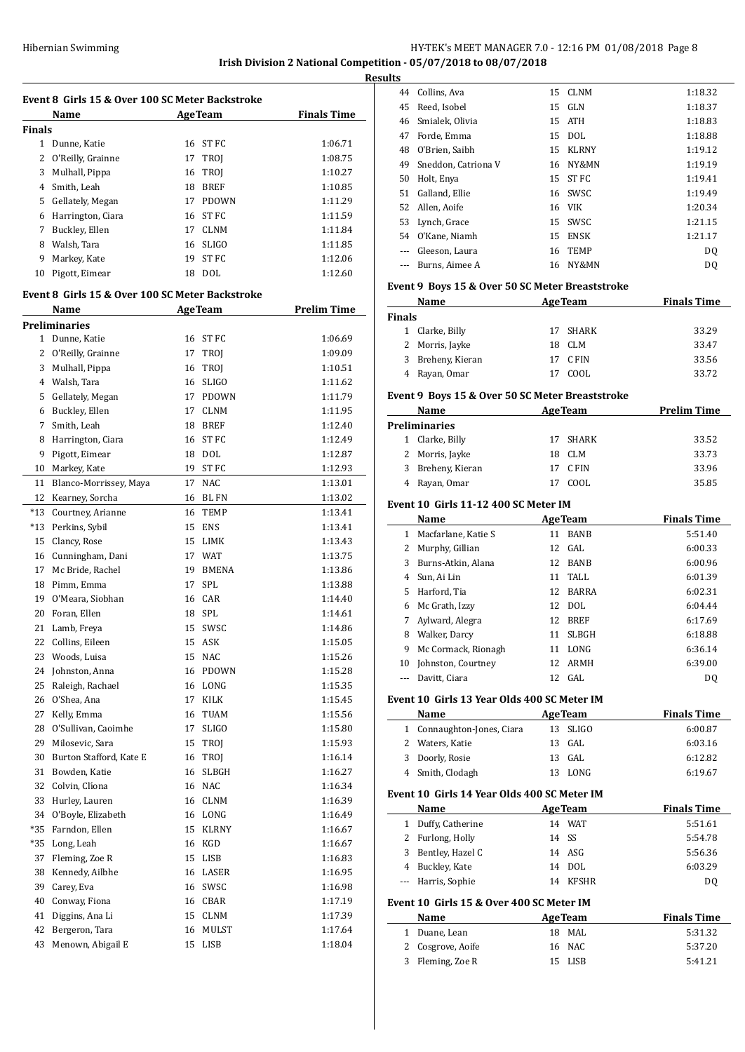# Hibernian Swimming **HY-TEK's MEET MANAGER 7.0 - 12:16 PM 01/08/2018** Page 8 **Irish Division 2 National Competition - 05/07/2018 to 08/07/2018**

**Event 8 Girls 15 & Over 100 SC Meter Backstroke Name Age Team Finals Time Finals** 1 Dunne, Katie 16 ST FC 1:06.71 2 O'Reilly, Grainne 17 TROJ 1:08.75 3 Mulhall, Pippa 16 TROJ 1:10.27 4 Smith, Leah 18 BREF 1:10.85 5 Gellately, Megan 17 PDOWN 1:11.29 6 Harrington, Ciara 16 ST FC 1:11.59 7 Buckley, Ellen 17 CLNM 1:11.84 8 Walsh, Tara 16 SLIGO 1:11.85 9 Markey, Kate 19 ST FC 1:12.06 10 Pigott, Eimear 18 DOL 1:12.60 **Event 8 Girls 15 & Over 100 SC Meter Backstroke Name Age Team Prelim Time Preliminaries** 1 Dunne, Katie 16 ST FC 1:06.69 2 O'Reilly, Grainne 17 TROJ 1:09.09 3 Mulhall, Pippa 16 TROJ 1:10.51 4 Walsh, Tara 16 SLIGO 1:11.62 5 Gellately, Megan 17 PDOWN 1:11.79 6 Buckley, Ellen 17 CLNM 1:11.95 7 Smith, Leah 18 BREF 1:12.40 8 Harrington, Ciara 16 ST FC 1:12.49 9 Pigott, Eimear 18 DOL 1:12.87 10 Markey, Kate 19 ST FC 1:12.93 11 Blanco-Morrissey, Maya 17 NAC 1:13.01 12 Kearney, Sorcha 16 BL FN 1:13.02 \*13 Courtney, Arianne 16 TEMP 1:13.41 \*13 Perkins, Sybil 15 ENS 1:13.41 15 Clancy, Rose 15 LIMK 1:13.43 16 Cunningham, Dani 17 WAT 1:13.75 17 Mc Bride, Rachel 19 BMENA 1:13.86 18 Pimm, Emma 17 SPL 1:13.88 19 O'Meara, Siobhan 16 CAR 1:14.40 20 Foran, Ellen 18 SPL 1:14.61 21 Lamb, Freya 15 SWSC 1:14.86 22 Collins, Eileen 15 ASK 1:15.05 23 Woods, Luisa 15 NAC 1:15.26 24 Johnston, Anna 16 PDOWN 1:15.28 25 Raleigh, Rachael 16 LONG 1:15.35 26 O'Shea, Ana 17 KILK 1:15.45 27 Kelly, Emma 16 TUAM 1:15.56 28 O'Sullivan, Caoimhe 17 SLIGO 1:15.80 29 Milosevic, Sara 15 TROJ 1:15.93 30 Burton Stafford, Kate E 16 TROJ 1:16.14 31 Bowden, Katie 16 SLBGH 1:16.27 32 Colvin, Clíéona 16 NAC 1:16.34 33 Hurley, Lauren 16 CLNM 1:16.39 34 O'Boyle, Elizabeth 16 LONG 1:16.49 \*35 Farndon, Ellen 15 KLRNY 1:16.67 \*35 Long, Leah 16 KGD 1:16.67 37 Fleming, Zoe R 15 LISB 1:16.83 38 Kennedy, Ailbhe 16 LASER 1:16.95 39 Carey, Eva 16 SWSC 1:16.98 40 Conway, Fiona 16 CBAR 1:17.19 41 Diggins, Ana Li 15 CLNM 1:17.39 42 Bergeron, Tara 16 MULST 1:17.64 43 Menown, Abigail E 15 LISB 1:18.04

| <b>Results</b>                                                                                                                                                                                                                                                                                                                                                                                                                                                             |                                                 |    |                |                    |
|----------------------------------------------------------------------------------------------------------------------------------------------------------------------------------------------------------------------------------------------------------------------------------------------------------------------------------------------------------------------------------------------------------------------------------------------------------------------------|-------------------------------------------------|----|----------------|--------------------|
|                                                                                                                                                                                                                                                                                                                                                                                                                                                                            | 44 Collins, Ava                                 |    | 15 CLNM        | 1:18.32            |
|                                                                                                                                                                                                                                                                                                                                                                                                                                                                            | 45 Reed, Isobel                                 |    | 15 GLN         | 1:18.37            |
|                                                                                                                                                                                                                                                                                                                                                                                                                                                                            | 46 Smialek, Olivia                              |    | 15 ATH         | 1:18.83            |
|                                                                                                                                                                                                                                                                                                                                                                                                                                                                            | 47 Forde, Emma                                  |    | 15 DOL         | 1:18.88            |
|                                                                                                                                                                                                                                                                                                                                                                                                                                                                            | 48 O'Brien, Saibh                               |    | 15 KLRNY       | 1:19.12            |
|                                                                                                                                                                                                                                                                                                                                                                                                                                                                            | 49 Sneddon, Catriona V                          |    | 16 NY&MN       | 1:19.19            |
|                                                                                                                                                                                                                                                                                                                                                                                                                                                                            | 50 Holt, Enya                                   | 15 | ST FC          | 1:19.41            |
|                                                                                                                                                                                                                                                                                                                                                                                                                                                                            | 51 Galland, Ellie                               |    | 16 SWSC        | 1:19.49            |
|                                                                                                                                                                                                                                                                                                                                                                                                                                                                            | 52 Allen, Aoife                                 |    | 16 VIK         | 1:20.34            |
|                                                                                                                                                                                                                                                                                                                                                                                                                                                                            | 53 Lynch, Grace                                 |    | 15 SWSC        | 1:21.15            |
|                                                                                                                                                                                                                                                                                                                                                                                                                                                                            | 54 O'Kane, Niamh                                |    | 15 ENSK        | 1:21.17            |
|                                                                                                                                                                                                                                                                                                                                                                                                                                                                            | --- Gleeson, Laura                              |    | 16 TEMP        | DQ                 |
|                                                                                                                                                                                                                                                                                                                                                                                                                                                                            | --- Burns, Aimee A                              |    | 16 NY&MN       | DQ                 |
|                                                                                                                                                                                                                                                                                                                                                                                                                                                                            | Event 9 Boys 15 & Over 50 SC Meter Breaststroke |    |                |                    |
|                                                                                                                                                                                                                                                                                                                                                                                                                                                                            | Name                                            |    | AgeTeam        | <b>Finals Time</b> |
| <b>Finals</b>                                                                                                                                                                                                                                                                                                                                                                                                                                                              |                                                 |    |                |                    |
|                                                                                                                                                                                                                                                                                                                                                                                                                                                                            | 1 Clarke, Billy                                 | 17 | SHARK          | 33.29              |
|                                                                                                                                                                                                                                                                                                                                                                                                                                                                            | 2 Morris, Jayke                                 |    | 18 CLM         | 33.47              |
|                                                                                                                                                                                                                                                                                                                                                                                                                                                                            | 3 Breheny, Kieran                               |    | 17 CFIN        | 33.56              |
|                                                                                                                                                                                                                                                                                                                                                                                                                                                                            | 4 Rayan, Omar                                   | 17 | COOL           | 33.72              |
|                                                                                                                                                                                                                                                                                                                                                                                                                                                                            | Event 9 Boys 15 & Over 50 SC Meter Breaststroke |    |                |                    |
|                                                                                                                                                                                                                                                                                                                                                                                                                                                                            | Name                                            |    | <b>AgeTeam</b> | <b>Prelim Time</b> |
|                                                                                                                                                                                                                                                                                                                                                                                                                                                                            | <b>Preliminaries</b>                            |    |                |                    |
|                                                                                                                                                                                                                                                                                                                                                                                                                                                                            | 1 Clarke, Billy                                 |    | 17 SHARK       | 33.52              |
|                                                                                                                                                                                                                                                                                                                                                                                                                                                                            | 2 Morris, Jayke                                 |    | 18 CLM         | 33.73              |
|                                                                                                                                                                                                                                                                                                                                                                                                                                                                            | 3 Breheny, Kieran                               |    | 17 CFIN        | 33.96              |
|                                                                                                                                                                                                                                                                                                                                                                                                                                                                            | 4 Rayan, Omar                                   |    | 17 COOL        | 35.85              |
|                                                                                                                                                                                                                                                                                                                                                                                                                                                                            | 1 Macfarlane, Katie S                           |    | 11 BANB        | 5:51.40            |
|                                                                                                                                                                                                                                                                                                                                                                                                                                                                            | 2 Murphy, Gillian                               |    | 12 GAL         | 6:00.33            |
|                                                                                                                                                                                                                                                                                                                                                                                                                                                                            | 3 Burns-Atkin, Alana                            |    | 12 BANB        | 6:00.96            |
|                                                                                                                                                                                                                                                                                                                                                                                                                                                                            | 4 Sun, Ai Lin                                   | 11 | TALL           | 6:01.39            |
|                                                                                                                                                                                                                                                                                                                                                                                                                                                                            | 5 Harford, Tia                                  |    | 12 BARRA       | 6:02.31            |
|                                                                                                                                                                                                                                                                                                                                                                                                                                                                            | 6 Mc Grath, Izzy                                |    | 12 DOL         | 6:04.44            |
|                                                                                                                                                                                                                                                                                                                                                                                                                                                                            | 7 Aylward, Alegra                               |    | 12 BREF        | 6:17.69            |
|                                                                                                                                                                                                                                                                                                                                                                                                                                                                            | 8 Walker, Darcy                                 |    | 11 SLBGH       | 6:18.88            |
|                                                                                                                                                                                                                                                                                                                                                                                                                                                                            | 9 Mc Cormack, Rionagh                           |    | 11 LONG        | 6:36.14            |
|                                                                                                                                                                                                                                                                                                                                                                                                                                                                            | 10 Johnston, Courtney                           |    | 12 ARMH        | 6:39.00            |
| $\frac{1}{2} \left( \frac{1}{2} \right) \left( \frac{1}{2} \right) \left( \frac{1}{2} \right) \left( \frac{1}{2} \right) \left( \frac{1}{2} \right) \left( \frac{1}{2} \right) \left( \frac{1}{2} \right) \left( \frac{1}{2} \right) \left( \frac{1}{2} \right) \left( \frac{1}{2} \right) \left( \frac{1}{2} \right) \left( \frac{1}{2} \right) \left( \frac{1}{2} \right) \left( \frac{1}{2} \right) \left( \frac{1}{2} \right) \left( \frac{1}{2} \right) \left( \frac$ | Davitt, Ciara                                   |    | 12 GAL         | DQ                 |
|                                                                                                                                                                                                                                                                                                                                                                                                                                                                            | Event 10 Girls 13 Year Olds 400 SC Meter IM     |    |                |                    |
|                                                                                                                                                                                                                                                                                                                                                                                                                                                                            | Name                                            |    | <b>AgeTeam</b> | <b>Finals Time</b> |
|                                                                                                                                                                                                                                                                                                                                                                                                                                                                            | 1 Connaughton-Jones, Ciara                      | 13 | <b>SLIGO</b>   | 6:00.87            |
|                                                                                                                                                                                                                                                                                                                                                                                                                                                                            | 2 Waters, Katie                                 | 13 | GAL            | 6:03.16            |
|                                                                                                                                                                                                                                                                                                                                                                                                                                                                            | 3 Doorly, Rosie                                 |    | 13 GAL         | 6:12.82            |
|                                                                                                                                                                                                                                                                                                                                                                                                                                                                            | 4 Smith, Clodagh                                |    | 13 LONG        | 6:19.67            |
|                                                                                                                                                                                                                                                                                                                                                                                                                                                                            | Event 10 Girls 14 Year Olds 400 SC Meter IM     |    |                |                    |
|                                                                                                                                                                                                                                                                                                                                                                                                                                                                            | Name                                            |    | <b>AgeTeam</b> | <b>Finals Time</b> |
|                                                                                                                                                                                                                                                                                                                                                                                                                                                                            | 1 Duffy, Catherine                              |    | 14 WAT         | 5:51.61            |
|                                                                                                                                                                                                                                                                                                                                                                                                                                                                            | 2 Furlong, Holly                                | 14 | SS             | 5:54.78            |
|                                                                                                                                                                                                                                                                                                                                                                                                                                                                            | 3 Bentley, Hazel C                              |    | 14 ASG         | 5:56.36            |
|                                                                                                                                                                                                                                                                                                                                                                                                                                                                            | 4 Buckley, Kate                                 |    | 14 DOL         | 6:03.29            |
|                                                                                                                                                                                                                                                                                                                                                                                                                                                                            | --- Harris, Sophie                              |    | 14 KFSHR       | DQ                 |
|                                                                                                                                                                                                                                                                                                                                                                                                                                                                            | Event 10 Girls 15 & Over 400 SC Meter IM        |    |                |                    |
|                                                                                                                                                                                                                                                                                                                                                                                                                                                                            | Name                                            |    | <b>AgeTeam</b> | <b>Finals Time</b> |
|                                                                                                                                                                                                                                                                                                                                                                                                                                                                            | 1 Duane, Lean                                   |    | 18 MAL         | 5:31.32            |
|                                                                                                                                                                                                                                                                                                                                                                                                                                                                            | 2 Cosgrove, Aoife                               |    | 16 NAC         | 5:37.20            |
|                                                                                                                                                                                                                                                                                                                                                                                                                                                                            |                                                 |    |                |                    |
|                                                                                                                                                                                                                                                                                                                                                                                                                                                                            | 3 Fleming, Zoe R                                |    | 15 LISB        | 5:41.21            |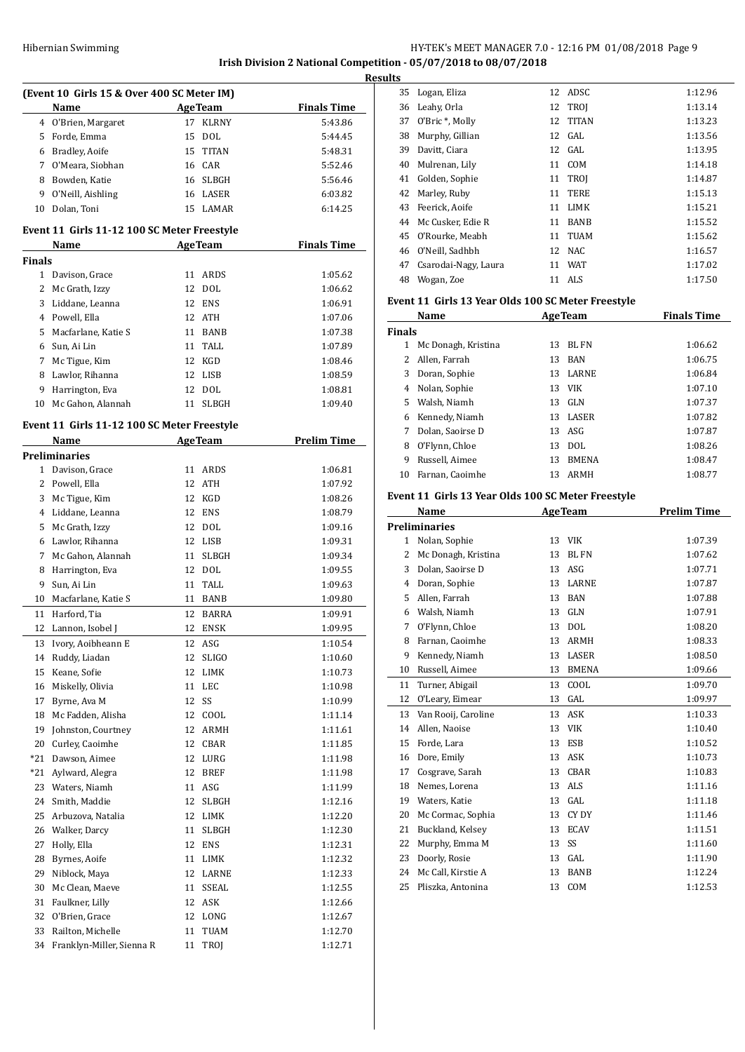# HY-TEK's MEET MANAGER 7.0 - 12:16 PM 01/08/2018 Page 9 **Irish Division 2 National Competition - 05/07/2018 to 08/07/2018**

|        | (Event 10 Girls 15 & Over 400 SC Meter IM)   |                |                                           |                    |  |  |  |
|--------|----------------------------------------------|----------------|-------------------------------------------|--------------------|--|--|--|
|        | Name                                         | <b>AgeTeam</b> |                                           | <b>Finals Time</b> |  |  |  |
| 4      | O'Brien, Margaret                            | 17             | <b>KLRNY</b>                              | 5:43.86            |  |  |  |
| 5      | Forde, Emma                                  | 15             | DOL                                       | 5:44.45            |  |  |  |
| 6      | Bradley, Aoife                               | 15             | TITAN                                     | 5:48.31            |  |  |  |
| 7      | O'Meara, Siobhan                             |                | 16 CAR                                    | 5:52.46            |  |  |  |
| 8      | Bowden, Katie                                |                | 16 SLBGH                                  | 5:56.46            |  |  |  |
| 9      | O'Neill, Aishling                            |                | 16 LASER                                  | 6:03.82            |  |  |  |
| 10     | Dolan, Toni                                  | 15             | LAMAR                                     | 6:14.25            |  |  |  |
|        |                                              |                |                                           |                    |  |  |  |
|        | Event 11 Girls 11-12 100 SC Meter Freestyle  |                |                                           |                    |  |  |  |
|        | Name                                         |                | <b>AgeTeam</b>                            | <b>Finals Time</b> |  |  |  |
| Finals |                                              |                |                                           |                    |  |  |  |
| 1      | Davison, Grace                               | 11             | ARDS                                      | 1:05.62            |  |  |  |
| 2      | Mc Grath, Izzy                               | 12             | <b>DOL</b>                                | 1:06.62            |  |  |  |
| 3      | Liddane, Leanna                              | 12             | <b>ENS</b>                                | 1:06.91            |  |  |  |
| 4      | Powell, Ella                                 |                | 12 ATH                                    | 1:07.06            |  |  |  |
| 5      | Macfarlane, Katie S                          |                | 11 BANB                                   | 1:07.38            |  |  |  |
| 6      | Sun, Ai Lin                                  | 11             | TALL                                      | 1:07.89            |  |  |  |
| 7      | Mc Tigue, Kim                                | 12             | KGD                                       | 1:08.46            |  |  |  |
| 8      | Lawlor, Rihanna                              |                | 12 LISB                                   | 1:08.59            |  |  |  |
| 9      | Harrington, Eva                              | 12             | DOL                                       | 1:08.81            |  |  |  |
| 10     | Mc Gahon, Alannah                            | 11             | <b>SLBGH</b>                              | 1:09.40            |  |  |  |
|        | Event 11  Girls 11-12 100 SC Meter Freestyle |                |                                           |                    |  |  |  |
|        | Name                                         |                | <b>AgeTeam</b>                            | <b>Prelim Time</b> |  |  |  |
|        | Preliminaries                                |                |                                           |                    |  |  |  |
| 1      | Davison, Grace                               | 11             | ARDS                                      | 1:06.81            |  |  |  |
| 2      | Powell, Ella                                 | 12             | <b>ATH</b>                                | 1:07.92            |  |  |  |
| 3      | Mc Tigue, Kim                                | 12             | KGD                                       | 1:08.26            |  |  |  |
| 4      | Liddane, Leanna                              | 12             | <b>ENS</b>                                | 1:08.79            |  |  |  |
| 5      | Mc Grath, Izzy                               | 12             | DOL                                       | 1:09.16            |  |  |  |
| 6      | Lawlor, Rihanna                              |                | 12 LISB                                   | 1:09.31            |  |  |  |
| 7      | Mc Gahon, Alannah                            | 11             | <b>SLBGH</b>                              | 1:09.34            |  |  |  |
| 8      | Harrington, Eva                              |                | 12 DOL                                    | 1:09.55            |  |  |  |
| 9      | Sun, Ai Lin                                  | 11             | TALL                                      | 1:09.63            |  |  |  |
| 10     | Macfarlane, Katie S                          |                | 11 BANB                                   | 1:09.80            |  |  |  |
| 11     | Harford, Tia                                 | 12             | <b>BARRA</b>                              | 1:09.91            |  |  |  |
| 12     | Lannon, Isobel J                             | 12             | <b>ENSK</b>                               | 1:09.95            |  |  |  |
|        |                                              |                |                                           |                    |  |  |  |
| 13     | Ivory, Aoibheann E<br>Ruddy, Liadan          | 12             | ASG                                       | 1:10.54            |  |  |  |
| 14     | Keane, Sofie                                 | 12             | SLIGO<br>LIMK                             | 1:10.60            |  |  |  |
| 15     |                                              | 12             |                                           | 1:10.73            |  |  |  |
| 16     | Miskelly, Olivia                             | 11             | LEC                                       | 1:10.98            |  |  |  |
| 17     | Byrne, Ava M                                 | 12             | SS                                        | 1:10.99            |  |  |  |
| 18     | Mc Fadden, Alisha                            | 12             | COOL                                      | 1:11.14            |  |  |  |
| 19     | Johnston, Courtney                           | 12             | ARMH                                      | 1:11.61            |  |  |  |
| 20     | Curley, Caoimhe                              | 12             | CBAR                                      | 1:11.85            |  |  |  |
| *21    | Dawson, Aimee                                | 12             | LURG                                      | 1:11.98            |  |  |  |
| *21    | Aylward, Alegra                              | 12             | <b>BREF</b>                               | 1:11.98            |  |  |  |
| 23     | Waters, Niamh                                | 11             | ASG                                       | 1:11.99            |  |  |  |
| 24     | Smith, Maddie                                | 12             | ${\bf S} {\bf L} {\bf B} {\bf G} {\bf H}$ | 1:12.16            |  |  |  |
| 25     | Arbuzova, Natalia                            | 12             | LIMK                                      | 1:12.20            |  |  |  |
| 26     | Walker, Darcy                                | 11             | SLBGH                                     | 1:12.30            |  |  |  |
| 27     | Holly, Ella                                  | 12             | <b>ENS</b>                                | 1:12.31            |  |  |  |
| 28     | Byrnes, Aoife                                | 11             | LIMK                                      | 1:12.32            |  |  |  |
| 29     | Niblock, Maya                                | 12             | LARNE                                     | 1:12.33            |  |  |  |
| 30     | Mc Clean, Maeve                              | 11             | SSEAL                                     | 1:12.55            |  |  |  |
| 31     | Faulkner, Lilly                              | 12             | ASK                                       | 1:12.66            |  |  |  |
| 32     | O'Brien, Grace                               | 12             | LONG                                      | 1:12.67            |  |  |  |
| 33     | Railton, Michelle                            | 11             | TUAM                                      | 1:12.70            |  |  |  |
| 34     | Franklyn-Miller, Sienna R                    | 11             | TROJ                                      | 1:12.71            |  |  |  |

| <b>Results</b> |                      |    |             |         |  |
|----------------|----------------------|----|-------------|---------|--|
|                | 35 Logan, Eliza      |    | 12 ADSC     | 1:12.96 |  |
| 36             | Leahy, Orla          |    | 12 TROI     | 1:13.14 |  |
| 37             | O'Bric *, Molly      |    | 12 TITAN    | 1:13.23 |  |
| 38             | Murphy, Gillian      |    | 12 GAL      | 1:13.56 |  |
| 39             | Davitt, Ciara        |    | 12 GAL      | 1:13.95 |  |
| 40             | Mulrenan, Lily       | 11 | COM         | 1:14.18 |  |
| 41             | Golden, Sophie       |    | 11 TROJ     | 1:14.87 |  |
|                | 42 Marley, Ruby      | 11 | TERE        | 1:15.13 |  |
| 43             | Feerick, Aoife       | 11 | LIMK        | 1:15.21 |  |
|                | 44 Mc Cusker, Edie R | 11 | <b>BANB</b> | 1:15.52 |  |
|                | 45 O'Rourke, Meabh   | 11 | TUAM        | 1:15.62 |  |
|                | 46 O'Neill, Sadhbh   |    | 12 NAC      | 1:16.57 |  |
| 47             | Csarodai-Nagy, Laura | 11 | WAT         | 1:17.02 |  |
| 48             | Wogan, Zoe           | 11 | ALS         | 1:17.50 |  |
|                |                      |    |             |         |  |

#### **Event 11 Girls 13 Year Olds 100 SC Meter Freestyle**

|               | Name                | <b>AgeTeam</b> |              | <b>Finals Time</b> |
|---------------|---------------------|----------------|--------------|--------------------|
| <b>Finals</b> |                     |                |              |                    |
| 1             | Mc Donagh, Kristina | 13             | BL FN        | 1:06.62            |
| 2             | Allen, Farrah       | 13             | <b>BAN</b>   | 1:06.75            |
| 3             | Doran, Sophie       | 13             | <b>LARNE</b> | 1:06.84            |
| 4             | Nolan, Sophie       | 13             | <b>VIK</b>   | 1:07.10            |
| 5.            | Walsh, Niamh        | 13             | GLN          | 1:07.37            |
| 6             | Kennedy, Niamh      | 13             | LASER        | 1:07.82            |
|               | Dolan, Saoirse D    | 13             | ASG          | 1:07.87            |
| 8             | O'Flynn, Chloe      | 13             | DOL.         | 1:08.26            |
| 9             | Russell, Aimee      | 13             | <b>BMENA</b> | 1:08.47            |
| 10            | Farnan, Caoimhe     | 13             | ARMH         | 1:08.77            |

# **Event 11 Girls 13 Year Olds 100 SC Meter Freestyle**

|              | Name                 | <b>AgeTeam</b>     | <b>Prelim Time</b> |
|--------------|----------------------|--------------------|--------------------|
|              | <b>Preliminaries</b> |                    |                    |
| $\mathbf{1}$ | Nolan, Sophie        | <b>VIK</b><br>13   | 1:07.39            |
| 2            | Mc Donagh, Kristina  | <b>BLFN</b><br>13  | 1:07.62            |
| 3            | Dolan, Saoirse D     | ASG<br>13          | 1:07.71            |
| 4            | Doran, Sophie        | <b>LARNE</b><br>13 | 1:07.87            |
| 5            | Allen, Farrah        | <b>BAN</b><br>13   | 1:07.88            |
| 6            | Walsh, Niamh         | <b>GLN</b><br>13   | 1:07.91            |
| 7            | O'Flynn, Chloe       | <b>DOL</b><br>13   | 1:08.20            |
| 8            | Farnan, Caoimhe      | <b>ARMH</b><br>13  | 1:08.33            |
| 9            | Kennedy, Niamh       | LASER<br>13        | 1:08.50            |
| 10           | Russell, Aimee       | <b>BMENA</b><br>13 | 1:09.66            |
| 11           | Turner, Abigail      | COOL<br>13         | 1:09.70            |
| 12           | O'Leary, Eimear      | GAL<br>13          | 1:09.97            |
| 13           | Van Rooij, Caroline  | <b>ASK</b><br>13   | 1:10.33            |
| 14           | Allen, Naoise        | 13<br>VIK          | 1:10.40            |
| 15           | Forde, Lara          | 13<br><b>ESB</b>   | 1:10.52            |
| 16           | Dore, Emily          | <b>ASK</b><br>13   | 1:10.73            |
| 17           | Cosgrave, Sarah      | <b>CBAR</b><br>13  | 1:10.83            |
| 18           | Nemes, Lorena        | 13<br>ALS          | 1:11.16            |
| 19           | Waters, Katie        | GAL<br>13          | 1:11.18            |
| 20           | Mc Cormac, Sophia    | CY DY<br>13        | 1:11.46            |
| 21           | Buckland, Kelsey     | <b>ECAV</b><br>13  | 1:11.51            |
| 22           | Murphy, Emma M       | 13<br>SS           | 1:11.60            |
| 23           | Doorly, Rosie        | GAL<br>13          | 1:11.90            |
| 24           | Mc Call, Kirstie A   | <b>BANB</b><br>13  | 1:12.24            |
| 25           | Pliszka, Antonina    | COM<br>13          | 1:12.53            |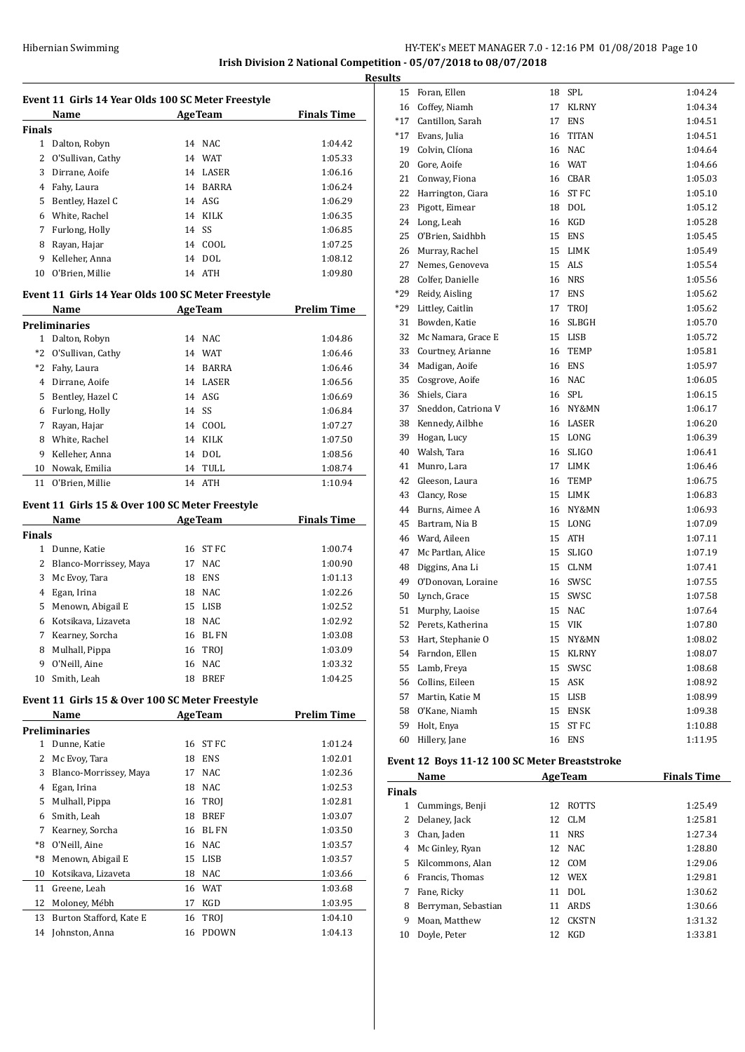# HY-TEK's MEET MANAGER 7.0 - 12:16 PM 01/08/2018 Page 10 **Irish Division 2 National Competition - 05/07/2018 to 08/07/2018**

**Results**

|          | Event 11 Girls 14 Year Olds 100 SC Meter Freestyle<br>Name |          | <b>AgeTeam</b>       | <b>Finals Time</b> |
|----------|------------------------------------------------------------|----------|----------------------|--------------------|
| Finals   |                                                            |          |                      |                    |
|          | 1 Dalton, Robyn                                            |          | 14 NAC               | 1:04.42            |
|          | 2 O'Sullivan, Cathy                                        |          | 14 WAT               | 1:05.33            |
|          | 3 Dirrane, Aoife                                           |          | 14 LASER             | 1:06.16            |
| 4        | Fahy, Laura                                                |          | 14 BARRA             | 1:06.24            |
|          | 5 Bentley, Hazel C                                         |          | 14 ASG               | 1:06.29            |
|          | 6 White, Rachel                                            |          | 14 KILK              | 1:06.35            |
|          | 7 Furlong, Holly                                           |          | 14 SS                | 1:06.85            |
| 8        | Rayan, Hajar                                               |          | 14 COOL              | 1:07.25            |
| 9        | Kelleher, Anna                                             |          | 14 DOL               | 1:08.12            |
| 10       | O'Brien, Millie                                            |          | 14 ATH               | 1:09.80            |
|          | Event 11 Girls 14 Year Olds 100 SC Meter Freestyle         |          |                      |                    |
|          | Name                                                       |          | <b>AgeTeam</b>       | <b>Prelim Time</b> |
|          | Preliminaries                                              |          |                      |                    |
|          | 1 Dalton, Robyn                                            |          | 14 NAC               | 1:04.86            |
| *2       | O'Sullivan, Cathy                                          |          | 14 WAT               | 1:06.46            |
|          | *2 Fahy, Laura                                             |          | 14 BARRA             | 1:06.46            |
|          | 4 Dirrane, Aoife                                           |          | 14 LASER             | 1:06.56            |
|          | 5 Bentley, Hazel C                                         |          | 14 ASG               | 1:06.69            |
|          | 6 Furlong, Holly                                           |          | 14 SS                | 1:06.84            |
| 7        | Rayan, Hajar                                               |          | 14 COOL              | 1:07.27            |
|          | 8 White, Rachel                                            |          | 14 KILK              | 1:07.50            |
| 9        | Kelleher, Anna                                             |          | 14 DOL               | 1:08.56            |
| 10       | Nowak, Emilia                                              |          | 14 TULL              | 1:08.74            |
| 11       | O'Brien, Millie                                            | 14       | ATH                  | 1:10.94            |
|          | Event 11 Girls 15 & Over 100 SC Meter Freestyle            |          |                      |                    |
|          | Name                                                       |          | <b>AgeTeam</b>       | <b>Finals Time</b> |
| Finals   |                                                            |          |                      |                    |
|          | 1 Dunne, Katie                                             |          | 16 ST FC             | 1:00.74            |
|          | 2 Blanco-Morrissey, Maya                                   |          | 17 NAC               | 1:00.90            |
| 3        | Mc Evoy, Tara                                              |          | 18 ENS               | 1:01.13            |
| 4        | Egan, Irina                                                |          | 18 NAC               | 1:02.26            |
| 5        | Menown, Abigail E                                          |          | 15 LISB              | 1:02.52            |
| 6        | Kotsikava, Lizaveta                                        |          | 18 NAC               | 1:02.92            |
| 7        | Kearney, Sorcha                                            |          | 16 BL FN             | 1:03.08            |
| 8        | Mulhall, Pippa                                             | 16       | TROJ                 | 1:03.09            |
| 9        | O'Neill, Aine                                              | 16       | NAC                  | 1:03.32            |
| 10       | Smith, Leah                                                | 18       | <b>BREF</b>          | 1:04.25            |
|          |                                                            |          |                      |                    |
|          | Event 11 Girls 15 & Over 100 SC Meter Freestyle<br>Name    |          | <b>AgeTeam</b>       | <b>Prelim Time</b> |
|          | <b>Preliminaries</b>                                       |          |                      |                    |
|          | 1 Dunne, Katie                                             | 16       | ST FC                | 1:01.24            |
| 2        | Mc Evoy, Tara                                              | 18       | <b>ENS</b>           | 1:02.01            |
| 3        | Blanco-Morrissey, Maya                                     | 17       | <b>NAC</b>           | 1:02.36            |
| 4        | Egan, Irina                                                | 18       | <b>NAC</b>           | 1:02.53            |
| 5        | Mulhall, Pippa                                             | 16       | TROJ                 | 1:02.81            |
| 6        | Smith, Leah                                                | 18       | <b>BREF</b>          | 1:03.07            |
| 7        | Kearney, Sorcha                                            | 16       | BL FN                | 1:03.50            |
| *8       | O'Neill, Aine                                              | 16       | <b>NAC</b>           | 1:03.57            |
| *8       | Menown, Abigail E                                          | 15       | LISB                 | 1:03.57            |
|          |                                                            |          |                      |                    |
| 10       | Kotsikava, Lizaveta                                        | 18       | NAC                  | 1:03.66            |
| 11       | Greene, Leah                                               | 16       | <b>WAT</b>           | 1:03.68            |
| 12       | Moloney, Mébh                                              | 17       | KGD                  | 1:03.95            |
|          |                                                            |          |                      |                    |
| 13<br>14 | Burton Stafford, Kate E<br>Johnston, Anna                  | 16<br>16 | TROJ<br><b>PDOWN</b> | 1:04.10<br>1:04.13 |

| w     |                      |    |              |         |
|-------|----------------------|----|--------------|---------|
|       | 15 Foran, Ellen      | 18 | SPL          | 1:04.24 |
|       | 16 Coffey, Niamh     | 17 | <b>KLRNY</b> | 1:04.34 |
| $*17$ | Cantillon, Sarah     | 17 | <b>ENS</b>   | 1:04.51 |
| $*17$ | Evans, Julia         | 16 | <b>TITAN</b> | 1:04.51 |
| 19    | Colvin, Clíona       | 16 | NAC          | 1:04.64 |
| 20    | Gore, Aoife          | 16 | WAT          | 1:04.66 |
| 21    | Conway, Fiona        | 16 | CBAR         | 1:05.03 |
| 22    | Harrington, Ciara    | 16 | ST FC        | 1:05.10 |
| 23    | Pigott, Eimear       | 18 | DOL          | 1:05.12 |
| 24    | Long, Leah           | 16 | KGD          | 1:05.28 |
| 25    | O'Brien, Saidhbh     | 15 | <b>ENS</b>   | 1:05.45 |
|       | 26 Murray, Rachel    | 15 | LIMK         | 1:05.49 |
| 27    | Nemes, Genoveva      | 15 | ALS          | 1:05.54 |
| 28    | Colfer, Danielle     | 16 | NRS          | 1:05.56 |
| *29   | Reidy, Aisling       | 17 | <b>ENS</b>   | 1:05.62 |
| *29   | Littley, Caitlin     | 17 | TROJ         | 1:05.62 |
| 31    | Bowden, Katie        | 16 | SLBGH        | 1:05.70 |
| 32    | Mc Namara, Grace E   | 15 | LISB         | 1:05.72 |
| 33    | Courtney, Arianne    | 16 | TEMP         | 1:05.81 |
| 34    | Madigan, Aoife       | 16 | ENS          | 1:05.97 |
| 35    | Cosgrove, Aoife      | 16 | NAC          | 1:06.05 |
| 36    | Shiels, Ciara        | 16 | SPL          | 1:06.15 |
| 37    | Sneddon, Catriona V  | 16 | NY&MN        | 1:06.17 |
|       | 38 Kennedy, Ailbhe   | 16 | LASER        | 1:06.20 |
| 39    | Hogan, Lucy          | 15 | LONG         | 1:06.39 |
| 40    | Walsh, Tara          | 16 | <b>SLIGO</b> | 1:06.41 |
| 41    | Munro, Lara          | 17 | LIMK         | 1:06.46 |
| 42    | Gleeson, Laura       | 16 | TEMP         | 1:06.75 |
| 43    | Clancy, Rose         | 15 | LIMK         | 1:06.83 |
| 44    | Burns, Aimee A       | 16 | NY&MN        | 1:06.93 |
| 45    | Bartram, Nia B       | 15 | LONG         | 1:07.09 |
| 46    | Ward, Aileen         | 15 | ATH          | 1:07.11 |
| 47    | Mc Partlan, Alice    | 15 | <b>SLIGO</b> | 1:07.19 |
| 48    | Diggins, Ana Li      | 15 | CLNM         | 1:07.41 |
| 49    | O'Donovan, Loraine   | 16 | SWSC         | 1:07.55 |
|       | 50 Lynch, Grace      | 15 | SWSC         | 1:07.58 |
| 51    | Murphy, Laoise       | 15 | <b>NAC</b>   | 1:07.64 |
| 52    | Perets, Katherina    | 15 | VIK          | 1:07.80 |
|       | 53 Hart, Stephanie O |    | 15 NY&MN     | 1:08.02 |
| 54    | Farndon, Ellen       | 15 | KLRNY        | 1:08.07 |
| 55    | Lamb, Freya          | 15 | SWSC         | 1:08.68 |
| 56    | Collins, Eileen      | 15 | ASK          | 1:08.92 |
| 57    | Martin, Katie M      | 15 | LISB         | 1:08.99 |
| 58    | O'Kane, Niamh        | 15 | ENSK         | 1:09.38 |
| 59    | Holt, Enya           | 15 | <b>ST FC</b> | 1:10.88 |
| 60    | Hillery, Jane        | 16 | ENS          | 1:11.95 |
|       |                      |    |              |         |

# **Event 12 Boys 11-12 100 SC Meter Breaststroke**

|               | Name                | <b>AgeTeam</b> |              | <b>Finals Time</b> |
|---------------|---------------------|----------------|--------------|--------------------|
| <b>Finals</b> |                     |                |              |                    |
| 1             | Cummings, Benji     | 12             | <b>ROTTS</b> | 1:25.49            |
| 2             | Delaney, Jack       |                | 12 CLM       | 1:25.81            |
| 3             | Chan, Jaden         | 11             | <b>NRS</b>   | 1:27.34            |
| 4             | Mc Ginley, Ryan     |                | 12 NAC       | 1:28.80            |
| 5             | Kilcommons, Alan    | 12             | COM          | 1:29.06            |
| 6             | Francis, Thomas     |                | 12 WEX       | 1:29.81            |
| 7             | Fane, Ricky         | 11             | DOL          | 1:30.62            |
| 8             | Berryman, Sebastian | 11             | ARDS         | 1:30.66            |
| 9             | Moan, Matthew       | 12             | <b>CKSTN</b> | 1:31.32            |
| 10            | Doyle, Peter        | 12             | KGD          | 1:33.81            |
|               |                     |                |              |                    |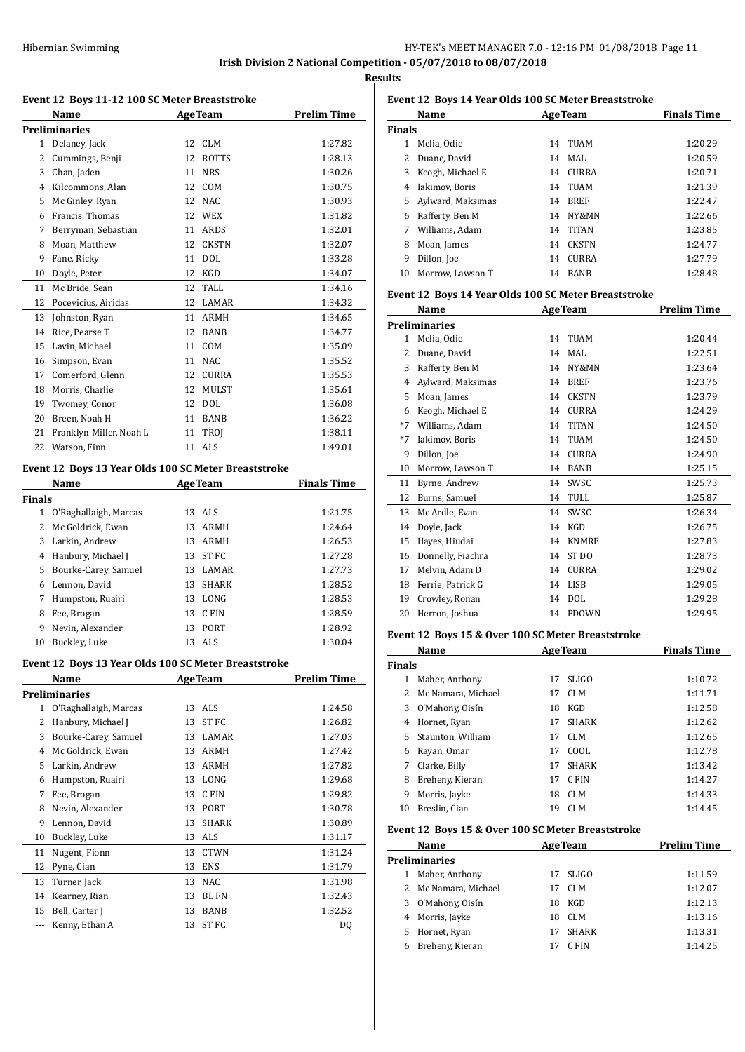**Results**

| Event 12 Boys 11-12 100 SC Meter Breaststroke |                         |    |                |                    |  |
|-----------------------------------------------|-------------------------|----|----------------|--------------------|--|
|                                               | Name                    |    | <b>AgeTeam</b> | <b>Prelim Time</b> |  |
|                                               | <b>Preliminaries</b>    |    |                |                    |  |
| $\mathbf{1}$                                  | Delanev, Jack           | 12 | CLM            | 1:27.82            |  |
| 2                                             | Cummings, Benji         | 12 | <b>ROTTS</b>   | 1:28.13            |  |
| 3                                             | Chan, Jaden             | 11 | <b>NRS</b>     | 1:30.26            |  |
| 4                                             | Kilcommons, Alan        | 12 | <b>COM</b>     | 1:30.75            |  |
| 5                                             | Mc Ginley, Ryan         | 12 | NAC            | 1:30.93            |  |
| 6                                             | Francis, Thomas         | 12 | <b>WEX</b>     | 1:31.82            |  |
| 7                                             | Berryman, Sebastian     | 11 | <b>ARDS</b>    | 1:32.01            |  |
| 8                                             | Moan, Matthew           | 12 | <b>CKSTN</b>   | 1:32.07            |  |
| 9                                             | Fane, Ricky             | 11 | <b>DOL</b>     | 1:33.28            |  |
| 10                                            | Doyle, Peter            | 12 | <b>KGD</b>     | 1:34.07            |  |
| 11                                            | Mc Bride, Sean          | 12 | TALL           | 1:34.16            |  |
| 12                                            | Pocevicius, Airidas     | 12 | LAMAR          | 1:34.32            |  |
| 13                                            | Johnston, Ryan          | 11 | <b>ARMH</b>    | 1:34.65            |  |
| 14                                            | Rice, Pearse T          | 12 | <b>BANB</b>    | 1:34.77            |  |
| 15                                            | Lavin, Michael          | 11 | COM            | 1:35.09            |  |
| 16                                            | Simpson, Evan           | 11 | <b>NAC</b>     | 1:35.52            |  |
| 17                                            | Comerford, Glenn        | 12 | <b>CURRA</b>   | 1:35.53            |  |
| 18                                            | Morris, Charlie         | 12 | <b>MULST</b>   | 1:35.61            |  |
| 19                                            | Twomey, Conor           | 12 | <b>DOL</b>     | 1:36.08            |  |
| 20                                            | Breen, Noah H           | 11 | <b>BANB</b>    | 1:36.22            |  |
| 21                                            | Franklyn-Miller, Noah L | 11 | <b>TROI</b>    | 1:38.11            |  |
| 22                                            | Watson, Finn            | 11 | <b>ALS</b>     | 1:49.01            |  |
|                                               |                         |    |                |                    |  |

#### **Event 12 Boys 13 Year Olds 100 SC Meter Breaststroke**

|                       |    | <b>AgeTeam</b> | <b>Finals Time</b> |
|-----------------------|----|----------------|--------------------|
| Finals                |    |                |                    |
| O'Raghallaigh, Marcas | 13 | ALS            | 1:21.75            |
| Mc Goldrick. Ewan     | 13 | <b>ARMH</b>    | 1:24.64            |
| Larkin, Andrew        | 13 | ARMH           | 1:26.53            |
| Hanbury, Michael J    | 13 | ST FC          | 1:27.28            |
| Bourke-Carey, Samuel  | 13 | LAMAR          | 1:27.73            |
| Lennon, David         | 13 | <b>SHARK</b>   | 1:28.52            |
| Humpston, Ruairi      | 13 | LONG           | 1:28.53            |
| Fee, Brogan           | 13 | C FIN          | 1:28.59            |
| Nevin, Alexander      | 13 | <b>PORT</b>    | 1:28.92            |
| Buckley, Luke         | 13 | ALS.           | 1:30.04            |
|                       |    |                |                    |

#### **Event 12 Boys 13 Year Olds 100 SC Meter Breaststroke**

|    | Name                  |    | <b>AgeTeam</b> | <b>Prelim Time</b> |
|----|-----------------------|----|----------------|--------------------|
|    | <b>Preliminaries</b>  |    |                |                    |
| 1  | O'Raghallaigh, Marcas |    | 13 ALS         | 1:24.58            |
| 2  | Hanbury, Michael J    | 13 | ST FC          | 1:26.82            |
| 3  | Bourke-Carey, Samuel  | 13 | LAMAR          | 1:27.03            |
| 4  | Mc Goldrick, Ewan     | 13 | <b>ARMH</b>    | 1:27.42            |
| 5  | Larkin, Andrew        | 13 | <b>ARMH</b>    | 1:27.82            |
| 6  | Humpston, Ruairi      | 13 | LONG           | 1:29.68            |
| 7  | Fee, Brogan           | 13 | C FIN          | 1:29.82            |
| 8  | Nevin, Alexander      | 13 | PORT           | 1:30.78            |
| 9  | Lennon, David         | 13 | <b>SHARK</b>   | 1:30.89            |
| 10 | Buckley, Luke         | 13 | ALS            | 1:31.17            |
| 11 | Nugent, Fionn         | 13 | <b>CTWN</b>    | 1:31.24            |
| 12 | Pyne, Cian            | 13 | <b>ENS</b>     | 1:31.79            |
| 13 | Turner, Jack          | 13 | <b>NAC</b>     | 1:31.98            |
| 14 | Kearney, Rian         | 13 | <b>BL FN</b>   | 1:32.43            |
| 15 | Bell, Carter J        | 13 | <b>BANB</b>    | 1:32.52            |
|    | Kenny, Ethan A        | 13 | ST FC          | DQ                 |

| Event 12 Boys 14 Year Olds 100 SC Meter Breaststroke |                   |    |                |                    |  |  |
|------------------------------------------------------|-------------------|----|----------------|--------------------|--|--|
|                                                      | Name              |    | <b>AgeTeam</b> | <b>Finals Time</b> |  |  |
| Finals                                               |                   |    |                |                    |  |  |
| 1                                                    | Melia, Odie       | 14 | <b>TUAM</b>    | 1:20.29            |  |  |
| 2                                                    | Duane, David      | 14 | MAL.           | 1:20.59            |  |  |
| 3                                                    | Keogh, Michael E  | 14 | <b>CURRA</b>   | 1:20.71            |  |  |
| 4                                                    | Iakimov, Boris    | 14 | <b>TUAM</b>    | 1:21.39            |  |  |
| 5                                                    | Aylward, Maksimas | 14 | <b>BREF</b>    | 1:22.47            |  |  |
| 6                                                    | Rafferty, Ben M   | 14 | NY&MN          | 1:22.66            |  |  |
| 7                                                    | Williams, Adam    | 14 | <b>TITAN</b>   | 1:23.85            |  |  |
| 8                                                    | Moan, James       | 14 | <b>CKSTN</b>   | 1:24.77            |  |  |
| 9                                                    | Dillon, Joe       | 14 | <b>CURRA</b>   | 1:27.79            |  |  |
| 10                                                   | Morrow, Lawson T  | 14 | <b>BANB</b>    | 1:28.48            |  |  |

#### **Event 12 Boys 14 Year Olds 100 SC Meter Breaststroke**

|      | Name              |    | <b>AgeTeam</b>   | <b>Prelim Time</b> |
|------|-------------------|----|------------------|--------------------|
|      | Preliminaries     |    |                  |                    |
| 1    | Melia, Odie       | 14 | <b>TUAM</b>      | 1:20.44            |
| 2    | Duane, David      | 14 | MAL.             | 1:22.51            |
| 3    | Rafferty, Ben M   | 14 | NY&MN            | 1:23.64            |
| 4    | Aylward, Maksimas | 14 | <b>BREF</b>      | 1:23.76            |
| 5    | Moan, James       | 14 | <b>CKSTN</b>     | 1:23.79            |
| 6    | Keogh, Michael E  | 14 | <b>CURRA</b>     | 1:24.29            |
| $*7$ | Williams. Adam    | 14 | <b>TITAN</b>     | 1:24.50            |
| $*7$ | Iakimov, Boris    | 14 | <b>TUAM</b>      | 1:24.50            |
| 9    | Dillon, Joe       | 14 | <b>CURRA</b>     | 1:24.90            |
| 10   | Morrow, Lawson T  | 14 | <b>BANB</b>      | 1:25.15            |
| 11   | Byrne, Andrew     | 14 | SWSC             | 1:25.73            |
| 12   | Burns, Samuel     | 14 | <b>TULL</b>      | 1:25.87            |
| 13   | Mc Ardle, Evan    | 14 | <b>SWSC</b>      | 1:26.34            |
| 14   | Doyle, Jack       | 14 | <b>KGD</b>       | 1:26.75            |
| 15   | Hayes, Hiudai     | 14 | <b>KNMRE</b>     | 1:27.83            |
| 16   | Donnelly, Fiachra | 14 | ST <sub>DO</sub> | 1:28.73            |
| 17   | Melvin, Adam D    | 14 | <b>CURRA</b>     | 1:29.02            |
| 18   | Ferrie, Patrick G | 14 | <b>LISB</b>      | 1:29.05            |
| 19   | Crowley, Ronan    | 14 | <b>DOL</b>       | 1:29.28            |
| 20   | Herron, Joshua    | 14 | <b>PDOWN</b>     | 1:29.95            |
|      |                   |    |                  |                    |

## **Event 12 Boys 15 & Over 100 SC Meter Breaststroke**

| Name          |                    |    | <b>AgeTeam</b> | <b>Finals Time</b> |  |
|---------------|--------------------|----|----------------|--------------------|--|
| <b>Finals</b> |                    |    |                |                    |  |
|               | Maher, Anthony     | 17 | <b>SLIGO</b>   | 1:10.72            |  |
| 2             | Mc Namara, Michael | 17 | <b>CLM</b>     | 1:11.71            |  |
| 3             | O'Mahony, Oisín    | 18 | KGD            | 1:12.58            |  |
| 4             | Hornet, Ryan       | 17 | <b>SHARK</b>   | 1:12.62            |  |
| 5.            | Staunton, William  | 17 | CLM            | 1:12.65            |  |
| 6             | Rayan, Omar        | 17 | COOL           | 1:12.78            |  |
| 7             | Clarke, Billy      | 17 | <b>SHARK</b>   | 1:13.42            |  |
| 8             | Breheny, Kieran    | 17 | C FIN          | 1:14.27            |  |
| 9             | Morris, Jayke      | 18 | CLM            | 1:14.33            |  |
| 10            | Breslin, Cian      | 19 | CLM            | 1:14.45            |  |

# **Event 12 Boys 15 & Over 100 SC Meter Breaststroke**

|    | Name                 |    | <b>AgeTeam</b> | <b>Prelim Time</b> |
|----|----------------------|----|----------------|--------------------|
|    | Preliminaries        |    |                |                    |
| 1  | Maher, Anthony       |    | 17 SLIGO       | 1:11.59            |
|    | 2 Mc Namara, Michael | 17 | <b>CLM</b>     | 1:12.07            |
| 3  | O'Mahony, Oisín      | 18 | KGD            | 1:12.13            |
| 4  | Morris, Jayke        | 18 | CLM            | 1:13.16            |
| 5. | Hornet, Ryan         | 17 | <b>SHARK</b>   | 1:13.31            |
| 6  | Breheny, Kieran      |    | C FIN          | 1:14.25            |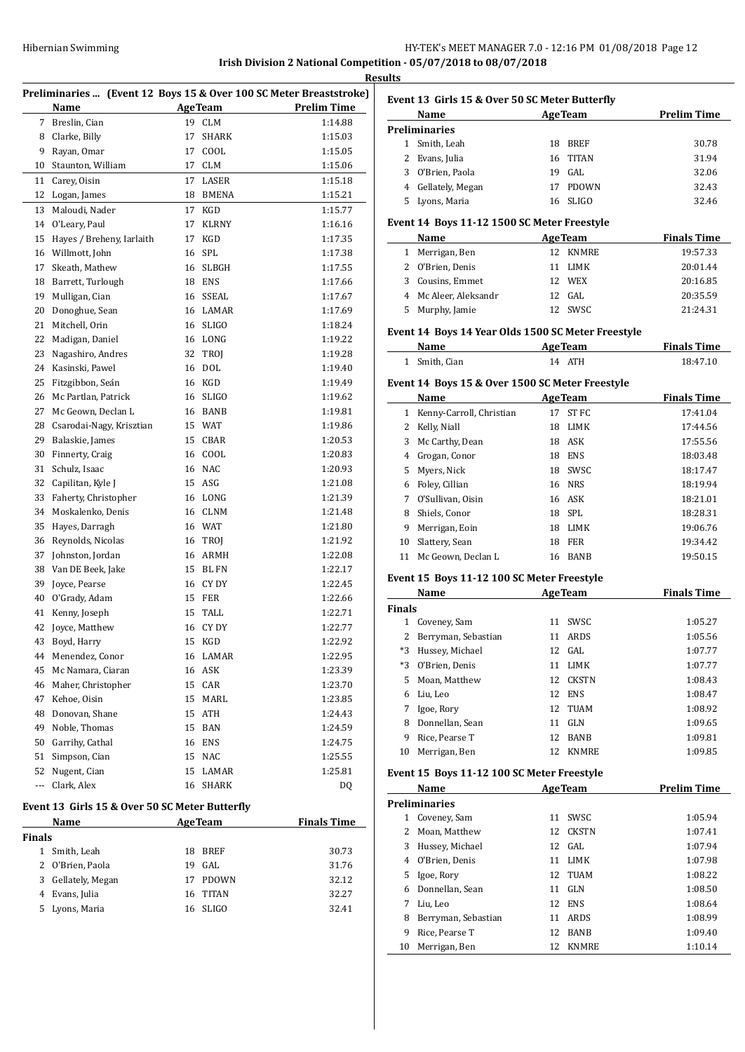# HY-TEK's MEET MANAGER 7.0 - 12:16 PM 01/08/2018 Page 12 **Irish Division 2 National Competition - 05/07/2018 to 08/07/2018**

**Results**

 $\overline{a}$ 

 $\overline{a}$ 

|        |                                                |                |                | Preliminaries  (Event 12 Boys 15 & Over 100 SC Meter Breaststroke) |
|--------|------------------------------------------------|----------------|----------------|--------------------------------------------------------------------|
|        | Name                                           |                | <b>AgeTeam</b> | <b>Prelim Time</b>                                                 |
| 7      | Breslin, Cian                                  | 19             | <b>CLM</b>     | 1:14.88                                                            |
| 8      | Clarke, Billy                                  | 17             | <b>SHARK</b>   | 1:15.03                                                            |
| 9      | Rayan, Omar                                    | 17             | COOL           | 1:15.05                                                            |
| 10     | Staunton, William                              | 17             | <b>CLM</b>     | 1:15.06                                                            |
| 11     | Carey, Oisin                                   | 17             | LASER          | 1:15.18                                                            |
| 12     | Logan, James                                   | 18             | <b>BMENA</b>   | 1:15.21                                                            |
| 13     | Maloudi, Nader                                 | 17             | KGD            | 1:15.77                                                            |
| 14     | O'Leary, Paul                                  | 17             | <b>KLRNY</b>   | 1:16.16                                                            |
| 15     | Hayes / Breheny, Iarlaith                      | 17             | KGD            | 1:17.35                                                            |
| 16     | Willmott, John                                 | 16             | SPL            | 1:17.38                                                            |
| 17     | Skeath, Mathew                                 | 16             | <b>SLBGH</b>   | 1:17.55                                                            |
| 18     | Barrett, Turlough                              | 18             | ENS            | 1:17.66                                                            |
| 19     | Mulligan, Cian                                 | 16             | SSEAL          | 1:17.67                                                            |
| 20     | Donoghue, Sean                                 | 16             | LAMAR          | 1:17.69                                                            |
| 21     | Mitchell, Orin                                 | 16             | <b>SLIGO</b>   | 1:18.24                                                            |
| 22     | Madigan, Daniel                                |                | 16 LONG        | 1:19.22                                                            |
| 23     | Nagashiro, Andres                              | 32             | TROJ           | 1:19.28                                                            |
| 24     | Kasinski, Pawel                                | 16             | DOL            | 1:19.40                                                            |
| 25     | Fitzgibbon, Seán                               | 16             | KGD            | 1:19.49                                                            |
| 26     | Mc Partlan, Patrick                            | 16             | <b>SLIGO</b>   | 1:19.62                                                            |
| 27     | Mc Geown, Declan L                             | 16             | BANB           | 1:19.81                                                            |
| 28     | Csarodai-Nagy, Krisztian                       | 15             | WAT            | 1:19.86                                                            |
| 29     | Balaskie, James                                | 15             | CBAR           | 1:20.53                                                            |
| 30     | Finnerty, Craig                                |                | 16 COOL        | 1:20.83                                                            |
| 31     | Schulz, Isaac                                  | 16             | NAC            | 1:20.93                                                            |
| 32     | Capilitan, Kyle J                              | 15             | ASG            | 1:21.08                                                            |
| 33     | Faherty, Christopher                           | 16             | LONG           | 1:21.39                                                            |
| 34     | Moskalenko, Denis                              |                | 16 CLNM        | 1:21.48                                                            |
| 35     | Hayes, Darragh                                 |                | 16 WAT         | 1:21.80                                                            |
| 36     | Reynolds, Nicolas                              | 16             | TROJ           | 1:21.92                                                            |
| 37     | Johnston, Jordan                               | 16             | ARMH           | 1:22.08                                                            |
| 38     | Van DE Beek, Jake                              | 15             | BL FN          | 1:22.17                                                            |
| 39     | Joyce, Pearse                                  |                | 16 CY DY       | 1:22.45                                                            |
| 40     | O'Grady, Adam                                  | 15             | FER            | 1:22.66                                                            |
| 41     | Kenny, Joseph                                  | 15             | TALL           | 1:22.71                                                            |
| 42     | Joyce, Matthew                                 | 16             | CY DY          | 1:22.77                                                            |
|        | 43 Boyd, Harry                                 |                | 15 KGD         | 1:22.92                                                            |
|        | 44 Menendez, Conor                             |                | 16 LAMAR       | 1:22.95                                                            |
| 45     | Mc Namara, Ciaran                              |                | 16 ASK         | 1:23.39                                                            |
| 46     | Maher, Christopher                             |                | 15 CAR         | 1:23.70                                                            |
| 47     | Kehoe, Oisin                                   |                | 15 MARL        | 1:23.85                                                            |
| 48     | Donovan, Shane                                 |                | 15 ATH         | 1:24.43                                                            |
| 49     | Noble, Thomas                                  |                | 15 BAN         | 1:24.59                                                            |
| 50     | Garrihy, Cathal                                | 16             | <b>ENS</b>     | 1:24.75                                                            |
| 51     | Simpson, Cian                                  | 15             | NAC            | 1:25.55                                                            |
|        | 52 Nugent, Cian                                | 15             | LAMAR          | 1:25.81                                                            |
|        | --- Clark, Alex                                | 16             | SHARK          | DQ                                                                 |
|        | Event 13 Girls 15 & Over 50 SC Meter Butterfly |                |                |                                                                    |
|        | Name                                           | <b>AgeTeam</b> |                | <b>Finals Time</b>                                                 |
|        |                                                |                |                |                                                                    |
| Finals | $1$ Cmith Loop                                 |                | 10 DDEE        | <b>20.72</b>                                                       |

| ıals |                    |     |          |       |
|------|--------------------|-----|----------|-------|
|      | 1 Smith, Leah      |     | 18 BREF  | 30.73 |
|      | 2 O'Brien, Paola   | 19. | GAL.     | 31.76 |
|      | 3 Gellately, Megan |     | 17 PDOWN | 32.12 |
|      | 4 Evans, Julia     |     | 16 TITAN | 32.27 |
|      | 5 Lyons, Maria     |     | 16 SLIGO | 32.41 |

|   | Event 13  Girls 15 & Over 50 SC Meter Butterfly |    |                |                    |  |  |
|---|-------------------------------------------------|----|----------------|--------------------|--|--|
|   | Name                                            |    | <b>AgeTeam</b> | <b>Prelim Time</b> |  |  |
|   | Preliminaries                                   |    |                |                    |  |  |
|   | Smith, Leah                                     | 18 | <b>BREF</b>    | 30.78              |  |  |
|   | Evans, Julia                                    |    | 16 TITAN       | 31.94              |  |  |
| 3 | O'Brien, Paola                                  | 19 | GAL.           | 32.06              |  |  |
| 4 | Gellately, Megan                                | 17 | <b>PDOWN</b>   | 32.43              |  |  |
|   | Lyons, Maria                                    |    | 16 SLIGO       | 32.46              |  |  |
|   |                                                 |    |                |                    |  |  |

# **Event 14 Boys 11-12 1500 SC Meter Freestyle**

| Name                  | <b>AgeTeam</b> | <b>Finals Time</b> |
|-----------------------|----------------|--------------------|
| 1 Merrigan, Ben       | 12 KNMRE       | 19:57.33           |
| 2 O'Brien, Denis      | 11 LIMK        | 20:01.44           |
| 3 Cousins, Emmet      | 12 WEX         | 20:16.85           |
| 4 Mc Aleer, Aleksandr | $12$ GAL       | 20:35.59           |
| 5 Murphy, Jamie       | 12 SWSC        | 21:24.31           |

# **Event 14 Boys 14 Year Olds 1500 SC Meter Freestyle**

| <b>Name</b>              | <b>AgeTeam</b> | <b>Finals Time</b> |
|--------------------------|----------------|--------------------|
| <sup>1</sup> Smith, Cian | 14 ATH         | 18:47.10           |

## **Event 14 Boys 15 & Over 1500 SC Meter Freestyle**

|    | <b>Name</b>              |    | <b>AgeTeam</b> | <b>Finals Time</b> |
|----|--------------------------|----|----------------|--------------------|
|    | Kenny-Carroll, Christian | 17 | ST FC          | 17:41.04           |
| 2  | Kelly, Niall             | 18 | <b>LIMK</b>    | 17:44.56           |
| 3  | Mc Carthy, Dean          | 18 | ASK            | 17:55.56           |
| 4  | Grogan, Conor            | 18 | <b>ENS</b>     | 18:03.48           |
| 5. | Myers, Nick              | 18 | SWSC           | 18:17.47           |
| 6  | Foley, Cillian           |    | 16 NRS         | 18:19.94           |
| 7  | O'Sullivan, Oisin        |    | 16 ASK         | 18:21.01           |
| 8  | Shiels, Conor            |    | 18 SPL         | 18:28.31           |
| 9  | Merrigan, Eoin           | 18 | LIMK           | 19:06.76           |
| 10 | Slattery, Sean           | 18 | <b>FER</b>     | 19:34.42           |
| 11 | Mc Geown, Declan L       | 16 | <b>BANB</b>    | 19:50.15           |

# **Event 15 Boys 11-12 100 SC Meter Freestyle**

|               | Name                | <b>AgeTeam</b> |              | <b>Finals Time</b> |
|---------------|---------------------|----------------|--------------|--------------------|
| <b>Finals</b> |                     |                |              |                    |
| 1             | Coveney, Sam        | 11             | <b>SWSC</b>  | 1:05.27            |
| 2             | Berryman, Sebastian | 11             | ARDS         | 1:05.56            |
| $*3$          | Hussey, Michael     |                | $12$ GAL     | 1:07.77            |
| $*3$          | O'Brien, Denis      | 11             | LIMK         | 1:07.77            |
| 5.            | Moan, Matthew       | 12.            | <b>CKSTN</b> | 1:08.43            |
| 6             | Liu, Leo            | 12             | <b>ENS</b>   | 1:08.47            |
| 7             | Igoe, Rory          |                | 12 TUAM      | 1:08.92            |
| 8             | Donnellan, Sean     | 11             | GLN          | 1:09.65            |
| 9             | Rice. Pearse T      | 12.            | <b>BANB</b>  | 1:09.81            |
| 10            | Merrigan, Ben       | 12             | <b>KNMRE</b> | 1:09.85            |

# **Event 15 Boys 11-12 100 SC Meter Freestyle**

|    | Name                 | <b>AgeTeam</b> |              | <b>Prelim Time</b> |
|----|----------------------|----------------|--------------|--------------------|
|    | <b>Preliminaries</b> |                |              |                    |
| 1  | Coveney, Sam         | 11             | SWSC         | 1:05.94            |
|    | Moan, Matthew        |                | 12 CKSTN     | 1:07.41            |
| 3  | Hussey, Michael      |                | 12 GAL       | 1:07.94            |
| 4  | O'Brien, Denis       | 11             | <b>LIMK</b>  | 1:07.98            |
| 5. | Igoe, Rory           |                | 12 TUAM      | 1:08.22            |
| 6  | Donnellan, Sean      | 11             | GLN          | 1:08.50            |
| 7  | Liu, Leo             | 12             | ENS          | 1:08.64            |
| 8  | Berryman, Sebastian  | 11             | <b>ARDS</b>  | 1:08.99            |
| 9  | Rice, Pearse T       | 12             | <b>BANB</b>  | 1:09.40            |
| 10 | Merrigan, Ben        | 12             | <b>KNMRE</b> | 1:10.14            |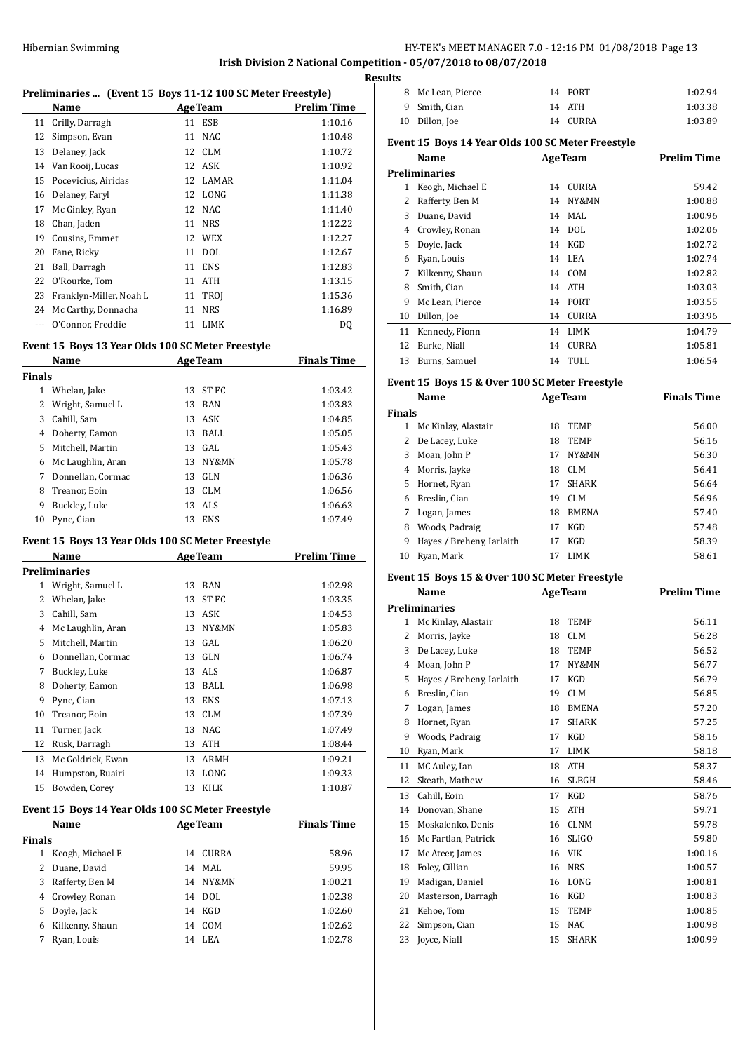**Irish Division 2 National Competition - 05/07/2018 to 08/07/2018**

| Preliminaries  (Event 15 Boys 11-12 100 SC Meter Freestyle) |  |  |
|-------------------------------------------------------------|--|--|

|    | Preminiaries  Tevent 15 Doys 11-12 Too Sc Meter Preestyle) |    |                |             |  |  |
|----|------------------------------------------------------------|----|----------------|-------------|--|--|
|    | Name                                                       |    | <b>AgeTeam</b> | Prelim Time |  |  |
| 11 | Crilly, Darragh                                            | 11 | ESB            | 1:10.16     |  |  |
| 12 | Simpson, Evan                                              | 11 | <b>NAC</b>     | 1:10.48     |  |  |
| 13 | Delaney, Jack                                              |    | 12 CLM         | 1:10.72     |  |  |
| 14 | Van Rooij, Lucas                                           |    | 12 ASK         | 1:10.92     |  |  |
| 15 | Pocevicius, Airidas                                        |    | 12 LAMAR       | 1:11.04     |  |  |
| 16 | Delaney, Faryl                                             |    | 12 LONG        | 1:11.38     |  |  |
| 17 | Mc Ginley, Ryan                                            |    | 12 NAC         | 1:11.40     |  |  |
| 18 | Chan, Jaden                                                | 11 | <b>NRS</b>     | 1:12.22     |  |  |
| 19 | Cousins, Emmet                                             | 12 | WEX            | 1:12.27     |  |  |
| 20 | Fane, Ricky                                                | 11 | <b>DOL</b>     | 1:12.67     |  |  |
| 21 | Ball, Darragh                                              | 11 | <b>ENS</b>     | 1:12.83     |  |  |
| 22 | O'Rourke, Tom                                              | 11 | <b>ATH</b>     | 1:13.15     |  |  |
| 23 | Franklyn-Miller, Noah L                                    |    | 11 TROI        | 1:15.36     |  |  |
| 24 | Mc Carthy, Donnacha                                        | 11 | <b>NRS</b>     | 1:16.89     |  |  |
|    | O'Connor, Freddie                                          | 11 | LIMK           | DQ          |  |  |
|    |                                                            |    |                |             |  |  |

# **Event 15 Boys 13 Year Olds 100 SC Meter Freestyle**

|        | Name<br><b>AgeTeam</b> |    |            | <b>Finals Time</b> |
|--------|------------------------|----|------------|--------------------|
| Finals |                        |    |            |                    |
|        | Whelan, Jake           | 13 | ST FC      | 1:03.42            |
| 2      | Wright, Samuel L       | 13 | BAN        | 1:03.83            |
| 3      | Cahill, Sam            |    | 13 ASK     | 1:04.85            |
| 4      | Doherty, Eamon         | 13 | BALL       | 1:05.05            |
| 5.     | Mitchell, Martin       |    | 13 GAL     | 1:05.43            |
| 6      | Mc Laughlin, Aran      | 13 | NY&MN      | 1:05.78            |
| 7      | Donnellan, Cormac      | 13 | GLN        | 1:06.36            |
| 8      | Treanor, Eoin          | 13 | <b>CLM</b> | 1:06.56            |
| 9      | Buckley, Luke          | 13 | ALS        | 1:06.63            |
| 10     | Pyne, Cian             | 13 | <b>ENS</b> | 1:07.49            |

#### **Event 15 Boys 13 Year Olds 100 SC Meter Freestyle**

|    | Name              |    | <b>AgeTeam</b> | Prelim Time |
|----|-------------------|----|----------------|-------------|
|    | Preliminaries     |    |                |             |
| 1  | Wright, Samuel L  | 13 | <b>BAN</b>     | 1:02.98     |
| 2  | Whelan, Jake      | 13 | ST FC          | 1:03.35     |
| 3  | Cahill, Sam       | 13 | ASK            | 1:04.53     |
| 4  | Mc Laughlin, Aran | 13 | NY&MN          | 1:05.83     |
| 5  | Mitchell, Martin  | 13 | GAL            | 1:06.20     |
| 6  | Donnellan, Cormac | 13 | GLN            | 1:06.74     |
| 7  | Buckley, Luke     | 13 | ALS            | 1:06.87     |
| 8  | Doherty, Eamon    | 13 | BALL           | 1:06.98     |
| 9  | Pyne, Cian        | 13 | <b>ENS</b>     | 1:07.13     |
| 10 | Treanor, Eoin     | 13 | <b>CLM</b>     | 1:07.39     |
| 11 | Turner, Jack      | 13 | <b>NAC</b>     | 1:07.49     |
| 12 | Rusk, Darragh     | 13 | <b>ATH</b>     | 1:08.44     |
| 13 | Mc Goldrick, Ewan | 13 | ARMH           | 1:09.21     |
| 14 | Humpston, Ruairi  | 13 | LONG           | 1:09.33     |
| 15 | Bowden, Corey     | 13 | <b>KILK</b>    | 1:10.87     |

#### **Event 15 Boys 14 Year Olds 100 SC Meter Freestyle**

| Name                             | <b>AgeTeam</b> |         |
|----------------------------------|----------------|---------|
| <b>Finals</b>                    |                |         |
| Keogh, Michael E<br>$\mathbf{1}$ | CURRA<br>14    | 58.96   |
| 2 Duane, David                   | 14 MAL         | 59.95   |
| 3 Rafferty, Ben M                | 14 NY&MN       | 1:00.21 |
| 4 Crowley, Ronan                 | 14 DOL         | 1:02.38 |
| 5 Doyle, Jack                    | 14 KGD         | 1:02.60 |
| Kilkenny, Shaun<br>6             | COM<br>14      | 1:02.62 |
| Ryan, Louis                      | 14 LEA         | 1:02.78 |
|                                  |                |         |

|   | <b>Results</b> |                   |          |         |
|---|----------------|-------------------|----------|---------|
|   |                | 8 Mc Lean, Pierce | 14 PORT  | 1:02.94 |
| - |                | 9 Smith, Cian     | 14 ATH   | 1:03.38 |
|   |                | 10 Dillon, Joe    | 14 CURRA | 1:03.89 |

# **Event 15 Boys 14 Year Olds 100 SC Meter Freestyle**

|    | Name             |    | <b>AgeTeam</b> | <b>Prelim Time</b> |
|----|------------------|----|----------------|--------------------|
|    | Preliminaries    |    |                |                    |
| 1  | Keogh, Michael E | 14 | <b>CURRA</b>   | 59.42              |
| 2  | Rafferty, Ben M  | 14 | NY&MN          | 1:00.88            |
| 3  | Duane, David     | 14 | MAL.           | 1:00.96            |
| 4  | Crowley, Ronan   | 14 | DOL.           | 1:02.06            |
| 5  | Doyle, Jack      | 14 | KGD            | 1:02.72            |
| 6  | Ryan, Louis      |    | 14 LEA         | 1:02.74            |
| 7  | Kilkenny, Shaun  |    | 14 COM         | 1:02.82            |
| 8  | Smith, Cian      | 14 | ATH            | 1:03.03            |
| 9  | Mc Lean, Pierce  | 14 | PORT           | 1:03.55            |
| 10 | Dillon, Joe      | 14 | <b>CURRA</b>   | 1:03.96            |
| 11 | Kennedy, Fionn   | 14 | LIMK           | 1:04.79            |
| 12 | Burke, Niall     | 14 | <b>CURRA</b>   | 1:05.81            |
| 13 | Burns, Samuel    | 14 | TULL           | 1:06.54            |

#### **Event 15 Boys 15 & Over 100 SC Meter Freestyle**

| Name          |                           |    | <b>AgeTeam</b> | <b>Finals Time</b> |
|---------------|---------------------------|----|----------------|--------------------|
| <b>Finals</b> |                           |    |                |                    |
| 1             | Mc Kinlay, Alastair       | 18 | <b>TEMP</b>    | 56.00              |
| 2             | De Lacey, Luke            | 18 | <b>TEMP</b>    | 56.16              |
| 3             | Moan, John P              | 17 | NY&MN          | 56.30              |
| 4             | Morris, Jayke             | 18 | CLM            | 56.41              |
| 5.            | Hornet, Ryan              | 17 | <b>SHARK</b>   | 56.64              |
| 6             | Breslin, Cian             | 19 | <b>CLM</b>     | 56.96              |
| 7             | Logan, James              | 18 | <b>BMENA</b>   | 57.40              |
| 8             | Woods, Padraig            | 17 | <b>KGD</b>     | 57.48              |
| 9             | Hayes / Breheny, Iarlaith | 17 | <b>KGD</b>     | 58.39              |
| 10            | Ryan, Mark                | 17 | LIMK           | 58.61              |

# **Event 15 Boys 15 & Over 100 SC Meter Freestyle**

|    | Name                      |    | <b>AgeTeam</b> | <b>Prelim Time</b> |
|----|---------------------------|----|----------------|--------------------|
|    | <b>Preliminaries</b>      |    |                |                    |
| 1  | Mc Kinlay, Alastair       | 18 | <b>TEMP</b>    | 56.11              |
| 2  | Morris, Jayke             | 18 | <b>CLM</b>     | 56.28              |
| 3  | De Lacey, Luke            | 18 | <b>TEMP</b>    | 56.52              |
| 4  | Moan, John P              | 17 | NY&MN          | 56.77              |
| 5  | Hayes / Breheny, Iarlaith | 17 | <b>KGD</b>     | 56.79              |
| 6  | Breslin, Cian             | 19 | <b>CLM</b>     | 56.85              |
| 7  | Logan, James              | 18 | <b>BMENA</b>   | 57.20              |
| 8  | Hornet, Ryan              | 17 | <b>SHARK</b>   | 57.25              |
| 9  | Woods, Padraig            | 17 | <b>KGD</b>     | 58.16              |
| 10 | Ryan, Mark                | 17 | <b>LIMK</b>    | 58.18              |
| 11 | MC Auley, Ian             | 18 | <b>ATH</b>     | 58.37              |
| 12 | Skeath, Mathew            | 16 | <b>SLBGH</b>   | 58.46              |
| 13 | Cahill, Eoin              | 17 | <b>KGD</b>     | 58.76              |
| 14 | Donovan, Shane            | 15 | <b>ATH</b>     | 59.71              |
| 15 | Moskalenko, Denis         | 16 | <b>CLNM</b>    | 59.78              |
| 16 | Mc Partlan, Patrick       | 16 | <b>SLIGO</b>   | 59.80              |
| 17 | Mc Ateer, James           | 16 | <b>VIK</b>     | 1:00.16            |
| 18 | Foley, Cillian            | 16 | <b>NRS</b>     | 1:00.57            |
| 19 | Madigan, Daniel           | 16 | LONG           | 1:00.81            |
| 20 | Masterson, Darragh        | 16 | <b>KGD</b>     | 1:00.83            |
| 21 | Kehoe, Tom                | 15 | <b>TEMP</b>    | 1:00.85            |
| 22 | Simpson, Cian             | 15 | <b>NAC</b>     | 1:00.98            |
| 23 | Joyce, Niall              | 15 | <b>SHARK</b>   | 1:00.99            |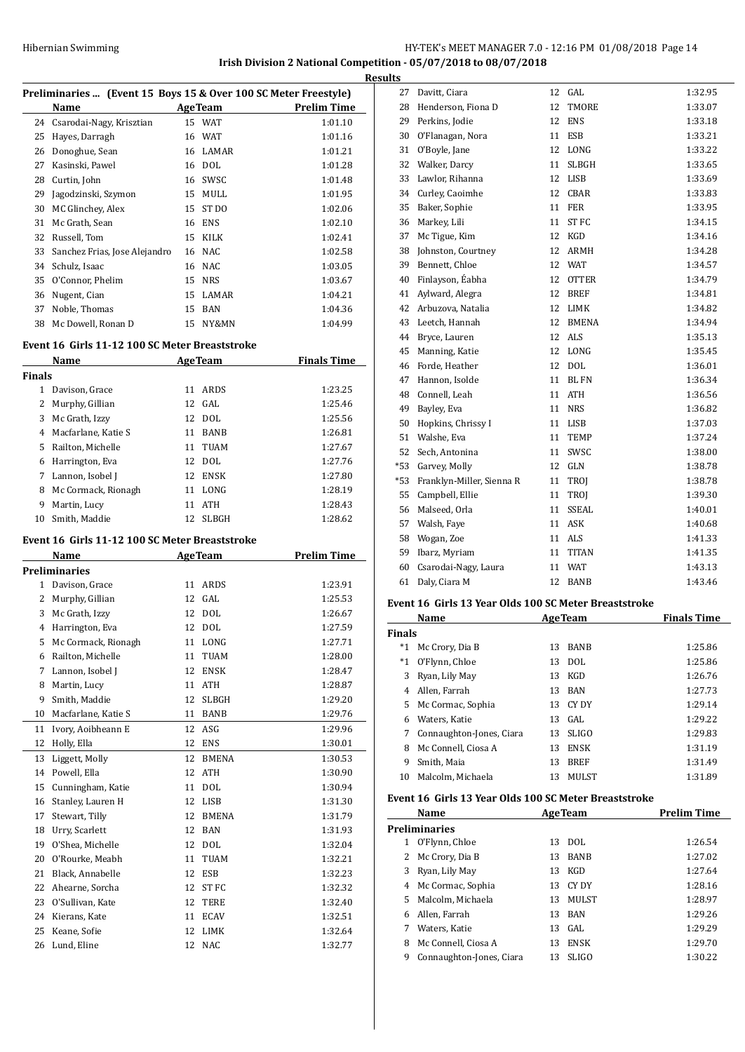# Hibernian Swimming **HY-TEK's MEET MANAGER 7.0 - 12:16 PM 01/08/2018** Page 14 **Irish Division 2 National Competition - 05/07/2018 to 08/07/2018**

**Results**

|               | Preliminaries  (Event 15 Boys 15 & Over 100 SC Meter Freestyle)                                                                                                                                                                |    |                |                    |
|---------------|--------------------------------------------------------------------------------------------------------------------------------------------------------------------------------------------------------------------------------|----|----------------|--------------------|
|               | Name                                                                                                                                                                                                                           |    | <b>AgeTeam</b> | <b>Prelim Time</b> |
|               | 24 Csarodai-Nagy, Krisztian                                                                                                                                                                                                    |    | 15 WAT         | 1:01.10            |
|               | 25 Hayes, Darragh                                                                                                                                                                                                              |    | 16 WAT         | 1:01.16            |
|               | 26 Donoghue, Sean                                                                                                                                                                                                              |    | 16 LAMAR       | 1:01.21            |
|               | 27 Kasinski, Pawel                                                                                                                                                                                                             |    | 16 DOL         | 1:01.28            |
|               | 28 Curtin, John                                                                                                                                                                                                                |    | 16 SWSC        | 1:01.48            |
|               | 29 Jagodzinski, Szymon                                                                                                                                                                                                         |    | 15 MULL        | 1:01.95            |
|               | 30 MC Glinchey, Alex                                                                                                                                                                                                           |    | 15 ST DO       | 1:02.06            |
|               | 31 Mc Grath, Sean                                                                                                                                                                                                              |    | 16 ENS         | 1:02.10            |
|               | 32 Russell, Tom                                                                                                                                                                                                                |    | 15 KILK        | 1:02.41            |
|               | 33 Sanchez Frias, Jose Alejandro                                                                                                                                                                                               |    | 16 NAC         | 1:02.58            |
|               | 34 Schulz, Isaac                                                                                                                                                                                                               |    | 16 NAC         | 1:03.05            |
|               | 35 O'Connor, Phelim                                                                                                                                                                                                            |    | 15 NRS         | 1:03.67            |
|               | 36 Nugent, Cian                                                                                                                                                                                                                |    | 15 LAMAR       | 1:04.21            |
|               | 37 Noble, Thomas                                                                                                                                                                                                               |    | 15 BAN         | 1:04.36            |
|               | 38 Mc Dowell, Ronan D                                                                                                                                                                                                          |    | 15 NY&MN       | 1:04.99            |
|               |                                                                                                                                                                                                                                |    |                |                    |
|               | Event 16 Girls 11-12 100 SC Meter Breaststroke                                                                                                                                                                                 |    |                |                    |
|               | Name                                                                                                                                                                                                                           |    | <b>AgeTeam</b> | <b>Finals Time</b> |
| <b>Finals</b> |                                                                                                                                                                                                                                |    |                |                    |
|               | 1 Davison, Grace                                                                                                                                                                                                               |    | 11 ARDS        | 1:23.25            |
|               | 2 Murphy, Gillian                                                                                                                                                                                                              |    | 12 GAL         | 1:25.46            |
|               | 3 Mc Grath, Izzy                                                                                                                                                                                                               |    | 12 DOL         | 1:25.56            |
|               | 4 Macfarlane, Katie S                                                                                                                                                                                                          |    | 11 BANB        | 1:26.81            |
|               | 5 Railton, Michelle                                                                                                                                                                                                            |    | 11 TUAM        | 1:27.67            |
|               | 6 Harrington, Eva                                                                                                                                                                                                              |    | 12 DOL         | 1:27.76            |
|               | 7 Lannon, Isobel J                                                                                                                                                                                                             |    | 12 ENSK        | 1:27.80            |
|               | 8 Mc Cormack, Rionagh                                                                                                                                                                                                          |    | 11 LONG        | 1:28.19            |
|               | 9 Martin, Lucy                                                                                                                                                                                                                 |    | 11 ATH         | 1:28.43            |
|               | 10 Smith, Maddie                                                                                                                                                                                                               |    | 12 SLBGH       | 1:28.62            |
|               | Event 16 Girls 11-12 100 SC Meter Breaststroke                                                                                                                                                                                 |    |                |                    |
|               | Name and the state of the state of the state of the state of the state of the state of the state of the state of the state of the state of the state of the state of the state of the state of the state of the state of the s |    | AgeTeam        | <b>Prelim Time</b> |
|               | <b>Preliminaries</b>                                                                                                                                                                                                           |    |                |                    |
|               | 1 Davison, Grace                                                                                                                                                                                                               |    | 11 ARDS        | 1:23.91            |
|               | 2 Murphy, Gillian                                                                                                                                                                                                              |    | 12 GAL         | 1:25.53            |
| 3             | Mc Grath, Izzy                                                                                                                                                                                                                 | 12 | DOL            | 1:26.67            |
| 4             | Harrington, Eva                                                                                                                                                                                                                | 12 | DOL            | 1:27.59            |
| 5             | Mc Cormack, Rionagh                                                                                                                                                                                                            |    | 11 LONG        | 1:27.71            |
| 6             | Railton, Michelle                                                                                                                                                                                                              |    | 11 TUAM        | 1:28.00            |
| 7             | Lannon, Isobel J                                                                                                                                                                                                               |    | 12 ENSK        | 1:28.47            |
|               | Martin, Lucy                                                                                                                                                                                                                   |    | 11 ATH         | 1:28.87            |
| 8             |                                                                                                                                                                                                                                |    | 12 SLBGH       | 1:29.20            |
| 9             | Smith, Maddie                                                                                                                                                                                                                  |    |                |                    |
| 10            | Macfarlane, Katie S                                                                                                                                                                                                            |    | 11 BANB        | 1:29.76            |
| 11            | Ivory, Aoibheann E                                                                                                                                                                                                             |    | 12 ASG         | 1:29.96            |
| 12            | Holly, Ella                                                                                                                                                                                                                    |    | 12 ENS         | 1:30.01            |
| 13            | Liggett, Molly                                                                                                                                                                                                                 |    | 12 BMENA       | 1:30.53            |
|               | 14 Powell, Ella                                                                                                                                                                                                                |    | 12 ATH         | 1:30.90            |
| 15            | Cunningham, Katie                                                                                                                                                                                                              |    | 11 DOL         | 1:30.94            |
| 16            | Stanley, Lauren H                                                                                                                                                                                                              |    | 12 LISB        | 1:31.30            |
|               | Stewart, Tilly                                                                                                                                                                                                                 |    | 12 BMENA       | 1:31.79            |
| 17<br>18      | Urry, Scarlett                                                                                                                                                                                                                 |    | 12 BAN         | 1:31.93            |
| 19            | O'Shea, Michelle                                                                                                                                                                                                               |    | 12 DOL         | 1:32.04            |
| 20            | O'Rourke, Meabh                                                                                                                                                                                                                |    | 11 TUAM        | 1:32.21            |
| 21            | Black, Annabelle                                                                                                                                                                                                               |    | 12 ESB         | 1:32.23            |
|               | 22 Ahearne, Sorcha                                                                                                                                                                                                             |    | 12 ST FC       | 1:32.32            |
|               | 23 O'Sullivan, Kate                                                                                                                                                                                                            |    | 12 TERE        | 1:32.40            |
|               | 24 Kierans, Kate                                                                                                                                                                                                               |    | 11 ECAV        | 1:32.51            |
| 25            | Keane, Sofie                                                                                                                                                                                                                   |    | 12 LIMK        | 1:32.64            |

| Jэ    |                           |    |              |         |
|-------|---------------------------|----|--------------|---------|
| 27    | Davitt, Ciara             | 12 | GAL          | 1:32.95 |
| 28    | Henderson, Fiona D        | 12 | <b>TMORE</b> | 1:33.07 |
| 29    | Perkins, Jodie            | 12 | <b>ENS</b>   | 1:33.18 |
| 30    | O'Flanagan, Nora          | 11 | <b>ESB</b>   | 1:33.21 |
| 31    | O'Boyle, Jane             | 12 | LONG         | 1:33.22 |
| 32    | Walker, Darcy             | 11 | <b>SLBGH</b> | 1:33.65 |
| 33    | Lawlor, Rihanna           | 12 | <b>LISB</b>  | 1:33.69 |
| 34    | Curley, Caoimhe           | 12 | <b>CBAR</b>  | 1:33.83 |
| 35    | Baker, Sophie             | 11 | <b>FER</b>   | 1:33.95 |
| 36    | Markey, Lili              | 11 | ST FC        | 1:34.15 |
| 37    | Mc Tigue, Kim             | 12 | <b>KGD</b>   | 1:34.16 |
| 38    | Johnston, Courtney        | 12 | <b>ARMH</b>  | 1:34.28 |
| 39    | Bennett, Chloe            | 12 | <b>WAT</b>   | 1:34.57 |
| 40    | Finlayson, Éabha          | 12 | <b>OTTER</b> | 1:34.79 |
| 41    | Aylward, Alegra           | 12 | <b>BREF</b>  | 1:34.81 |
| 42    | Arbuzova, Natalia         | 12 | <b>LIMK</b>  | 1:34.82 |
| 43    | Leetch, Hannah            | 12 | <b>BMENA</b> | 1:34.94 |
| 44    | Bryce, Lauren             | 12 | <b>ALS</b>   | 1:35.13 |
| 45    | Manning, Katie            | 12 | LONG         | 1:35.45 |
| 46    | Forde, Heather            | 12 | <b>DOL</b>   | 1:36.01 |
| 47    | Hannon, Isolde            | 11 | <b>BLFN</b>  | 1:36.34 |
| 48    | Connell, Leah             | 11 | <b>ATH</b>   | 1:36.56 |
| 49    | Bayley, Eva               | 11 | <b>NRS</b>   | 1:36.82 |
| 50    | Hopkins, Chrissy I        | 11 | <b>LISB</b>  | 1:37.03 |
| 51    | Walshe, Eva               | 11 | TEMP         | 1:37.24 |
| 52    | Sech, Antonina            | 11 | SWSC         | 1:38.00 |
| $*53$ | Garvey, Molly             | 12 | GLN          | 1:38.78 |
| $*53$ | Franklyn-Miller, Sienna R | 11 | TROJ         | 1:38.78 |
| 55    | Campbell, Ellie           | 11 | TROI         | 1:39.30 |
| 56    | Malseed, Orla             | 11 | <b>SSEAL</b> | 1:40.01 |
| 57    | Walsh, Faye               | 11 | <b>ASK</b>   | 1:40.68 |
| 58    | Wogan, Zoe                | 11 | ALS          | 1:41.33 |
| 59    | Ibarz, Myriam             | 11 | <b>TITAN</b> | 1:41.35 |
| 60    | Csarodai-Nagy, Laura      | 11 | <b>WAT</b>   | 1:43.13 |
| 61    | Daly, Ciara M             | 12 | <b>BANB</b>  | 1:43.46 |
|       |                           |    |              |         |

## **Event 16 Girls 13 Year Olds 100 SC Meter Breaststroke**

|        | Name                     |    | <b>AgeTeam</b> | <b>Finals Time</b> |
|--------|--------------------------|----|----------------|--------------------|
| Finals |                          |    |                |                    |
| $^*1$  | Mc Crory, Dia B          | 13 | <b>BANB</b>    | 1:25.86            |
| $^*1$  | O'Flynn, Chloe           | 13 | DOL.           | 1:25.86            |
| 3      | Ryan, Lily May           | 13 | KGD            | 1:26.76            |
| 4      | Allen, Farrah            | 13 | <b>BAN</b>     | 1:27.73            |
| 5.     | Mc Cormac, Sophia        |    | 13 CYDY        | 1:29.14            |
| 6      | Waters, Katie            |    | $13$ GAL       | 1:29.22            |
| 7      | Connaughton-Jones, Ciara | 13 | SLIGO          | 1:29.83            |
| 8      | Mc Connell, Ciosa A      | 13 | <b>ENSK</b>    | 1:31.19            |
| 9      | Smith, Maia              | 13 | <b>BREF</b>    | 1:31.49            |
| 10     | Malcolm, Michaela        | 13 | MULST          | 1:31.89            |

# **Event 16 Girls 13 Year Olds 100 SC Meter Breaststroke**

| Name |                          |    | <b>AgeTeam</b> | <b>Prelim Time</b> |
|------|--------------------------|----|----------------|--------------------|
|      | <b>Preliminaries</b>     |    |                |                    |
| 1    | O'Flynn, Chloe           | 13 | DOL.           | 1:26.54            |
| 2    | Mc Crory, Dia B          | 13 | <b>BANB</b>    | 1:27.02            |
| 3    | Ryan, Lily May           | 13 | KGD            | 1:27.64            |
| 4    | Mc Cormac, Sophia        | 13 | CY DY          | 1:28.16            |
| 5.   | Malcolm. Michaela        | 13 | <b>MULST</b>   | 1:28.97            |
| 6    | Allen, Farrah            | 13 | BAN            | 1:29.26            |
| 7    | Waters, Katie            | 13 | GAL.           | 1:29.29            |
| 8    | Mc Connell, Ciosa A      | 13 | <b>ENSK</b>    | 1:29.70            |
| 9    | Connaughton-Jones, Ciara | 13 | <b>SLIGO</b>   | 1:30.22            |
|      |                          |    |                |                    |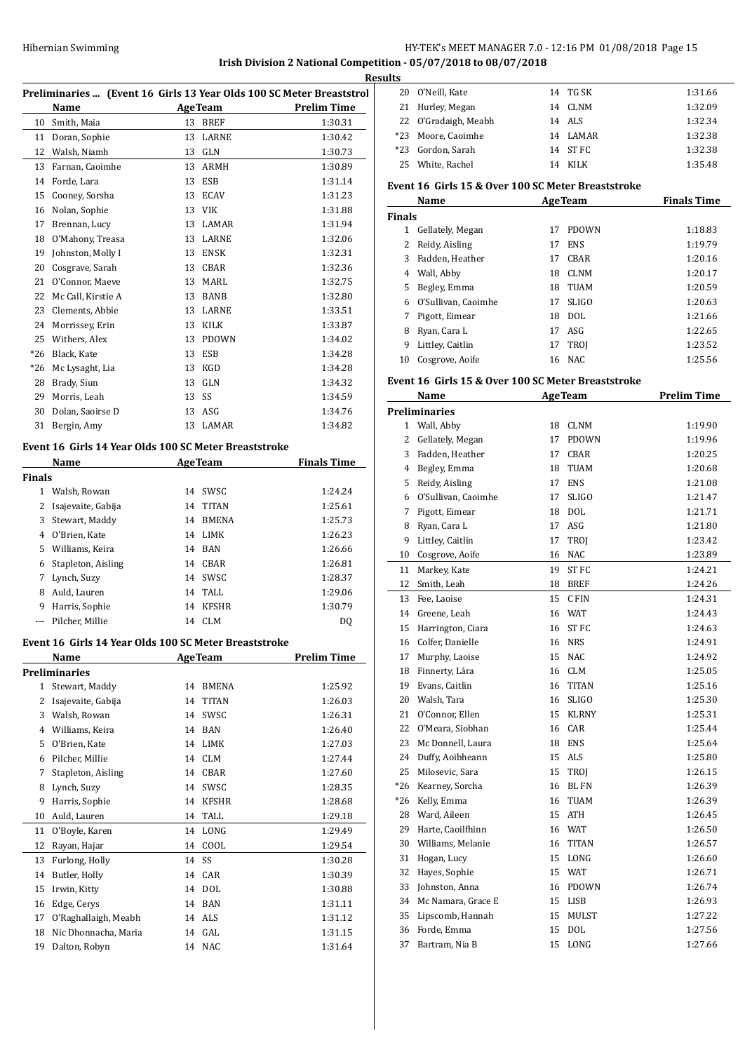# Hibernian Swimming HY-TEK's MEET MANAGER 7.0 - 12:16 PM 01/08/2018 Page 15

# **Irish Division 2 National Competition - 05/07/2018 to 08/07/2018**

**Results**

| Preliminaries  (Event 16 Girls 13 Year Olds 100 SC Meter Breaststrol |  |
|----------------------------------------------------------------------|--|
|----------------------------------------------------------------------|--|

|       | Name               |    | <b>AgeTeam</b> | Prelim Time |
|-------|--------------------|----|----------------|-------------|
| 10    | Smith, Maia        | 13 | <b>BREF</b>    | 1:30.31     |
| 11    | Doran, Sophie      | 13 | LARNE          | 1:30.42     |
| 12    | Walsh, Niamh       | 13 | <b>GLN</b>     | 1:30.73     |
| 13    | Farnan, Caoimhe    | 13 | <b>ARMH</b>    | 1:30.89     |
| 14    | Forde, Lara        | 13 | <b>ESB</b>     | 1:31.14     |
| 15    | Cooney, Sorsha     | 13 | <b>ECAV</b>    | 1:31.23     |
| 16    | Nolan, Sophie      | 13 | <b>VIK</b>     | 1:31.88     |
| 17    | Brennan, Lucy      | 13 | <b>LAMAR</b>   | 1:31.94     |
| 18    | O'Mahony, Treasa   | 13 | LARNE          | 1:32.06     |
| 19    | Johnston, Molly I  | 13 | <b>ENSK</b>    | 1:32.31     |
| 20    | Cosgrave, Sarah    | 13 | <b>CBAR</b>    | 1:32.36     |
| 21    | O'Connor, Maeve    | 13 | <b>MARL</b>    | 1:32.75     |
| 22    | Mc Call, Kirstie A | 13 | <b>BANB</b>    | 1:32.80     |
| 23    | Clements, Abbie    | 13 | <b>LARNE</b>   | 1:33.51     |
| 24    | Morrissey, Erin    | 13 | <b>KILK</b>    | 1:33.87     |
| 25    | Withers, Alex      | 13 | <b>PDOWN</b>   | 1:34.02     |
| $*26$ | Black, Kate        | 13 | <b>ESB</b>     | 1:34.28     |
| $*26$ | Mc Lysaght, Lia    | 13 | KGD            | 1:34.28     |
| 28    | Brady, Siun        | 13 | <b>GLN</b>     | 1:34.32     |
| 29    | Morris, Leah       | 13 | SS             | 1:34.59     |
| 30    | Dolan, Saoirse D   | 13 | ASG            | 1:34.76     |
| 31    | Bergin, Amy        | 13 | LAMAR          | 1:34.82     |

#### **Event 16 Girls 14 Year Olds 100 SC Meter Breaststroke**

| Name          |                    |    | <b>AgeTeam</b> | <b>Finals Time</b> |  |
|---------------|--------------------|----|----------------|--------------------|--|
| <b>Finals</b> |                    |    |                |                    |  |
| 1             | Walsh, Rowan       | 14 | SWSC           | 1:24.24            |  |
|               | Isajevaite, Gabija | 14 | <b>TITAN</b>   | 1:25.61            |  |
| 3             | Stewart, Maddy     | 14 | <b>BMENA</b>   | 1:25.73            |  |
| 4             | 0'Brien. Kate      | 14 | LIMK           | 1:26.23            |  |
| 5.            | Williams, Keira    | 14 | BAN            | 1:26.66            |  |
| 6             | Stapleton, Aisling | 14 | CBAR           | 1:26.81            |  |
| 7             | Lynch, Suzy        | 14 | SWSC           | 1:28.37            |  |
| 8             | Auld, Lauren       | 14 | TALL           | 1:29.06            |  |
| 9             | Harris, Sophie     | 14 | <b>KFSHR</b>   | 1:30.79            |  |
|               | Pilcher, Millie    | 14 | CLM            | DO                 |  |

#### **Event 16 Girls 14 Year Olds 100 SC Meter Breaststroke**

|    | Name                 |    | <b>AgeTeam</b> | <b>Prelim Time</b> |
|----|----------------------|----|----------------|--------------------|
|    | Preliminaries        |    |                |                    |
| 1  | Stewart, Maddy       | 14 | <b>BMENA</b>   | 1:25.92            |
| 2  | Isajevaite, Gabija   | 14 | <b>TITAN</b>   | 1:26.03            |
| 3  | Walsh, Rowan         | 14 | SWSC           | 1:26.31            |
| 4  | Williams, Keira      | 14 | <b>BAN</b>     | 1:26.40            |
| 5  | O'Brien, Kate        | 14 | <b>LIMK</b>    | 1:27.03            |
| 6  | Pilcher, Millie      | 14 | <b>CLM</b>     | 1:27.44            |
| 7  | Stapleton, Aisling   | 14 | <b>CBAR</b>    | 1:27.60            |
| 8  | Lynch, Suzy          | 14 | SWSC           | 1:28.35            |
| 9  | Harris, Sophie       | 14 | <b>KFSHR</b>   | 1:28.68            |
| 10 | Auld, Lauren         | 14 | TALL           | 1:29.18            |
| 11 | O'Boyle, Karen       | 14 | LONG           | 1:29.49            |
| 12 | Rayan, Hajar         | 14 | COOL           | 1:29.54            |
| 13 | Furlong, Holly       | 14 | SS             | 1:30.28            |
| 14 | Butler, Holly        | 14 | CAR            | 1:30.39            |
| 15 | Irwin, Kitty         | 14 | <b>DOL</b>     | 1:30.88            |
| 16 | Edge, Cerys          | 14 | <b>BAN</b>     | 1:31.11            |
| 17 | O'Raghallaigh, Meabh | 14 | ALS            | 1:31.12            |
| 18 | Nic Dhonnacha, Maria | 14 | GAL            | 1:31.15            |
| 19 | Dalton, Robyn        | 14 | NAC            | 1:31.64            |
|    |                      |    |                |                    |

| 1 L.J |                      |          |         |
|-------|----------------------|----------|---------|
|       | 20 O'Neill, Kate     | 14 TG SK | 1:31.66 |
|       | 21 Hurley, Megan     | 14 CLNM  | 1:32.09 |
|       | 22 O'Gradaigh, Meabh | 14 ALS   | 1:32.34 |
|       | *23 Moore, Caoimhe   | 14 LAMAR | 1:32.38 |
|       | *23 Gordon, Sarah    | 14 ST FC | 1:32.38 |
|       | 25 White, Rachel     | 14 KILK  | 1:35.48 |
|       |                      |          |         |

#### **Event 16 Girls 15 & Over 100 SC Meter Breaststroke**

|        | Name                |    | <b>AgeTeam</b> | <b>Finals Time</b> |
|--------|---------------------|----|----------------|--------------------|
| Finals |                     |    |                |                    |
| 1      | Gellately, Megan    | 17 | <b>PDOWN</b>   | 1:18.83            |
| 2      | Reidy, Aisling      | 17 | <b>ENS</b>     | 1:19.79            |
| 3      | Fadden, Heather     | 17 | CBAR           | 1:20.16            |
| 4      | Wall, Abby          | 18 | <b>CLNM</b>    | 1:20.17            |
| 5      | Begley, Emma        | 18 | TUAM           | 1:20.59            |
| 6      | O'Sullivan, Caoimhe | 17 | <b>SLIGO</b>   | 1:20.63            |
| 7      | Pigott, Eimear      | 18 | DOL.           | 1:21.66            |
| 8      | Ryan, Cara L        |    | 17 ASG         | 1:22.65            |
| 9      | Littley, Caitlin    | 17 | <b>TROI</b>    | 1:23.52            |
| 10     | Cosgrove, Aoife     | 16 | NAC.           | 1:25.56            |

#### **Event 16 Girls 15 & Over 100 SC Meter Breaststroke**

|                | Name                 |    | <b>AgeTeam</b>   | <b>Prelim Time</b> |
|----------------|----------------------|----|------------------|--------------------|
|                | <b>Preliminaries</b> |    |                  |                    |
| 1              | Wall, Abby           | 18 | <b>CLNM</b>      | 1:19.90            |
| $\overline{2}$ | Gellately, Megan     | 17 | <b>PDOWN</b>     | 1:19.96            |
| 3              | Fadden, Heather      | 17 | <b>CBAR</b>      | 1:20.25            |
| 4              | Begley, Emma         | 18 | <b>TUAM</b>      | 1:20.68            |
| 5              | Reidy, Aisling       | 17 | <b>ENS</b>       | 1:21.08            |
| 6              | O'Sullivan, Caoimhe  | 17 | <b>SLIGO</b>     | 1:21.47            |
| 7              | Pigott, Eimear       | 18 | <b>DOL</b>       | 1:21.71            |
| 8              | Ryan, Cara L         | 17 | ASG              | 1:21.80            |
| 9              | Littley, Caitlin     | 17 | TROJ             | 1:23.42            |
| 10             | Cosgrove, Aoife      | 16 | <b>NAC</b>       | 1:23.89            |
| 11             | Markey, Kate         | 19 | <b>ST FC</b>     | 1:24.21            |
| 12             | Smith, Leah          | 18 | <b>BREF</b>      | 1:24.26            |
| 13             | Fee, Laoise          | 15 | C FIN            | 1:24.31            |
| 14             | Greene, Leah         |    | 16 WAT           | 1:24.43            |
| 15             | Harrington, Ciara    | 16 | ST <sub>FC</sub> | 1:24.63            |
| 16             | Colfer, Danielle     | 16 | <b>NRS</b>       | 1:24.91            |
| 17             | Murphy, Laoise       | 15 | <b>NAC</b>       | 1:24.92            |
| 18             | Finnerty, Lára       | 16 | <b>CLM</b>       | 1:25.05            |
| 19             | Evans, Caitlin       | 16 | <b>TITAN</b>     | 1:25.16            |
| 20             | Walsh, Tara          | 16 | <b>SLIGO</b>     | 1:25.30            |
| 21             | O'Connor, Ellen      |    | 15 KLRNY         | 1:25.31            |
| 22             | O'Meara, Siobhan     |    | 16 CAR           | 1:25.44            |
| 23             | Mc Donnell, Laura    |    | 18 ENS           | 1:25.64            |
| 24             | Duffy, Aoibheann     |    | 15 ALS           | 1:25.80            |
| 25             | Milosevic, Sara      |    | 15 TROJ          | 1:26.15            |
| $*26$          | Kearney, Sorcha      | 16 | <b>BL FN</b>     | 1:26.39            |
| $*26$          | Kelly, Emma          | 16 | <b>TUAM</b>      | 1:26.39            |
| 28             | Ward, Aileen         | 15 | <b>ATH</b>       | 1:26.45            |
| 29             | Harte, Caoilfhinn    |    | 16 WAT           | 1:26.50            |
| 30             | Williams, Melanie    | 16 | <b>TITAN</b>     | 1:26.57            |
| 31             | Hogan, Lucy          |    | 15 LONG          | 1:26.60            |
| 32             | Hayes, Sophie        |    | 15 WAT           | 1:26.71            |
| 33             | Johnston, Anna       |    | 16 PDOWN         | 1:26.74            |
| 34             | Mc Namara, Grace E   | 15 | LISB             | 1:26.93            |
| 35             | Lipscomb, Hannah     | 15 | <b>MULST</b>     | 1:27.22            |
| 36             | Forde, Emma          | 15 | DOL              | 1:27.56            |
| 37             | Bartram. Nia B       | 15 | LONG             | 1:27.66            |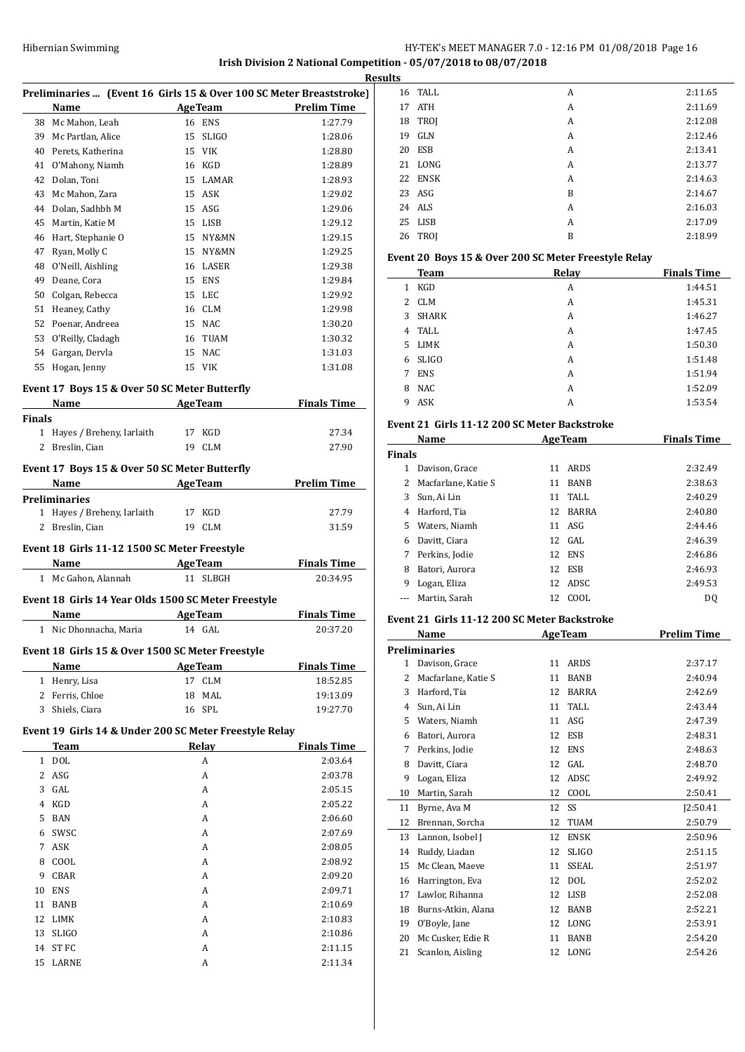# **Irish Division 2 National Competition - 05/07/2018 to 08/07/2018**

|                |                                                        |                           | Rє                                                                  |
|----------------|--------------------------------------------------------|---------------------------|---------------------------------------------------------------------|
|                |                                                        |                           | Preliminaries  (Event 16 Girls 15 & Over 100 SC Meter Breaststroke) |
|                | Name                                                   | <b>AgeTeam</b>            | <b>Prelim Time</b>                                                  |
|                | 38 Mc Mahon, Leah                                      | 16 ENS                    | 1:27.79                                                             |
|                | 39 Mc Partlan, Alice                                   | SLIGO<br>15               | 1:28.06                                                             |
|                | 40 Perets, Katherina                                   | 15 VIK                    | 1:28.80                                                             |
|                | 41 O'Mahony, Niamh                                     | 16 KGD                    | 1:28.89                                                             |
|                | 42 Dolan, Toni                                         | 15 LAMAR                  | 1:28.93                                                             |
|                | 43 Mc Mahon, Zara                                      | 15 ASK                    | 1:29.02                                                             |
|                | 44 Dolan, Sadhbh M                                     | 15 ASG                    | 1:29.06                                                             |
|                | 45 Martin, Katie M                                     | 15 LISB                   | 1:29.12                                                             |
|                | 46 Hart, Stephanie O                                   | 15 NY&MN                  | 1:29.15                                                             |
| 47             | Ryan, Molly C                                          | 15 NY&MN                  | 1:29.25                                                             |
| 48             | O'Neill, Aishling                                      | 16<br>LASER               | 1:29.38                                                             |
| 49             |                                                        | ENS<br>15                 |                                                                     |
|                | Deane, Cora                                            |                           | 1:29.84                                                             |
| 50             | Colgan, Rebecca                                        | 15<br>LEC                 | 1:29.92                                                             |
|                | 51 Heaney, Cathy                                       | 16 CLM                    | 1:29.98                                                             |
|                | 52 Poenar, Andreea                                     | 15 NAC                    | 1:30.20                                                             |
|                | 53 O'Reilly, Cladagh                                   | 16 TUAM                   | 1:30.32                                                             |
|                | 54 Gargan, Dervla                                      | 15<br>NAC                 | 1:31.03                                                             |
|                | 55 Hogan, Jenny                                        | 15 VIK                    | 1:31.08                                                             |
|                | Event 17 Boys 15 & Over 50 SC Meter Butterfly          |                           |                                                                     |
|                | Name                                                   | <b>Example 2</b> Age Team | <b>Finals Time</b>                                                  |
| <b>Finals</b>  |                                                        |                           |                                                                     |
|                | 1 Hayes / Breheny, Iarlaith                            | 17 KGD                    | 27.34                                                               |
|                | 2 Breslin, Cian                                        | 19 CLM                    | 27.90                                                               |
|                |                                                        |                           |                                                                     |
|                | Event 17 Boys 15 & Over 50 SC Meter Butterfly          |                           |                                                                     |
|                | Name                                                   | <b>Example 2</b> AgeTeam  | <b>Prelim Time</b>                                                  |
|                | Preliminaries                                          |                           |                                                                     |
| 1              | Hayes / Breheny, Iarlaith                              | 17 KGD                    | 27.79                                                               |
| 2              | Breslin, Cian                                          | 19<br><b>CLM</b>          | 31.59                                                               |
|                |                                                        |                           |                                                                     |
|                | Event 18 Girls 11-12 1500 SC Meter Freestyle           |                           |                                                                     |
|                | <b>Name</b>                                            | <b>AgeTeam</b>            | <b>Finals Time</b>                                                  |
|                | 1 Mc Gahon, Alannah                                    | 11 SLBGH                  | 20:34.95                                                            |
|                | Event 18 Girls 14 Year Olds 1500 SC Meter Freestyle    |                           |                                                                     |
|                | Name                                                   | AgeTeam                   | <b>Finals Time</b>                                                  |
|                | 1 Nic Dhonnacha, Maria                                 | 14 GAL                    | 20:37.20                                                            |
|                |                                                        |                           |                                                                     |
|                | Event 18 Girls 15 & Over 1500 SC Meter Freestyle       |                           |                                                                     |
|                | Name                                                   | <b>AgeTeam</b>            | <b>Finals Time</b>                                                  |
|                | 1 Henry, Lisa                                          | 17 CLM                    | 18:52.85                                                            |
|                | 2 Ferris, Chloe                                        | 18<br>MAL                 | 19:13.09                                                            |
|                | 3 Shiels, Ciara                                        | 16 SPL                    | 19:27.70                                                            |
|                |                                                        |                           |                                                                     |
|                | Event 19 Girls 14 & Under 200 SC Meter Freestyle Relay |                           |                                                                     |
|                | Team                                                   | Relay                     | <b>Finals Time</b>                                                  |
|                | 1 DOL                                                  | A                         | 2:03.64                                                             |
|                | 2 ASG                                                  | А                         | 2:03.78                                                             |
| 3              | GAL                                                    | A                         | 2:05.15                                                             |
| $\overline{4}$ | KGD                                                    | A                         | 2:05.22                                                             |
| 5              | BAN                                                    | A                         | 2:06.60                                                             |
| 6              | SWSC                                                   | A                         | 2:07.69                                                             |
| 7              | ASK                                                    | A                         | 2:08.05                                                             |
| 8              | COOL                                                   | A                         | 2:08.92                                                             |
| 9              | CBAR                                                   | A                         | 2:09.20                                                             |
| 10             | ENS                                                    | А                         | 2:09.71                                                             |
| 11             | BANB                                                   | A                         | 2:10.69                                                             |
| 12             | LIMK                                                   | A                         | 2:10.83                                                             |
| 13             | <b>SLIGO</b>                                           | A                         | 2:10.86                                                             |
| 14             | ST FC                                                  | A                         | 2:11.15                                                             |
| 15             | LARNE                                                  | A                         | 2:11.34                                                             |
|                |                                                        |                           |                                                                     |

| esults |         |   |         |
|--------|---------|---|---------|
|        | 16 TALL | A | 2:11.65 |
|        | 17 ATH  | A | 2:11.69 |
|        | 18 TROJ | A | 2:12.08 |
| 19     | GLN     | A | 2:12.46 |
|        | 20 ESB  | A | 2:13.41 |
|        | 21 LONG | A | 2:13.77 |
|        | 22 ENSK | A | 2:14.63 |
|        | 23 ASG  | B | 2:14.67 |
|        | 24 ALS  | A | 2:16.03 |
|        | 25 LISB | А | 2:17.09 |
|        | 26 TROI | B | 2:18.99 |

# **Event 20 Boys 15 & Over 200 SC Meter Freestyle Relay**

| <b>Team</b>           | Relay | <b>Finals Time</b> |
|-----------------------|-------|--------------------|
| KGD<br>1              | A     | 1:44.51            |
| <b>CLM</b><br>2       | A     | 1:45.31            |
| SHARK<br>$\mathbf{3}$ | A     | 1:46.27            |
| TALL<br>4             | A     | 1:47.45            |
| LIMK<br>5.            | A     | 1:50.30            |
| <b>SLIGO</b><br>6.    | A     | 1:51.48            |
| <b>ENS</b><br>7       | A     | 1:51.94            |
| <b>NAC</b><br>8       | A     | 1:52.09            |
| ASK<br>9              | A     | 1:53.54            |

### **Event 21 Girls 11-12 200 SC Meter Backstroke**

| Name          |                       |    | <b>AgeTeam</b> | <b>Finals Time</b> |  |
|---------------|-----------------------|----|----------------|--------------------|--|
| <b>Finals</b> |                       |    |                |                    |  |
| 1             | Davison, Grace        | 11 | ARDS           | 2:32.49            |  |
|               | 2 Macfarlane, Katie S | 11 | <b>BANB</b>    | 2:38.63            |  |
| 3             | Sun, Ai Lin           |    | 11 TALL        | 2:40.29            |  |
| 4             | Harford, Tia          | 12 | <b>BARRA</b>   | 2:40.80            |  |
| 5.            | Waters, Niamh         | 11 | ASG            | 2:44.46            |  |
| 6             | Davitt, Ciara         |    | $12$ GAL       | 2:46.39            |  |
| 7             | Perkins, Jodie        | 12 | ENS            | 2:46.86            |  |
| 8             | Batori, Aurora        | 12 | ESB            | 2:46.93            |  |
| 9             | Logan, Eliza          | 12 | ADSC.          | 2:49.53            |  |
|               | Martin, Sarah         | 12 | COOL           | D <sub>0</sub>     |  |

## **Event 21 Girls 11-12 200 SC Meter Backstroke**

|              | Name                 |    | <b>AgeTeam</b> | <b>Prelim Time</b> |
|--------------|----------------------|----|----------------|--------------------|
|              | <b>Preliminaries</b> |    |                |                    |
| $\mathbf{1}$ | Davison, Grace       | 11 | <b>ARDS</b>    | 2:37.17            |
| 2            | Macfarlane, Katie S  | 11 | <b>BANB</b>    | 2:40.94            |
| 3            | Harford, Tia         | 12 | <b>BARRA</b>   | 2:42.69            |
| 4            | Sun, Ai Lin          | 11 | <b>TALL</b>    | 2:43.44            |
| 5            | Waters, Niamh        | 11 | ASG            | 2:47.39            |
| 6            | Batori, Aurora       | 12 | <b>ESB</b>     | 2:48.31            |
| 7            | Perkins, Jodie       | 12 | <b>ENS</b>     | 2:48.63            |
| 8            | Davitt, Ciara        | 12 | GAL            | 2:48.70            |
| 9            | Logan, Eliza         | 12 | ADSC           | 2:49.92            |
| 10           | Martin, Sarah        | 12 | COOL           | 2:50.41            |
| 11           | Byrne, Ava M         | 12 | SS             | 12:50.41           |
| 12           | Brennan, Sorcha      | 12 | <b>TUAM</b>    | 2:50.79            |
| 13           | Lannon, Isobel J     | 12 | <b>ENSK</b>    | 2:50.96            |
| 14           | Ruddy, Liadan        | 12 | <b>SLIGO</b>   | 2:51.15            |
| 15           | Mc Clean, Maeve      | 11 | <b>SSEAL</b>   | 2:51.97            |
| 16           | Harrington, Eva      | 12 | <b>DOL</b>     | 2:52.02            |
| 17           | Lawlor, Rihanna      | 12 | <b>LISB</b>    | 2:52.08            |
| 18           | Burns-Atkin, Alana   | 12 | <b>BANB</b>    | 2:52.21            |
| 19           | O'Boyle, Jane        | 12 | LONG           | 2:53.91            |
| 20           | Mc Cusker, Edie R    | 11 | <b>BANB</b>    | 2:54.20            |
| 21           | Scanlon, Aisling     | 12 | LONG           | 2:54.26            |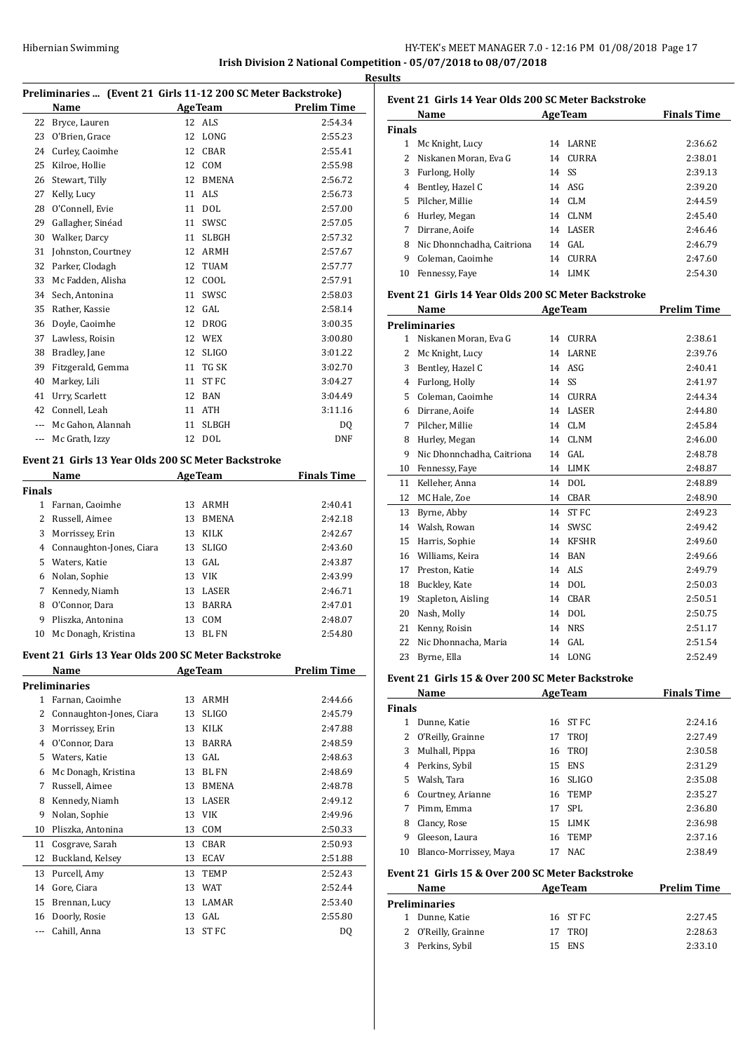# Hibernian Swimming **HY-TEK's MEET MANAGER 7.0 - 12:16 PM 01/08/2018** Page 17 **Irish Division 2 National Competition - 05/07/2018 to 08/07/2018**

**Results**

| Preliminaries  (Event 21 Girls 11-12 200 SC Meter Backstroke) |                                                      |    |                |                    |
|---------------------------------------------------------------|------------------------------------------------------|----|----------------|--------------------|
|                                                               | Name                                                 |    | AgeTeam        | <b>Prelim Time</b> |
| 22                                                            | Bryce, Lauren                                        |    | 12 ALS         | 2:54.34            |
| 23                                                            | O'Brien, Grace                                       | 12 | LONG           | 2:55.23            |
| 24                                                            | Curley, Caoimhe                                      | 12 | CBAR           | 2:55.41            |
| 25                                                            | Kilroe, Hollie                                       | 12 | <b>COM</b>     | 2:55.98            |
| 26                                                            | Stewart, Tilly                                       | 12 | <b>BMENA</b>   | 2:56.72            |
| 27                                                            | Kelly, Lucy                                          | 11 | ALS            | 2:56.73            |
| 28                                                            | O'Connell, Evie                                      | 11 | <b>DOL</b>     | 2:57.00            |
| 29                                                            | Gallagher, Sinéad                                    | 11 | SWSC           | 2:57.05            |
| 30                                                            | Walker, Darcy                                        | 11 | <b>SLBGH</b>   | 2:57.32            |
| 31                                                            | Johnston, Courtney                                   |    | 12 ARMH        | 2:57.67            |
| 32                                                            | Parker, Clodagh                                      | 12 | TUAM           | 2:57.77            |
| 33                                                            | Mc Fadden, Alisha                                    |    | 12 COOL        | 2:57.91            |
| 34                                                            | Sech, Antonina                                       | 11 | SWSC           | 2:58.03            |
| 35                                                            | Rather, Kassie                                       |    | 12 GAL         | 2:58.14            |
| 36                                                            | Doyle, Caoimhe                                       | 12 | <b>DROG</b>    | 3:00.35            |
| 37                                                            | Lawless, Roisin                                      |    | 12 WEX         | 3:00.80            |
| 38                                                            | Bradley, Jane                                        | 12 | <b>SLIGO</b>   | 3:01.22            |
| 39                                                            | Fitzgerald, Gemma                                    | 11 | TG SK          | 3:02.70            |
| 40                                                            | Markey, Lili                                         | 11 | ST FC          | 3:04.27            |
| 41                                                            | Urry, Scarlett                                       | 12 | BAN            | 3:04.49            |
| 42                                                            | Connell, Leah                                        | 11 | <b>ATH</b>     | 3:11.16            |
|                                                               | --- Mc Gahon, Alannah                                | 11 | <b>SLBGH</b>   | DQ                 |
| ---                                                           | Mc Grath, Izzy                                       | 12 | DOL            | <b>DNF</b>         |
|                                                               | Event 21  Girls 13 Year Olds 200 SC Meter Backstroke |    |                |                    |
|                                                               | Name                                                 |    | <b>AgeTeam</b> | <b>Finals Time</b> |
| <b>Finals</b>                                                 |                                                      |    |                |                    |
| 1                                                             | Farnan, Caoimhe                                      | 13 | ARMH           | 2:40.41            |
| $\overline{2}$                                                | Russell, Aimee                                       | 13 | <b>BMENA</b>   | 2:42.18            |
| 3                                                             | Morrissey, Erin                                      | 13 | <b>KILK</b>    | 2:42.67            |
| 4                                                             | Connaughton-Jones, Ciara                             | 13 | <b>SLIGO</b>   | 2:43.60            |
| 5                                                             | Waters, Katie                                        | 13 | GAL            | 2:43.87            |
| 6                                                             | Nolan, Sophie                                        | 13 | VIK            | 2:43.99            |
| 7                                                             | Kennedy, Niamh                                       | 13 | LASER          | 2:46.71            |
| 8                                                             | O'Connor, Dara                                       | 13 | BARRA          | 2:47.01            |
| 9                                                             | Pliszka, Antonina                                    | 13 | COM            | 2:48.07            |
| 10                                                            | Mc Donagh, Kristina                                  | 13 | <b>BL FN</b>   | 2:54.80            |
|                                                               | Event 21  Girls 13 Year Olds 200 SC Meter Backstroke |    |                |                    |
|                                                               | Name                                                 |    | <b>AgeTeam</b> | <b>Prelim Time</b> |
|                                                               | Preliminaries                                        |    |                |                    |
| $1 \quad$                                                     | Farnan, Caoimhe                                      | 13 | ARMH           | 2:44.66            |
| 2                                                             | Connaughton-Jones, Ciara                             | 13 | SLIGO          | 2:45.79            |
| 3                                                             | Morrissey, Erin                                      |    | 13 KILK        | 2:47.88            |
| $\overline{4}$                                                | O'Connor, Dara                                       | 13 | <b>BARRA</b>   | 2:48.59            |
|                                                               | 5 Waters, Katie                                      |    | 13 GAL         | 2:48.63            |
| 6                                                             | Mc Donagh, Kristina                                  |    | 13 BL FN       | 2:48.69            |
| 7                                                             | Russell, Aimee                                       | 13 | <b>BMENA</b>   | 2:48.78            |
| 8                                                             | Kennedy, Niamh                                       |    | 13 LASER       | 2:49.12            |
| 9                                                             | Nolan, Sophie                                        |    | 13 VIK         | 2:49.96            |
| 10                                                            | Pliszka, Antonina                                    |    | 13 COM         | 2:50.33            |
| 11                                                            | Cosgrave, Sarah                                      | 13 | CBAR           | 2:50.93            |
| 12                                                            | Buckland, Kelsey                                     |    | 13 ECAV        | 2:51.88            |
| 13                                                            | Purcell, Amy                                         | 13 | TEMP           | 2:52.43            |
| 14                                                            | Gore, Ciara                                          | 13 | WAT            | 2:52.44            |
| 15                                                            | Brennan, Lucy                                        | 13 | LAMAR          | 2:53.40            |
| 16                                                            | Doorly, Rosie                                        | 13 | GAL            | 2:55.80            |
| ---                                                           | Cahill, Anna                                         | 13 | ST FC          | DQ                 |

| uns           |                                                                                                     |    |              |         |  |  |  |
|---------------|-----------------------------------------------------------------------------------------------------|----|--------------|---------|--|--|--|
|               | Event 21 Girls 14 Year Olds 200 SC Meter Backstroke<br><b>Finals Time</b><br>Name<br><b>AgeTeam</b> |    |              |         |  |  |  |
|               |                                                                                                     |    |              |         |  |  |  |
| <b>Finals</b> |                                                                                                     |    |              |         |  |  |  |
| 1             | Mc Knight, Lucy                                                                                     | 14 | LARNE        | 2:36.62 |  |  |  |
|               | 2 Niskanen Moran, Eva G                                                                             |    | 14 CURRA     | 2:38.01 |  |  |  |
| 3             | Furlong, Holly                                                                                      |    | 14 SS        | 2:39.13 |  |  |  |
| 4             | Bentley, Hazel C                                                                                    |    | 14 ASG       | 2:39.20 |  |  |  |
| 5.            | Pilcher, Millie                                                                                     |    | 14 CLM       | 2:44.59 |  |  |  |
| 6             | Hurley, Megan                                                                                       | 14 | CLNM         | 2:45.40 |  |  |  |
| 7             | Dirrane, Aoife                                                                                      |    | 14 LASER     | 2:46.46 |  |  |  |
| 8             | Nic Dhonnchadha, Caitriona                                                                          | 14 | GAL.         | 2:46.79 |  |  |  |
| 9             | Coleman, Caoimhe                                                                                    | 14 | <b>CURRA</b> | 2:47.60 |  |  |  |
| 10            | Fennessy, Faye                                                                                      | 14 | - LIMK       | 2:54.30 |  |  |  |

#### **Event 21 Girls 14 Year Olds 200 SC Meter Backstroke**

|                                                  | Name                       |    | <b>AgeTeam</b>   | <b>Prelim Time</b> |  |  |
|--------------------------------------------------|----------------------------|----|------------------|--------------------|--|--|
|                                                  | <b>Preliminaries</b>       |    |                  |                    |  |  |
| $\mathbf{1}$                                     | Niskanen Moran, Eva G      | 14 | <b>CURRA</b>     | 2:38.61            |  |  |
| 2                                                | Mc Knight, Lucy            | 14 | <b>LARNE</b>     | 2:39.76            |  |  |
| 3                                                | Bentley, Hazel C           | 14 | ASG              | 2:40.41            |  |  |
| 4                                                | Furlong, Holly             | 14 | SS               | 2:41.97            |  |  |
| 5                                                | Coleman, Caoimhe           | 14 | <b>CURRA</b>     | 2:44.34            |  |  |
| 6                                                | Dirrane, Aoife             | 14 | LASER            | 2:44.80            |  |  |
| 7                                                | Pilcher, Millie            | 14 | <b>CLM</b>       | 2:45.84            |  |  |
| 8                                                | Hurley, Megan              | 14 | <b>CLNM</b>      | 2:46.00            |  |  |
| 9                                                | Nic Dhonnchadha, Caitriona | 14 | GAL.             | 2:48.78            |  |  |
| 10                                               | Fennessy, Faye             | 14 | LIMK             | 2:48.87            |  |  |
| 11                                               | Kelleher, Anna             | 14 | DOL              | 2:48.89            |  |  |
| 12                                               | MC Hale, Zoe               | 14 | CBAR             | 2:48.90            |  |  |
| 13                                               | Byrne, Abby                | 14 | ST <sub>FC</sub> | 2:49.23            |  |  |
| 14                                               | Walsh, Rowan               | 14 | SWSC             | 2:49.42            |  |  |
| 15                                               | Harris, Sophie             | 14 | <b>KFSHR</b>     | 2:49.60            |  |  |
| 16                                               | Williams, Keira            | 14 | <b>BAN</b>       | 2:49.66            |  |  |
| 17                                               | Preston, Katie             | 14 | <b>ALS</b>       | 2:49.79            |  |  |
| 18                                               | Buckley, Kate              | 14 | <b>DOL</b>       | 2:50.03            |  |  |
| 19                                               | Stapleton, Aisling         | 14 | CBAR             | 2:50.51            |  |  |
| 20                                               | Nash, Molly                | 14 | <b>DOL</b>       | 2:50.75            |  |  |
| 21                                               | Kenny, Roisin              | 14 | <b>NRS</b>       | 2:51.17            |  |  |
| 22                                               | Nic Dhonnacha, Maria       | 14 | GAL              | 2:51.54            |  |  |
| 23                                               | Byrne, Ella                | 14 | LONG             | 2:52.49            |  |  |
| Event 21 Girls 15 & Over 200 SC Meter Backstroke |                            |    |                  |                    |  |  |

#### **Event 21 Girls 15 & Over 200 SC Meter Backstroke**

| Name          |                        |    | <b>AgeTeam</b> | <b>Finals Time</b> |  |
|---------------|------------------------|----|----------------|--------------------|--|
| <b>Finals</b> |                        |    |                |                    |  |
|               | Dunne, Katie           | 16 | ST FC          | 2:24.16            |  |
|               | 2 O'Reilly, Grainne    | 17 | TROI           | 2:27.49            |  |
| 3             | Mulhall, Pippa         |    | 16 TROJ        | 2:30.58            |  |
|               | 4 Perkins, Sybil       | 15 | ENS            | 2:31.29            |  |
| 5.            | Walsh, Tara            |    | 16 SLIGO       | 2:35.08            |  |
| 6             | Courtney, Arianne      | 16 | <b>TEMP</b>    | 2:35.27            |  |
| 7             | Pimm, Emma             |    | 17 SPL         | 2:36.80            |  |
| 8             | Clancy, Rose           | 15 | LIMK           | 2:36.98            |  |
| 9             | Gleeson, Laura         | 16 | <b>TEMP</b>    | 2:37.16            |  |
| 10            | Blanco-Morrissey, Maya | 17 | NAC.           | 2:38.49            |  |

#### **Event 21 Girls 15 & Over 200 SC Meter Backstroke**

| Name                 | <b>AgeTeam</b> | <b>Prelim Time</b> |
|----------------------|----------------|--------------------|
| <b>Preliminaries</b> |                |                    |
| 1 Dunne, Katie       | 16 ST FC       | 2:27.45            |
| 2 O'Reilly, Grainne  | 17 TROJ        | 2:28.63            |
| Perkins, Sybil<br>3  | 15 ENS         | 2:33.10            |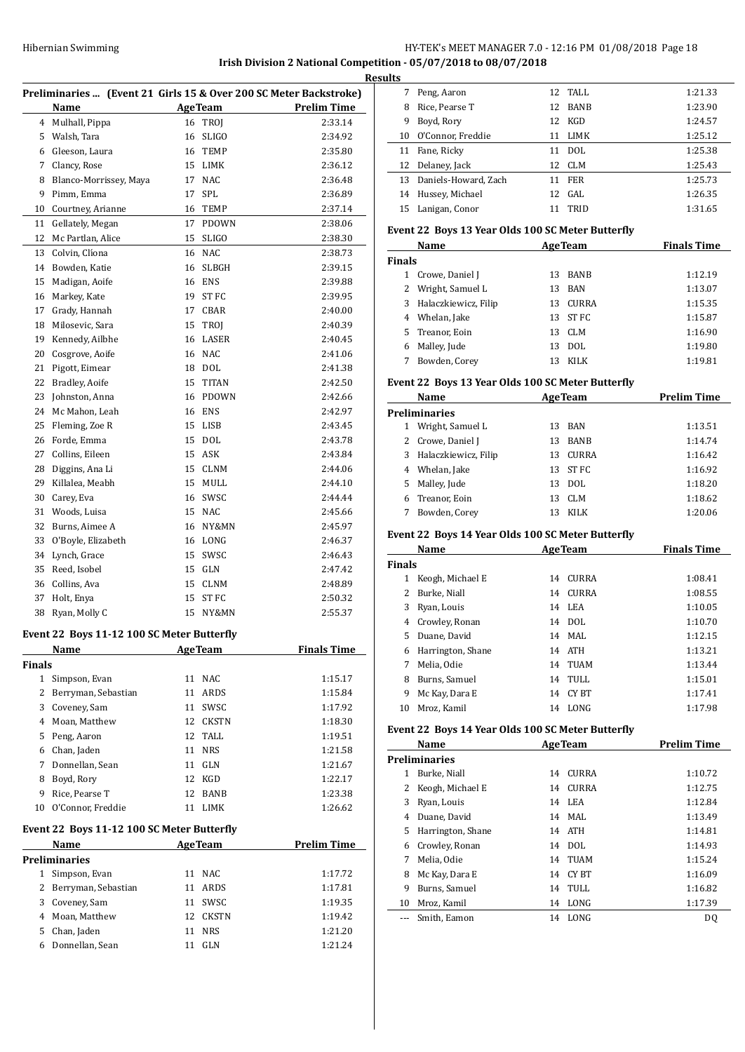**Irish Division 2 National Competition - 05/07/2018 to 08/07/2018**

|               |                                            |    |                | Preliminaries  (Event 21 Girls 15 & Over 200 SC Meter Backstroke) |
|---------------|--------------------------------------------|----|----------------|-------------------------------------------------------------------|
|               | Name                                       |    | <b>AgeTeam</b> | <b>Prelim Time</b>                                                |
| 4             | Mulhall, Pippa                             |    | 16 TROJ        | 2:33.14                                                           |
| 5             | Walsh, Tara                                | 16 | <b>SLIGO</b>   | 2:34.92                                                           |
| 6             | Gleeson, Laura                             | 16 | <b>TEMP</b>    | 2:35.80                                                           |
| 7             | Clancy, Rose                               | 15 | LIMK           | 2:36.12                                                           |
| 8             | Blanco-Morrissey, Maya                     | 17 | <b>NAC</b>     | 2:36.48                                                           |
| 9             | Pimm, Emma                                 | 17 | SPL            | 2:36.89                                                           |
| 10            | Courtney, Arianne                          | 16 | TEMP           | 2:37.14                                                           |
| 11            | Gellately, Megan                           | 17 | <b>PDOWN</b>   | 2:38.06                                                           |
| 12            | Mc Partlan, Alice                          | 15 | <b>SLIGO</b>   | 2:38.30                                                           |
| 13            | Colvin, Clíona                             | 16 | <b>NAC</b>     | 2:38.73                                                           |
| 14            | Bowden, Katie                              | 16 | <b>SLBGH</b>   | 2:39.15                                                           |
| 15            | Madigan, Aoife                             | 16 | ENS            | 2:39.88                                                           |
| 16            | Markey, Kate                               | 19 | ST FC          | 2:39.95                                                           |
| 17            | Grady, Hannah                              | 17 | CBAR           | 2:40.00                                                           |
| 18            | Milosevic, Sara                            | 15 | <b>TROI</b>    | 2:40.39                                                           |
| 19            | Kennedy, Ailbhe                            | 16 | LASER          | 2:40.45                                                           |
| 20            | Cosgrove, Aoife                            | 16 | NAC            | 2:41.06                                                           |
| 21            | Pigott, Eimear                             | 18 | <b>DOL</b>     | 2:41.38                                                           |
| 22            | Bradley, Aoife                             | 15 | <b>TITAN</b>   | 2:42.50                                                           |
| 23            | Johnston, Anna                             | 16 | PDOWN          | 2:42.66                                                           |
| 24            | Mc Mahon, Leah                             |    | 16 ENS         | 2:42.97                                                           |
| 25            | Fleming, Zoe R                             | 15 | LISB           | 2:43.45                                                           |
| 26            | Forde, Emma                                | 15 | DOL            | 2:43.78                                                           |
| 27            | Collins, Eileen                            | 15 | ASK            | 2:43.84                                                           |
| 28            | Diggins, Ana Li                            | 15 | <b>CLNM</b>    | 2:44.06                                                           |
| 29            | Killalea, Meabh                            | 15 | MULL           | 2:44.10                                                           |
| 30            | Carey, Eva                                 | 16 | SWSC           | 2:44.44                                                           |
| 31            | Woods, Luisa                               | 15 | NAC            | 2:45.66                                                           |
| 32            | Burns, Aimee A                             | 16 | NY&MN          | 2:45.97                                                           |
| 33            | O'Boyle, Elizabeth                         | 16 | LONG           | 2:46.37                                                           |
| 34            | Lynch, Grace                               | 15 | SWSC           | 2:46.43                                                           |
| 35            | Reed. Isobel                               | 15 | GLN            | 2:47.42                                                           |
| 36            | Collins, Ava                               | 15 | CLNM           | 2:48.89                                                           |
| 37            | Holt, Enya                                 | 15 | ST FC          | 2:50.32                                                           |
| 38            | Ryan, Molly C                              | 15 | NY&MN          | 2:55.37                                                           |
|               | Event 22 Boys 11-12 100 SC Meter Butterfly |    |                |                                                                   |
|               | Name                                       |    | <b>AgeTeam</b> | <b>Finals Time</b>                                                |
| <b>Finals</b> |                                            |    |                |                                                                   |
| $\mathbf{1}$  | Simpson, Evan                              | 11 | NAC            | 1:15.17                                                           |
| 2             | Berryman, Sebastian                        | 11 | ARDS           | 1:15.84                                                           |
| 3             | Coveney, Sam                               |    | 11 SWSC        | 1:17.92                                                           |
| 4             | Moan, Matthew                              |    | 12 CKSTN       | 1:18.30                                                           |
| 5             | Peng, Aaron                                |    | 12 TALL        | 1:19.51                                                           |
| 6             | Chan, Jaden                                |    | 11 NRS         | 1:21.58                                                           |
| 7             | Donnellan, Sean                            |    | 11 GLN         | 1:21.67                                                           |
| 8             | Boyd, Rory                                 |    | 12 KGD         | 1:22.17                                                           |
| 9             | Rice, Pearse T                             | 12 | <b>BANB</b>    | 1:23.38                                                           |
| 10            | O'Connor, Freddie                          | 11 | LIMK           | 1:26.62                                                           |
|               |                                            |    |                |                                                                   |
|               | Event 22 Boys 11-12 100 SC Meter Butterfly |    |                |                                                                   |
|               | Name                                       |    | <b>AgeTeam</b> | <b>Prelim Time</b>                                                |
|               | <b>Preliminaries</b>                       |    |                |                                                                   |
| 1             | Simpson, Evan                              | 11 | NAC            | 1:17.72                                                           |
| 2             | Berryman, Sebastian                        |    | 11 ARDS        | 1:17.81                                                           |
|               | 3 Coveney, Sam                             |    | 11 SWSC        | 1:19.35                                                           |
| 4             | Moan, Matthew                              |    | 12 CKSTN       | 1:19.42                                                           |
|               | 5 Chan, Jaden                              | 11 | <b>NRS</b>     | 1:21.20                                                           |
| 6             | Donnellan, Sean                            | 11 | GLN            | 1:21.24                                                           |

| <b>Results</b> |   |                         |    |         |         |
|----------------|---|-------------------------|----|---------|---------|
|                | 7 | Peng, Aaron             |    | 12 TALL | 1:21.33 |
|                | 8 | Rice, Pearse T          |    | 12 BANB | 1:23.90 |
|                | 9 | Boyd, Rory              |    | 12 KGD  | 1:24.57 |
|                |   | 10 O'Connor, Freddie    | 11 | LIMK    | 1:25.12 |
|                |   | 11 Fane, Ricky          | 11 | DOL     | 1:25.38 |
|                |   | 12 Delaney, Jack        |    | 12 CLM  | 1:25.43 |
|                |   | 13 Daniels-Howard, Zach | 11 | FER     | 1:25.73 |
|                |   | 14 Hussey, Michael      |    | 12 GAL  | 1:26.35 |
|                |   | 15 Lanigan, Conor       | 11 | TRID    | 1:31.65 |
|                |   |                         |    |         |         |

# **Event 22 Boys 13 Year Olds 100 SC Meter Butterfly**

|               | Name                   |    | <b>AgeTeam</b> | <b>Finals Time</b> |
|---------------|------------------------|----|----------------|--------------------|
| <b>Finals</b> |                        |    |                |                    |
|               | Crowe, Daniel J        | 13 | <b>BANB</b>    | 1:12.19            |
| 2             | Wright, Samuel L       | 13 | BAN            | 1:13.07            |
|               | 3 Halaczkiewicz, Filip | 13 | <b>CURRA</b>   | 1:15.35            |
| 4             | Whelan, Jake           | 13 | ST FC          | 1:15.87            |
|               | 5 Treanor, Eoin        | 13 | CLM            | 1:16.90            |
| 6             | Malley, Jude           | 13 | DOL.           | 1:19.80            |
|               | Bowden, Corey          | 13 | KILK           | 1:19.81            |

#### **Event 22 Boys 13 Year Olds 100 SC Meter Butterfly**

|               | Name<br><b>AgeTeam</b> |    |             | <b>Prelim Time</b> |  |  |
|---------------|------------------------|----|-------------|--------------------|--|--|
| Preliminaries |                        |    |             |                    |  |  |
|               | Wright, Samuel L       | 13 | BAN         | 1:13.51            |  |  |
|               | 2 Crowe, Daniel J      | 13 | <b>BANB</b> | 1:14.74            |  |  |
| 3             | Halaczkiewicz, Filip   |    | 13 CURRA    | 1:16.42            |  |  |
| 4             | Whelan, Jake           |    | 13 ST FC    | 1:16.92            |  |  |
| 5.            | Malley, Jude           | 13 | DOL.        | 1:18.20            |  |  |
| 6             | Treanor, Eoin          | 13 | CLM         | 1:18.62            |  |  |
|               | Bowden, Corey          | 13 | <b>KILK</b> | 1:20.06            |  |  |

# **Event 22 Boys 14 Year Olds 100 SC Meter Butterfly**

| Name          |                   |    | <b>AgeTeam</b> | <b>Finals Time</b> |  |
|---------------|-------------------|----|----------------|--------------------|--|
| <b>Finals</b> |                   |    |                |                    |  |
| 1             | Keogh, Michael E  | 14 | CURRA          | 1:08.41            |  |
| 2             | Burke, Niall      | 14 | <b>CURRA</b>   | 1:08.55            |  |
| 3             | Ryan, Louis       |    | 14 LEA         | 1:10.05            |  |
| 4             | Crowley, Ronan    |    | 14 DOL         | 1:10.70            |  |
| 5.            | Duane, David      |    | 14 MAL         | 1:12.15            |  |
| 6             | Harrington, Shane |    | 14 ATH         | 1:13.21            |  |
| 7             | Melia. Odie       | 14 | TUAM           | 1:13.44            |  |
| 8             | Burns, Samuel     | 14 | TULL           | 1:15.01            |  |
| 9             | Mc Kay, Dara E    | 14 | CY BT          | 1:17.41            |  |
| 10            | Mroz. Kamil       | 14 | LONG           | 1:17.98            |  |

#### **Event 22 Boys 14 Year Olds 100 SC Meter Butterfly**

| Name |                      |    | <b>AgeTeam</b> | <b>Prelim Time</b> |
|------|----------------------|----|----------------|--------------------|
|      | <b>Preliminaries</b> |    |                |                    |
| 1    | Burke, Niall         | 14 | <b>CURRA</b>   | 1:10.72            |
|      | Keogh, Michael E     | 14 | <b>CURRA</b>   | 1:12.75            |
| 3    | Ryan, Louis          | 14 | LEA            | 1:12.84            |
| 4    | Duane, David         |    | 14 MAL         | 1:13.49            |
| 5.   | Harrington, Shane    |    | 14 ATH         | 1:14.81            |
| 6    | Crowley, Ronan       |    | 14 DOL         | 1:14.93            |
| 7    | Melia, Odie          |    | 14 TUAM        | 1:15.24            |
| 8    | Mc Kay, Dara E       | 14 | CY BT          | 1:16.09            |
| 9    | Burns, Samuel        | 14 | TULL           | 1:16.82            |
| 10   | Mroz, Kamil          | 14 | LONG           | 1:17.39            |
|      | Smith, Eamon         | 14 | LONG           | D <sub>0</sub>     |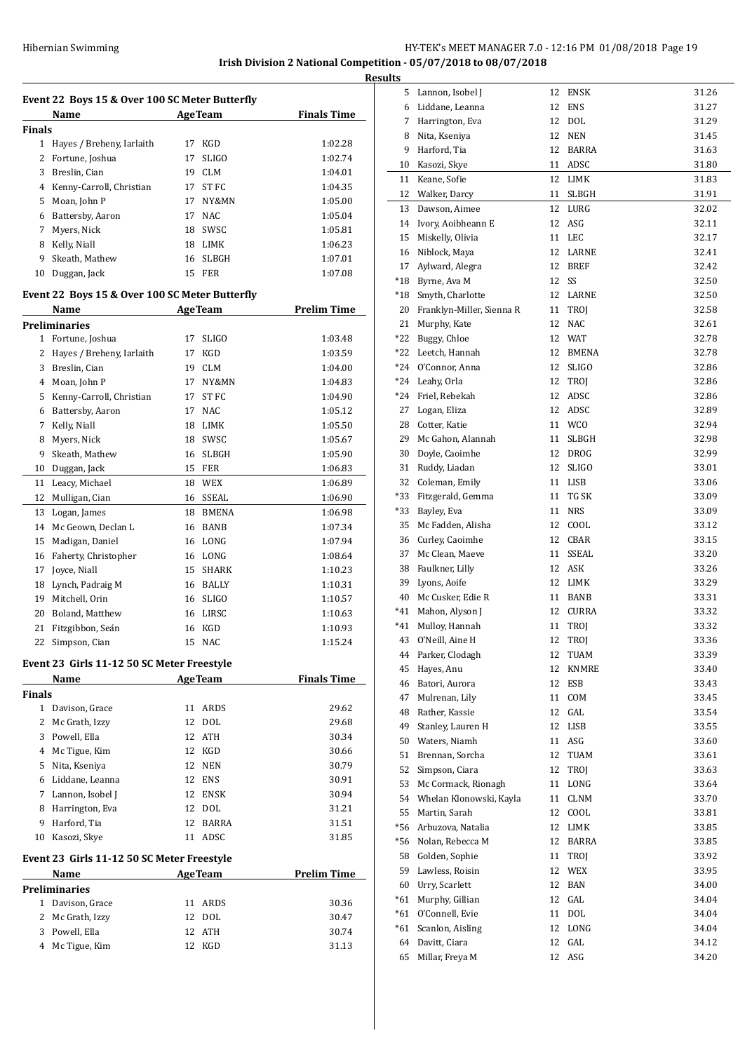**Irish Division 2 National Competition - 05/07/2018 to 08/07/2018**

**Results**

| Event 22 Boys 15 & Over 100 SC Meter Butterfly<br>Name<br>1 Hayes / Breheny, Iarlaith<br>Fortune, Joshua<br>3 Breslin, Cian<br>4 Kenny-Carroll, Christian<br>5 Moan, John P<br>6 Battersby, Aaron<br>Myers, Nick<br>8 Kelly, Niall<br>Skeath, Mathew<br>Duggan, Jack<br>Event 22 Boys 15 & Over 100 SC Meter Butterfly<br>Name | 17<br>19<br>17<br>17<br>16                                                                                                                                                                                                                                                                                                             | <b>AgeTeam</b><br>17 KGD<br><b>SLIGO</b><br>CLM<br>ST FC<br>NY&MN<br>17 NAC<br>18 SWSC<br>18 LIMK<br>SLBGH<br>15 FER | <b>Finals Time</b><br>1:02.28<br>1:02.74<br>1:04.01<br>1:04.35<br>1:05.00<br>1:05.04<br>1:05.81<br>1:06.23                                                                                                                                                                                                                                                                                                                           |
|--------------------------------------------------------------------------------------------------------------------------------------------------------------------------------------------------------------------------------------------------------------------------------------------------------------------------------|----------------------------------------------------------------------------------------------------------------------------------------------------------------------------------------------------------------------------------------------------------------------------------------------------------------------------------------|----------------------------------------------------------------------------------------------------------------------|--------------------------------------------------------------------------------------------------------------------------------------------------------------------------------------------------------------------------------------------------------------------------------------------------------------------------------------------------------------------------------------------------------------------------------------|
|                                                                                                                                                                                                                                                                                                                                |                                                                                                                                                                                                                                                                                                                                        |                                                                                                                      |                                                                                                                                                                                                                                                                                                                                                                                                                                      |
|                                                                                                                                                                                                                                                                                                                                |                                                                                                                                                                                                                                                                                                                                        |                                                                                                                      |                                                                                                                                                                                                                                                                                                                                                                                                                                      |
|                                                                                                                                                                                                                                                                                                                                |                                                                                                                                                                                                                                                                                                                                        |                                                                                                                      |                                                                                                                                                                                                                                                                                                                                                                                                                                      |
|                                                                                                                                                                                                                                                                                                                                |                                                                                                                                                                                                                                                                                                                                        |                                                                                                                      |                                                                                                                                                                                                                                                                                                                                                                                                                                      |
|                                                                                                                                                                                                                                                                                                                                |                                                                                                                                                                                                                                                                                                                                        |                                                                                                                      |                                                                                                                                                                                                                                                                                                                                                                                                                                      |
|                                                                                                                                                                                                                                                                                                                                |                                                                                                                                                                                                                                                                                                                                        |                                                                                                                      |                                                                                                                                                                                                                                                                                                                                                                                                                                      |
|                                                                                                                                                                                                                                                                                                                                |                                                                                                                                                                                                                                                                                                                                        |                                                                                                                      |                                                                                                                                                                                                                                                                                                                                                                                                                                      |
|                                                                                                                                                                                                                                                                                                                                |                                                                                                                                                                                                                                                                                                                                        |                                                                                                                      |                                                                                                                                                                                                                                                                                                                                                                                                                                      |
|                                                                                                                                                                                                                                                                                                                                |                                                                                                                                                                                                                                                                                                                                        |                                                                                                                      |                                                                                                                                                                                                                                                                                                                                                                                                                                      |
|                                                                                                                                                                                                                                                                                                                                |                                                                                                                                                                                                                                                                                                                                        |                                                                                                                      |                                                                                                                                                                                                                                                                                                                                                                                                                                      |
|                                                                                                                                                                                                                                                                                                                                |                                                                                                                                                                                                                                                                                                                                        |                                                                                                                      | 1:07.01                                                                                                                                                                                                                                                                                                                                                                                                                              |
|                                                                                                                                                                                                                                                                                                                                |                                                                                                                                                                                                                                                                                                                                        |                                                                                                                      | 1:07.08                                                                                                                                                                                                                                                                                                                                                                                                                              |
|                                                                                                                                                                                                                                                                                                                                |                                                                                                                                                                                                                                                                                                                                        |                                                                                                                      |                                                                                                                                                                                                                                                                                                                                                                                                                                      |
|                                                                                                                                                                                                                                                                                                                                |                                                                                                                                                                                                                                                                                                                                        | <b>AgeTeam</b>                                                                                                       | <b>Prelim Time</b>                                                                                                                                                                                                                                                                                                                                                                                                                   |
| <b>Preliminaries</b>                                                                                                                                                                                                                                                                                                           |                                                                                                                                                                                                                                                                                                                                        |                                                                                                                      |                                                                                                                                                                                                                                                                                                                                                                                                                                      |
| Fortune, Joshua                                                                                                                                                                                                                                                                                                                | 17                                                                                                                                                                                                                                                                                                                                     | <b>SLIGO</b>                                                                                                         | 1:03.48                                                                                                                                                                                                                                                                                                                                                                                                                              |
| Hayes / Breheny, Iarlaith                                                                                                                                                                                                                                                                                                      | 17                                                                                                                                                                                                                                                                                                                                     | KGD                                                                                                                  | 1:03.59                                                                                                                                                                                                                                                                                                                                                                                                                              |
| 3 Breslin, Cian                                                                                                                                                                                                                                                                                                                |                                                                                                                                                                                                                                                                                                                                        |                                                                                                                      | 1:04.00                                                                                                                                                                                                                                                                                                                                                                                                                              |
| 4 Moan, John P                                                                                                                                                                                                                                                                                                                 | 17                                                                                                                                                                                                                                                                                                                                     |                                                                                                                      | 1:04.83                                                                                                                                                                                                                                                                                                                                                                                                                              |
|                                                                                                                                                                                                                                                                                                                                |                                                                                                                                                                                                                                                                                                                                        | ST FC                                                                                                                | 1:04.90                                                                                                                                                                                                                                                                                                                                                                                                                              |
|                                                                                                                                                                                                                                                                                                                                |                                                                                                                                                                                                                                                                                                                                        |                                                                                                                      | 1:05.12                                                                                                                                                                                                                                                                                                                                                                                                                              |
|                                                                                                                                                                                                                                                                                                                                |                                                                                                                                                                                                                                                                                                                                        |                                                                                                                      | 1:05.50                                                                                                                                                                                                                                                                                                                                                                                                                              |
|                                                                                                                                                                                                                                                                                                                                |                                                                                                                                                                                                                                                                                                                                        |                                                                                                                      | 1:05.67                                                                                                                                                                                                                                                                                                                                                                                                                              |
|                                                                                                                                                                                                                                                                                                                                |                                                                                                                                                                                                                                                                                                                                        |                                                                                                                      | 1:05.90                                                                                                                                                                                                                                                                                                                                                                                                                              |
|                                                                                                                                                                                                                                                                                                                                |                                                                                                                                                                                                                                                                                                                                        |                                                                                                                      |                                                                                                                                                                                                                                                                                                                                                                                                                                      |
|                                                                                                                                                                                                                                                                                                                                |                                                                                                                                                                                                                                                                                                                                        |                                                                                                                      | 1:06.83                                                                                                                                                                                                                                                                                                                                                                                                                              |
|                                                                                                                                                                                                                                                                                                                                |                                                                                                                                                                                                                                                                                                                                        |                                                                                                                      | 1:06.89                                                                                                                                                                                                                                                                                                                                                                                                                              |
|                                                                                                                                                                                                                                                                                                                                |                                                                                                                                                                                                                                                                                                                                        |                                                                                                                      | 1:06.90                                                                                                                                                                                                                                                                                                                                                                                                                              |
|                                                                                                                                                                                                                                                                                                                                |                                                                                                                                                                                                                                                                                                                                        |                                                                                                                      | 1:06.98                                                                                                                                                                                                                                                                                                                                                                                                                              |
| Mc Geown, Declan L                                                                                                                                                                                                                                                                                                             | 16                                                                                                                                                                                                                                                                                                                                     |                                                                                                                      | 1:07.34                                                                                                                                                                                                                                                                                                                                                                                                                              |
| Madigan, Daniel                                                                                                                                                                                                                                                                                                                | 16                                                                                                                                                                                                                                                                                                                                     |                                                                                                                      | 1:07.94                                                                                                                                                                                                                                                                                                                                                                                                                              |
| Faherty, Christopher                                                                                                                                                                                                                                                                                                           |                                                                                                                                                                                                                                                                                                                                        |                                                                                                                      | 1:08.64                                                                                                                                                                                                                                                                                                                                                                                                                              |
| Joyce, Niall                                                                                                                                                                                                                                                                                                                   | 15                                                                                                                                                                                                                                                                                                                                     | SHARK                                                                                                                | 1:10.23                                                                                                                                                                                                                                                                                                                                                                                                                              |
| 18 Lynch, Padraig M                                                                                                                                                                                                                                                                                                            |                                                                                                                                                                                                                                                                                                                                        |                                                                                                                      | 1:10.31                                                                                                                                                                                                                                                                                                                                                                                                                              |
| 19 Mitchell, Orin                                                                                                                                                                                                                                                                                                              |                                                                                                                                                                                                                                                                                                                                        |                                                                                                                      | 1:10.57                                                                                                                                                                                                                                                                                                                                                                                                                              |
| 20 Boland, Matthew                                                                                                                                                                                                                                                                                                             |                                                                                                                                                                                                                                                                                                                                        |                                                                                                                      | 1:10.63                                                                                                                                                                                                                                                                                                                                                                                                                              |
|                                                                                                                                                                                                                                                                                                                                |                                                                                                                                                                                                                                                                                                                                        |                                                                                                                      | 1:10.93                                                                                                                                                                                                                                                                                                                                                                                                                              |
| Simpson, Cian                                                                                                                                                                                                                                                                                                                  |                                                                                                                                                                                                                                                                                                                                        |                                                                                                                      | 1:15.24                                                                                                                                                                                                                                                                                                                                                                                                                              |
|                                                                                                                                                                                                                                                                                                                                |                                                                                                                                                                                                                                                                                                                                        |                                                                                                                      |                                                                                                                                                                                                                                                                                                                                                                                                                                      |
| Name                                                                                                                                                                                                                                                                                                                           |                                                                                                                                                                                                                                                                                                                                        |                                                                                                                      | <b>Finals Time</b>                                                                                                                                                                                                                                                                                                                                                                                                                   |
|                                                                                                                                                                                                                                                                                                                                |                                                                                                                                                                                                                                                                                                                                        |                                                                                                                      |                                                                                                                                                                                                                                                                                                                                                                                                                                      |
| 1 Davison, Grace                                                                                                                                                                                                                                                                                                               | 11                                                                                                                                                                                                                                                                                                                                     |                                                                                                                      | 29.62                                                                                                                                                                                                                                                                                                                                                                                                                                |
|                                                                                                                                                                                                                                                                                                                                | 12                                                                                                                                                                                                                                                                                                                                     |                                                                                                                      | 29.68                                                                                                                                                                                                                                                                                                                                                                                                                                |
|                                                                                                                                                                                                                                                                                                                                |                                                                                                                                                                                                                                                                                                                                        |                                                                                                                      | 30.34                                                                                                                                                                                                                                                                                                                                                                                                                                |
|                                                                                                                                                                                                                                                                                                                                |                                                                                                                                                                                                                                                                                                                                        |                                                                                                                      | 30.66                                                                                                                                                                                                                                                                                                                                                                                                                                |
|                                                                                                                                                                                                                                                                                                                                |                                                                                                                                                                                                                                                                                                                                        |                                                                                                                      |                                                                                                                                                                                                                                                                                                                                                                                                                                      |
|                                                                                                                                                                                                                                                                                                                                |                                                                                                                                                                                                                                                                                                                                        |                                                                                                                      | 30.79                                                                                                                                                                                                                                                                                                                                                                                                                                |
|                                                                                                                                                                                                                                                                                                                                |                                                                                                                                                                                                                                                                                                                                        |                                                                                                                      | 30.91                                                                                                                                                                                                                                                                                                                                                                                                                                |
|                                                                                                                                                                                                                                                                                                                                |                                                                                                                                                                                                                                                                                                                                        |                                                                                                                      | 30.94                                                                                                                                                                                                                                                                                                                                                                                                                                |
|                                                                                                                                                                                                                                                                                                                                |                                                                                                                                                                                                                                                                                                                                        |                                                                                                                      | 31.21                                                                                                                                                                                                                                                                                                                                                                                                                                |
| Harford, Tia                                                                                                                                                                                                                                                                                                                   | 12                                                                                                                                                                                                                                                                                                                                     | BARRA                                                                                                                | 31.51                                                                                                                                                                                                                                                                                                                                                                                                                                |
| Kasozi, Skye                                                                                                                                                                                                                                                                                                                   | 11                                                                                                                                                                                                                                                                                                                                     |                                                                                                                      | 31.85                                                                                                                                                                                                                                                                                                                                                                                                                                |
|                                                                                                                                                                                                                                                                                                                                |                                                                                                                                                                                                                                                                                                                                        |                                                                                                                      |                                                                                                                                                                                                                                                                                                                                                                                                                                      |
| Name                                                                                                                                                                                                                                                                                                                           |                                                                                                                                                                                                                                                                                                                                        |                                                                                                                      | <b>Prelim Time</b>                                                                                                                                                                                                                                                                                                                                                                                                                   |
| <b>Preliminaries</b>                                                                                                                                                                                                                                                                                                           |                                                                                                                                                                                                                                                                                                                                        |                                                                                                                      |                                                                                                                                                                                                                                                                                                                                                                                                                                      |
| Davison, Grace                                                                                                                                                                                                                                                                                                                 | 11                                                                                                                                                                                                                                                                                                                                     |                                                                                                                      | 30.36                                                                                                                                                                                                                                                                                                                                                                                                                                |
| Mc Grath, Izzy                                                                                                                                                                                                                                                                                                                 | 12                                                                                                                                                                                                                                                                                                                                     | DOL                                                                                                                  | 30.47                                                                                                                                                                                                                                                                                                                                                                                                                                |
| 3 Powell, Ella                                                                                                                                                                                                                                                                                                                 | 12                                                                                                                                                                                                                                                                                                                                     | ATH                                                                                                                  | 30.74                                                                                                                                                                                                                                                                                                                                                                                                                                |
| Mc Tigue, Kim                                                                                                                                                                                                                                                                                                                  | 12                                                                                                                                                                                                                                                                                                                                     |                                                                                                                      | 31.13                                                                                                                                                                                                                                                                                                                                                                                                                                |
|                                                                                                                                                                                                                                                                                                                                | 5 Kenny-Carroll, Christian<br>6 Battersby, Aaron<br>Kelly, Niall<br>Myers, Nick<br>Skeath, Mathew<br>10 Duggan, Jack<br>Leacy, Michael<br>Mulligan, Cian<br>Logan, James<br>Fitzgibbon, Seán<br>Mc Grath, Izzy<br>3 Powell, Ella<br>4 Mc Tigue, Kim<br>5 Nita, Kseniya<br>6 Liddane, Leanna<br>7 Lannon, Isobel J<br>8 Harrington, Eva | 18<br>16<br>18<br>12<br>12<br>12<br>12<br>12<br>12                                                                   | 19 CLM<br>NY&MN<br>17<br>17 NAC<br>18 LIMK<br>SWSC<br>SLBGH<br>15 FER<br>18 WEX<br>16 SSEAL<br>BMENA<br>BANB<br>LONG<br>16 LONG<br>16 BALLY<br>16 SLIGO<br>16 LIRSC<br>16 KGD<br>15 NAC<br>Event 23 Girls 11-12 50 SC Meter Freestyle<br><b>AgeTeam</b><br>ARDS<br>DOL<br><b>ATH</b><br>KGD<br><b>NEN</b><br><b>ENS</b><br><b>ENSK</b><br>DOL<br>ADSC<br>Event 23 Girls 11-12 50 SC Meter Freestyle<br><b>AgeTeam</b><br>ARDS<br>KGD |

| uits  |                           |    |                              |       |
|-------|---------------------------|----|------------------------------|-------|
| 5     | Lannon, Isobel J          | 12 | ENSK                         | 31.26 |
|       | 6 Liddane, Leanna         | 12 | <b>ENS</b>                   | 31.27 |
| 7     | Harrington, Eva           | 12 | <b>DOL</b>                   | 31.29 |
| 8     | Nita, Kseniya             | 12 | <b>NEN</b>                   | 31.45 |
| 9     | Harford, Tia              | 12 | <b>BARRA</b>                 | 31.63 |
| 10    | Kasozi, Skye              | 11 | ADSC                         | 31.80 |
| 11    | Keane, Sofie              | 12 | LIMK                         | 31.83 |
| 12    | Walker, Darcy             | 11 | SLBGH                        | 31.91 |
| 13    | Dawson, Aimee             | 12 | LURG                         | 32.02 |
| 14    | Ivory, Aoibheann E        | 12 | ASG                          | 32.11 |
| 15    | Miskelly, Olivia          | 11 | LEC                          | 32.17 |
| 16    | Niblock, Maya             | 12 | LARNE                        | 32.41 |
| 17    | Aylward, Alegra           | 12 | <b>BREF</b>                  | 32.42 |
|       | Byrne, Ava M              | 12 | SS                           |       |
| *18   |                           |    |                              | 32.50 |
| $*18$ | Smyth, Charlotte          | 12 | LARNE                        | 32.50 |
| 20    | Franklyn-Miller, Sienna R | 11 | TROJ                         | 32.58 |
| 21    | Murphy, Kate              | 12 | <b>NAC</b>                   | 32.61 |
| $*22$ | Buggy, Chloe              | 12 | WAT                          | 32.78 |
| *22   | Leetch, Hannah            | 12 | <b>BMENA</b>                 | 32.78 |
| $*24$ | O'Connor, Anna            | 12 | <b>SLIGO</b>                 | 32.86 |
| *24   | Leahy, Orla               | 12 | TROJ                         | 32.86 |
| *24   | Friel, Rebekah            | 12 | ADSC                         | 32.86 |
| 27    | Logan, Eliza              | 12 | ADSC                         | 32.89 |
| 28    | Cotter, Katie             | 11 | <b>WCO</b>                   | 32.94 |
| 29    | Mc Gahon, Alannah         | 11 | SLBGH                        | 32.98 |
| 30    | Doyle, Caoimhe            | 12 | <b>DROG</b>                  | 32.99 |
| 31    | Ruddy, Liadan             | 12 | <b>SLIGO</b>                 | 33.01 |
| 32    | Coleman, Emily            | 11 | LISB                         | 33.06 |
| *33   | Fitzgerald, Gemma         | 11 | TG SK                        | 33.09 |
| *33   | Bayley, Eva               | 11 | <b>NRS</b>                   | 33.09 |
| 35    | Mc Fadden, Alisha         | 12 | COOL                         | 33.12 |
| 36    | Curley, Caoimhe           | 12 | CBAR                         | 33.15 |
| 37    | Mc Clean, Maeve           | 11 | SSEAL                        | 33.20 |
| 38    | Faulkner, Lilly           | 12 | ASK                          | 33.26 |
| 39    | Lyons, Aoife              | 12 | <b>LIMK</b>                  | 33.29 |
| 40    | Mc Cusker, Edie R         | 11 | <b>BANB</b>                  | 33.31 |
| $*41$ | Mahon, Alyson J           | 12 | <b>CURRA</b>                 | 33.32 |
| $*41$ | Mulloy, Hannah            | 11 | TROJ                         | 33.32 |
|       | 43 O'Neill, Aine H        | 12 | TROJ                         | 33.36 |
| 44    | Parker, Clodagh           | 12 | TUAM                         | 33.39 |
| 45    | Hayes, Anu                | 12 | <b>KNMRE</b>                 | 33.40 |
| 46    | Batori, Aurora            | 12 | ESB                          | 33.43 |
| 47    | Mulrenan, Lily            | 11 | COM                          | 33.45 |
| 48    | Rather, Kassie            | 12 | GAL                          | 33.54 |
| 49    | Stanley, Lauren H         | 12 | LISB                         | 33.55 |
| 50    | Waters, Niamh             | 11 | ASG                          | 33.60 |
| 51    | Brennan, Sorcha           | 12 | TUAM                         | 33.61 |
| 52    | Simpson, Ciara            | 12 | TROJ                         | 33.63 |
| 53    | Mc Cormack, Rionagh       | 11 | LONG                         | 33.64 |
| 54    | Whelan Klonowski, Kayla   | 11 | CLNM                         | 33.70 |
| 55    | Martin, Sarah             | 12 | COOL                         | 33.81 |
| *56   | Arbuzova, Natalia         | 12 | $\mathop{\rm LIMK}\nolimits$ | 33.85 |
| *56   | Nolan, Rebecca M          | 12 | BARRA                        | 33.85 |
| 58    | Golden, Sophie            | 11 | TROJ                         | 33.92 |
| 59    | Lawless, Roisin           | 12 | <b>WEX</b>                   | 33.95 |
| 60    | Urry, Scarlett            | 12 | BAN                          | 34.00 |
| $*61$ | Murphy, Gillian           |    | GAL                          |       |
| $*61$ | O'Connell, Evie           | 12 |                              | 34.04 |
|       |                           | 11 | DOL                          | 34.04 |
| $*61$ | Scanlon, Aisling          | 12 | LONG                         | 34.04 |
| 64    | Davitt, Ciara             | 12 | GAL                          | 34.12 |
| 65    | Millar, Freya M           | 12 | ASG                          | 34.20 |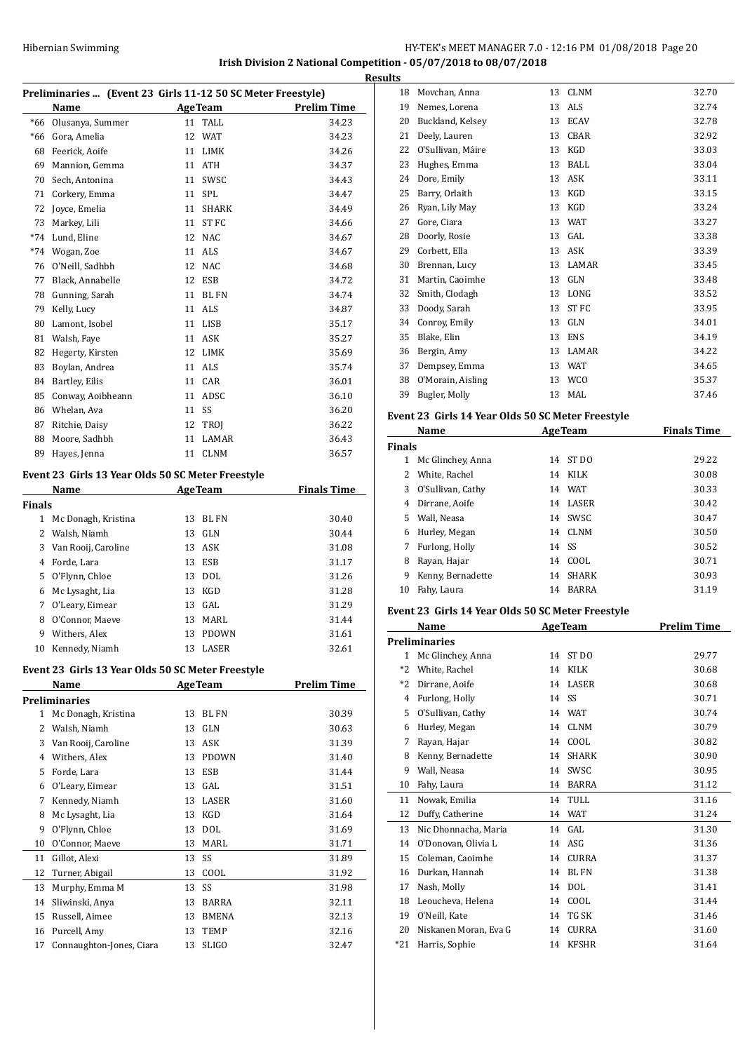# HY-TEK's MEET MANAGER 7.0 - 12:16 PM 01/08/2018 Page 20 **Irish Division 2 National Competition - 05/07/2018 to 08/07/2018**

| Preliminaries  (Event 23 Girls 11-12 50 SC Meter Freestyle) |    |              |                    |  |  |
|-------------------------------------------------------------|----|--------------|--------------------|--|--|
| Name                                                        |    |              | <b>Prelim Time</b> |  |  |
| Olusanya, Summer                                            | 11 | <b>TALL</b>  | 34.23              |  |  |
| Gora, Amelia                                                | 12 | <b>WAT</b>   | 34.23              |  |  |
| Feerick. Aoife                                              | 11 | <b>LIMK</b>  | 34.26              |  |  |
| Mannion, Gemma                                              | 11 | <b>ATH</b>   | 34.37              |  |  |
| Sech, Antonina                                              | 11 | SWSC         | 34.43              |  |  |
| Corkery, Emma                                               | 11 | <b>SPL</b>   | 34.47              |  |  |
| Joyce, Emelia                                               | 11 | <b>SHARK</b> | 34.49              |  |  |
| Markey, Lili                                                | 11 | <b>ST FC</b> | 34.66              |  |  |
| Lund, Eline                                                 | 12 | <b>NAC</b>   | 34.67              |  |  |
| Wogan, Zoe                                                  | 11 | <b>ALS</b>   | 34.67              |  |  |
| O'Neill, Sadhbh                                             | 12 | <b>NAC</b>   | 34.68              |  |  |
| Black, Annabelle                                            | 12 | <b>ESB</b>   | 34.72              |  |  |
| Gunning, Sarah                                              | 11 | <b>BL FN</b> | 34.74              |  |  |
| Kelly, Lucy                                                 | 11 | <b>ALS</b>   | 34.87              |  |  |
| Lamont, Isobel                                              | 11 | <b>LISB</b>  | 35.17              |  |  |
| Walsh, Faye                                                 | 11 | <b>ASK</b>   | 35.27              |  |  |
| Hegerty, Kirsten                                            | 12 | <b>LIMK</b>  | 35.69              |  |  |
| Boylan, Andrea                                              | 11 | <b>ALS</b>   | 35.74              |  |  |
| Bartley, Eilis                                              | 11 | CAR          | 36.01              |  |  |
| Conway, Aoibheann                                           | 11 | ADSC         | 36.10              |  |  |
| Whelan, Ava                                                 | 11 | SS           | 36.20              |  |  |
| Ritchie, Daisy                                              | 12 | <b>TROI</b>  | 36.22              |  |  |
| Moore, Sadhbh                                               | 11 | <b>LAMAR</b> | 36.43              |  |  |
| Hayes, Jenna                                                | 11 | <b>CLNM</b>  | 36.57              |  |  |
|                                                             |    |              | <b>AgeTeam</b>     |  |  |

# **Event 23 Girls 13 Year Olds 50 SC Meter Freestyle**

|        | Name                |    | <b>AgeTeam</b> | <b>Finals Time</b> |
|--------|---------------------|----|----------------|--------------------|
| Finals |                     |    |                |                    |
| 1      | Mc Donagh, Kristina | 13 | BL FN          | 30.40              |
| 2      | Walsh, Niamh        | 13 | GLN            | 30.44              |
| 3      | Van Rooij, Caroline |    | 13 ASK         | 31.08              |
| 4      | Forde, Lara         | 13 | ESB            | 31.17              |
| 5      | O'Flynn, Chloe      | 13 | DOL.           | 31.26              |
| 6      | Mc Lysaght, Lia     | 13 | KGD            | 31.28              |
| 7      | O'Leary, Eimear     | 13 | GAL.           | 31.29              |
| 8      | O'Connor, Maeve     | 13 | MARL           | 31.44              |
| 9      | Withers, Alex       | 13 | <b>PDOWN</b>   | 31.61              |
| 10     | Kennedy, Niamh      | 13 | <b>LASER</b>   | 32.61              |
|        |                     |    |                |                    |

#### **Event 23 Girls 13 Year Olds 50 SC Meter Freestyle**

|              | Name                     |    | <b>AgeTeam</b> | <b>Prelim Time</b> |
|--------------|--------------------------|----|----------------|--------------------|
|              | Preliminaries            |    |                |                    |
| $\mathbf{1}$ | Mc Donagh, Kristina      | 13 | <b>BL FN</b>   | 30.39              |
| 2            | Walsh, Niamh             | 13 | <b>GLN</b>     | 30.63              |
| 3            | Van Rooij, Caroline      | 13 | <b>ASK</b>     | 31.39              |
| 4            | Withers, Alex            | 13 | <b>PDOWN</b>   | 31.40              |
| 5            | Forde, Lara              | 13 | <b>ESB</b>     | 31.44              |
| 6            | O'Leary, Eimear          | 13 | GAL            | 31.51              |
| 7            | Kennedy, Niamh           | 13 | LASER          | 31.60              |
| 8            | Mc Lysaght, Lia          | 13 | <b>KGD</b>     | 31.64              |
| 9            | O'Flynn, Chloe           | 13 | <b>DOL</b>     | 31.69              |
| 10           | O'Connor, Maeve          | 13 | MARL           | 31.71              |
| 11           | Gillot, Alexi            | 13 | SS             | 31.89              |
| 12           | Turner, Abigail          | 13 | COOL           | 31.92              |
| 13           | Murphy, Emma M           | 13 | SS             | 31.98              |
| 14           | Sliwinski, Anya          | 13 | <b>BARRA</b>   | 32.11              |
| 15           | Russell, Aimee           | 13 | <b>BMENA</b>   | 32.13              |
| 16           | Purcell, Amy             | 13 | <b>TEMP</b>    | 32.16              |
| 17           | Connaughton-Jones, Ciara | 13 | <b>SLIGO</b>   | 32.47              |
|              |                          |    |                |                    |

| <b>Results</b> |                   |    |             |       |  |
|----------------|-------------------|----|-------------|-------|--|
| 18             | Movchan, Anna     | 13 | <b>CLNM</b> | 32.70 |  |
| 19             | Nemes, Lorena     | 13 | ALS         | 32.74 |  |
| 20             | Buckland, Kelsey  | 13 | <b>ECAV</b> | 32.78 |  |
| 21             | Deely, Lauren     | 13 | <b>CBAR</b> | 32.92 |  |
| 22             | O'Sullivan, Máire | 13 | KGD         | 33.03 |  |
| 23             | Hughes, Emma      | 13 | <b>BALL</b> | 33.04 |  |
| 24             | Dore, Emily       | 13 | <b>ASK</b>  | 33.11 |  |
| 25             | Barry, Orlaith    | 13 | KGD         | 33.15 |  |
| 26             | Ryan, Lily May    | 13 | KGD         | 33.24 |  |
| 27             | Gore, Ciara       | 13 | WAT         | 33.27 |  |
| 28             | Doorly, Rosie     | 13 | GAL         | 33.38 |  |
| 29             | Corbett, Ella     | 13 | <b>ASK</b>  | 33.39 |  |
| 30             | Brennan, Lucy     | 13 | LAMAR       | 33.45 |  |
| 31             | Martin, Caoimhe   | 13 | GLN         | 33.48 |  |
| 32             | Smith, Clodagh    | 13 | LONG        | 33.52 |  |
| 33             | Doody, Sarah      | 13 | <b>STFC</b> | 33.95 |  |
| 34             | Conroy, Emily     | 13 | <b>GLN</b>  | 34.01 |  |
| 35             | Blake, Elin       | 13 | <b>ENS</b>  | 34.19 |  |
| 36             | Bergin, Amy       | 13 | LAMAR       | 34.22 |  |
| 37             | Dempsey, Emma     | 13 | <b>WAT</b>  | 34.65 |  |
| 38             | O'Morain, Aisling |    | 13 WCO      | 35.37 |  |
| 39             | Bugler, Molly     | 13 | MAL         | 37.46 |  |
|                |                   |    |             |       |  |

# **Event 23 Girls 14 Year Olds 50 SC Meter Freestyle**

|               | Name              |    | <b>AgeTeam</b> | <b>Finals Time</b> |
|---------------|-------------------|----|----------------|--------------------|
| <b>Finals</b> |                   |    |                |                    |
| 1             | Mc Glinchey, Anna | 14 | ST DO          | 29.22              |
| 2             | White, Rachel     | 14 | KILK           | 30.08              |
| 3             | O'Sullivan, Cathy | 14 | WAT            | 30.33              |
| 4             | Dirrane, Aoife    | 14 | LASER          | 30.42              |
| 5.            | Wall, Neasa       | 14 | <b>SWSC</b>    | 30.47              |
| 6             | Hurley, Megan     | 14 | CLNM           | 30.50              |
| 7             | Furlong, Holly    |    | 14 SS          | 30.52              |
| 8             | Rayan, Hajar      | 14 | COOL           | 30.71              |
| 9             | Kenny, Bernadette | 14 | SHARK          | 30.93              |
| 10            | Fahy, Laura       | 14 | BARRA          | 31.19              |

#### **Event 23 Girls 14 Year Olds 50 SC Meter Freestyle**

|       | Name                  |    | <b>AgeTeam</b>   | <b>Prelim Time</b> |
|-------|-----------------------|----|------------------|--------------------|
|       | <b>Preliminaries</b>  |    |                  |                    |
| 1     | Mc Glinchey, Anna     | 14 | ST <sub>DO</sub> | 29.77              |
| $*2$  | White, Rachel         | 14 | <b>KILK</b>      | 30.68              |
| $*2$  | Dirrane, Aoife        | 14 | <b>LASER</b>     | 30.68              |
| 4     | Furlong, Holly        | 14 | -SS              | 30.71              |
| 5     | O'Sullivan, Cathy     | 14 | <b>WAT</b>       | 30.74              |
| 6     | Hurley, Megan         | 14 | <b>CLNM</b>      | 30.79              |
| 7     | Rayan, Hajar          | 14 | COOL             | 30.82              |
| 8     | Kenny, Bernadette     | 14 | <b>SHARK</b>     | 30.90              |
| 9     | Wall, Neasa           | 14 | SWSC             | 30.95              |
| 10    | Fahy, Laura           | 14 | BARRA            | 31.12              |
| 11    | Nowak, Emilia         | 14 | TULL             | 31.16              |
| 12    | Duffy, Catherine      | 14 | <b>WAT</b>       | 31.24              |
| 13    | Nic Dhonnacha, Maria  | 14 | GAL.             | 31.30              |
| 14    | O'Donovan. Olivia L   | 14 | ASG              | 31.36              |
| 15    | Coleman, Caoimhe      | 14 | <b>CURRA</b>     | 31.37              |
| 16    | Durkan, Hannah        | 14 | BL FN            | 31.38              |
| 17    | Nash, Molly           | 14 | <b>DOL</b>       | 31.41              |
| 18    | Leoucheva, Helena     | 14 | COOL             | 31.44              |
| 19    | O'Neill, Kate         | 14 | TG SK            | 31.46              |
| 20    | Niskanen Moran, Eva G | 14 | <b>CURRA</b>     | 31.60              |
| $*21$ | Harris, Sophie        | 14 | <b>KFSHR</b>     | 31.64              |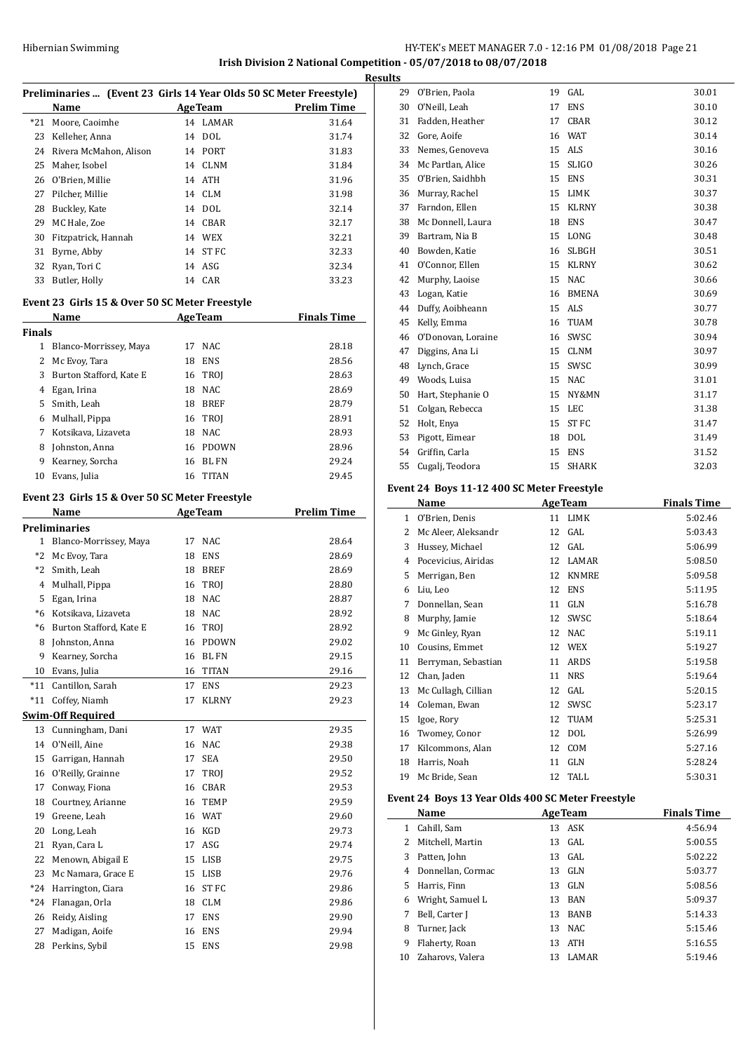# Hibernian Swimming HY-TEK's MEET MANAGER 7.0 - 12:16 PM 01/08/2018 Page 21 **Irish Division 2 National Competition - 05/07/2018 to 08/07/2018**

**Results**

|               | Name                                           |    | <b>AgeTeam</b> | Preliminaries  (Event 23 Girls 14 Year Olds 50 SC Meter Freestyle)<br><b>Prelim Time</b> |
|---------------|------------------------------------------------|----|----------------|------------------------------------------------------------------------------------------|
|               | *21 Moore, Caoimhe                             |    | 14 LAMAR       | 31.64                                                                                    |
|               | 23 Kelleher, Anna                              | 14 | DOL            | 31.74                                                                                    |
|               | 24 Rivera McMahon, Alison                      |    | 14 PORT        | 31.83                                                                                    |
|               | 25 Maher, Isobel                               | 14 | CLNM           | 31.84                                                                                    |
|               | 26 O'Brien, Millie                             | 14 | ATH            | 31.96                                                                                    |
|               | 27 Pilcher, Millie                             |    | 14 CLM         | 31.98                                                                                    |
|               | 28 Buckley, Kate                               | 14 | DOL            | 32.14                                                                                    |
| 29            | MC Hale, Zoe                                   |    | 14 CBAR        | 32.17                                                                                    |
| 30            | Fitzpatrick, Hannah                            |    | 14 WEX         | 32.21                                                                                    |
|               | 31 Byrne, Abby                                 |    | 14 ST FC       | 32.33                                                                                    |
|               | 32 Ryan, Tori C                                |    | 14 ASG         | 32.34                                                                                    |
| 33            | Butler, Holly                                  |    | 14 CAR         | 33.23                                                                                    |
|               |                                                |    |                |                                                                                          |
|               | Event 23 Girls 15 & Over 50 SC Meter Freestyle |    |                |                                                                                          |
|               | Name                                           |    | <b>AgeTeam</b> | <b>Finals Time</b>                                                                       |
| <b>Finals</b> |                                                |    |                |                                                                                          |
|               | 1 Blanco-Morrissey, Maya                       | 17 | NAC            | 28.18                                                                                    |
| 2             | Mc Evoy, Tara                                  | 18 | ENS            | 28.56                                                                                    |
| 3             | Burton Stafford, Kate E                        | 16 | TROI           | 28.63                                                                                    |
|               | 4 Egan, Irina                                  | 18 | <b>NAC</b>     | 28.69                                                                                    |
|               | 5 Smith, Leah                                  | 18 | BREF           | 28.79                                                                                    |
| 6             | Mulhall, Pippa                                 | 16 | TROJ           | 28.91                                                                                    |
| 7             | Kotsikava, Lizaveta                            | 18 | NAC            | 28.93                                                                                    |
| 8             | Johnston, Anna                                 |    | 16 PDOWN       | 28.96                                                                                    |
| 9             | Kearney, Sorcha                                | 16 | BL FN          | 29.24                                                                                    |
| 10            | Evans, Julia                                   | 16 | TITAN          | 29.45                                                                                    |
|               | Event 23 Girls 15 & Over 50 SC Meter Freestyle |    |                |                                                                                          |
|               | Name                                           |    | <b>AgeTeam</b> | <b>Prelim Time</b>                                                                       |
|               | <b>Preliminaries</b>                           |    |                |                                                                                          |
|               | 1 Blanco-Morrissey, Maya                       | 17 | NAC            | 28.64                                                                                    |
|               | *2 Mc Evoy, Tara                               | 18 | ENS            | 28.69                                                                                    |
|               | *2 Smith, Leah                                 | 18 | BREF           | 28.69                                                                                    |
|               | 4 Mulhall, Pippa                               | 16 | <b>TROJ</b>    | 28.80                                                                                    |
|               | 5 Egan, Irina                                  | 18 | NAC            | 28.87                                                                                    |
|               | *6 Kotsikava, Lizaveta                         | 18 | NAC            | 28.92                                                                                    |
| $*6$          | Burton Stafford, Kate E                        | 16 | TROJ           | 28.92                                                                                    |
| 8             | Johnston, Anna                                 | 16 | <b>PDOWN</b>   | 29.02                                                                                    |
| 9             | Kearney, Sorcha                                | 16 | <b>BLFN</b>    | 29.15                                                                                    |
| 10            | Evans, Julia                                   | 16 | TITAN          | 29.16                                                                                    |
| *11           | Cantillon, Sarah                               | 17 | <b>ENS</b>     | 29.23                                                                                    |
| $*11$         | Coffey, Niamh                                  | 17 | KLRNY          | 29.23                                                                                    |
|               | <b>Swim-Off Required</b>                       |    |                |                                                                                          |
| 13            | Cunningham, Dani                               | 17 | WAT            | 29.35                                                                                    |
| 14            | O'Neill, Aine                                  | 16 | NAC            | 29.38                                                                                    |
| 15            | Garrigan, Hannah                               | 17 | SEA            | 29.50                                                                                    |
| 16            | O'Reilly, Grainne                              | 17 | TROI           | 29.52                                                                                    |
| 17            | Conway, Fiona                                  | 16 | CBAR           | 29.53                                                                                    |
| 18            | Courtney, Arianne                              | 16 | TEMP           | 29.59                                                                                    |
| 19            | Greene, Leah                                   | 16 | WAT            | 29.60                                                                                    |
| 20            | Long, Leah                                     | 16 | KGD            | 29.73                                                                                    |
| 21            | Ryan, Cara L                                   | 17 | ASG            | 29.74                                                                                    |
| 22            | Menown, Abigail E                              | 15 | LISB           | 29.75                                                                                    |
| 23            | Mc Namara, Grace E                             | 15 | LISB           | 29.76                                                                                    |
| $*24$         | Harrington, Ciara                              | 16 | ST FC          | 29.86                                                                                    |
| $*24$         | Flanagan, Orla                                 |    |                |                                                                                          |
|               |                                                | 18 | <b>CLM</b>     | 29.86                                                                                    |
| 26            | Reidy, Aisling                                 | 17 | ENS            | 29.90                                                                                    |
| 27            | Madigan, Aoife                                 | 16 | ENS            | 29.94                                                                                    |
| 28            | Perkins, Sybil                                 | 15 | <b>ENS</b>     | 29.98                                                                                    |

| ts |                    |    |              |       |
|----|--------------------|----|--------------|-------|
| 29 | O'Brien, Paola     | 19 | GAL          | 30.01 |
| 30 | O'Neill, Leah      | 17 | <b>ENS</b>   | 30.10 |
| 31 | Fadden, Heather    | 17 | <b>CBAR</b>  | 30.12 |
| 32 | Gore, Aoife        | 16 | <b>WAT</b>   | 30.14 |
| 33 | Nemes, Genoveva    | 15 | ALS          | 30.16 |
| 34 | Mc Partlan, Alice  | 15 | <b>SLIGO</b> | 30.26 |
| 35 | O'Brien, Saidhbh   | 15 | <b>ENS</b>   | 30.31 |
| 36 | Murray, Rachel     | 15 | <b>LIMK</b>  | 30.37 |
| 37 | Farndon, Ellen     | 15 | <b>KLRNY</b> | 30.38 |
| 38 | Mc Donnell, Laura  | 18 | <b>ENS</b>   | 30.47 |
| 39 | Bartram, Nia B     | 15 | LONG         | 30.48 |
| 40 | Bowden, Katie      | 16 | <b>SLBGH</b> | 30.51 |
| 41 | O'Connor, Ellen    | 15 | <b>KLRNY</b> | 30.62 |
| 42 | Murphy, Laoise     | 15 | <b>NAC</b>   | 30.66 |
| 43 | Logan, Katie       | 16 | <b>BMENA</b> | 30.69 |
| 44 | Duffy, Aoibheann   | 15 | <b>ALS</b>   | 30.77 |
| 45 | Kelly, Emma        | 16 | <b>TUAM</b>  | 30.78 |
| 46 | O'Donovan, Loraine | 16 | SWSC         | 30.94 |
| 47 | Diggins, Ana Li    | 15 | <b>CLNM</b>  | 30.97 |
| 48 | Lynch, Grace       | 15 | SWSC         | 30.99 |
| 49 | Woods, Luisa       | 15 | <b>NAC</b>   | 31.01 |
| 50 | Hart, Stephanie O  | 15 | NY&MN        | 31.17 |
| 51 | Colgan, Rebecca    | 15 | LEC          | 31.38 |
| 52 | Holt, Enya         | 15 | <b>ST FC</b> | 31.47 |
| 53 | Pigott, Eimear     | 18 | <b>DOL</b>   | 31.49 |
| 54 | Griffin, Carla     | 15 | <b>ENS</b>   | 31.52 |
| 55 | Cugalj, Teodora    | 15 | <b>SHARK</b> | 32.03 |
|    |                    |    |              |       |

#### **Event 24 Boys 11-12 400 SC Meter Freestyle**

|    | Name                |    | <b>AgeTeam</b> | <b>Finals Time</b> |
|----|---------------------|----|----------------|--------------------|
| 1  | O'Brien, Denis      | 11 | LIMK           | 5:02.46            |
| 2  | Mc Aleer, Aleksandr | 12 | GAL            | 5:03.43            |
| 3  | Hussey, Michael     | 12 | GAL            | 5:06.99            |
| 4  | Pocevicius, Airidas | 12 | LAMAR          | 5:08.50            |
| 5  | Merrigan, Ben       | 12 | <b>KNMRE</b>   | 5:09.58            |
| 6  | Liu, Leo            | 12 | <b>ENS</b>     | 5:11.95            |
| 7  | Donnellan, Sean     | 11 | GLN            | 5:16.78            |
| 8  | Murphy, Jamie       | 12 | SWSC           | 5:18.64            |
| 9  | Mc Ginley, Ryan     | 12 | <b>NAC</b>     | 5:19.11            |
| 10 | Cousins, Emmet      | 12 | WEX            | 5:19.27            |
| 11 | Berryman, Sebastian | 11 | ARDS           | 5:19.58            |
| 12 | Chan, Jaden         | 11 | <b>NRS</b>     | 5:19.64            |
| 13 | Mc Cullagh, Cillian | 12 | GAL            | 5:20.15            |
| 14 | Coleman, Ewan       | 12 | SWSC           | 5:23.17            |
| 15 | Igoe, Rory          | 12 | <b>TUAM</b>    | 5:25.31            |
| 16 | Twomey, Conor       | 12 | DOL            | 5:26.99            |
| 17 | Kilcommons, Alan    | 12 | COM            | 5:27.16            |
| 18 | Harris, Noah        | 11 | GLN            | 5:28.24            |
| 19 | Mc Bride, Sean      | 12 | TALL           | 5:30.31            |

#### **Event 24 Boys 13 Year Olds 400 SC Meter Freestyle**

| Name                |    |              | <b>Finals Time</b>                               |
|---------------------|----|--------------|--------------------------------------------------|
| Cahill, Sam         |    |              | 4:56.94                                          |
| 2 Mitchell, Martin  |    |              | 5:00.55                                          |
| Patten, John        |    |              | 5:02.22                                          |
| Donnellan, Cormac   | 13 | GLN          | 5:03.77                                          |
| Harris, Finn        | 13 | GLN          | 5:08.56                                          |
| Wright, Samuel L    | 13 | BAN          | 5:09.37                                          |
| Bell, Carter J      | 13 | <b>BANB</b>  | 5:14.33                                          |
| Turner, Jack        | 13 | NAC.         | 5:15.46                                          |
| Flaherty, Roan      | 13 | <b>ATH</b>   | 5:16.55                                          |
| 10 Zaharovs, Valera | 13 | <b>LAMAR</b> | 5:19.46                                          |
|                     |    |              | <b>AgeTeam</b><br>13 ASK<br>$13$ GAL<br>$13$ GAL |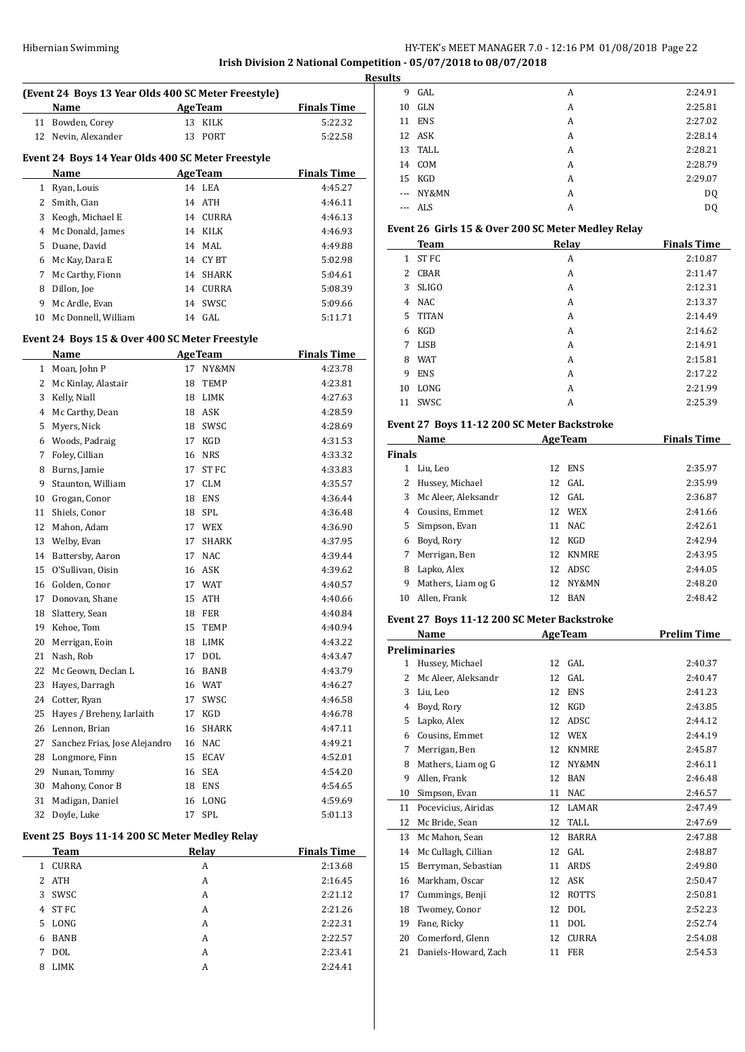# Hibernian Swimming **HY-TEK's MEET MANAGER 7.0 - 12:16 PM 01/08/2018** Page 22

# **Irish Division 2 National Competition - 05/07/2018 to 08/07/2018**

|                |                                                     |    |                |                    | <b>Resul</b> |
|----------------|-----------------------------------------------------|----|----------------|--------------------|--------------|
|                | (Event 24 Boys 13 Year Olds 400 SC Meter Freestyle) |    |                |                    |              |
|                | <b>AgeTeam</b><br>Name                              |    |                | <b>Finals Time</b> |              |
|                | 11 Bowden, Corey                                    |    | 13 KILK        | 5:22.32            |              |
|                | 12 Nevin, Alexander                                 |    | 13 PORT        | 5:22.58            |              |
|                | Event 24 Boys 14 Year Olds 400 SC Meter Freestyle   |    |                |                    |              |
|                | Name                                                |    | <b>AgeTeam</b> | <b>Finals Time</b> |              |
|                | 1 Ryan, Louis                                       |    | 14 LEA         | 4:45.27            |              |
| $\overline{2}$ | Smith, Cian                                         |    | 14 ATH         | 4:46.11            |              |
| 3              | Keogh, Michael E                                    |    | 14 CURRA       | 4:46.13            |              |
|                | 4 Mc Donald, James                                  |    | 14 KILK        | 4:46.93            | E            |
| 5              | Duane, David                                        |    | 14 MAL         | 4:49.88            |              |
|                | 6 Mc Kay, Dara E                                    |    | 14 CYBT        | 5:02.98            |              |
| 7              | Mc Carthy, Fionn                                    |    | 14 SHARK       | 5:04.61            |              |
| 8              | Dillon, Joe                                         |    | 14 CURRA       | 5:08.39            |              |
| 9              | Mc Ardle, Evan                                      |    | 14 SWSC        | 5:09.66            |              |
|                | 10 Mc Donnell, William                              |    | 14 GAL         | 5:11.71            |              |
|                | Event 24 Boys 15 & Over 400 SC Meter Freestyle      |    |                |                    |              |
|                | Name                                                |    | <b>AgeTeam</b> | <b>Finals Time</b> |              |
|                | 1 Moan, John P                                      |    | 17 NY&MN       | 4:23.78            |              |
| 2              | Mc Kinlay, Alastair                                 |    | 18 TEMP        | 4:23.81            |              |
| 3              | Kelly, Niall                                        |    | 18 LIMK        | 4:27.63            |              |
| 4              | Mc Carthy, Dean                                     |    | 18 ASK         | 4:28.59            |              |
| 5              | Myers, Nick                                         |    | 18 SWSC        | 4:28.69            | E            |
| 6              | Woods, Padraig                                      |    | 17 KGD         | 4:31.53            |              |
| 7              | Foley, Cillian                                      |    | 16 NRS         | 4:33.32            | F            |
| 8              | Burns, Jamie                                        |    | 17 ST FC       | 4:33.83            |              |
| 9              | Staunton, William                                   |    | 17 CLM         | 4:35.57            |              |
|                | 10 Grogan, Conor                                    |    | 18 ENS         | 4:36.44            |              |
| 11             | Shiels, Conor                                       |    | 18 SPL         | 4:36.48            |              |
|                | 12 Mahon, Adam                                      |    | 17 WEX         | 4:36.90            |              |
|                | 13 Welby, Evan                                      |    | 17 SHARK       | 4:37.95            |              |
|                | 14 Battersby, Aaron                                 |    | 17 NAC         | 4:39.44            |              |
|                | 15 O'Sullivan, Oisin                                |    | 16 ASK         | 4:39.62            |              |
|                | 16 Golden, Conor                                    |    | 17 WAT         | 4:40.57            |              |
| 17             | Donovan, Shane                                      |    | 15 ATH         | 4:40.66            |              |
| 18             | Slattery, Sean                                      |    | <b>18 FER</b>  | 4:40.84            |              |
|                | 19 Kehoe, Tom                                       | 15 | TEMP           | 4:40.94            | E            |
| 20             | Merrigan, Eoin                                      |    | 18 LIMK        | 4:43.22            |              |
| 21             | Nash, Rob                                           | 17 | DOL            | 4:43.47            | P            |
| 22             | Mc Geown, Declan L                                  | 16 | BANB           | 4:43.79            |              |
| 23             | Hayes, Darragh                                      |    | 16 WAT         | 4:46.27            |              |
|                | 24 Cotter, Ryan                                     | 17 | SWSC           | 4:46.58            |              |
| 25             | Hayes / Breheny, Iarlaith                           |    | 17 KGD         | 4:46.78            |              |
| 26             | Lennon, Brian                                       | 16 | SHARK          | 4:47.11            |              |
| 27             | Sanchez Frias, Jose Alejandro                       |    | 16 NAC         | 4:49.21            |              |
| 28             | Longmore, Finn                                      |    | 15 ECAV        | 4:52.01            |              |
|                | 29 Nunan, Tommy                                     |    | 16 SEA         | 4:54.20            |              |
| 30             | Mahony, Conor B                                     |    | 18 ENS         | 4:54.65            |              |
| 31             | Madigan, Daniel                                     |    | 16 LONG        | 4:59.69            |              |
| 32             | Doyle, Luke                                         | 17 | SPL            | 5:01.13            |              |
|                | Event 25 Boys 11-14 200 SC Meter Medley Relay       |    |                |                    |              |
|                | <b>Team</b>                                         |    | <b>Relay</b>   | <b>Finals Time</b> |              |
|                | 1 CURRA                                             |    | A              | 2:13.68            |              |
|                | 2 ATH                                               |    | A              | 2:16.45            |              |

|              | <b>Team</b>  | Relay | <b>Finals Time</b> |
|--------------|--------------|-------|--------------------|
| $\mathbf{1}$ | <b>CURRA</b> | A     | 2:13.68            |
|              | 2 ATH        | A     | 2:16.45            |
|              | 3 SWSC       | A     | 2:21.12            |
|              | 4 ST FC      | A     | 2:21.26            |
|              | 5 LONG       | A     | 2:22.31            |
|              | 6 BANB       | A     | 2:22.57            |
| 7            | <b>DOL</b>   | A     | 2:23.41            |
|              | 8 LIMK       | A     | 2:24.41            |
|              |              |       |                    |

| ts       |            |   |         |
|----------|------------|---|---------|
| 9        | GAL        | A | 2:24.91 |
| 10       | GLN        | A | 2:25.81 |
| 11       | <b>ENS</b> | A | 2:27.02 |
|          | 12 ASK     | A | 2:28.14 |
|          | 13 TALL    | A | 2:28.21 |
|          | 14 COM     | A | 2:28.79 |
|          | 15 KGD     | A | 2:29.07 |
| $\ldots$ | NY&MN      | A | DQ      |
|          | --- ALS    | А | DQ      |
|          |            |   |         |

# **Event 26 Girls 15 & Over 200 SC Meter Medley Relay**

|              | <b>Team</b>      | Relay | <b>Finals Time</b> |
|--------------|------------------|-------|--------------------|
| $\mathbf{1}$ | ST <sub>FC</sub> | A     | 2:10.87            |
| 2            | CBAR             | A     | 2:11.47            |
| 3            | <b>SLIGO</b>     | A     | 2:12.31            |
| 4            | <b>NAC</b>       | A     | 2:13.37            |
| $5^{\circ}$  | <b>TITAN</b>     | A     | 2:14.49            |
| 6            | KGD              | A     | 2:14.62            |
| 7            | <b>LISB</b>      | A     | 2:14.91            |
| 8            | <b>WAT</b>       | A     | 2:15.81            |
| 9            | <b>ENS</b>       | A     | 2:17.22            |
| 10           | LONG             | A     | 2:21.99            |
| 11           | SWSC             | A     | 2:25.39            |

### **Event 27 Boys 11-12 200 SC Meter Backstroke**

|               | Name                | <b>AgeTeam</b> |              | <b>Finals Time</b> |
|---------------|---------------------|----------------|--------------|--------------------|
| <b>Finals</b> |                     |                |              |                    |
|               | Liu, Leo            |                | 12 ENS       | 2:35.97            |
|               | Hussey, Michael     |                | 12 GAL       | 2:35.99            |
| 3             | Mc Aleer, Aleksandr |                | 12 GAL       | 2:36.87            |
| 4             | Cousins, Emmet      | 12             | <b>WEX</b>   | 2:41.66            |
| 5.            | Simpson, Evan       | 11             | NAC.         | 2:42.61            |
| 6             | Boyd, Rory          | 12             | KGD          | 2:42.94            |
|               | Merrigan, Ben       | 12             | <b>KNMRE</b> | 2:43.95            |
| 8             | Lapko, Alex         | 12             | ADSC.        | 2:44.05            |
| 9             | Mathers, Liam og G  | 12             | NY&MN        | 2:48.20            |
| 10            | Allen, Frank        | 12.            | <b>BAN</b>   | 2:48.42            |

# **Event 27 Boys 11-12 200 SC Meter Backstroke**

|              | Name                 |    | <b>AgeTeam</b> | <b>Prelim Time</b> |
|--------------|----------------------|----|----------------|--------------------|
|              | <b>Preliminaries</b> |    |                |                    |
| $\mathbf{1}$ | Hussey, Michael      | 12 | GAL.           | 2:40.37            |
| 2            | Mc Aleer, Aleksandr  | 12 | GAL.           | 2:40.47            |
| 3            | Liu, Leo             | 12 | <b>ENS</b>     | 2:41.23            |
| 4            | Boyd, Rory           | 12 | KGD            | 2:43.85            |
| 5            | Lapko, Alex          | 12 | ADSC           | 2:44.12            |
| 6            | Cousins, Emmet       | 12 | <b>WEX</b>     | 2:44.19            |
| 7            | Merrigan, Ben        | 12 | <b>KNMRE</b>   | 2:45.87            |
| 8            | Mathers, Liam og G   | 12 | NY&MN          | 2:46.11            |
| 9            | Allen, Frank         | 12 | <b>BAN</b>     | 2:46.48            |
| 10           | Simpson, Evan        | 11 | <b>NAC</b>     | 2:46.57            |
| 11           | Pocevicius, Airidas  | 12 | LAMAR          | 2:47.49            |
| 12           | Mc Bride, Sean       | 12 | TALL           | 2:47.69            |
| 13           | Mc Mahon, Sean       | 12 | <b>BARRA</b>   | 2:47.88            |
| 14           | Mc Cullagh, Cillian  | 12 | GAL            | 2:48.87            |
| 15           | Berryman, Sebastian  | 11 | <b>ARDS</b>    | 2:49.80            |
| 16           | Markham, Oscar       | 12 | ASK            | 2:50.47            |
| 17           | Cummings, Benji      | 12 | <b>ROTTS</b>   | 2:50.81            |
| 18           | Twomey, Conor        | 12 | <b>DOL</b>     | 2:52.23            |
| 19           | Fane, Ricky          | 11 | <b>DOL</b>     | 2:52.74            |
| 20           | Comerford, Glenn     | 12 | <b>CURRA</b>   | 2:54.08            |
| 21           | Daniels-Howard, Zach | 11 | <b>FER</b>     | 2:54.53            |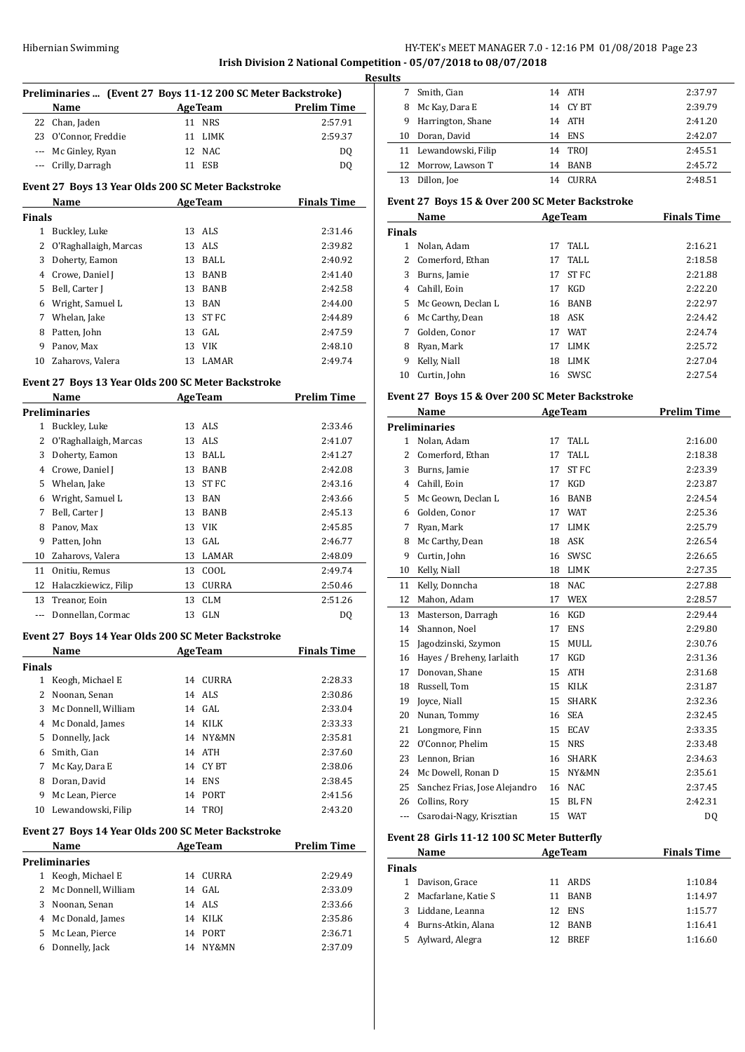# Hibernian Swimming **HY-TEK's MEET MANAGER 7.0 - 12:16 PM 01/08/2018** Page 23

**Irish Division 2 National Competition - 05/07/2018 to 08/07/2018**

|               |                         |                                                                                |                    | <b>Resul</b> |
|---------------|-------------------------|--------------------------------------------------------------------------------|--------------------|--------------|
|               | Name                    | Preliminaries  (Event 27 Boys 11-12 200 SC Meter Backstroke)<br><b>AgeTeam</b> | <b>Prelim Time</b> |              |
|               | 22 Chan, Jaden          | 11 NRS                                                                         | 2:57.91            |              |
|               | 23 O'Connor, Freddie    | 11 LIMK                                                                        | 2:59.37            |              |
|               | --- Mc Ginley, Ryan     | 12 NAC                                                                         | DQ                 |              |
|               | --- Crilly, Darragh     | 11 ESB                                                                         | DQ                 |              |
|               |                         | Event 27 Boys 13 Year Olds 200 SC Meter Backstroke                             |                    |              |
|               | Name                    | <b>AgeTeam</b>                                                                 | <b>Finals Time</b> | Е            |
| <b>Finals</b> |                         |                                                                                |                    |              |
|               | 1 Buckley, Luke         | 13 ALS                                                                         | 2:31.46            | F            |
|               | 2 O'Raghallaigh, Marcas | 13 ALS                                                                         | 2:39.82            |              |
|               | 3 Doherty, Eamon        | 13 BALL                                                                        | 2:40.92            |              |
|               | 4 Crowe, Daniel J       | 13 BANB                                                                        | 2:41.40            |              |
|               | 5 Bell, Carter J        | 13 BANB                                                                        | 2:42.58            |              |
|               | 6 Wright, Samuel L      | 13 BAN                                                                         | 2:44.00            |              |
|               | 7 Whelan, Jake          | 13 ST FC                                                                       | 2:44.89            |              |
|               | 8 Patten, John          | 13 GAL                                                                         | 2:47.59            |              |
|               | 9 Panov. Max            | 13 VIK                                                                         | 2:48.10            |              |
|               | 10 Zaharovs, Valera     | 13 LAMAR                                                                       | 2:49.74            |              |
|               |                         | Event 27 Boys 13 Year Olds 200 SC Meter Backstroke                             |                    |              |
|               | Name                    | <b>AgeTeam</b>                                                                 | <b>Prelim Time</b> | E            |
|               | <b>Preliminaries</b>    |                                                                                |                    |              |
|               | 1 Buckley, Luke         | 13 ALS                                                                         | 2:33.46            | P            |
|               | 2 O'Raghallaigh, Marcas | 13 ALS                                                                         | 2:41.07            |              |
|               | 3 Doherty, Eamon        | 13 BALL                                                                        | 2:41.27            |              |
|               | 4 Crowe, Daniel J       | 13 BANB                                                                        | 2:42.08            |              |
|               | 5 Whelan, Jake          | 13 ST FC                                                                       | 2:43.16            |              |
|               | 6 Wright, Samuel L      | 13 BAN                                                                         | 2:43.66            |              |
|               | 7 Bell, Carter J        | 13 BANB                                                                        | 2:45.13            |              |
|               | 8 Panov, Max            | 13 VIK                                                                         | 2:45.85            |              |
|               | 9 Patten, John          | 13 GAL                                                                         | 2:46.77            |              |
|               | 10 Zaharovs, Valera     | 13 LAMAR                                                                       | 2:48.09            |              |
|               | 11 Onitiu, Remus        | 13 COOL                                                                        | 2:49.74            |              |
|               | 12 Halaczkiewicz, Filip | 13 CURRA                                                                       | 2:50.46            |              |
|               | 13 Treanor, Eoin        | 13 CLM                                                                         | 2:51.26            |              |
|               | --- Donnellan, Cormac   | 13 GLN                                                                         | DQ                 |              |
|               |                         | Event 27 Boys 14 Year Olds 200 SC Meter Backstroke                             |                    |              |
|               | Name                    | <b>AgeTeam</b>                                                                 | <b>Finals Time</b> |              |
| <b>Finals</b> |                         |                                                                                |                    |              |
|               | 1 Keogh, Michael E      | 14<br>CURRA                                                                    | 2:28.33            |              |
|               | 2 Noonan, Senan         | 14 ALS                                                                         | 2:30.86            |              |
|               | 3 Mc Donnell, William   | 14 GAL                                                                         | 2:33.04            |              |
|               | 4 Mc Donald, James      | 14 KILK                                                                        | 2:33.33            |              |
|               | 5 Donnelly, Jack        | 14 NY&MN                                                                       | 2:35.81            |              |
|               | 6 Smith, Cian           | 14 ATH                                                                         | 2:37.60            |              |
|               | 7 Mc Kay, Dara E        | 14 CYBT                                                                        | 2:38.06            |              |
|               | 8 Doran, David          | 14 ENS                                                                         | 2:38.45            |              |
|               | 9 Mc Lean, Pierce       | 14 PORT                                                                        | 2:41.56            |              |
|               | 10 Lewandowski, Filip   | 14 TROJ                                                                        | 2:43.20            |              |
|               |                         | Event 27 Boys 14 Year Olds 200 SC Meter Backstroke                             |                    |              |
|               | Name                    | <b>AgeTeam</b>                                                                 | <b>Prelim Time</b> | E            |
|               | <b>Preliminaries</b>    |                                                                                |                    | F            |
|               | 1 Keogh, Michael E      | CURRA<br>14                                                                    | 2:29.49            |              |
|               | 2 Mc Donnell, William   | 14 GAL                                                                         | 2:33.09            |              |
|               | 3 Noonan, Senan         | 14 ALS                                                                         | 2:33.66            |              |
|               | 4 Mc Donald, James      | 14 KILK                                                                        | 2:35.86            |              |
|               | 5 Mc Lean, Pierce       | 14 PORT                                                                        | 2:36.71            |              |
| 6             | Donnelly, Jack          | 14 NY&MN                                                                       | 2:37.09            |              |
|               |                         |                                                                                |                    |              |

| ults |    |                       |    |              |         |
|------|----|-----------------------|----|--------------|---------|
|      | 7  | Smith, Cian           |    | 14 ATH       | 2:37.97 |
|      | 8  | Mc Kay, Dara E        |    | 14 CY BT     | 2:39.79 |
|      |    | 9 Harrington, Shane   |    | 14 ATH       | 2:41.20 |
|      | 10 | Doran, David          |    | 14 ENS       | 2:42.07 |
|      |    | 11 Lewandowski, Filip |    | 14 TROI      | 2:45.51 |
|      |    | 12 Morrow, Lawson T   | 14 | <b>BANB</b>  | 2:45.72 |
|      | 13 | Dillon, Joe           | 14 | <b>CURRA</b> | 2:48.51 |

# **Event 27 Boys 15 & Over 200 SC Meter Backstroke**

|                | <b>Name</b>                                     |    | <b>AgeTeam</b> | <b>Finals Time</b> |
|----------------|-------------------------------------------------|----|----------------|--------------------|
| Finals         |                                                 |    |                |                    |
|                | 1 Nolan, Adam                                   | 17 | TALL           | 2:16.21            |
| $\overline{2}$ | Comerford, Ethan                                | 17 | <b>TALL</b>    | 2:18.58            |
| 3              | Burns, Jamie                                    |    | 17 ST FC       | 2:21.88            |
|                | 4 Cahill, Eoin                                  |    | 17 KGD         | 2:22.20            |
| 5              | Mc Geown, Declan L                              | 16 | BANB           | 2:22.97            |
| 6              | Mc Carthy, Dean                                 |    | 18 ASK         | 2:24.42            |
| 7              | Golden, Conor                                   |    | 17 WAT         | 2:24.74            |
| 8              | Ryan, Mark                                      |    | 17 LIMK        | 2:25.72            |
| 9              | Kelly, Niall                                    |    | 18 LIMK        | 2:27.04            |
| 10             | Curtin, John                                    |    | 16 SWSC        | 2:27.54            |
|                | Event 27 Boys 15 & Over 200 SC Meter Backstroke |    |                |                    |
|                | Name                                            |    | <b>AgeTeam</b> | <b>Prelim Time</b> |
|                | <b>Preliminaries</b>                            |    |                |                    |
|                | 1 Nolan, Adam                                   |    | 17 TALL        | 2:16.00            |
| $\overline{2}$ | Comerford, Ethan                                | 17 | <b>TALL</b>    | 2:18.38            |
| 3              | Burns, Jamie                                    | 17 | <b>STFC</b>    | 2:23.39            |
| $\overline{4}$ | Cahill, Eoin                                    |    | 17 KGD         | 2:23.87            |
| 5              | Mc Geown, Declan L                              |    | 16 BANB        | 2:24.54            |
| 6              | Golden, Conor                                   |    | 17 WAT         | 2:25.36            |
| 7              | Ryan, Mark                                      |    | 17 LIMK        | 2:25.79            |
| 8              | Mc Carthy, Dean                                 |    | 18 ASK         | 2:26.54            |
| 9              | Curtin, John                                    |    | 16 SWSC        | 2:26.65            |
| 10             | Kelly, Niall                                    |    | 18 LIMK        | 2:27.35            |
| 11             | Kelly, Donncha                                  |    | 18 NAC         | 2:27.88            |
| 12             | Mahon, Adam                                     |    | 17 WEX         | 2:28.57            |
| 13             | Masterson, Darragh                              |    | 16 KGD         | 2:29.44            |
| 14             | Shannon, Noel                                   | 17 | <b>ENS</b>     | 2:29.80            |
| 15             | Jagodzinski, Szymon                             |    | 15 MULL        | 2:30.76            |
| 16             | Hayes / Breheny, Iarlaith                       | 17 | KGD            | 2:31.36            |
| 17             | Donovan, Shane                                  |    | 15 ATH         | 2:31.68            |
| 18             | Russell, Tom                                    | 15 | KILK           | 2:31.87            |
| 19             | Joyce, Niall                                    |    | 15 SHARK       | 2:32.36            |
| 20             | Nunan, Tommy                                    |    | 16 SEA         | 2:32.45            |
| 21             | Longmore, Finn                                  |    | 15 ECAV        | 2:33.35            |
| 22             | O'Connor, Phelim                                |    | 15 NRS         | 2:33.48            |
| 23             | Lennon, Brian                                   |    | 16 SHARK       | 2:34.63            |
| 24             | Mc Dowell, Ronan D                              |    | 15 NY&MN       | 2:35.61            |
| 25             | Sanchez Frias, Jose Alejandro                   |    | 16 NAC         | 2:37.45            |
| 26             | Collins, Rory                                   | 15 | <b>BL FN</b>   | 2:42.31            |
| ---            | Csarodai-Nagy, Krisztian                        |    | 15 WAT         | DQ                 |

## **Event 28 Girls 11-12 100 SC Meter Butterfly**

| EVENT 28 GILIS 11-12 TOO SC METER BULLETIN |     |                    |                                     |  |  |  |
|--------------------------------------------|-----|--------------------|-------------------------------------|--|--|--|
| <b>Name</b>                                |     | <b>Finals Time</b> |                                     |  |  |  |
| <b>Finals</b>                              |     |                    |                                     |  |  |  |
| Davison, Grace                             |     |                    | 1:10.84                             |  |  |  |
| 2 Macfarlane, Katie S                      | 11  | <b>BANB</b>        | 1:14.97                             |  |  |  |
| 3 Liddane, Leanna                          |     |                    | 1:15.77                             |  |  |  |
| 4 Burns-Atkin, Alana                       | 12. | <b>BANB</b>        | 1:16.41                             |  |  |  |
| 5 Aylward, Alegra                          | 12. | <b>BREF</b>        | 1:16.60                             |  |  |  |
|                                            |     |                    | <b>AgeTeam</b><br>11 ARDS<br>12 ENS |  |  |  |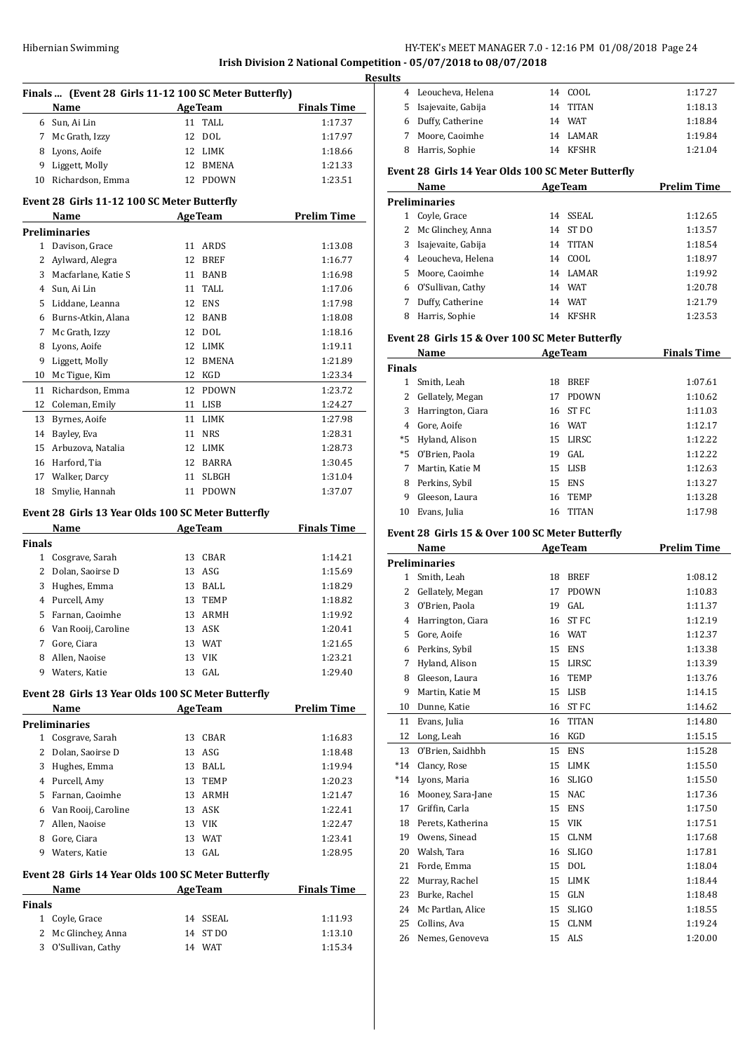**Irish Division 2 National Competition - 05/07/2018 to 08/07/2018**

|               | Finals  (Event 28 Girls 11-12 100 SC Meter Butterfly)<br>Name |    | <b>AgeTeam</b> | <b>Finals Time</b> |
|---------------|---------------------------------------------------------------|----|----------------|--------------------|
|               | 6 Sun, Ai Lin                                                 |    | 11 TALL        | 1:17.37            |
| 7             | Mc Grath, Izzy                                                | 12 | DOL.           | 1:17.97            |
| 8             | Lyons, Aoife                                                  | 12 | LIMK           | 1:18.66            |
| 9             | Liggett, Molly                                                | 12 | BMENA          | 1:21.33            |
| 10            | Richardson, Emma                                              | 12 | PDOWN          | 1:23.51            |
|               |                                                               |    |                |                    |
|               | Event 28 Girls 11-12 100 SC Meter Butterfly<br>Name           |    | <b>AgeTeam</b> | <b>Prelim Time</b> |
|               | <b>Preliminaries</b>                                          |    |                |                    |
| $\mathbf{1}$  | Davison, Grace                                                | 11 | ARDS           | 1:13.08            |
| 2             | Aylward, Alegra                                               | 12 | BREF           | 1:16.77            |
| 3             | Macfarlane, Katie S                                           | 11 | BANB           | 1:16.98            |
|               | 4 Sun, Ai Lin                                                 | 11 | TALL           | 1:17.06            |
| 5             | Liddane, Leanna                                               |    | 12 ENS         | 1:17.98            |
| 6             | Burns-Atkin, Alana                                            | 12 | BANB           | 1:18.08            |
| 7             |                                                               | 12 | DOL            | 1:18.16            |
|               | Mc Grath, Izzy<br>Lyons, Aoife                                | 12 | LIMK           | 1:19.11            |
| 8<br>9        |                                                               | 12 | BMENA          |                    |
| 10            | Liggett, Molly<br>Mc Tigue, Kim                               | 12 | KGD            | 1:21.89            |
|               |                                                               |    |                | 1:23.34            |
| 11            | Richardson, Emma                                              | 12 | PDOWN          | 1:23.72            |
| 12            | Coleman, Emily                                                | 11 | LISB           | 1:24.27            |
| 13            | Byrnes, Aoife                                                 | 11 | LIMK           | 1:27.98            |
| 14            | Bayley, Eva                                                   | 11 | <b>NRS</b>     | 1:28.31            |
| 15            | Arbuzova, Natalia                                             | 12 | LIMK           | 1:28.73            |
|               | 16 Harford, Tia                                               | 12 | BARRA          | 1:30.45            |
|               | 17 Walker, Darcy                                              | 11 | SLBGH          | 1:31.04            |
| 18            | Smylie, Hannah                                                |    | 11 PDOWN       | 1:37.07            |
|               | Event 28 Girls 13 Year Olds 100 SC Meter Butterfly            |    |                |                    |
|               | Name                                                          |    | <b>AgeTeam</b> | <b>Finals Time</b> |
| <b>Finals</b> |                                                               |    |                |                    |
|               | 1 Cosgrave, Sarah                                             | 13 | CBAR           | 1:14.21            |
|               | 2 Dolan, Saoirse D                                            | 13 | ASG            | 1:15.69            |
| 3             | Hughes, Emma                                                  | 13 | BALL           | 1:18.29            |
|               | 4 Purcell, Amy                                                | 13 | <b>TEMP</b>    | 1:18.82            |
| 5             | Farnan, Caoimhe                                               | 13 | ARMH           | 1:19.92            |
| 6             | Van Rooij, Caroline                                           | 13 | <b>ASK</b>     | 1:20.41            |
| 7             | Gore, Ciara                                                   |    | 13 WAT         | 1:21.65            |
| 8             | Allen, Naoise                                                 | 13 | VIK            | 1:23.21            |
| 9             | Waters, Katie                                                 | 13 | GAL            | 1:29.40            |
|               | Event 28 Girls 13 Year Olds 100 SC Meter Butterfly            |    |                |                    |
|               | Name                                                          |    | <b>AgeTeam</b> | <b>Prelim Time</b> |
|               | Preliminaries                                                 |    |                |                    |
|               | 1 Cosgrave, Sarah                                             |    | 13 CBAR        | 1:16.83            |
|               | 2 Dolan, Saoirse D                                            | 13 | ASG            | 1:18.48            |
|               | 3 Hughes, Emma                                                |    | 13 BALL        | 1:19.94            |
|               | 4 Purcell, Amy                                                |    | 13 TEMP        | 1:20.23            |
|               | 5 Farnan, Caoimhe                                             | 13 | ARMH           | 1:21.47            |
|               | 6 Van Rooij, Caroline                                         | 13 | ASK            | 1:22.41            |
|               | 7 Allen, Naoise                                               | 13 | VIK            | 1:22.47            |
| 8             | Gore, Ciara                                                   | 13 | WAT            | 1:23.41            |
|               | 9 Waters, Katie                                               | 13 | GAL            | 1:28.95            |
|               | Event 28 Girls 14 Year Olds 100 SC Meter Butterfly            |    |                |                    |
|               | Name                                                          |    | <b>AgeTeam</b> | <b>Finals Time</b> |
| Finals        |                                                               |    |                |                    |
|               | 1 Coyle, Grace                                                |    | 14 SSEAL       | 1:11.93            |
|               | 2 Mc Glinchey, Anna                                           |    | 14 ST DO       | 1:13.10            |
|               | 3 O'Sullivan, Cathy                                           |    | 14 WAT         | 1:15.34            |

| esults                                              |                      |  |          |         |  |
|-----------------------------------------------------|----------------------|--|----------|---------|--|
|                                                     | 4 Leoucheva, Helena  |  | 14 COOL  | 1:17.27 |  |
|                                                     | 5 Isajevaite, Gabija |  | 14 TITAN | 1:18.13 |  |
|                                                     | 6 Duffy, Catherine   |  | 14 WAT   | 1:18.84 |  |
|                                                     | 7 Moore, Caoimhe     |  | 14 LAMAR | 1:19.84 |  |
|                                                     | 8 Harris, Sophie     |  | 14 KFSHR | 1:21.04 |  |
| Exant 20, Civic 14 Vear Olde 100 CC Metar Duttorfly |                      |  |          |         |  |

# **Event 28 Girls 14 Year Olds 100 SC Meter Butterfly**

|    | Name                 | <b>AgeTeam</b> |              | <b>Prelim Time</b> |
|----|----------------------|----------------|--------------|--------------------|
|    | <b>Preliminaries</b> |                |              |                    |
|    | Coyle, Grace         |                | 14 SSEAL     | 1:12.65            |
|    | 2 Mc Glinchey, Anna  | 14             | ST DO        | 1:13.57            |
| 3. | Isajevaite, Gabija   | 14             | <b>TITAN</b> | 1:18.54            |
|    | 4 Leoucheva, Helena  | 14             | COOL.        | 1:18.97            |
| 5. | Moore, Caoimhe       |                | 14 LAMAR     | 1:19.92            |
|    | 6 O'Sullivan, Cathy  |                | 14 WAT       | 1:20.78            |
|    | Duffy, Catherine     | 14             | <b>WAT</b>   | 1:21.79            |
| 8  | Harris, Sophie       | 14             | <b>KFSHR</b> | 1:23.53            |

#### **Event 28 Girls 15 & Over 100 SC Meter Butterfly**

|               | Name              | <b>AgeTeam</b> |              | <b>Finals Time</b> |
|---------------|-------------------|----------------|--------------|--------------------|
| <b>Finals</b> |                   |                |              |                    |
|               | Smith, Leah       | 18             | <b>BREF</b>  | 1:07.61            |
| 2             | Gellately, Megan  | 17             | <b>PDOWN</b> | 1:10.62            |
| 3             | Harrington, Ciara |                | 16 ST FC     | 1:11.03            |
| 4             | Gore, Aoife       | 16             | WAT          | 1:12.17            |
| *5            | Hyland, Alison    | 15             | LIRSC        | 1:12.22            |
| $*5$          | 0'Brien. Paola    | 19             | GAL          | 1:12.22            |
| 7             | Martin, Katie M   | 15             | LISB         | 1:12.63            |
| 8             | Perkins, Sybil    | 15             | <b>ENS</b>   | 1:13.27            |
| 9             | Gleeson, Laura    | 16             | <b>TEMP</b>  | 1:13.28            |
| 10            | Evans, Julia      | 16             | <b>TITAN</b> | 1:17.98            |

#### **Event 28 Girls 15 & Over 100 SC Meter Butterfly**

|              | Name                 |    | <b>AgeTeam</b> | <b>Prelim Time</b> |
|--------------|----------------------|----|----------------|--------------------|
|              | <b>Preliminaries</b> |    |                |                    |
| $\mathbf{1}$ | Smith, Leah          | 18 | <b>BREF</b>    | 1:08.12            |
| 2            | Gellately, Megan     | 17 | <b>PDOWN</b>   | 1:10.83            |
| 3            | O'Brien, Paola       | 19 | GAL.           | 1:11.37            |
| 4            | Harrington, Ciara    | 16 | <b>ST FC</b>   | 1:12.19            |
| 5            | Gore, Aoife          | 16 | <b>WAT</b>     | 1:12.37            |
| 6            | Perkins, Sybil       | 15 | <b>ENS</b>     | 1:13.38            |
| 7            | Hyland, Alison       | 15 | LIRSC          | 1:13.39            |
| 8            | Gleeson, Laura       | 16 | <b>TEMP</b>    | 1:13.76            |
| 9            | Martin, Katie M      | 15 | LISB           | 1:14.15            |
| 10           | Dunne, Katie         | 16 | <b>ST FC</b>   | 1:14.62            |
| 11           | Evans, Julia         | 16 | <b>TITAN</b>   | 1:14.80            |
| 12           | Long, Leah           | 16 | <b>KGD</b>     | 1:15.15            |
| 13           | O'Brien. Saidhbh     | 15 | <b>ENS</b>     | 1:15.28            |
| $*14$        | Clancy, Rose         | 15 | <b>LIMK</b>    | 1:15.50            |
| $*14$        | Lyons, Maria         | 16 | <b>SLIGO</b>   | 1:15.50            |
| 16           | Mooney, Sara-Jane    | 15 | <b>NAC</b>     | 1:17.36            |
| 17           | Griffin, Carla       | 15 | <b>ENS</b>     | 1:17.50            |
| 18           | Perets, Katherina    | 15 | <b>VIK</b>     | 1:17.51            |
| 19           | Owens, Sinead        | 15 | <b>CLNM</b>    | 1:17.68            |
| 20           | Walsh, Tara          | 16 | <b>SLIGO</b>   | 1:17.81            |
| 21           | Forde, Emma          | 15 | <b>DOL</b>     | 1:18.04            |
| 22           | Murray, Rachel       | 15 | <b>LIMK</b>    | 1:18.44            |
| 23           | Burke, Rachel        | 15 | <b>GLN</b>     | 1:18.48            |
| 24           | Mc Partlan, Alice    | 15 | <b>SLIGO</b>   | 1:18.55            |
| 25           | Collins, Ava         | 15 | <b>CLNM</b>    | 1:19.24            |
| 26           | Nemes, Genoveva      | 15 | <b>ALS</b>     | 1:20.00            |
|              |                      |    |                |                    |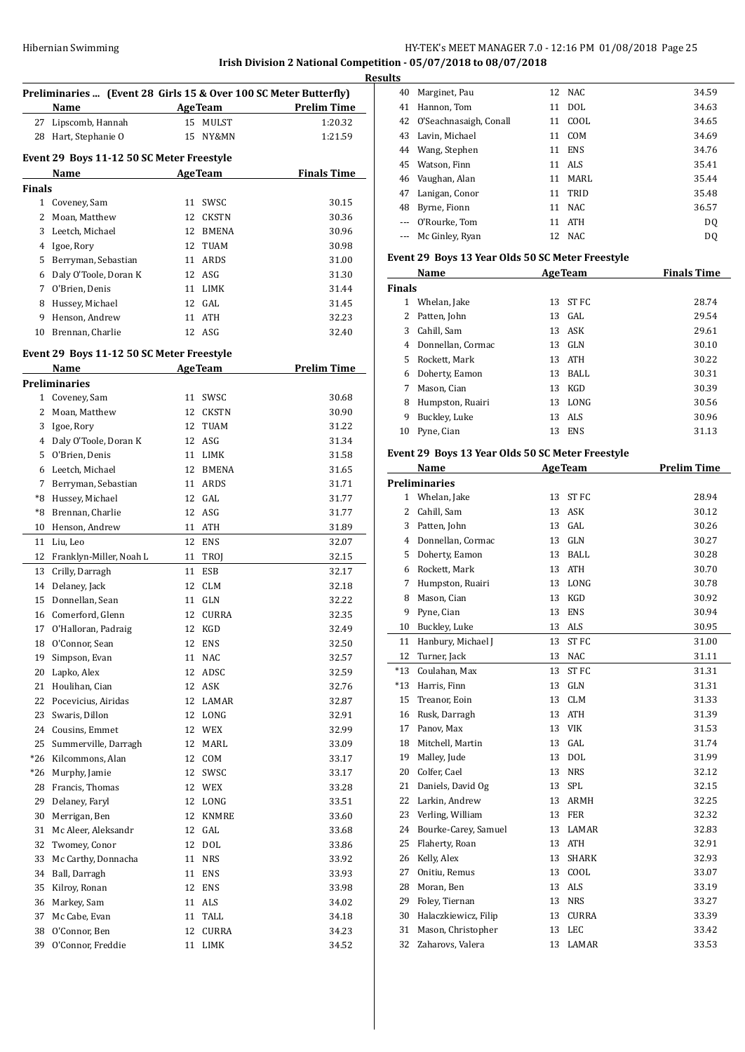# Hibernian Swimming HY-TEK's MEET MANAGER 7.0 - 12:16 PM 01/08/2018 Page 25

# **Irish Division 2 National Competition - 05/07/2018 to 08/07/2018 Results**

 $\overline{a}$ 

 $\overline{a}$ 

|               | Name                                      |    | Preliminaries  (Event 28 Girls 15 & Over 100 SC Meter Butterfly)<br><b>AgeTeam</b> | <b>Prelim Time</b> |
|---------------|-------------------------------------------|----|------------------------------------------------------------------------------------|--------------------|
| 27            | Lipscomb, Hannah                          | 15 | <b>MULST</b>                                                                       | 1:20.32            |
| 28            | Hart, Stephanie O                         | 15 | NY&MN                                                                              | 1:21.59            |
|               |                                           |    |                                                                                    |                    |
|               | Event 29 Boys 11-12 50 SC Meter Freestyle |    |                                                                                    |                    |
|               | Name                                      |    | <b>AgeTeam</b>                                                                     | <b>Finals Time</b> |
| <b>Finals</b> |                                           |    |                                                                                    |                    |
|               | 1 Coveney, Sam                            |    | 11 SWSC                                                                            | 30.15              |
|               | 2 Moan, Matthew                           |    | 12 CKSTN                                                                           | 30.36              |
|               | 3 Leetch, Michael                         |    | 12 BMENA                                                                           | 30.96              |
|               | 4 Igoe, Rory                              |    | 12 TUAM                                                                            | 30.98              |
| 5             | Berryman, Sebastian                       |    | 11 ARDS                                                                            | 31.00              |
| 6             | Daly O'Toole, Doran K                     | 12 | ASG                                                                                | 31.30              |
| 7             | O'Brien, Denis                            | 11 | LIMK                                                                               | 31.44              |
|               | 8 Hussey, Michael                         | 12 | GAL                                                                                | 31.45              |
| 9             | Henson, Andrew                            | 11 | ATH                                                                                | 32.23              |
| 10            | Brennan, Charlie                          | 12 | ASG                                                                                | 32.40              |
|               |                                           |    |                                                                                    |                    |
|               | Event 29 Boys 11-12 50 SC Meter Freestyle |    |                                                                                    |                    |
|               | Name                                      |    | <b>AgeTeam</b>                                                                     | <b>Prelim Time</b> |
|               | <b>Preliminaries</b>                      |    |                                                                                    |                    |
|               | 1 Coveney, Sam                            |    | 11 SWSC                                                                            | 30.68              |
|               | 2 Moan, Matthew                           |    | 12 CKSTN                                                                           | 30.90              |
|               | 3 Igoe, Rory                              |    | 12 TUAM                                                                            | 31.22              |
|               | 4 Daly O'Toole, Doran K                   |    | 12 ASG                                                                             | 31.34              |
| 5             | O'Brien, Denis                            |    | 11 LIMK                                                                            | 31.58              |
|               | 6 Leetch, Michael                         | 12 | <b>BMENA</b>                                                                       | 31.65              |
| 7             | Berryman, Sebastian                       | 11 | ARDS                                                                               | 31.71              |
|               | *8 Hussey, Michael                        | 12 | GAL                                                                                | 31.77              |
| *8            | Brennan, Charlie                          | 12 | ASG                                                                                | 31.77              |
| 10            | Henson, Andrew                            | 11 | ATH                                                                                | 31.89              |
| 11            | Liu, Leo                                  | 12 | ENS                                                                                | 32.07              |
| 12            | Franklyn-Miller, Noah L                   | 11 | TROJ                                                                               | 32.15              |
| 13            | Crilly, Darragh                           | 11 | ESB                                                                                | 32.17              |
|               | 14 Delaney, Jack                          |    | 12 CLM                                                                             | 32.18              |
| 15            | Donnellan, Sean                           |    | 11 GLN                                                                             | 32.22              |
|               | 16 Comerford, Glenn                       |    | 12 CURRA                                                                           | 32.35              |
|               | 17 O'Halloran, Padraig                    |    | 12 KGD                                                                             | 32.49              |
| 18            | O'Connor, Sean                            | 12 | <b>ENS</b>                                                                         | 32.50              |
| 19            | Simpson, Evan                             | 11 | NAC                                                                                | 32.57              |
| 20            | Lapko, Alex                               | 12 | ADSC                                                                               | 32.59              |
| 21            | Houlihan, Cian                            | 12 | ASK                                                                                | 32.76              |
| 22            | Pocevicius, Airidas                       | 12 | LAMAR                                                                              | 32.87              |
| 23            | Swaris, Dillon                            | 12 | LONG                                                                               | 32.91              |
| 24            | Cousins, Emmet                            | 12 | WEX                                                                                | 32.99              |
| 25            | Summerville, Darragh                      | 12 | MARL                                                                               | 33.09              |
|               |                                           |    |                                                                                    |                    |
| *26           | Kilcommons, Alan                          | 12 | COM                                                                                | 33.17              |
| $*26$         | Murphy, Jamie                             | 12 | SWSC                                                                               | 33.17              |
| 28            | Francis, Thomas                           | 12 | WEX                                                                                | 33.28              |
| 29            | Delaney, Faryl                            | 12 | LONG                                                                               | 33.51              |
| 30            | Merrigan, Ben                             | 12 | <b>KNMRE</b>                                                                       | 33.60              |
| 31            | Mc Aleer, Aleksandr                       | 12 | GAL                                                                                | 33.68              |
| 32            | Twomey, Conor                             | 12 | <b>DOL</b>                                                                         | 33.86              |
| 33            | Mc Carthy, Donnacha                       | 11 | <b>NRS</b>                                                                         | 33.92              |
| 34            | Ball, Darragh                             | 11 | ENS                                                                                | 33.93              |
| 35            | Kilroy, Ronan                             | 12 | ENS                                                                                | 33.98              |
| 36            | Markey, Sam                               | 11 | ALS                                                                                | 34.02              |
| 37            | Mc Cabe, Evan                             | 11 | TALL                                                                               | 34.18              |
| 38            | O'Connor, Ben                             | 12 | <b>CURRA</b>                                                                       | 34.23              |
| 39            | O'Connor, Freddie                         | 11 | LIMK                                                                               | 34.52              |

| 40 | Marginet, Pau             |    | 12 NAC     | 34.59 |
|----|---------------------------|----|------------|-------|
| 41 | Hannon, Tom               |    | 11 DOL     | 34.63 |
|    | 42 O'Seachnasaigh, Conall | 11 | COOL       | 34.65 |
|    | 43 Lavin, Michael         | 11 | COM        | 34.69 |
|    | 44 Wang, Stephen          |    | 11 ENS     | 34.76 |
|    | 45 Watson, Finn           |    | 11 ALS     | 35.41 |
|    | 46 Vaughan, Alan          | 11 | MARL       | 35.44 |
|    | 47 Lanigan, Conor         |    | 11 TRID    | 35.48 |
| 48 | Byrne, Fionn              |    | 11 NAC     | 36.57 |
|    | --- O'Rourke, Tom         | 11 | <b>ATH</b> | DQ    |
|    | --- Mc Ginley, Ryan       |    | 12 NAC     | DO    |

#### **Event 29 Boys 13 Year Olds 50 SC Meter Freestyle**

|               | Name              |    | <b>AgeTeam</b> | <b>Finals Time</b> |
|---------------|-------------------|----|----------------|--------------------|
| <b>Finals</b> |                   |    |                |                    |
| 1             | Whelan, Jake      | 13 | ST FC          | 28.74              |
| 2             | Patten, John      |    | $13$ GAL       | 29.54              |
| 3             | Cahill, Sam       |    | 13 ASK         | 29.61              |
| 4             | Donnellan, Cormac | 13 | GLN            | 30.10              |
| 5.            | Rockett, Mark     | 13 | ATH            | 30.22              |
| 6             | Doherty, Eamon    | 13 | BALL           | 30.31              |
| 7             | Mason, Cian       | 13 | <b>KGD</b>     | 30.39              |
| 8             | Humpston, Ruairi  | 13 | LONG           | 30.56              |
| 9             | Buckley, Luke     | 13 | ALS            | 30.96              |
| 10            | Pyne, Cian        | 13 | <b>ENS</b>     | 31.13              |
|               |                   |    |                |                    |

# **Event 29 Boys 13 Year Olds 50 SC Meter Freestyle**

|                | Name                 |    | <b>AgeTeam</b>   | <b>Prelim Time</b> |
|----------------|----------------------|----|------------------|--------------------|
|                | <b>Preliminaries</b> |    |                  |                    |
| $\mathbf{1}$   | Whelan, Jake         | 13 | <b>STFC</b>      | 28.94              |
| $\overline{2}$ | Cahill, Sam          | 13 | ASK              | 30.12              |
| 3              | Patten, John         | 13 | GAL              | 30.26              |
| 4              | Donnellan, Cormac    | 13 | GLN              | 30.27              |
| 5              | Doherty, Eamon       | 13 | <b>BALL</b>      | 30.28              |
| 6              | Rockett, Mark        | 13 | <b>ATH</b>       | 30.70              |
| 7              | Humpston, Ruairi     | 13 | LONG             | 30.78              |
| 8              | Mason, Cian          | 13 | KGD              | 30.92              |
| 9              | Pyne, Cian           | 13 | <b>ENS</b>       | 30.94              |
| 10             | Buckley, Luke        | 13 | <b>ALS</b>       | 30.95              |
| 11             | Hanbury, Michael J   | 13 | <b>ST FC</b>     | 31.00              |
| 12             | Turner, Jack         | 13 | <b>NAC</b>       | 31.11              |
| $*13$          | Coulahan, Max        | 13 | ST <sub>FC</sub> | 31.31              |
| $*13$          | Harris, Finn         | 13 | GLN              | 31.31              |
| 15             | Treanor, Eoin        | 13 | <b>CLM</b>       | 31.33              |
| 16             | Rusk, Darragh        | 13 | <b>ATH</b>       | 31.39              |
| 17             | Panov, Max           | 13 | <b>VIK</b>       | 31.53              |
| 18             | Mitchell, Martin     | 13 | GAL              | 31.74              |
| 19             | Malley, Jude         | 13 | <b>DOL</b>       | 31.99              |
| 20             | Colfer, Cael         | 13 | <b>NRS</b>       | 32.12              |
| 21             | Daniels, David Og    | 13 | SPL              | 32.15              |
| 22             | Larkin, Andrew       | 13 | ARMH             | 32.25              |
| 23             | Verling, William     | 13 | <b>FER</b>       | 32.32              |
| 24             | Bourke-Carey, Samuel | 13 | LAMAR            | 32.83              |
| 25             | Flaherty, Roan       | 13 | <b>ATH</b>       | 32.91              |
| 26             | Kelly, Alex          | 13 | <b>SHARK</b>     | 32.93              |
| 27             | Onitiu, Remus        | 13 | COOL             | 33.07              |
| 28             | Moran, Ben           | 13 | <b>ALS</b>       | 33.19              |
| 29             | Foley, Tiernan       | 13 | <b>NRS</b>       | 33.27              |
| 30             | Halaczkiewicz, Filip | 13 | <b>CURRA</b>     | 33.39              |
| 31             | Mason, Christopher   | 13 | <b>LEC</b>       | 33.42              |
| 32             | Zaharovs, Valera     | 13 | LAMAR            | 33.53              |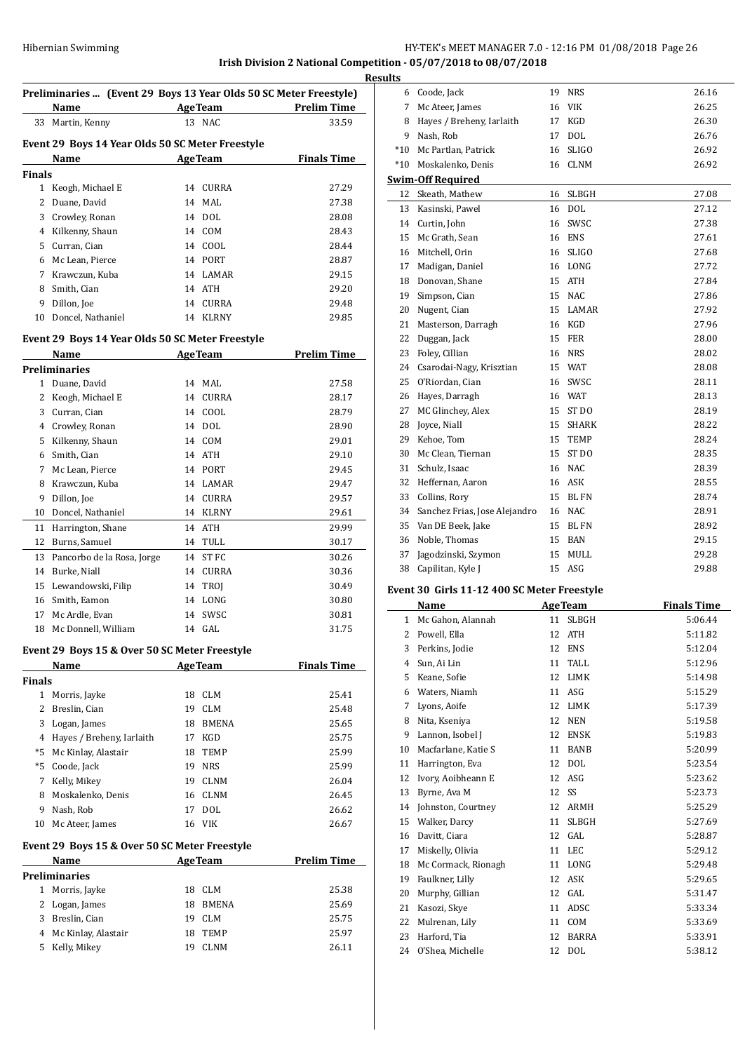# **Irish Division 2 National Competition - 05/07/2018 to 08/07/2018**

|    | Preliminaries  (Event 29 Boys 13 Year Olds 50 SC Meter Freestyle) |    |                |                    |  |  |  |  |
|----|-------------------------------------------------------------------|----|----------------|--------------------|--|--|--|--|
|    | Name                                                              |    | <b>AgeTeam</b> | <b>Prelim Time</b> |  |  |  |  |
| 33 | Martin, Kenny                                                     |    | 13 NAC         | 33.59              |  |  |  |  |
|    | Event 29 Boys 14 Year Olds 50 SC Meter Freestyle                  |    |                |                    |  |  |  |  |
|    | Name                                                              |    | <b>AgeTeam</b> | <b>Finals Time</b> |  |  |  |  |
|    | Finals                                                            |    |                |                    |  |  |  |  |
| 1  | Keogh, Michael E                                                  | 14 | <b>CURRA</b>   | 27.29              |  |  |  |  |
| 2  | Duane, David                                                      |    | 14 MAL         | 27.38              |  |  |  |  |
| 3  | Crowley, Ronan                                                    |    | 14 DOL         | 28.08              |  |  |  |  |
| 4  | Kilkenny, Shaun                                                   |    | 14 COM         | 28.43              |  |  |  |  |
| 5  | Curran, Cian                                                      |    | 14 COOL        | 28.44              |  |  |  |  |
| 6  | Mc Lean, Pierce                                                   |    | 14 PORT        | 28.87              |  |  |  |  |
| 7  | Krawczun, Kuba                                                    |    | 14 LAMAR       | 29.15              |  |  |  |  |
| 8  | Smith, Cian                                                       |    | 14 ATH         | 29.20              |  |  |  |  |
| 9  | Dillon, Joe                                                       | 14 | CURRA          | 29.48              |  |  |  |  |
| 10 | Doncel, Nathaniel                                                 | 14 | <b>KLRNY</b>   | 29.85              |  |  |  |  |
|    |                                                                   |    |                |                    |  |  |  |  |

# **Event 29 Boys 14 Year Olds 50 SC Meter Freestyle**

| Name                       |    |              | Prelim Time    |
|----------------------------|----|--------------|----------------|
| <b>Preliminaries</b>       |    |              |                |
| Duane, David               | 14 | MAL          | 27.58          |
| Keogh, Michael E           | 14 | <b>CURRA</b> | 28.17          |
| Curran, Cian               | 14 | COOL         | 28.79          |
| Crowley, Ronan             | 14 | <b>DOL</b>   | 28.90          |
| Kilkenny, Shaun            | 14 | <b>COM</b>   | 29.01          |
| Smith, Cian                | 14 | <b>ATH</b>   | 29.10          |
| Mc Lean, Pierce            | 14 | <b>PORT</b>  | 29.45          |
| Krawczun, Kuba             | 14 | <b>LAMAR</b> | 29.47          |
| Dillon, Joe                | 14 | <b>CURRA</b> | 29.57          |
| Doncel, Nathaniel          | 14 | <b>KLRNY</b> | 29.61          |
| Harrington, Shane          | 14 | <b>ATH</b>   | 29.99          |
| Burns, Samuel              | 14 | TULL         | 30.17          |
| Pancorbo de la Rosa, Jorge | 14 | ST FC        | 30.26          |
| Burke, Niall               | 14 | <b>CURRA</b> | 30.36          |
| Lewandowski, Filip         | 14 | TROJ         | 30.49          |
| Smith, Eamon               | 14 | LONG         | 30.80          |
| Mc Ardle, Evan             | 14 | SWSC         | 30.81          |
| Mc Donnell, William        | 14 | GAL          | 31.75          |
|                            |    |              | <b>AgeTeam</b> |

# **Event 29 Boys 15 & Over 50 SC Meter Freestyle**

|               | Name                                          |    | <b>AgeTeam</b> | <b>Finals Time</b> |
|---------------|-----------------------------------------------|----|----------------|--------------------|
| <b>Finals</b> |                                               |    |                |                    |
| 1             | Morris, Jayke                                 | 18 | CLM            | 25.41              |
| 2             | Breslin, Cian                                 | 19 | <b>CLM</b>     | 25.48              |
| 3             | Logan, James                                  | 18 | <b>BMENA</b>   | 25.65              |
| 4             | Hayes / Breheny, Iarlaith                     | 17 | KGD            | 25.75              |
| *5            | Mc Kinlay, Alastair                           | 18 | <b>TEMP</b>    | 25.99              |
| $*5$          | Coode, Jack                                   | 19 | <b>NRS</b>     | 25.99              |
| 7             | Kelly, Mikey                                  | 19 | <b>CLNM</b>    | 26.04              |
| 8             | Moskalenko, Denis                             |    | 16 CLNM        | 26.45              |
| 9             | Nash, Rob                                     | 17 | <b>DOL</b>     | 26.62              |
| 10            | Mc Ateer, James                               |    | 16 VIK         | 26.67              |
|               | Event 29 Boys 15 & Over 50 SC Meter Freestyle |    |                |                    |

#### **Event 29 Boys 15 & Over 50 SC Meter Freestyle Name Age Team Prelim Time**

| Preliminaries |  |  |  |  |  |  |
|---------------|--|--|--|--|--|--|
| 25.38         |  |  |  |  |  |  |
| 25.69         |  |  |  |  |  |  |
| 25.75         |  |  |  |  |  |  |
| 25.97         |  |  |  |  |  |  |
| 26.11         |  |  |  |  |  |  |
|               |  |  |  |  |  |  |

| <b>Results</b> |                               |    |              |       |  |  |
|----------------|-------------------------------|----|--------------|-------|--|--|
|                | 6 Coode, Jack                 |    | 19 NRS       | 26.16 |  |  |
| 7              | Mc Ateer, James               | 16 | <b>VIK</b>   | 26.25 |  |  |
| 8              | Hayes / Breheny, Iarlaith     | 17 | KGD          | 26.30 |  |  |
| 9              | Nash, Rob                     | 17 | <b>DOL</b>   | 26.76 |  |  |
| $*10$          | Mc Partlan, Patrick           | 16 | <b>SLIGO</b> | 26.92 |  |  |
|                | *10 Moskalenko, Denis         |    | 16 CLNM      | 26.92 |  |  |
|                | <b>Swim-Off Required</b>      |    |              |       |  |  |
| 12             | Skeath, Mathew                | 16 | <b>SLBGH</b> | 27.08 |  |  |
| 13             | Kasinski, Pawel               |    | 16 DOL       | 27.12 |  |  |
|                | 14 Curtin, John               | 16 | SWSC         | 27.38 |  |  |
| 15             | Mc Grath, Sean                | 16 | <b>ENS</b>   | 27.61 |  |  |
|                | 16 Mitchell, Orin             | 16 | <b>SLIGO</b> | 27.68 |  |  |
| 17             | Madigan, Daniel               |    | 16 LONG      | 27.72 |  |  |
| 18             | Donovan, Shane                |    | 15 ATH       | 27.84 |  |  |
|                | 19 Simpson, Cian              | 15 | NAC          | 27.86 |  |  |
| 20             | Nugent, Cian                  | 15 | <b>LAMAR</b> | 27.92 |  |  |
| 21             | Masterson, Darragh            |    | 16 KGD       | 27.96 |  |  |
| 22             | Duggan, Jack                  | 15 | FER          | 28.00 |  |  |
| 23             | Foley, Cillian                | 16 | NRS          | 28.02 |  |  |
| 24             | Csarodai-Nagy, Krisztian      | 15 | WAT          | 28.08 |  |  |
| 25             | O'Riordan, Cian               | 16 | SWSC         | 28.11 |  |  |
|                | 26 Hayes, Darragh             |    | 16 WAT       | 28.13 |  |  |
| 27             | MC Glinchey, Alex             |    | 15 ST DO     | 28.19 |  |  |
| 28             | Joyce, Niall                  |    | 15 SHARK     | 28.22 |  |  |
| 29             | Kehoe, Tom                    |    | 15 TEMP      | 28.24 |  |  |
| 30             | Mc Clean, Tiernan             | 15 | ST DO        | 28.35 |  |  |
| 31             | Schulz, Isaac                 |    | 16 NAC       | 28.39 |  |  |
| 32             | Heffernan, Aaron              |    | 16 ASK       | 28.55 |  |  |
| 33             | Collins, Rory                 | 15 | <b>BLFN</b>  | 28.74 |  |  |
| 34             | Sanchez Frias, Jose Alejandro |    | 16 NAC       | 28.91 |  |  |
| 35             | Van DE Beek, Jake             | 15 | <b>BL FN</b> | 28.92 |  |  |
| 36             | Noble, Thomas                 | 15 | BAN          | 29.15 |  |  |
| 37             | Jagodzinski, Szymon           | 15 | <b>MULL</b>  | 29.28 |  |  |
| 38             | Capilitan, Kyle J             | 15 | ASG          | 29.88 |  |  |
|                |                               |    |              |       |  |  |

# **Event 30 Girls 11-12 400 SC Meter Freestyle**

 $\frac{1}{2}$ 

|              | Name                |    | <b>AgeTeam</b> | <b>Finals Time</b> |
|--------------|---------------------|----|----------------|--------------------|
| $\mathbf{1}$ | Mc Gahon, Alannah   | 11 | <b>SLBGH</b>   | 5:06.44            |
| 2            | Powell, Ella        | 12 | <b>ATH</b>     | 5:11.82            |
| 3            | Perkins, Jodie      | 12 | <b>ENS</b>     | 5:12.04            |
| 4            | Sun, Ai Lin         | 11 | TALL.          | 5:12.96            |
| 5            | Keane, Sofie        | 12 | <b>LIMK</b>    | 5:14.98            |
| 6            | Waters, Niamh       | 11 | ASG            | 5:15.29            |
| 7            | Lyons, Aoife        | 12 | <b>LIMK</b>    | 5:17.39            |
| 8            | Nita, Kseniya       | 12 | <b>NEN</b>     | 5:19.58            |
| 9            | Lannon, Isobel J    | 12 | <b>ENSK</b>    | 5:19.83            |
| 10           | Macfarlane, Katie S | 11 | <b>BANB</b>    | 5:20.99            |
| 11           | Harrington, Eva     | 12 | <b>DOL</b>     | 5:23.54            |
| 12           | Ivory, Aoibheann E  | 12 | ASG            | 5:23.62            |
| 13           | Byrne, Ava M        | 12 | SS             | 5:23.73            |
| 14           | Johnston, Courtney  | 12 | ARMH           | 5:25.29            |
| 15           | Walker, Darcy       | 11 | <b>SLBGH</b>   | 5:27.69            |
| 16           | Davitt, Ciara       | 12 | GAL            | 5:28.87            |
| 17           | Miskelly, Olivia    | 11 | <b>LEC</b>     | 5:29.12            |
| 18           | Mc Cormack, Rionagh | 11 | LONG           | 5:29.48            |
| 19           | Faulkner, Lilly     | 12 | <b>ASK</b>     | 5:29.65            |
| 20           | Murphy, Gillian     | 12 | GAL            | 5:31.47            |
| 21           | Kasozi, Skye        | 11 | ADSC           | 5:33.34            |
| 22           | Mulrenan, Lily      | 11 | <b>COM</b>     | 5:33.69            |
| 23           | Harford, Tia        | 12 | <b>BARRA</b>   | 5:33.91            |
| 24           | O'Shea, Michelle    | 12 | <b>DOL</b>     | 5:38.12            |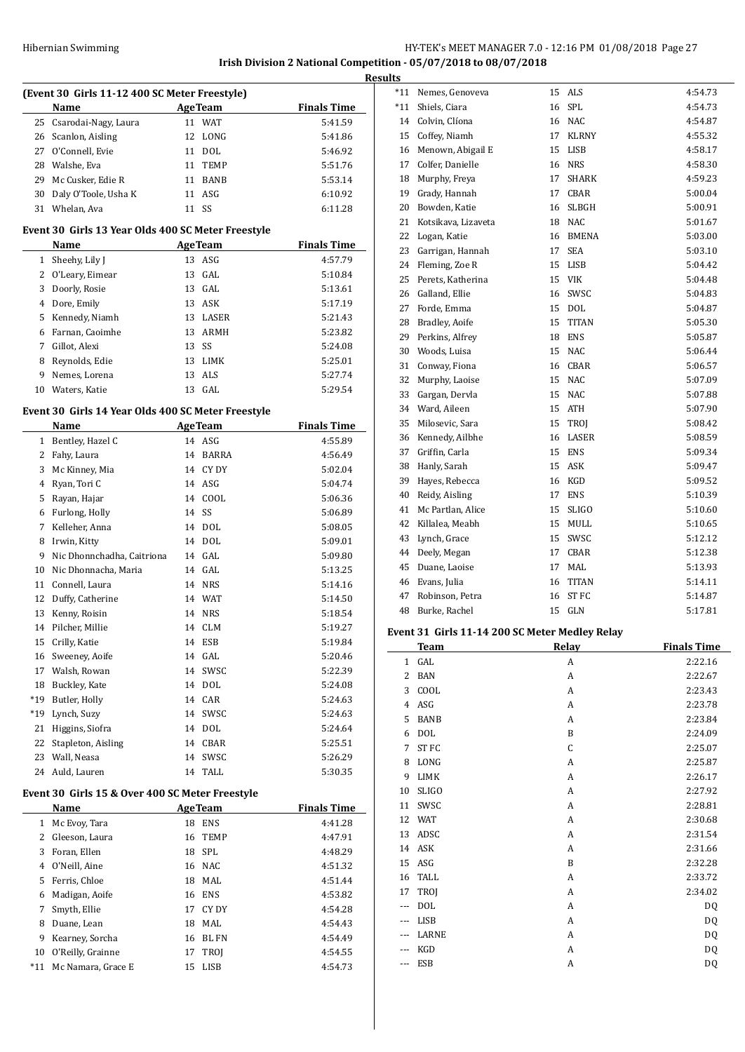#### Hibernian Swimming HY-TEK's MEET MANAGER 7.0 - 12:16 PM 01/08/2018 Page 27 **Irish Division 2 National Competition - 05/07/2018 to 08/07/2018**

**Result (Event 30 Girls 11-12 400 SC Meter Freestyle) Name Age Team Finals Time** 25 Csarodai-Nagy, Laura 11 WAT 5:41.59 Scanlon, Aisling 12 LONG 5:41.86 O'Connell, Evie 11 DOL 5:46.92 28 Walshe, Eva 11 TEMP 5:51.76 29 Mc Cusker, Edie R 11 BANB 5:53.14 Daly O'Toole, Usha K 11 ASG 6:10.92 Whelan, Ava 11 SS 6:11.28 **Event 30 Girls 13 Year Olds 400 SC Meter Freestyle Name Age Team Finals Time** 1 Sheehy, Lily J 13 ASG 4:57.79 O'Leary, Eimear 13 GAL 5:10.84 Doorly, Rosie 13 GAL 5:13.61 Dore, Emily 13 ASK 5:17.19 Kennedy, Niamh 13 LASER 5:21.43 Farnan, Caoimhe 13 ARMH 5:23.82 Gillot, Alexi 13 SS 5:24.08 8 Reynolds, Edie 13 LIMK 5:25.01 Nemes, Lorena 13 ALS 5:27.74 Waters, Katie 13 GAL 5:29.54 **Event 30 Girls 14 Year Olds 400 SC Meter Freestyle Name Age Team Finals Time** 1 Bentley, Hazel C 14 ASG 4:55.89 Fahy, Laura 14 BARRA 4:56.49 3 Mc Kinney, Mia 14 CY DY 5:02.04 Ryan, Tori C 14 ASG 5:04.74 Rayan, Hajar 14 COOL 5:06.36 Furlong, Holly 14 SS 5:06.89 Kelleher, Anna 14 DOL 5:08.05 Irwin, Kitty 14 DOL 5:09.01 9 Nic Dhonnchadha, Caitriona 14 GAL 5:09.80 10 Nic Dhonnacha, Maria 14 GAL 5:13.25 Connell, Laura 14 NRS 5:14.16 Duffy, Catherine 14 WAT 5:14.50 Kenny, Roisin 14 NRS 5:18.54 Pilcher, Millie 14 CLM 5:19.27 Crilly, Katie 14 ESB 5:19.84 Sweeney, Aoife 14 GAL 5:20.46 Walsh, Rowan 14 SWSC 5:22.39 Buckley, Kate 14 DOL 5:24.08 \*19 Butler, Holly 14 CAR 5:24.63 \*19 Lynch, Suzy 14 SWSC 5:24.63 Higgins, Siofra 14 DOL 5:24.64 22 Stapleton, Aisling 14 CBAR 5:25.51 Wall, Neasa 14 SWSC 5:26.29 Auld, Lauren 14 TALL 5:30.35 **Event 30 Girls 15 & Over 400 SC Meter Freestyle Name Age Team Finals Time**  Mc Evoy, Tara 18 ENS 4:41.28 Gleeson, Laura 16 TEMP 4:47.91 Foran, Ellen 18 SPL 4:48.29 O'Neill, Aine 16 NAC 4:51.32 Ferris, Chloe 18 MAL 4:51.44 Madigan, Aoife 16 ENS 4:53.82 Smyth, Ellie 17 CY DY 4:54.28 Duane, Lean 18 MAL 4:54.43 Kearney, Sorcha 16 BL FN 4:54.49 O'Reilly, Grainne 17 TROJ 4:54.55 \*11 Mc Namara, Grace E 15 LISB 4:54.73

| <u>its</u> |                                                |    |                  |         |  |  |  |
|------------|------------------------------------------------|----|------------------|---------|--|--|--|
| *11        | Nemes, Genoveva                                | 15 | ALS              | 4:54.73 |  |  |  |
| $*11$      | Shiels, Ciara                                  | 16 | SPL              | 4:54.73 |  |  |  |
| 14         | Colvin, Clíona                                 | 16 | <b>NAC</b>       | 4:54.87 |  |  |  |
| 15         | Coffey, Niamh                                  | 17 | <b>KLRNY</b>     | 4:55.32 |  |  |  |
| 16         | Menown, Abigail E                              | 15 | LISB             | 4:58.17 |  |  |  |
| 17         | Colfer, Danielle                               | 16 | <b>NRS</b>       | 4:58.30 |  |  |  |
| 18         | Murphy, Freya                                  | 17 | <b>SHARK</b>     | 4:59.23 |  |  |  |
| 19         | Grady, Hannah                                  | 17 | CBAR             | 5:00.04 |  |  |  |
| 20         | Bowden, Katie                                  | 16 | <b>SLBGH</b>     | 5:00.91 |  |  |  |
| 21         | Kotsikava, Lizaveta                            | 18 | NAC              | 5:01.67 |  |  |  |
| 22         | Logan, Katie                                   | 16 | <b>BMENA</b>     | 5:03.00 |  |  |  |
| 23         | Garrigan, Hannah                               | 17 | <b>SEA</b>       | 5:03.10 |  |  |  |
| 24         | Fleming, Zoe R                                 | 15 | <b>LISB</b>      | 5:04.42 |  |  |  |
| 25         | Perets, Katherina                              | 15 | VIK              | 5:04.48 |  |  |  |
| 26         | Galland, Ellie                                 | 16 | SWSC             | 5:04.83 |  |  |  |
| 27         | Forde, Emma                                    | 15 | <b>DOL</b>       | 5:04.87 |  |  |  |
| 28         | Bradley, Aoife                                 | 15 | <b>TITAN</b>     | 5:05.30 |  |  |  |
| 29         | Perkins, Alfrey                                | 18 | <b>ENS</b>       | 5:05.87 |  |  |  |
| 30         | Woods, Luisa                                   | 15 | <b>NAC</b>       | 5:06.44 |  |  |  |
| 31         | Conway, Fiona                                  | 16 | CBAR             | 5:06.57 |  |  |  |
| 32         | Murphy, Laoise                                 | 15 | <b>NAC</b>       | 5:07.09 |  |  |  |
| 33         | Gargan, Dervla                                 | 15 | <b>NAC</b>       | 5:07.88 |  |  |  |
| 34         | Ward, Aileen                                   | 15 | <b>ATH</b>       | 5:07.90 |  |  |  |
| 35         | Milosevic, Sara                                | 15 | TROJ             | 5:08.42 |  |  |  |
| 36         | Kennedy, Ailbhe                                | 16 | LASER            | 5:08.59 |  |  |  |
| 37         | Griffin, Carla                                 | 15 | <b>ENS</b>       | 5:09.34 |  |  |  |
| 38         | Hanly, Sarah                                   | 15 | <b>ASK</b>       | 5:09.47 |  |  |  |
| 39         | Hayes, Rebecca                                 | 16 | KGD              | 5:09.52 |  |  |  |
| 40         | Reidy, Aisling                                 | 17 | <b>ENS</b>       | 5:10.39 |  |  |  |
| 41         | Mc Partlan, Alice                              | 15 | <b>SLIGO</b>     | 5:10.60 |  |  |  |
| 42         | Killalea, Meabh                                | 15 | MULL             | 5:10.65 |  |  |  |
| 43         | Lynch, Grace                                   | 15 | SWSC             | 5:12.12 |  |  |  |
| 44         | Deely, Megan                                   | 17 | CBAR             | 5:12.38 |  |  |  |
| 45         | Duane, Laoise                                  | 17 | <b>MAL</b>       | 5:13.93 |  |  |  |
| 46         | Evans, Julia                                   | 16 | <b>TITAN</b>     | 5:14.11 |  |  |  |
| 47         | Robinson, Petra                                | 16 | ST <sub>FC</sub> | 5:14.87 |  |  |  |
| 48         | Burke, Rachel                                  | 15 | GLN              | 5:17.81 |  |  |  |
|            | Event 31 Girls 11-14 200 SC Meter Medley Relay |    |                  |         |  |  |  |

|                | <b>Team</b>  | Relay | <b>Finals Time</b> |
|----------------|--------------|-------|--------------------|
| $\mathbf{1}$   | GAL          | A     | 2:22.16            |
| $\overline{2}$ | <b>BAN</b>   | A     | 2:22.67            |
| 3              | COOL         | A     | 2:23.43            |
| 4              | ASG          | A     | 2:23.78            |
| 5              | <b>BANB</b>  | A     | 2:23.84            |
| 6              | <b>DOL</b>   | B     | 2:24.09            |
| 7              | ST FC        | C     | 2:25.07            |
| 8              | LONG         | A     | 2:25.87            |
| 9              | <b>LIMK</b>  | A     | 2:26.17            |
| 10             | <b>SLIGO</b> | A     | 2:27.92            |
| 11             | SWSC         | A     | 2:28.81            |
| 12             | <b>WAT</b>   | A     | 2:30.68            |
| 13             | ADSC         | A     | 2:31.54            |
| 14             | ASK          | A     | 2:31.66            |
| 15             | ASG          | B     | 2:32.28            |
| 16             | <b>TALL</b>  | A     | 2:33.72            |
| 17             | TROJ         | A     | 2:34.02            |
| ---            | DOL          | A     | DQ                 |
| $---$          | LISB         | A     | DQ                 |
| ---            | LARNE        | A     | DQ                 |
| $---$          | KGD          | A     | DQ                 |
| ---            | <b>ESB</b>   | A     | DQ                 |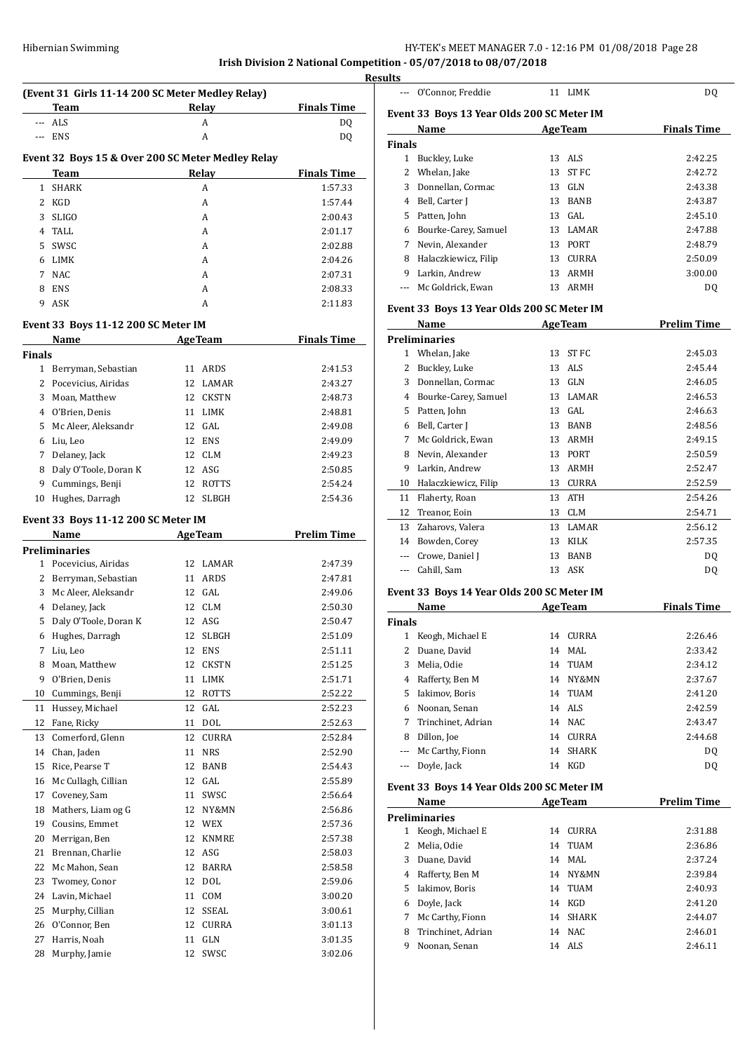# Hibernian Swimming **HY-TEK's MEET MANAGER 7.0 - 12:16 PM 01/08/2018** Page 28

**Irish Division 2 National Competition - 05/07/2018 to 08/07/2018**

|              |                                                   |                |            |                    | <b>Resu</b> |
|--------------|---------------------------------------------------|----------------|------------|--------------------|-------------|
|              | (Event 31 Girls 11-14 200 SC Meter Medley Relay)  |                |            |                    |             |
|              | <b>Team</b>                                       |                | Relay      | <b>Finals Time</b> |             |
| ---          | ALS                                               |                | A          | DQ                 |             |
| ---          | ENS                                               |                | A          | DQ                 |             |
|              | Event 32 Boys 15 & Over 200 SC Meter Medley Relay |                |            |                    |             |
|              | Team                                              |                | Relay      | <b>Finals Time</b> |             |
| $\mathbf{1}$ | <b>SHARK</b>                                      |                | A          | 1:57.33            |             |
| $\mathbf{2}$ | KGD                                               |                | A          | 1:57.44            |             |
| 3            | <b>SLIGO</b>                                      |                | A          | 2:00.43            |             |
| 4            | TALL                                              |                | A          | 2:01.17            |             |
| 5            | SWSC                                              |                | A          | 2:02.88            |             |
|              |                                                   |                |            |                    |             |
| 6<br>7       | LIMK<br><b>NAC</b>                                |                | A          | 2:04.26            |             |
|              |                                                   |                | A          | 2:07.31            |             |
| 8            | <b>ENS</b>                                        |                | A          | 2:08.33            |             |
| 9            | ASK                                               |                | A          | 2:11.83            |             |
|              | Event 33 Boys 11-12 200 SC Meter IM               |                |            |                    |             |
|              | Name                                              | <b>AgeTeam</b> |            | <b>Finals Time</b> |             |
| Finals       |                                                   |                |            |                    |             |
|              | 1 Berryman, Sebastian                             |                | 11 ARDS    | 2:41.53            |             |
|              | 2 Pocevicius, Airidas                             |                | 12 LAMAR   | 2:43.27            |             |
| 3            | Moan, Matthew                                     |                | 12 CKSTN   | 2:48.73            |             |
|              | 4 O'Brien, Denis                                  |                | 11 LIMK    | 2:48.81            |             |
| 5.           | Mc Aleer, Aleksandr                               |                | 12 GAL     | 2:49.08            |             |
| 6            | Liu, Leo                                          |                | 12 ENS     | 2:49.09            |             |
| 7            |                                                   |                | 12 CLM     |                    |             |
| 8            | Delaney, Jack                                     |                | 12 ASG     | 2:49.23            |             |
|              | Daly O'Toole, Doran K                             |                |            | 2:50.85            |             |
|              | 9 Cummings, Benji                                 |                | 12 ROTTS   | 2:54.24            |             |
|              | 10 Hughes, Darragh                                |                | 12 SLBGH   | 2:54.36            |             |
|              | Event 33 Boys 11-12 200 SC Meter IM               |                |            |                    |             |
|              | Name                                              | <b>AgeTeam</b> |            | <b>Prelim Time</b> |             |
|              | Preliminaries                                     |                |            |                    |             |
|              | 1 Pocevicius, Airidas                             |                | 12 LAMAR   | 2:47.39            |             |
| $\mathbf{2}$ | Berryman, Sebastian                               |                | 11 ARDS    | 2:47.81            |             |
| 3            | Mc Aleer, Aleksandr                               |                | 12 GAL     | 2:49.06            |             |
|              | 4 Delaney, Jack                                   |                | 12 CLM     | 2:50.30            |             |
| 5            | Daly O'Toole, Doran K                             |                | 12 ASG     | 2:50.47            |             |
| 6            | Hughes, Darragh                                   | 12             | SLBGH      | 2:51.09            |             |
| 7            | Liu, Leo                                          | 12             | <b>ENS</b> | 2:51.11            |             |
| 8            | Moan, Matthew                                     |                | 12 CKSTN   | 2:51.25            |             |
| 9            | O'Brien, Denis                                    |                | 11 LIMK    | 2:51.71            |             |
| 10           | Cummings, Benji                                   |                | 12 ROTTS   | 2:52.22            |             |
|              |                                                   |                |            |                    |             |
| 11           | Hussey, Michael                                   |                | 12 GAL     | 2:52.23            |             |
| 12           | Fane, Ricky                                       |                | 11 DOL     | 2:52.63            |             |
| 13           | Comerford, Glenn                                  |                | 12 CURRA   | 2:52.84            |             |
| 14           | Chan, Jaden                                       |                | 11 NRS     | 2:52.90            |             |
| 15           | Rice, Pearse T                                    |                | 12 BANB    | 2:54.43            |             |
| 16           | Mc Cullagh, Cillian                               |                | 12 GAL     | 2:55.89            |             |
| 17           | Coveney, Sam                                      |                | 11 SWSC    | 2:56.64            |             |
| 18           | Mathers, Liam og G                                |                | 12 NY&MN   | 2:56.86            |             |
| 19           | Cousins, Emmet                                    |                | 12 WEX     | 2:57.36            |             |
| 20           | Merrigan, Ben                                     |                | 12 KNMRE   | 2:57.38            |             |
| 21           | Brennan, Charlie                                  |                | 12 ASG     | 2:58.03            |             |
| 22           | Mc Mahon, Sean                                    |                | 12 BARRA   | 2:58.58            |             |
| 23           | Twomey, Conor                                     |                | 12 DOL     | 2:59.06            |             |
| 24           | Lavin, Michael                                    |                | 11 COM     | 3:00.20            |             |
| 25           | Murphy, Cillian                                   |                | 12 SSEAL   | 3:00.61            |             |
| 26           | O'Connor, Ben                                     |                | 12 CURRA   | 3:01.13            |             |
| 27           | Harris, Noah                                      |                | 11 GLN     | 3:01.35            |             |
| 28           | Murphy, Jamie                                     | 12             | SWSC       | 3:02.06            |             |
|              |                                                   |                |            |                    |             |

| ults<br>$\cdots$              | O'Connor, Freddie                          |    | 11 LIMK            | DQ                 |
|-------------------------------|--------------------------------------------|----|--------------------|--------------------|
|                               |                                            |    |                    |                    |
|                               | Event 33 Boys 13 Year Olds 200 SC Meter IM |    |                    |                    |
|                               | Name                                       |    | <b>AgeTeam</b>     | <b>Finals Time</b> |
| <b>Finals</b><br>$\mathbf{1}$ | Buckley, Luke                              | 13 | ALS                | 2:42.25            |
|                               |                                            | 13 |                    |                    |
|                               | 2 Whelan, Jake                             |    | ST FC              | 2:42.72            |
| 3                             | Donnellan, Cormac                          |    | 13 GLN             | 2:43.38<br>2:43.87 |
|                               | 4 Bell, Carter J                           |    | 13 BANB            |                    |
|                               | 5 Patten, John                             |    | 13 GAL             | 2:45.10            |
|                               | 6 Bourke-Carey, Samuel                     |    | 13 LAMAR           | 2:47.88<br>2:48.79 |
|                               | 7 Nevin, Alexander                         |    | 13 PORT            |                    |
|                               | 8 Halaczkiewicz, Filip                     |    | 13 CURRA           | 2:50.09            |
|                               | 9 Larkin, Andrew                           |    | 13 ARMH<br>13 ARMH | 3:00.00            |
| $\cdots$                      | Mc Goldrick, Ewan                          |    |                    | DQ                 |
|                               | Event 33 Boys 13 Year Olds 200 SC Meter IM |    |                    |                    |
|                               | Name                                       |    | <b>AgeTeam</b>     | <b>Prelim Time</b> |
|                               | <b>Preliminaries</b>                       |    |                    |                    |
|                               | 1 Whelan, Jake                             | 13 | ST FC              | 2:45.03            |
|                               | 2 Buckley, Luke                            |    | 13 ALS             | 2:45.44            |
| 3                             | Donnellan, Cormac                          |    | 13 GLN             | 2:46.05            |
|                               | 4 Bourke-Carey, Samuel                     |    | 13 LAMAR           | 2:46.53            |
|                               | 5 Patten, John                             |    | 13 GAL             | 2:46.63            |
|                               | 6 Bell, Carter J                           |    | 13 BANB            | 2:48.56            |
| 7                             | Mc Goldrick, Ewan                          |    | 13 ARMH            | 2:49.15            |
| 8                             | Nevin, Alexander                           |    | 13 PORT            | 2:50.59            |
| 9                             | Larkin, Andrew                             |    | 13 ARMH            | 2:52.47            |
|                               | 10 Halaczkiewicz, Filip                    |    | 13 CURRA           | 2:52.59            |
| 11                            | Flaherty, Roan                             | 13 | <b>ATH</b>         | 2:54.26            |
|                               | 12 Treanor, Eoin                           |    | 13 CLM             | 2:54.71            |
|                               | 13 Zaharovs, Valera                        |    | 13 LAMAR           | 2:56.12            |
|                               | 14 Bowden, Corey                           |    | 13 KILK            | 2:57.35            |
|                               | --- Crowe, Daniel J                        | 13 | <b>BANB</b>        | DQ                 |
| $\cdots$                      | Cahill, Sam                                |    | 13 ASK             | DQ                 |
|                               | Event 33 Boys 14 Year Olds 200 SC Meter IM |    |                    |                    |
|                               | Name                                       |    | <b>AgeTeam</b>     | <b>Finals Time</b> |
| Finals                        |                                            |    |                    |                    |
| 1                             | Keogh, Michael E                           |    | 14 CURRA           | 2:26.46            |
| 2                             | Duane, David                               |    | 14 MAL             | 2:33.42            |
|                               | 3 Melia, Odie                              |    | 14 TUAM            | 2:34.12            |
|                               | 4 Rafferty, Ben M                          |    | 14 NY&MN           | 2:37.67            |
| 5.                            | Iakimov, Boris                             |    | 14 TUAM            | 2:41.20            |
|                               | 6 Noonan, Senan                            |    | 14 ALS             | 2:42.59            |
| 7                             | Trinchinet, Adrian                         |    | 14 NAC             | 2:43.47            |
|                               | 8 Dillon, Joe                              |    | 14 CURRA           | 2:44.68            |
|                               | --- Mc Carthy, Fionn                       |    | 14 SHARK           | DQ                 |
| $---$                         | Doyle, Jack                                |    | 14 KGD             | DQ                 |
|                               | Event 33 Boys 14 Year Olds 200 SC Meter IM |    |                    |                    |
|                               | Name                                       |    | <b>AgeTeam</b>     | <b>Prelim Time</b> |
|                               | Preliminaries                              |    |                    |                    |
|                               | 1 Keogh, Michael E                         |    | 14 CURRA           | 2:31.88            |
|                               |                                            |    |                    |                    |

| 1  | Keogh, Michael E   | 14 CURRA | 2:31.88 |
|----|--------------------|----------|---------|
| 2  | Melia, Odie        | 14 TUAM  | 2:36.86 |
| 3  | Duane, David       | 14 MAL   | 2:37.24 |
| 4  | Rafferty, Ben M    | 14 NY&MN | 2:39.84 |
| 5. | Iakimov, Boris     | 14 TUAM  | 2:40.93 |
| 6  | Doyle, Jack        | 14 KGD   | 2:41.20 |
| 7  | Mc Carthy, Fionn   | 14 SHARK | 2:44.07 |
| 8  | Trinchinet, Adrian | 14 NAC   | 2:46.01 |
| 9  | Noonan, Senan      | 14 ALS   | 2:46.11 |
|    |                    |          |         |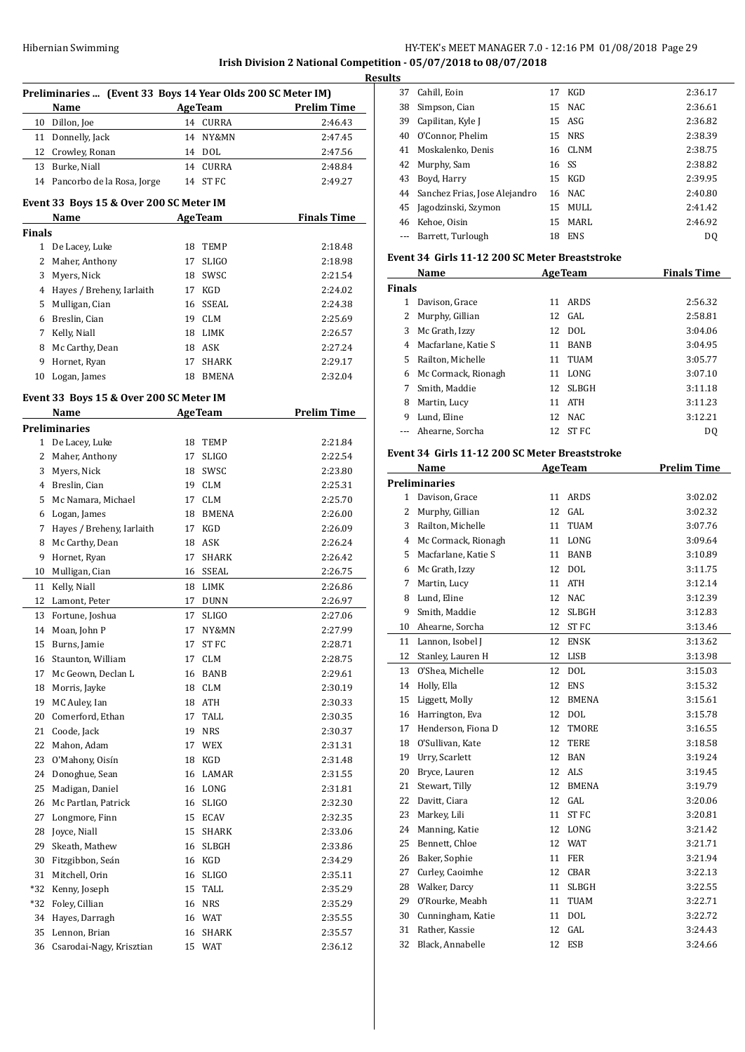**Irish Division 2 National Competition - 05/07/2018 to 08/07/2018**

|               | Preliminaries  (Event 33 Boys 14 Year Olds 200 SC Meter IM)<br>Name |    | <b>AgeTeam</b> | <b>Prelim Time</b> |
|---------------|---------------------------------------------------------------------|----|----------------|--------------------|
| 10            | Dillon, Joe                                                         |    | 14 CURRA       | 2:46.43            |
| 11            | Donnelly, Jack                                                      |    | 14 NY&MN       | 2:47.45            |
|               | 12 Crowley, Ronan                                                   |    | 14 DOL         | 2:47.56            |
| 13            | Burke, Niall                                                        |    | 14 CURRA       | 2:48.84            |
|               | 14 Pancorbo de la Rosa, Jorge                                       |    | 14 ST FC       | 2:49.27            |
|               | Event 33 Boys 15 & Over 200 SC Meter IM                             |    |                |                    |
|               | Name                                                                |    | <b>AgeTeam</b> | <b>Finals Time</b> |
| <b>Finals</b> |                                                                     |    |                |                    |
|               | 1 De Lacey, Luke                                                    |    | 18 TEMP        | 2:18.48            |
| 2             | Maher, Anthony                                                      |    | 17 SLIGO       | 2:18.98            |
| 3             | Myers, Nick                                                         |    | 18 SWSC        | 2:21.54            |
|               | 4 Hayes / Breheny, Iarlaith                                         |    | 17 KGD         | 2:24.02            |
| 5             | Mulligan, Cian                                                      |    | 16 SSEAL       | 2:24.38            |
| 6             | Breslin, Cian                                                       |    | 19 CLM         | 2:25.69            |
| 7             | Kelly, Niall                                                        |    | 18 LIMK        | 2:26.57            |
|               | 8 Mc Carthy, Dean                                                   |    | 18 ASK         | 2:27.24            |
| 9             | Hornet, Ryan                                                        | 17 | <b>SHARK</b>   | 2:29.17            |
| 10            | Logan, James                                                        |    | 18 BMENA       | 2:32.04            |
|               | Event 33 Boys 15 & Over 200 SC Meter IM                             |    |                |                    |
|               | Name<br><b>Preliminaries</b>                                        |    | <b>AgeTeam</b> | <b>Prelim Time</b> |
| 1             | De Lacey, Luke                                                      |    | 18 TEMP        | 2:21.84            |
| 2             |                                                                     |    | 17 SLIGO       | 2:22.54            |
|               | Maher, Anthony                                                      |    |                |                    |
|               | 3 Myers, Nick                                                       |    | 18 SWSC        | 2:23.80            |
|               | 4 Breslin, Cian                                                     |    | 19 CLM         | 2:25.31            |
|               | 5 Mc Namara, Michael                                                |    | 17 CLM         | 2:25.70            |
| 6             | Logan, James                                                        |    | 18 BMENA       | 2:26.00            |
| 7             | Hayes / Breheny, Iarlaith                                           |    | 17 KGD         | 2:26.09            |
| 8             | Mc Carthy, Dean                                                     |    | 18 ASK         | 2:26.24            |
| 9             | Hornet, Ryan                                                        | 17 | <b>SHARK</b>   | 2:26.42            |
| 10            | Mulligan, Cian                                                      |    | 16 SSEAL       | 2:26.75            |
| 11            | Kelly, Niall                                                        |    | 18 LIMK        | 2:26.86            |
| 12            | Lamont, Peter                                                       |    | 17 DUNN        | 2:26.97            |
| 13            | Fortune, Joshua                                                     | 17 | <b>SLIGO</b>   | 2:27.06            |
| 14            | Moan, John P                                                        | 17 | NY&MN          | 2:27.99            |
| 15            | Burns, Jamie                                                        | 17 | ST FC          | 2:28.71            |
| 16            | Staunton, William                                                   | 17 | <b>CLM</b>     | 2:28.75            |
| 17            | Mc Geown, Declan L                                                  | 16 | BANB           | 2:29.61            |
| 18            | Morris, Jayke                                                       |    | 18 CLM         | 2:30.19            |
| 19            | MC Auley, Ian                                                       |    | 18 ATH         | 2:30.33            |
| 20            | Comerford, Ethan                                                    | 17 | TALL           | 2:30.35            |
| 21            | Coode, Jack                                                         | 19 | <b>NRS</b>     | 2:30.37            |
| 22            | Mahon, Adam                                                         | 17 | WEX            | 2:31.31            |
| 23            | O'Mahony, Oisín                                                     | 18 | KGD            | 2:31.48            |
| 24            | Donoghue, Sean                                                      | 16 | LAMAR          | 2:31.55            |
| 25            | Madigan, Daniel                                                     | 16 | LONG           | 2:31.81            |
| 26            | Mc Partlan, Patrick                                                 | 16 | <b>SLIGO</b>   | 2:32.30            |
| 27            | Longmore, Finn                                                      | 15 | ECAV           | 2:32.35            |
| 28            | Joyce, Niall                                                        | 15 | SHARK          |                    |
|               |                                                                     |    |                | 2:33.06            |
| 29            | Skeath, Mathew                                                      | 16 | SLBGH          | 2:33.86            |
| 30            | Fitzgibbon, Seán                                                    | 16 | KGD            | 2:34.29            |
| 31            | Mitchell, Orin                                                      | 16 | <b>SLIGO</b>   | 2:35.11            |
| *32           | Kenny, Joseph                                                       | 15 | TALL           | 2:35.29            |
| *32           | Foley, Cillian                                                      | 16 | <b>NRS</b>     | 2:35.29            |
| 34            | Hayes, Darragh                                                      |    | 16 WAT         | 2:35.55            |
| 35            | Lennon, Brian                                                       | 16 | SHARK          | 2:35.57            |
| 36            | Csarodai-Nagy, Krisztian                                            |    | 15 WAT         | 2:36.12            |

| Results |                                  |       |            |         |
|---------|----------------------------------|-------|------------|---------|
|         | 37 Cahill, Eoin                  | 17    | KGD        | 2:36.17 |
| 38      | Simpson, Cian                    |       | 15 NAC     | 2:36.61 |
| 39      | Capilitan, Kyle J                |       | 15 ASG     | 2:36.82 |
| 40      | O'Connor, Phelim                 |       | 15 NRS     | 2:38.39 |
|         | 41 Moskalenko, Denis             |       | 16 CLNM    | 2:38.75 |
|         | 42 Murphy, Sam                   | 16 SS |            | 2:38.82 |
| 43      | Boyd, Harry                      |       | 15 KGD     | 2:39.95 |
|         | 44 Sanchez Frias, Jose Alejandro |       | 16 NAC     | 2:40.80 |
|         | 45 Jagodzinski, Szymon           |       | 15 MULL    | 2:41.42 |
|         | 46 Kehoe, Oisin                  | 15    | MARI.      | 2:46.92 |
|         | Barrett, Turlough                | 18    | <b>ENS</b> | DQ      |

# **Event 34 Girls 11-12 200 SC Meter Breaststroke**

|               | Name                |    | <b>AgeTeam</b> | <b>Finals Time</b> |
|---------------|---------------------|----|----------------|--------------------|
| <b>Finals</b> |                     |    |                |                    |
|               | Davison, Grace      | 11 | ARDS           | 2:56.32            |
| 2             | Murphy, Gillian     |    | $12$ GAL       | 2:58.81            |
| 3             | Mc Grath, Izzy      |    | 12 DOL         | 3:04.06            |
| 4             | Macfarlane, Katie S | 11 | <b>BANB</b>    | 3:04.95            |
| 5.            | Railton, Michelle   | 11 | TUAM           | 3:05.77            |
| 6             | Mc Cormack, Rionagh | 11 | LONG           | 3:07.10            |
| 7             | Smith, Maddie       | 12 | <b>SLBGH</b>   | 3:11.18            |
| 8             | Martin, Lucy        | 11 | <b>ATH</b>     | 3:11.23            |
| 9             | Lund, Eline         | 12 | NAC.           | 3:12.21            |
|               | --- Ahearne, Sorcha | 12 | ST FC          | D <sub>0</sub>     |

# **Event 34 Girls 11-12 200 SC Meter Breaststroke**

|              | Name                 |    | <b>AgeTeam</b> | <b>Prelim Time</b> |
|--------------|----------------------|----|----------------|--------------------|
|              | <b>Preliminaries</b> |    |                |                    |
| $\mathbf{1}$ | Davison, Grace       | 11 | ARDS           | 3:02.02            |
| 2            | Murphy, Gillian      | 12 | GAL.           | 3:02.32            |
| 3            | Railton, Michelle    | 11 | <b>TUAM</b>    | 3:07.76            |
| 4            | Mc Cormack, Rionagh  | 11 | LONG           | 3:09.64            |
| 5            | Macfarlane, Katie S  | 11 | <b>BANB</b>    | 3:10.89            |
| 6            | Mc Grath, Izzy       | 12 | <b>DOL</b>     | 3:11.75            |
| 7            | Martin, Lucy         | 11 | <b>ATH</b>     | 3:12.14            |
| 8            | Lund, Eline          | 12 | NAC.           | 3:12.39            |
| 9            | Smith, Maddie        | 12 | <b>SLBGH</b>   | 3:12.83            |
| 10           | Ahearne, Sorcha      | 12 | <b>STFC</b>    | 3:13.46            |
| 11           | Lannon, Isobel J     | 12 | <b>ENSK</b>    | 3:13.62            |
| 12           | Stanley, Lauren H    | 12 | <b>LISB</b>    | 3:13.98            |
| 13           | O'Shea, Michelle     | 12 | <b>DOL</b>     | 3:15.03            |
| 14           | Holly, Ella          | 12 | <b>ENS</b>     | 3:15.32            |
| 15           | Liggett, Molly       | 12 | <b>BMENA</b>   | 3:15.61            |
| 16           | Harrington, Eva      | 12 | DOL            | 3:15.78            |
| 17           | Henderson, Fiona D   | 12 | <b>TMORE</b>   | 3:16.55            |
| 18           | O'Sullivan. Kate     | 12 | TERE           | 3:18.58            |
| 19           | Urry, Scarlett       | 12 | <b>BAN</b>     | 3:19.24            |
| 20           | Bryce, Lauren        | 12 | <b>ALS</b>     | 3:19.45            |
| 21           | Stewart, Tilly       | 12 | <b>BMENA</b>   | 3:19.79            |
| 22           | Davitt, Ciara        | 12 | GAL            | 3:20.06            |
| 23           | Markey, Lili         | 11 | <b>ST FC</b>   | 3:20.81            |
| 24           | Manning, Katie       | 12 | LONG           | 3:21.42            |
| 25           | Bennett, Chloe       | 12 | <b>WAT</b>     | 3:21.71            |
| 26           | Baker, Sophie        | 11 | <b>FER</b>     | 3:21.94            |
| 27           | Curley, Caoimhe      | 12 | <b>CBAR</b>    | 3:22.13            |
| 28           | Walker, Darcy        | 11 | <b>SLBGH</b>   | 3:22.55            |
| 29           | O'Rourke, Meabh      | 11 | <b>TUAM</b>    | 3:22.71            |
| 30           | Cunningham, Katie    | 11 | <b>DOL</b>     | 3:22.72            |
| 31           | Rather, Kassie       | 12 | GAL            | 3:24.43            |
| 32           | Black, Annabelle     | 12 | <b>ESB</b>     | 3:24.66            |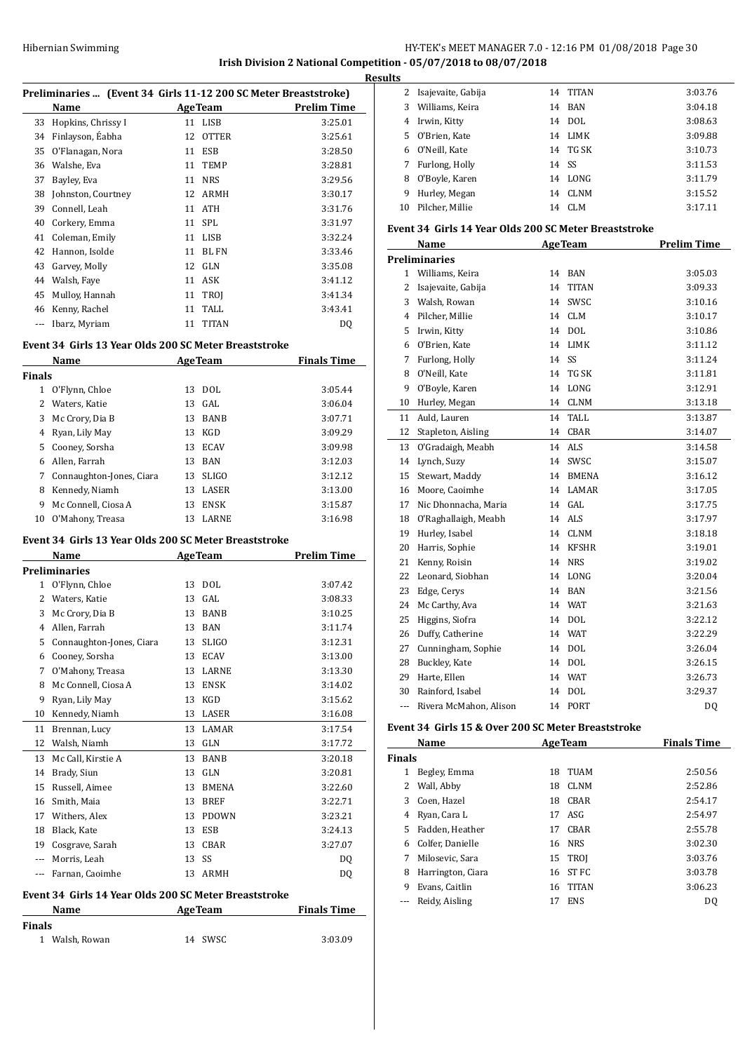# HY-TEK's MEET MANAGER 7.0 - 12:16 PM 01/08/2018 Page 30 **Irish Division 2 National Competition - 05/07/2018 to 08/07/2018**

**Results**

|               | Preliminaries  (Event 34 Girls 11-12 200 SC Meter Breaststroke)<br>Name |                |                           | <b>Prelim Time</b> |
|---------------|-------------------------------------------------------------------------|----------------|---------------------------|--------------------|
|               |                                                                         |                | <b>AgeTeam</b><br>11 LISB | 3:25.01            |
|               | 33 Hopkins, Chrissy I                                                   | 12             | OTTER                     | 3:25.61            |
|               | 34 Finlayson, Éabha<br>35 O'Flanagan, Nora                              |                | 11 ESB                    | 3:28.50            |
|               | 36 Walshe, Eva                                                          | 11             | <b>TEMP</b>               | 3:28.81            |
|               | 37 Bayley, Eva                                                          |                | 11 NRS                    | 3:29.56            |
|               | 38 Johnston, Courtney                                                   |                | 12 ARMH                   | 3:30.17            |
|               | 39 Connell, Leah                                                        |                | 11 ATH                    | 3:31.76            |
|               | 40 Corkery, Emma                                                        |                | 11 SPL                    | 3:31.97            |
|               | 41 Coleman, Emily                                                       |                | 11 LISB                   | 3:32.24            |
|               | 42 Hannon, Isolde                                                       |                | 11 BL FN                  | 3:33.46            |
|               | 43 Garvey, Molly                                                        |                | 12 GLN                    | 3:35.08            |
|               | 44 Walsh, Faye                                                          |                | 11 ASK                    | 3:41.12            |
|               | 45 Mulloy, Hannah                                                       |                | 11 TROJ                   | 3:41.34            |
|               | 46 Kenny, Rachel                                                        | 11             | TALL.                     | 3:43.41            |
|               | --- Ibarz, Myriam                                                       | 11             | <b>TITAN</b>              | DQ                 |
|               | Event 34 Girls 13 Year Olds 200 SC Meter Breaststroke                   |                |                           |                    |
|               | Name                                                                    | <b>AgeTeam</b> |                           | <b>Finals Time</b> |
| <b>Finals</b> |                                                                         |                |                           |                    |
|               | 1 O'Flynn, Chloe                                                        | 13             | DOL                       | 3:05.44            |
|               | 2 Waters, Katie                                                         |                | $13$ GAL                  | 3:06.04            |
|               | 3 Mc Crory, Dia B                                                       |                | 13 BANB                   | 3:07.71            |
|               | 4 Ryan, Lily May                                                        |                | 13 KGD                    | 3:09.29            |
|               | 5 Cooney, Sorsha                                                        |                | 13 ECAV                   | 3:09.98            |
|               | 6 Allen, Farrah                                                         |                | 13 BAN                    | 3:12.03            |
|               | 7 Connaughton-Jones, Ciara                                              |                | 13 SLIGO                  | 3:12.12            |
|               | 8 Kennedy, Niamh                                                        | 13             | LASER                     | 3:13.00            |
|               | 9 Mc Connell, Ciosa A                                                   | 13             | ENSK                      | 3:15.87            |
|               | 10 O'Mahony, Treasa                                                     |                | 13 LARNE                  | 3:16.98            |
|               | Event 34 Girls 13 Year Olds 200 SC Meter Breaststroke<br>Name           |                | <b>AgeTeam</b>            | <b>Prelim Time</b> |
|               | <b>Preliminaries</b>                                                    |                |                           |                    |
|               | 1 O'Flynn, Chloe                                                        |                | 13 DOL                    | 3:07.42            |
|               | 2 Waters, Katie                                                         | 13             | GAL                       | 3:08.33            |
| 3             | Mc Crory, Dia B                                                         | 13             | BANB                      | 3:10.25            |
|               | 4 Allen, Farrah                                                         |                | 13 BAN                    | 3:11.74            |
|               | 5 Connaughton-Jones, Ciara                                              | 13             | <b>SLIGO</b>              | 3:12.31            |
|               | 6 Cooney, Sorsha                                                        | 13             | ECAV                      | 3:13.00            |
|               | 7 O'Mahony, Treasa                                                      | 13             | LARNE                     | 3:13.30            |
|               | 8 Mc Connell, Ciosa A                                                   | 13             | ENSK                      | 3:14.02            |
|               |                                                                         |                | KGD                       | 3:15.62            |
| 9             | Ryan, Lily May                                                          | 13             |                           |                    |
|               | 10 Kennedy, Niamh                                                       | 13             | LASER                     | 3:16.08            |
|               |                                                                         |                |                           |                    |
| 11            | Brennan, Lucy                                                           | 13<br>13       | LAMAR                     | 3:17.54            |
|               | 12 Walsh, Niamh                                                         |                | GLN                       | 3:17.72            |
|               | 13 Mc Call, Kirstie A                                                   | 13             | BANB                      | 3:20.18            |
|               | 14 Brady, Siun                                                          | 13             | GLN                       | 3:20.81            |
|               | 15 Russell, Aimee                                                       | 13             | BMENA                     | 3:22.60            |
|               | 16 Smith, Maia                                                          | 13             | <b>BREF</b>               | 3:22.71            |
|               | 17 Withers, Alex                                                        | 13             | PDOWN                     | 3:23.21            |
|               | 18 Black, Kate                                                          | 13             | ESB                       | 3:24.13            |
|               | 19 Cosgrave, Sarah                                                      |                | 13 CBAR                   | 3:27.07            |
|               | --- Morris, Leah<br>--- Farnan, Caoimhe                                 | 13             | SS<br>13 ARMH             | DQ                 |
|               |                                                                         |                |                           | DQ                 |
|               | Event 34 Girls 14 Year Olds 200 SC Meter Breaststroke<br>Name           |                | <b>AgeTeam</b>            | <b>Finals Time</b> |
| <b>Finals</b> |                                                                         |                |                           |                    |

| 3              | Williams, Keira                                       | 14 | <b>BAN</b>     | 3:04.18            |
|----------------|-------------------------------------------------------|----|----------------|--------------------|
|                | 4 Irwin, Kitty                                        | 14 | <b>DOL</b>     | 3:08.63            |
| 5              | O'Brien, Kate                                         | 14 | LIMK           | 3:09.88            |
| 6              | O'Neill, Kate                                         | 14 | TG SK          | 3:10.73            |
| 7              | Furlong, Holly                                        | 14 | SS             | 3:11.53            |
| 8              | O'Boyle, Karen                                        | 14 | LONG           | 3:11.79            |
| 9              | Hurley, Megan                                         | 14 | <b>CLNM</b>    | 3:15.52            |
| 10             | Pilcher, Millie                                       | 14 | <b>CLM</b>     | 3:17.11            |
|                | Event 34 Girls 14 Year Olds 200 SC Meter Breaststroke |    |                |                    |
|                | Name                                                  |    | <b>AgeTeam</b> | <b>Prelim Time</b> |
|                | <b>Preliminaries</b>                                  |    |                |                    |
| 1              | Williams, Keira                                       |    | 14 BAN         | 3:05.03            |
| 2              | Isajevaite, Gabija                                    | 14 | <b>TITAN</b>   | 3:09.33            |
|                | 3 Walsh, Rowan                                        | 14 | SWSC           | 3:10.16            |
|                | 4 Pilcher, Millie                                     |    | 14 CLM         | 3:10.17            |
|                | 5 Irwin, Kitty                                        |    | 14 DOL         | 3:10.86            |
| 6              | O'Brien, Kate                                         | 14 | <b>LIMK</b>    | 3:11.12            |
| 7              | Furlong, Holly                                        | 14 | SS             | 3:11.24            |
| 8              | O'Neill, Kate                                         | 14 | TG SK          | 3:11.81            |
| 9              | O'Boyle, Karen                                        | 14 | LONG           | 3:12.91            |
| 10             | Hurley, Megan                                         |    | 14 CLNM        | 3:13.18            |
| 11             | Auld, Lauren                                          | 14 | TALL           | 3:13.87            |
| 12             | Stapleton, Aisling                                    | 14 | CBAR           | 3:14.07            |
| 13             | O'Gradaigh, Meabh                                     | 14 | ALS            | 3:14.58            |
| 14             | Lynch, Suzy                                           | 14 | SWSC           | 3:15.07            |
| 15             | Stewart, Maddy                                        | 14 | <b>BMENA</b>   | 3:16.12            |
| 16             | Moore, Caoimhe                                        | 14 | LAMAR          | 3:17.05            |
| 17             | Nic Dhonnacha, Maria                                  | 14 | GAL            | 3:17.75            |
| 18             | O'Raghallaigh, Meabh                                  |    | 14 ALS         | 3:17.97            |
| 19             | Hurley, Isabel                                        | 14 | <b>CLNM</b>    | 3:18.18            |
| 20             | Harris, Sophie                                        | 14 | <b>KFSHR</b>   | 3:19.01            |
| 21             | Kenny, Roisin                                         | 14 | <b>NRS</b>     | 3:19.02            |
| 22             | Leonard, Siobhan                                      |    | 14 LONG        | 3:20.04            |
| 23             | Edge, Cerys                                           |    | 14 BAN         | 3:21.56            |
| 24             | Mc Carthy, Ava                                        |    | 14 WAT         | 3:21.63            |
| 25             | Higgins, Siofra                                       |    | 14 DOL         | 3:22.12            |
| 26             | Duffy, Catherine                                      |    | 14 WAT         | 3:22.29            |
| 27             | Cunningham, Sophie                                    |    | 14 DOL         | 3:26.04            |
| 28             | Buckley, Kate                                         | 14 | <b>DOL</b>     | 3:26.15            |
| 29             | Harte, Ellen                                          |    | 14 WAT         | 3:26.73            |
|                | 30 Rainford, Isabel                                   | 14 | <b>DOL</b>     | 3:29.37            |
| $\overline{a}$ | Rivera McMahon, Alison                                | 14 | PORT           | DQ                 |

Isajevaite, Gabija 14 TITAN 3:03.76

# **Event 34 Girls 15 & Over 200 SC Meter Breaststroke**

|               | Name              |    | <b>AgeTeam</b> | <b>Finals Time</b> |
|---------------|-------------------|----|----------------|--------------------|
| <b>Finals</b> |                   |    |                |                    |
|               | Begley, Emma      | 18 | TUAM           | 2:50.56            |
| 2             | Wall, Abby        | 18 | <b>CLNM</b>    | 2:52.86            |
| 3             | Coen, Hazel       | 18 | CBAR           | 2:54.17            |
| 4             | Ryan, Cara L      | 17 | ASG            | 2:54.97            |
| 5.            | Fadden, Heather   | 17 | <b>CBAR</b>    | 2:55.78            |
| 6             | Colfer, Danielle  |    | 16 NRS         | 3:02.30            |
| 7             | Milosevic, Sara   |    | 15 TROI        | 3:03.76            |
| 8             | Harrington, Ciara | 16 | ST FC          | 3:03.78            |
| 9             | Evans, Caitlin    | 16 | <b>TITAN</b>   | 3:06.23            |
|               | Reidy, Aisling    | 17 | <b>ENS</b>     | D0                 |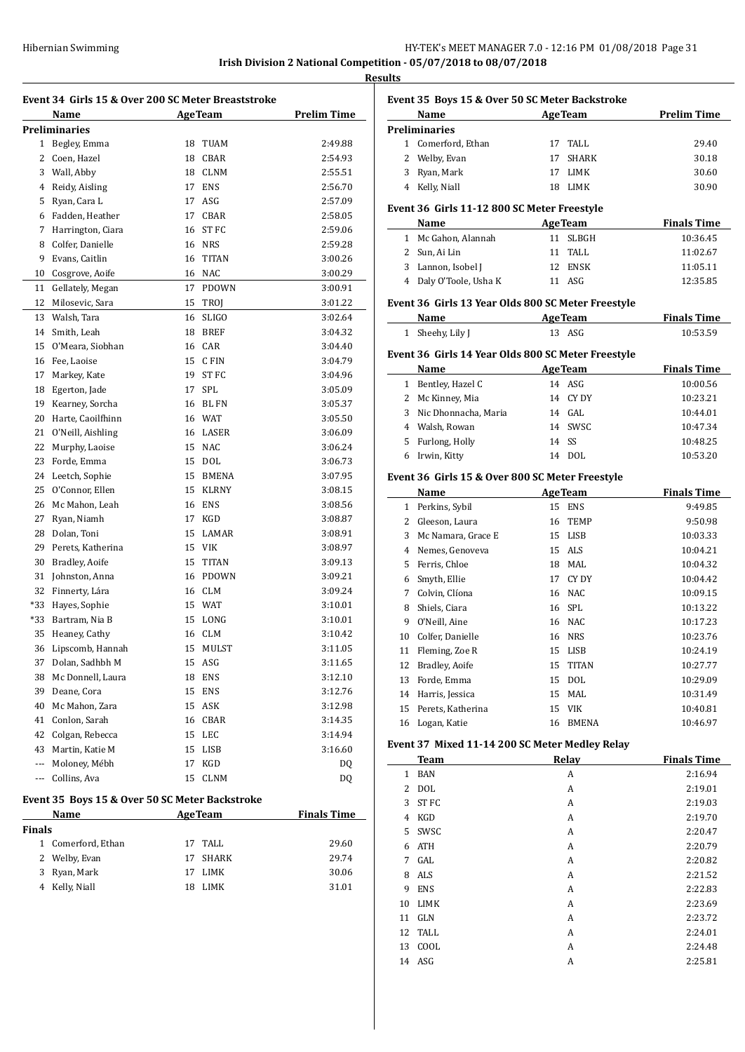**Irish Division 2 National Competition - 05/07/2018 to 08/07/2018**

**Results**

|                | Name                                           |    | <b>AgeTeam</b> | <b>Prelim Time</b> |
|----------------|------------------------------------------------|----|----------------|--------------------|
|                | <b>Preliminaries</b>                           |    |                |                    |
| 1              | Begley, Emma                                   | 18 | TUAM           | 2:49.88            |
| 2              | Coen, Hazel                                    | 18 | <b>CBAR</b>    | 2:54.93            |
| 3              | Wall, Abby                                     | 18 | <b>CLNM</b>    | 2:55.51            |
| 4              | Reidy, Aisling                                 | 17 | <b>ENS</b>     | 2:56.70            |
| 5              | Ryan, Cara L                                   | 17 | ASG            | 2:57.09            |
| 6              | Fadden, Heather                                | 17 | <b>CBAR</b>    | 2:58.05            |
| 7              | Harrington, Ciara                              | 16 | ST FC          | 2:59.06            |
| 8              | Colfer. Danielle                               |    | 16 NRS         | 2:59.28            |
| 9              | Evans, Caitlin                                 | 16 | <b>TITAN</b>   | 3:00.26            |
| 10             | Cosgrove, Aoife                                | 16 | NAC            | 3:00.29            |
| 11             | Gellately, Megan                               | 17 | <b>PDOWN</b>   | 3:00.91            |
| 12             | Milosevic, Sara                                | 15 | <b>TROJ</b>    | 3:01.22            |
| 13             | Walsh, Tara                                    | 16 | <b>SLIGO</b>   | 3:02.64            |
| 14             | Smith, Leah                                    | 18 | <b>BREF</b>    | 3:04.32            |
| 15             | O'Meara, Siobhan                               | 16 | CAR            | 3:04.40            |
| 16             | Fee, Laoise                                    | 15 | C FIN          | 3:04.79            |
| 17             | Markey, Kate                                   | 19 | ST FC          | 3:04.96            |
| 18             | Egerton, Jade                                  | 17 | <b>SPL</b>     | 3:05.09            |
| 19             | Kearney, Sorcha                                | 16 | <b>BL FN</b>   | 3:05.37            |
| 20             | Harte, Caoilfhinn                              |    | 16 WAT         | 3:05.50            |
| 21             | O'Neill, Aishling                              |    | 16 LASER       | 3:06.09            |
| 22             | Murphy, Laoise                                 | 15 | <b>NAC</b>     | 3:06.24            |
| 23             | Forde, Emma                                    | 15 | <b>DOL</b>     | 3:06.73            |
| 24             | Leetch, Sophie                                 | 15 | BMENA          | 3:07.95            |
| 25             | O'Connor, Ellen                                | 15 | <b>KLRNY</b>   | 3:08.15            |
| 26             | Mc Mahon, Leah                                 | 16 | ENS            | 3:08.56            |
| 27             | Ryan, Niamh                                    | 17 | KGD            | 3:08.87            |
| 28             | Dolan, Toni                                    | 15 | LAMAR          | 3:08.91            |
| 29             | Perets, Katherina                              | 15 | <b>VIK</b>     | 3:08.97            |
| 30             | Bradley, Aoife                                 | 15 | <b>TITAN</b>   | 3:09.13            |
| 31             | Johnston, Anna                                 | 16 | <b>PDOWN</b>   | 3:09.21            |
| 32             | Finnerty, Lára                                 |    | 16 CLM         | 3:09.24            |
|                |                                                |    |                |                    |
| *33<br>$*33$   | Hayes, Sophie                                  | 15 | 15 WAT         | 3:10.01            |
| 35             | Bartram, Nia B                                 |    | LONG           | 3:10.01            |
|                | Heaney, Cathy                                  | 16 | <b>CLM</b>     | 3:10.42            |
| 36             | Lipscomb, Hannah                               |    | 15 MULST       | 3:11.05            |
| 37             | Dolan, Sadhbh M                                | 15 | ASG            | 3:11.65            |
| 38             | Mc Donnell, Laura                              |    | 18 ENS         | 3:12.10            |
|                | 39 Deane, Cora                                 |    | 15 ENS         | 3:12.76            |
|                | 40 Mc Mahon, Zara                              |    | 15 ASK         | 3:12.98            |
|                | 41 Conlon, Sarah                               |    | 16 CBAR        | 3:14.35            |
|                | 42 Colgan, Rebecca                             |    | 15 LEC         | 3:14.94            |
|                | 43 Martin, Katie M                             |    | 15 LISB        | 3:16.60            |
|                | --- Moloney, Mébh                              | 17 | KGD            | DQ                 |
| ---            | Collins, Ava                                   | 15 | <b>CLNM</b>    | DQ                 |
|                | Event 35 Boys 15 & Over 50 SC Meter Backstroke |    |                |                    |
|                | Name                                           |    | <b>AgeTeam</b> | <b>Finals Time</b> |
| <b>Finals</b>  |                                                |    |                |                    |
|                | 1 Comerford, Ethan                             |    | 17 TALL        | 29.60              |
| $\overline{2}$ | Welby, Evan                                    | 17 | SHARK          | 29.74              |
|                | 3 Ryan, Mark                                   | 17 | LIMK           | 30.06              |
|                | 4 Kelly, Niall                                 | 18 | LIMK           | 31.01              |

| Name<br><b>AgeTeam</b><br><b>Preliminaries</b><br>1 Comerford, Ethan<br>TALL<br>17<br>2 Welby, Evan<br><b>SHARK</b><br>17<br>3 Ryan, Mark<br>17<br>LIMK<br>4 Kelly, Niall<br>18<br>LIMK<br>Event 36 Girls 11-12 800 SC Meter Freestyle<br><b>Finals Time</b><br><b>AgeTeam</b><br>Name<br>1 Mc Gahon, Alannah<br>11 SLBGH<br>2 Sun, Ai Lin<br>11<br>TALL<br>3 Lannon, Isobel J<br>12 ENSK<br>4 Daly O'Toole, Usha K<br>11 ASG<br>Event 36 Girls 13 Year Olds 800 SC Meter Freestyle<br><b>Finals Time</b><br>Name<br><b>AgeTeam</b><br>13 ASG<br>Sheehy, Lily J<br>1<br>Event 36 Girls 14 Year Olds 800 SC Meter Freestyle<br><b>AgeTeam</b><br><b>Finals Time</b><br>Name<br>1 Bentley, Hazel C<br>14 ASG<br>14 CY DY<br>2 Mc Kinney, Mia<br>3 Nic Dhonnacha, Maria<br>14 GAL<br>4 Walsh, Rowan<br>14 SWSC<br>14<br>SS<br>5 Furlong, Holly<br>DOL<br>6<br>Irwin, Kitty<br>14<br>Event 36 Girls 15 & Over 800 SC Meter Freestyle<br><b>AgeTeam</b><br><b>Finals Time</b><br>Name<br>1 Perkins, Sybil<br>15 ENS<br>2 Gleeson, Laura<br>16 TEMP<br>3<br>Mc Namara, Grace E<br>15 LISB<br>15 ALS<br>4 Nemes, Genoveva<br>Ferris, Chloe<br>18 MAL<br>5<br>Smyth, Ellie<br>17 CYDY<br>6<br>Colvin, Clíona<br>16 NAC<br>7<br>Shiels, Ciara<br>16 SPL<br>8<br>9 O'Neill, Aine<br>16 NAC<br>10 Colfer, Danielle<br>16 NRS<br>15 LISB<br>11 Fleming, Zoe R<br>12<br>Bradley, Aoife<br>15<br>TITAN<br>15<br>13<br>Forde, Emma<br>DOL<br>14 Harris, Jessica<br>15<br>MAL<br><b>VIK</b><br>15<br>Perets, Katherina<br>15<br>Logan, Katie<br>16<br><b>BMENA</b><br>16<br>Event 37 Mixed 11-14 200 SC Meter Medley Relay<br><b>Relay</b><br><b>Finals Time</b><br>Team<br>$\mathbf{1}$<br><b>BAN</b><br>A<br>DOL<br>2<br>A<br>3<br>ST FC<br>A<br>4<br>KGD<br>A<br>SWSC<br>5<br>A<br>6<br>ATH<br>A |                    |  |
|-------------------------------------------------------------------------------------------------------------------------------------------------------------------------------------------------------------------------------------------------------------------------------------------------------------------------------------------------------------------------------------------------------------------------------------------------------------------------------------------------------------------------------------------------------------------------------------------------------------------------------------------------------------------------------------------------------------------------------------------------------------------------------------------------------------------------------------------------------------------------------------------------------------------------------------------------------------------------------------------------------------------------------------------------------------------------------------------------------------------------------------------------------------------------------------------------------------------------------------------------------------------------------------------------------------------------------------------------------------------------------------------------------------------------------------------------------------------------------------------------------------------------------------------------------------------------------------------------------------------------------------------------------------------------------------------------------------------------------------------------------------------------------------|--------------------|--|
|                                                                                                                                                                                                                                                                                                                                                                                                                                                                                                                                                                                                                                                                                                                                                                                                                                                                                                                                                                                                                                                                                                                                                                                                                                                                                                                                                                                                                                                                                                                                                                                                                                                                                                                                                                                     | <b>Prelim Time</b> |  |
|                                                                                                                                                                                                                                                                                                                                                                                                                                                                                                                                                                                                                                                                                                                                                                                                                                                                                                                                                                                                                                                                                                                                                                                                                                                                                                                                                                                                                                                                                                                                                                                                                                                                                                                                                                                     |                    |  |
|                                                                                                                                                                                                                                                                                                                                                                                                                                                                                                                                                                                                                                                                                                                                                                                                                                                                                                                                                                                                                                                                                                                                                                                                                                                                                                                                                                                                                                                                                                                                                                                                                                                                                                                                                                                     | 29.40              |  |
|                                                                                                                                                                                                                                                                                                                                                                                                                                                                                                                                                                                                                                                                                                                                                                                                                                                                                                                                                                                                                                                                                                                                                                                                                                                                                                                                                                                                                                                                                                                                                                                                                                                                                                                                                                                     | 30.18              |  |
|                                                                                                                                                                                                                                                                                                                                                                                                                                                                                                                                                                                                                                                                                                                                                                                                                                                                                                                                                                                                                                                                                                                                                                                                                                                                                                                                                                                                                                                                                                                                                                                                                                                                                                                                                                                     | 30.60              |  |
|                                                                                                                                                                                                                                                                                                                                                                                                                                                                                                                                                                                                                                                                                                                                                                                                                                                                                                                                                                                                                                                                                                                                                                                                                                                                                                                                                                                                                                                                                                                                                                                                                                                                                                                                                                                     | 30.90              |  |
|                                                                                                                                                                                                                                                                                                                                                                                                                                                                                                                                                                                                                                                                                                                                                                                                                                                                                                                                                                                                                                                                                                                                                                                                                                                                                                                                                                                                                                                                                                                                                                                                                                                                                                                                                                                     |                    |  |
|                                                                                                                                                                                                                                                                                                                                                                                                                                                                                                                                                                                                                                                                                                                                                                                                                                                                                                                                                                                                                                                                                                                                                                                                                                                                                                                                                                                                                                                                                                                                                                                                                                                                                                                                                                                     |                    |  |
|                                                                                                                                                                                                                                                                                                                                                                                                                                                                                                                                                                                                                                                                                                                                                                                                                                                                                                                                                                                                                                                                                                                                                                                                                                                                                                                                                                                                                                                                                                                                                                                                                                                                                                                                                                                     | 10:36.45           |  |
|                                                                                                                                                                                                                                                                                                                                                                                                                                                                                                                                                                                                                                                                                                                                                                                                                                                                                                                                                                                                                                                                                                                                                                                                                                                                                                                                                                                                                                                                                                                                                                                                                                                                                                                                                                                     | 11:02.67           |  |
|                                                                                                                                                                                                                                                                                                                                                                                                                                                                                                                                                                                                                                                                                                                                                                                                                                                                                                                                                                                                                                                                                                                                                                                                                                                                                                                                                                                                                                                                                                                                                                                                                                                                                                                                                                                     | 11:05.11           |  |
|                                                                                                                                                                                                                                                                                                                                                                                                                                                                                                                                                                                                                                                                                                                                                                                                                                                                                                                                                                                                                                                                                                                                                                                                                                                                                                                                                                                                                                                                                                                                                                                                                                                                                                                                                                                     | 12:35.85           |  |
|                                                                                                                                                                                                                                                                                                                                                                                                                                                                                                                                                                                                                                                                                                                                                                                                                                                                                                                                                                                                                                                                                                                                                                                                                                                                                                                                                                                                                                                                                                                                                                                                                                                                                                                                                                                     |                    |  |
|                                                                                                                                                                                                                                                                                                                                                                                                                                                                                                                                                                                                                                                                                                                                                                                                                                                                                                                                                                                                                                                                                                                                                                                                                                                                                                                                                                                                                                                                                                                                                                                                                                                                                                                                                                                     |                    |  |
|                                                                                                                                                                                                                                                                                                                                                                                                                                                                                                                                                                                                                                                                                                                                                                                                                                                                                                                                                                                                                                                                                                                                                                                                                                                                                                                                                                                                                                                                                                                                                                                                                                                                                                                                                                                     | 10:53.59           |  |
|                                                                                                                                                                                                                                                                                                                                                                                                                                                                                                                                                                                                                                                                                                                                                                                                                                                                                                                                                                                                                                                                                                                                                                                                                                                                                                                                                                                                                                                                                                                                                                                                                                                                                                                                                                                     |                    |  |
|                                                                                                                                                                                                                                                                                                                                                                                                                                                                                                                                                                                                                                                                                                                                                                                                                                                                                                                                                                                                                                                                                                                                                                                                                                                                                                                                                                                                                                                                                                                                                                                                                                                                                                                                                                                     |                    |  |
|                                                                                                                                                                                                                                                                                                                                                                                                                                                                                                                                                                                                                                                                                                                                                                                                                                                                                                                                                                                                                                                                                                                                                                                                                                                                                                                                                                                                                                                                                                                                                                                                                                                                                                                                                                                     | 10:00.56           |  |
|                                                                                                                                                                                                                                                                                                                                                                                                                                                                                                                                                                                                                                                                                                                                                                                                                                                                                                                                                                                                                                                                                                                                                                                                                                                                                                                                                                                                                                                                                                                                                                                                                                                                                                                                                                                     | 10:23.21           |  |
|                                                                                                                                                                                                                                                                                                                                                                                                                                                                                                                                                                                                                                                                                                                                                                                                                                                                                                                                                                                                                                                                                                                                                                                                                                                                                                                                                                                                                                                                                                                                                                                                                                                                                                                                                                                     | 10:44.01           |  |
|                                                                                                                                                                                                                                                                                                                                                                                                                                                                                                                                                                                                                                                                                                                                                                                                                                                                                                                                                                                                                                                                                                                                                                                                                                                                                                                                                                                                                                                                                                                                                                                                                                                                                                                                                                                     | 10:47.34           |  |
|                                                                                                                                                                                                                                                                                                                                                                                                                                                                                                                                                                                                                                                                                                                                                                                                                                                                                                                                                                                                                                                                                                                                                                                                                                                                                                                                                                                                                                                                                                                                                                                                                                                                                                                                                                                     | 10:48.25           |  |
|                                                                                                                                                                                                                                                                                                                                                                                                                                                                                                                                                                                                                                                                                                                                                                                                                                                                                                                                                                                                                                                                                                                                                                                                                                                                                                                                                                                                                                                                                                                                                                                                                                                                                                                                                                                     | 10:53.20           |  |
|                                                                                                                                                                                                                                                                                                                                                                                                                                                                                                                                                                                                                                                                                                                                                                                                                                                                                                                                                                                                                                                                                                                                                                                                                                                                                                                                                                                                                                                                                                                                                                                                                                                                                                                                                                                     |                    |  |
|                                                                                                                                                                                                                                                                                                                                                                                                                                                                                                                                                                                                                                                                                                                                                                                                                                                                                                                                                                                                                                                                                                                                                                                                                                                                                                                                                                                                                                                                                                                                                                                                                                                                                                                                                                                     |                    |  |
|                                                                                                                                                                                                                                                                                                                                                                                                                                                                                                                                                                                                                                                                                                                                                                                                                                                                                                                                                                                                                                                                                                                                                                                                                                                                                                                                                                                                                                                                                                                                                                                                                                                                                                                                                                                     | 9:49.85            |  |
|                                                                                                                                                                                                                                                                                                                                                                                                                                                                                                                                                                                                                                                                                                                                                                                                                                                                                                                                                                                                                                                                                                                                                                                                                                                                                                                                                                                                                                                                                                                                                                                                                                                                                                                                                                                     | 9:50.98            |  |
|                                                                                                                                                                                                                                                                                                                                                                                                                                                                                                                                                                                                                                                                                                                                                                                                                                                                                                                                                                                                                                                                                                                                                                                                                                                                                                                                                                                                                                                                                                                                                                                                                                                                                                                                                                                     | 10:03.33           |  |
|                                                                                                                                                                                                                                                                                                                                                                                                                                                                                                                                                                                                                                                                                                                                                                                                                                                                                                                                                                                                                                                                                                                                                                                                                                                                                                                                                                                                                                                                                                                                                                                                                                                                                                                                                                                     | 10:04.21           |  |
|                                                                                                                                                                                                                                                                                                                                                                                                                                                                                                                                                                                                                                                                                                                                                                                                                                                                                                                                                                                                                                                                                                                                                                                                                                                                                                                                                                                                                                                                                                                                                                                                                                                                                                                                                                                     | 10:04.32           |  |
|                                                                                                                                                                                                                                                                                                                                                                                                                                                                                                                                                                                                                                                                                                                                                                                                                                                                                                                                                                                                                                                                                                                                                                                                                                                                                                                                                                                                                                                                                                                                                                                                                                                                                                                                                                                     | 10:04.42           |  |
|                                                                                                                                                                                                                                                                                                                                                                                                                                                                                                                                                                                                                                                                                                                                                                                                                                                                                                                                                                                                                                                                                                                                                                                                                                                                                                                                                                                                                                                                                                                                                                                                                                                                                                                                                                                     | 10:09.15           |  |
|                                                                                                                                                                                                                                                                                                                                                                                                                                                                                                                                                                                                                                                                                                                                                                                                                                                                                                                                                                                                                                                                                                                                                                                                                                                                                                                                                                                                                                                                                                                                                                                                                                                                                                                                                                                     | 10:13.22           |  |
|                                                                                                                                                                                                                                                                                                                                                                                                                                                                                                                                                                                                                                                                                                                                                                                                                                                                                                                                                                                                                                                                                                                                                                                                                                                                                                                                                                                                                                                                                                                                                                                                                                                                                                                                                                                     | 10:17.23           |  |
|                                                                                                                                                                                                                                                                                                                                                                                                                                                                                                                                                                                                                                                                                                                                                                                                                                                                                                                                                                                                                                                                                                                                                                                                                                                                                                                                                                                                                                                                                                                                                                                                                                                                                                                                                                                     | 10:23.76           |  |
|                                                                                                                                                                                                                                                                                                                                                                                                                                                                                                                                                                                                                                                                                                                                                                                                                                                                                                                                                                                                                                                                                                                                                                                                                                                                                                                                                                                                                                                                                                                                                                                                                                                                                                                                                                                     | 10:24.19           |  |
|                                                                                                                                                                                                                                                                                                                                                                                                                                                                                                                                                                                                                                                                                                                                                                                                                                                                                                                                                                                                                                                                                                                                                                                                                                                                                                                                                                                                                                                                                                                                                                                                                                                                                                                                                                                     | 10:27.77           |  |
|                                                                                                                                                                                                                                                                                                                                                                                                                                                                                                                                                                                                                                                                                                                                                                                                                                                                                                                                                                                                                                                                                                                                                                                                                                                                                                                                                                                                                                                                                                                                                                                                                                                                                                                                                                                     | 10:29.09           |  |
|                                                                                                                                                                                                                                                                                                                                                                                                                                                                                                                                                                                                                                                                                                                                                                                                                                                                                                                                                                                                                                                                                                                                                                                                                                                                                                                                                                                                                                                                                                                                                                                                                                                                                                                                                                                     | 10:31.49           |  |
|                                                                                                                                                                                                                                                                                                                                                                                                                                                                                                                                                                                                                                                                                                                                                                                                                                                                                                                                                                                                                                                                                                                                                                                                                                                                                                                                                                                                                                                                                                                                                                                                                                                                                                                                                                                     | 10:40.81           |  |
|                                                                                                                                                                                                                                                                                                                                                                                                                                                                                                                                                                                                                                                                                                                                                                                                                                                                                                                                                                                                                                                                                                                                                                                                                                                                                                                                                                                                                                                                                                                                                                                                                                                                                                                                                                                     | 10:46.97           |  |
|                                                                                                                                                                                                                                                                                                                                                                                                                                                                                                                                                                                                                                                                                                                                                                                                                                                                                                                                                                                                                                                                                                                                                                                                                                                                                                                                                                                                                                                                                                                                                                                                                                                                                                                                                                                     |                    |  |
|                                                                                                                                                                                                                                                                                                                                                                                                                                                                                                                                                                                                                                                                                                                                                                                                                                                                                                                                                                                                                                                                                                                                                                                                                                                                                                                                                                                                                                                                                                                                                                                                                                                                                                                                                                                     |                    |  |
|                                                                                                                                                                                                                                                                                                                                                                                                                                                                                                                                                                                                                                                                                                                                                                                                                                                                                                                                                                                                                                                                                                                                                                                                                                                                                                                                                                                                                                                                                                                                                                                                                                                                                                                                                                                     | 2:16.94            |  |
|                                                                                                                                                                                                                                                                                                                                                                                                                                                                                                                                                                                                                                                                                                                                                                                                                                                                                                                                                                                                                                                                                                                                                                                                                                                                                                                                                                                                                                                                                                                                                                                                                                                                                                                                                                                     | 2:19.01            |  |
|                                                                                                                                                                                                                                                                                                                                                                                                                                                                                                                                                                                                                                                                                                                                                                                                                                                                                                                                                                                                                                                                                                                                                                                                                                                                                                                                                                                                                                                                                                                                                                                                                                                                                                                                                                                     | 2:19.03            |  |
|                                                                                                                                                                                                                                                                                                                                                                                                                                                                                                                                                                                                                                                                                                                                                                                                                                                                                                                                                                                                                                                                                                                                                                                                                                                                                                                                                                                                                                                                                                                                                                                                                                                                                                                                                                                     | 2:19.70            |  |
|                                                                                                                                                                                                                                                                                                                                                                                                                                                                                                                                                                                                                                                                                                                                                                                                                                                                                                                                                                                                                                                                                                                                                                                                                                                                                                                                                                                                                                                                                                                                                                                                                                                                                                                                                                                     | 2:20.47            |  |
|                                                                                                                                                                                                                                                                                                                                                                                                                                                                                                                                                                                                                                                                                                                                                                                                                                                                                                                                                                                                                                                                                                                                                                                                                                                                                                                                                                                                                                                                                                                                                                                                                                                                                                                                                                                     | 2:20.79            |  |
| GAL<br>7<br>A                                                                                                                                                                                                                                                                                                                                                                                                                                                                                                                                                                                                                                                                                                                                                                                                                                                                                                                                                                                                                                                                                                                                                                                                                                                                                                                                                                                                                                                                                                                                                                                                                                                                                                                                                                       | 2:20.82            |  |
| ALS<br>8<br>A                                                                                                                                                                                                                                                                                                                                                                                                                                                                                                                                                                                                                                                                                                                                                                                                                                                                                                                                                                                                                                                                                                                                                                                                                                                                                                                                                                                                                                                                                                                                                                                                                                                                                                                                                                       | 2:21.52            |  |
| 9<br>ENS<br>A                                                                                                                                                                                                                                                                                                                                                                                                                                                                                                                                                                                                                                                                                                                                                                                                                                                                                                                                                                                                                                                                                                                                                                                                                                                                                                                                                                                                                                                                                                                                                                                                                                                                                                                                                                       | 2:22.83            |  |
| LIMK<br>10<br>A                                                                                                                                                                                                                                                                                                                                                                                                                                                                                                                                                                                                                                                                                                                                                                                                                                                                                                                                                                                                                                                                                                                                                                                                                                                                                                                                                                                                                                                                                                                                                                                                                                                                                                                                                                     | 2:23.69            |  |
| GLN<br>11<br>A                                                                                                                                                                                                                                                                                                                                                                                                                                                                                                                                                                                                                                                                                                                                                                                                                                                                                                                                                                                                                                                                                                                                                                                                                                                                                                                                                                                                                                                                                                                                                                                                                                                                                                                                                                      | 2:23.72            |  |
| 12<br>TALL<br>A                                                                                                                                                                                                                                                                                                                                                                                                                                                                                                                                                                                                                                                                                                                                                                                                                                                                                                                                                                                                                                                                                                                                                                                                                                                                                                                                                                                                                                                                                                                                                                                                                                                                                                                                                                     | 2:24.01            |  |

 COOL A 2:24.48 14 ASG 2:25.81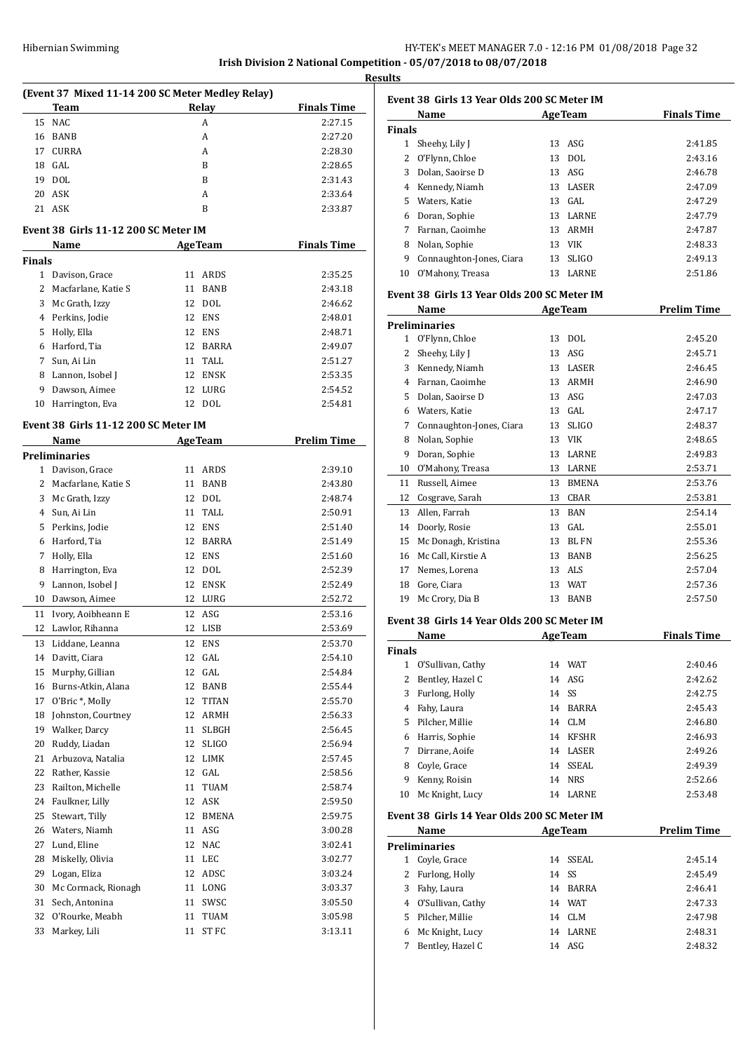**Results**

| (Event 37 Mixed 11-14 200 SC Meter Medley Relay) |                                       |        |                  |                    |  |  |  |
|--------------------------------------------------|---------------------------------------|--------|------------------|--------------------|--|--|--|
|                                                  | Team                                  |        | Relay            | <b>Finals Time</b> |  |  |  |
| 15                                               | <b>NAC</b>                            |        | A                | 2:27.15            |  |  |  |
| 16                                               | <b>BANB</b>                           |        | A                | 2:27.20            |  |  |  |
| 17                                               | <b>CURRA</b>                          |        | A                | 2:28.30            |  |  |  |
| 18                                               | GAL                                   |        | B                | 2:28.65            |  |  |  |
| 19                                               | DOL                                   |        | B                | 2:31.43            |  |  |  |
| 20                                               | ASK                                   |        | А                | 2:33.64            |  |  |  |
| 21                                               | ASK                                   |        | B                | 2:33.87            |  |  |  |
| Event 38  Girls 11-12 200 SC Meter IM            |                                       |        |                  |                    |  |  |  |
|                                                  | Name                                  |        | <b>AgeTeam</b>   | <b>Finals Time</b> |  |  |  |
| Finals                                           |                                       |        |                  |                    |  |  |  |
| $\mathbf{1}$                                     | Davison, Grace                        | 11     | ARDS             | 2:35.25            |  |  |  |
| 2                                                | Macfarlane, Katie S                   | 11     | <b>BANB</b>      | 2:43.18            |  |  |  |
| 3                                                | Mc Grath, Izzy                        | 12     | <b>DOL</b>       | 2:46.62            |  |  |  |
| 4                                                | Perkins, Jodie                        | 12     | <b>ENS</b>       | 2:48.01            |  |  |  |
| 5                                                | Holly, Ella                           | 12     | <b>ENS</b>       | 2:48.71            |  |  |  |
| 6                                                | Harford, Tia                          | 12     | BARRA            | 2:49.07            |  |  |  |
| 7                                                | Sun, Ai Lin                           | 11     | TALL             | 2:51.27            |  |  |  |
| 8                                                | Lannon, Isobel J                      | 12     | ENSK             | 2:53.35            |  |  |  |
| 9                                                | Dawson, Aimee                         | 12     | LURG             | 2:54.52            |  |  |  |
| 10                                               | Harrington, Eva                       | 12     | DOL              | 2:54.81            |  |  |  |
|                                                  | Event 38  Girls 11-12 200 SC Meter IM |        |                  |                    |  |  |  |
|                                                  | Name                                  |        | <b>AgeTeam</b>   | <b>Prelim Time</b> |  |  |  |
|                                                  | Preliminaries                         |        |                  |                    |  |  |  |
| 1                                                | Davison, Grace                        | 11     | ARDS             | 2:39.10            |  |  |  |
| 2                                                | Macfarlane, Katie S                   | 11     | <b>BANB</b>      | 2:43.80            |  |  |  |
| 3                                                | Mc Grath, Izzy                        | 12     | <b>DOL</b>       | 2:48.74            |  |  |  |
| 4                                                | Sun, Ai Lin                           | 11     | TALL             | 2:50.91            |  |  |  |
| 5                                                | Perkins, Jodie                        | 12     | <b>ENS</b>       | 2:51.40            |  |  |  |
| 6                                                | Harford, Tia                          | 12     | BARRA            | 2:51.49            |  |  |  |
| 7                                                | Holly, Ella                           | 12     | ENS              | 2:51.60            |  |  |  |
| 8                                                | Harrington, Eva                       | 12     | DOL              | 2:52.39            |  |  |  |
| 9                                                | Lannon, Isobel J                      | 12     | ENSK             | 2:52.49            |  |  |  |
| 10                                               | Dawson, Aimee                         | 12     | LURG             | 2:52.72            |  |  |  |
| 11                                               | Ivory, Aoibheann E                    | 12     | ASG              | 2:53.16            |  |  |  |
| 12                                               | Lawlor, Rihanna                       | 12     | LISB             | 2:53.69            |  |  |  |
| 13                                               | Liddane, Leanna                       | 12     | ENS              | 2:53.70            |  |  |  |
|                                                  | 14 Davitt, Ciara                      |        | 12 GAL           | 2:54.10            |  |  |  |
| 15                                               | Murphy, Gillian                       | 12     | GAL              | 2:54.84            |  |  |  |
| 16                                               | Burns-Atkin, Alana                    | 12     | BANB             | 2:55.44            |  |  |  |
| 17                                               | O'Bric*, Molly                        | 12     | TITAN            | 2:55.70            |  |  |  |
| 18                                               | Johnston, Courtney                    | 12     | ARMH             | 2:56.33            |  |  |  |
| 19                                               | Walker, Darcy                         | 11     | SLBGH            | 2:56.45            |  |  |  |
| 20                                               | Ruddy, Liadan                         | 12     | <b>SLIGO</b>     | 2:56.94            |  |  |  |
| 21                                               | Arbuzova, Natalia                     | 12     | LIMK             | 2:57.45            |  |  |  |
| 22                                               | Rather, Kassie                        | 12     | GAL              | 2:58.56            |  |  |  |
| 23                                               | Railton, Michelle                     | 11     | TUAM             | 2:58.74            |  |  |  |
| 24                                               | Faulkner, Lilly                       | 12     | ASK              | 2:59.50            |  |  |  |
| 25                                               | Stewart, Tilly                        | 12     | <b>BMENA</b>     | 2:59.75            |  |  |  |
| 26                                               | Waters, Niamh                         | 11     | ASG              | 3:00.28            |  |  |  |
| 27                                               | Lund, Eline                           | 12     | NAC              | 3:02.41            |  |  |  |
| 28                                               | Miskelly, Olivia                      | 11     | LEC              | 3:02.77            |  |  |  |
| 29                                               | Logan, Eliza                          | 12     | ADSC             | 3:03.24            |  |  |  |
| 30                                               | Mc Cormack, Rionagh                   | 11     | LONG             | 3:03.37            |  |  |  |
| 31                                               | Sech, Antonina                        | 11     | SWSC             | 3:05.50            |  |  |  |
| 32                                               | O'Rourke, Meabh                       | $11\,$ | TUAM             | 3:05.98            |  |  |  |
| 33                                               | Markey, Lili                          | 11     | ST <sub>FC</sub> | 3:13.11            |  |  |  |

|               | Event 38 Girls 13 Year Olds 200 SC Meter IM |    |                |                    |
|---------------|---------------------------------------------|----|----------------|--------------------|
|               | Name<br><b>AgeTeam</b>                      |    |                | <b>Finals Time</b> |
| <b>Finals</b> |                                             |    |                |                    |
| 1             | Sheehy, Lily J                              | 13 | ASG            | 2:41.85            |
| 2             | O'Flynn, Chloe                              | 13 | <b>DOL</b>     | 2:43.16            |
| 3             | Dolan, Saoirse D                            | 13 | ASG            | 2:46.78            |
| 4             | Kennedy, Niamh                              | 13 | LASER          | 2:47.09            |
| 5             | Waters, Katie                               | 13 | GAL            | 2:47.29            |
| 6             | Doran, Sophie                               | 13 | LARNE          | 2:47.79            |
| 7             | Farnan, Caoimhe                             | 13 | <b>ARMH</b>    | 2:47.87            |
| 8             | Nolan, Sophie                               | 13 | VIK            | 2:48.33            |
| 9             | Connaughton-Jones, Ciara                    | 13 | <b>SLIGO</b>   | 2:49.13            |
| 10            | O'Mahony, Treasa                            | 13 | <b>LARNE</b>   | 2:51.86            |
|               | Event 38 Girls 13 Year Olds 200 SC Meter IM |    |                |                    |
|               | Name                                        |    | <b>AgeTeam</b> | <b>Prelim Time</b> |
|               | <b>Preliminaries</b>                        |    |                |                    |
|               | 1 O'Flynn, Chloe                            | 13 | DOL            | 2:45.20            |
| 2             | Sheehy, Lily J                              | 13 | ASG            | 2:45.71            |
| 3             | Kennedy, Niamh                              | 13 | LASER          | 2:46.45            |
| 4             | Farnan, Caoimhe                             | 13 | <b>ARMH</b>    | 2:46.90            |
| 5             | Dolan, Saoirse D                            | 13 | ASG            | 2:47.03            |
| 6             | Waters, Katie                               | 13 | GAL            | 2:47.17            |
| 7             | Connaughton-Jones, Ciara                    | 13 | <b>SLIGO</b>   | 2:48.37            |
| 8             | Nolan, Sophie                               | 13 | <b>VIK</b>     | 2:48.65            |
| 9             | Doran, Sophie                               | 13 | LARNE          | 2:49.83            |
| 10            | O'Mahony, Treasa                            | 13 | LARNE          | 2:53.71            |
| 11            | Russell, Aimee                              | 13 | <b>BMENA</b>   | 2:53.76            |
| 12            |                                             | 13 | <b>CBAR</b>    | 2:53.81            |
|               | Cosgrave, Sarah                             |    |                |                    |

|    | 12 Cosgrave, Sarah     |    | 13 CBAR | 2:53.81 |
|----|------------------------|----|---------|---------|
|    | 13 Allen, Farrah       |    | 13 BAN  | 2:54.14 |
|    | 14 Doorly, Rosie       |    | 13 GAL  | 2:55.01 |
|    | 15 Mc Donagh, Kristina |    | 13 BLFN | 2:55.36 |
|    | 16 Mc Call, Kirstie A  |    | 13 BANB | 2:56.25 |
|    | 17 Nemes, Lorena       |    | 13 ALS  | 2:57.04 |
| 18 | Gore, Ciara            |    | 13 WAT  | 2:57.36 |
| 19 | Mc Crory, Dia B        | 13 | BANB    | 2:57.50 |
|    |                        |    |         |         |

#### **Event 38 Girls 14 Year Olds 200 SC Meter IM**

|               | Name              | <b>AgeTeam</b> |              | <b>Finals Time</b> |
|---------------|-------------------|----------------|--------------|--------------------|
| <b>Finals</b> |                   |                |              |                    |
| 1             | O'Sullivan, Cathy |                | 14 WAT       | 2:40.46            |
| 2             | Bentley, Hazel C  |                | 14 ASG       | 2:42.62            |
| 3             | Furlong, Holly    | 14             | -SS          | 2:42.75            |
| 4             | Fahy, Laura       | 14             | <b>BARRA</b> | 2:45.43            |
| 5.            | Pilcher, Millie   | 14             | CLM          | 2:46.80            |
| 6             | Harris, Sophie    | 14             | KFSHR        | 2:46.93            |
| 7             | Dirrane, Aoife    | 14             | LASER        | 2:49.26            |
| 8             | Coyle, Grace      | 14             | SSEAL        | 2:49.39            |
| 9             | Kenny, Roisin     | 14             | <b>NRS</b>   | 2:52.66            |
| 10            | Mc Knight, Lucy   | 14             | LARNE        | 2:53.48            |

# **Event 38 Girls 14 Year Olds 200 SC Meter IM**

|    | Name                 | <b>AgeTeam</b> |              | <b>Prelim Time</b> |
|----|----------------------|----------------|--------------|--------------------|
|    | <b>Preliminaries</b> |                |              |                    |
| 1  | Coyle, Grace         |                | 14 SSEAL     | 2:45.14            |
| 2  | Furlong, Holly       |                | 14 SS        | 2:45.49            |
| 3  | Fahy, Laura          |                | 14 BARRA     | 2:46.41            |
| 4  | O'Sullivan, Cathy    | 14             | WAT          | 2:47.33            |
| 5. | Pilcher, Millie      |                | 14 CLM       | 2:47.98            |
| 6  | Mc Knight, Lucy      | 14             | <b>LARNE</b> | 2:48.31            |
|    | Bentley, Hazel C     |                | 14 ASG       | 2:48.32            |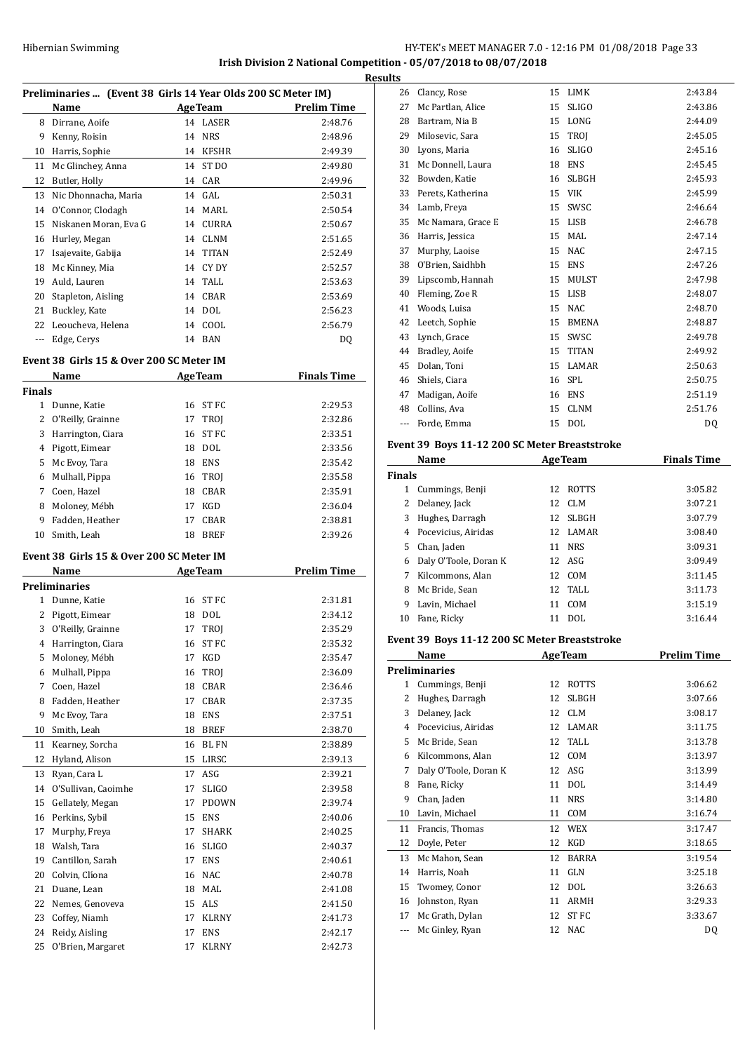# Hibernian Swimming **HY-TEK's MEET MANAGER 7.0 - 12:16 PM 01/08/2018** Page 33 **Irish Division 2 National Competition - 05/07/2018 to 08/07/2018**

**Results**

|               | Preliminaries  (Event 38 Girls 14 Year Olds 200 SC Meter IM) |                           |                  |                                                                                                                                                                                                                                     |
|---------------|--------------------------------------------------------------|---------------------------|------------------|-------------------------------------------------------------------------------------------------------------------------------------------------------------------------------------------------------------------------------------|
|               | Name                                                         |                           |                  | <b>Example 2 Age Team</b> Prelim Time                                                                                                                                                                                               |
|               | 8 Dirrane, Aoife                                             |                           | 14 LASER         | 2:48.76                                                                                                                                                                                                                             |
|               | 9 Kenny, Roisin                                              |                           | 14 NRS           | 2:48.96                                                                                                                                                                                                                             |
|               | 10 Harris, Sophie                                            |                           | 14 KFSHR         | 2:49.39                                                                                                                                                                                                                             |
|               | 11 Mc Glinchey, Anna                                         |                           | 14 ST DO         | 2:49.80                                                                                                                                                                                                                             |
|               | 12 Butler, Holly                                             |                           | 14 CAR           | 2:49.96                                                                                                                                                                                                                             |
|               | 13 Nic Dhonnacha, Maria                                      |                           | 14 GAL           | 2:50.31                                                                                                                                                                                                                             |
|               | 14 O'Connor, Clodagh                                         |                           | 14 MARL          | 2:50.54                                                                                                                                                                                                                             |
|               | 15 Niskanen Moran, Eva G                                     |                           | 14 CURRA         | 2:50.67                                                                                                                                                                                                                             |
|               | 16 Hurley, Megan                                             |                           | 14 CLNM          | 2:51.65                                                                                                                                                                                                                             |
| 17            | Isajevaite, Gabija                                           |                           | 14 TITAN         | 2:52.49                                                                                                                                                                                                                             |
| 18            | Mc Kinney, Mia                                               |                           | 14 CY DY         | 2:52.57                                                                                                                                                                                                                             |
|               | 19 Auld, Lauren                                              |                           | 14 TALL          | 2:53.63                                                                                                                                                                                                                             |
|               | 20 Stapleton, Aisling                                        |                           | 14 CBAR          | 2:53.69                                                                                                                                                                                                                             |
|               | 21 Buckley, Kate                                             |                           | 14 DOL           | 2:56.23                                                                                                                                                                                                                             |
|               | 22 Leoucheva, Helena                                         |                           | 14 COOL          | 2:56.79                                                                                                                                                                                                                             |
|               | --- Edge, Cerys                                              |                           | 14 BAN           | DQ                                                                                                                                                                                                                                  |
|               | Event 38 Girls 15 & Over 200 SC Meter IM                     |                           |                  |                                                                                                                                                                                                                                     |
|               | Name                                                         | <b>Example 2</b> AgeTeam  |                  | <b>Finals Time</b>                                                                                                                                                                                                                  |
| <b>Finals</b> | 1 Dunne, Katie                                               |                           | 16 ST FC         | 2:29.53                                                                                                                                                                                                                             |
|               | 2 O'Reilly, Grainne                                          | 17                        | TROJ             | 2:32.86                                                                                                                                                                                                                             |
|               | 3 Harrington, Ciara                                          | 16                        | ST FC            | 2:33.51                                                                                                                                                                                                                             |
|               | 4 Pigott, Eimear                                             |                           | 18 DOL           | 2:33.56                                                                                                                                                                                                                             |
| 5             | Mc Evoy, Tara                                                |                           | 18 ENS           | 2:35.42                                                                                                                                                                                                                             |
|               | 6 Mulhall, Pippa                                             |                           | 16 TROJ          | 2:35.58                                                                                                                                                                                                                             |
| 7             | Coen, Hazel                                                  | 18                        | CBAR             | 2:35.91                                                                                                                                                                                                                             |
| 8             | Moloney, Mébh                                                |                           | 17 KGD           | 2:36.04                                                                                                                                                                                                                             |
|               | 9 Fadden, Heather                                            |                           | 17 CBAR          | 2:38.81                                                                                                                                                                                                                             |
|               | 10 Smith, Leah                                               |                           | 18 BREF          | 2:39.26                                                                                                                                                                                                                             |
|               | Event 38 Girls 15 & Over 200 SC Meter IM                     |                           |                  |                                                                                                                                                                                                                                     |
|               |                                                              |                           |                  |                                                                                                                                                                                                                                     |
|               | Name                                                         | <b>Example 2</b> Age Team |                  | <b>Prelim Time</b>                                                                                                                                                                                                                  |
|               | <b>Preliminaries</b>                                         |                           |                  |                                                                                                                                                                                                                                     |
|               | 1 Dunne, Katie                                               |                           | 16 ST FC         | 2:31.81                                                                                                                                                                                                                             |
|               | 2 Pigott, Eimear                                             |                           | 18 DOL           | 2:34.12                                                                                                                                                                                                                             |
| 3             | O'Reilly, Grainne                                            |                           | 17 TROJ          |                                                                                                                                                                                                                                     |
| 4             | Harrington, Ciara                                            | 16                        | ST <sub>FC</sub> |                                                                                                                                                                                                                                     |
| 5             | Moloney, Mébh                                                | 17                        | KGD              |                                                                                                                                                                                                                                     |
| 6             | Mulhall, Pippa                                               | 16                        | TROJ             |                                                                                                                                                                                                                                     |
| 7             | Coen, Hazel                                                  | 18                        | CBAR             | 2:35.29                                                                                                                                                                                                                             |
| 8             | Fadden, Heather                                              | 17                        | CBAR             |                                                                                                                                                                                                                                     |
| 9             | Mc Evoy, Tara                                                | 18                        | ENS              |                                                                                                                                                                                                                                     |
| 10            | Smith, Leah                                                  | 18                        | BREF             |                                                                                                                                                                                                                                     |
| 11            | Kearney, Sorcha                                              | 16                        | BL FN            |                                                                                                                                                                                                                                     |
| 12            | Hyland, Alison                                               | 15                        | LIRSC            |                                                                                                                                                                                                                                     |
| 13            | Ryan, Cara L                                                 | 17                        | ASG              |                                                                                                                                                                                                                                     |
| 14            | O'Sullivan, Caoimhe                                          | 17                        | SLIGO            |                                                                                                                                                                                                                                     |
| 15            | Gellately, Megan                                             | 17                        | PDOWN            |                                                                                                                                                                                                                                     |
| 16            | Perkins, Sybil                                               | 15                        | ENS              |                                                                                                                                                                                                                                     |
| 17            | Murphy, Freya                                                | 17                        | SHARK            |                                                                                                                                                                                                                                     |
|               | 18 Walsh, Tara                                               | 16                        | <b>SLIGO</b>     |                                                                                                                                                                                                                                     |
| 19            | Cantillon, Sarah                                             | 17                        | <b>ENS</b>       |                                                                                                                                                                                                                                     |
| 20            | Colvin, Clíona                                               | 16                        | $\rm NAC$        |                                                                                                                                                                                                                                     |
| 21            | Duane, Lean                                                  | 18                        | MAL              |                                                                                                                                                                                                                                     |
| 22            | Nemes, Genoveva                                              |                           | 15 ALS           |                                                                                                                                                                                                                                     |
| 23            | Coffey, Niamh                                                | 17                        | KLRNY            |                                                                                                                                                                                                                                     |
| 24            | Reidy, Aisling                                               | 17                        | <b>ENS</b>       | 2:35.32<br>2:35.47<br>2:36.09<br>2:36.46<br>2:37.35<br>2:37.51<br>2:38.70<br>2:38.89<br>2:39.13<br>2:39.21<br>2:39.58<br>2:39.74<br>2:40.06<br>2:40.25<br>2:40.37<br>2:40.61<br>2:40.78<br>2:41.08<br>2:41.50<br>2:41.73<br>2:42.17 |

| ts |                    |    |              |           |
|----|--------------------|----|--------------|-----------|
| 26 | Clancy, Rose       | 15 | LIMK         | 2:43.84   |
| 27 | Mc Partlan, Alice  | 15 | <b>SLIGO</b> | 2:43.86   |
| 28 | Bartram, Nia B     | 15 | LONG         | 2:44.09   |
| 29 | Milosevic, Sara    | 15 | <b>TROI</b>  | 2:45.05   |
| 30 | Lyons, Maria       | 16 | <b>SLIGO</b> | 2:45.16   |
| 31 | Mc Donnell, Laura  | 18 | <b>ENS</b>   | 2:45.45   |
| 32 | Bowden, Katie      | 16 | <b>SLBGH</b> | 2:45.93   |
| 33 | Perets, Katherina  | 15 | <b>VIK</b>   | 2:45.99   |
| 34 | Lamb, Freya        | 15 | SWSC         | 2:46.64   |
| 35 | Mc Namara, Grace E | 15 | <b>LISB</b>  | 2:46.78   |
| 36 | Harris, Jessica    | 15 | MAL          | 2:47.14   |
| 37 | Murphy, Laoise     | 15 | <b>NAC</b>   | 2:47.15   |
| 38 | O'Brien, Saidhbh   | 15 | <b>ENS</b>   | 2:47.26   |
| 39 | Lipscomb, Hannah   | 15 | <b>MULST</b> | 2:47.98   |
| 40 | Fleming, Zoe R     | 15 | <b>LISB</b>  | 2:48.07   |
| 41 | Woods, Luisa       | 15 | <b>NAC</b>   | 2:48.70   |
| 42 | Leetch, Sophie     | 15 | <b>BMENA</b> | 2:48.87   |
| 43 | Lynch, Grace       | 15 | SWSC         | 2:49.78   |
| 44 | Bradley, Aoife     | 15 | <b>TITAN</b> | 2:49.92   |
| 45 | Dolan, Toni        | 15 | LAMAR        | 2:50.63   |
| 46 | Shiels, Ciara      | 16 | <b>SPL</b>   | 2:50.75   |
| 47 | Madigan, Aoife     | 16 | <b>ENS</b>   | 2:51.19   |
| 48 | Collins, Ava       | 15 | <b>CLNM</b>  | 2:51.76   |
|    | Forde, Emma        | 15 | <b>DOL</b>   | <b>DQ</b> |
|    |                    |    |              |           |

# **Event 39 Boys 11-12 200 SC Meter Breaststroke**

| Name          |                       |     | <b>AgeTeam</b> | <b>Finals Time</b> |  |
|---------------|-----------------------|-----|----------------|--------------------|--|
| <b>Finals</b> |                       |     |                |                    |  |
| 1             | Cummings, Benji       | 12  | <b>ROTTS</b>   | 3:05.82            |  |
| 2             | Delaney, Jack         | 12  | CLM            | 3:07.21            |  |
| 3             | Hughes, Darragh       | 12  | <b>SLBGH</b>   | 3:07.79            |  |
| 4             | Pocevicius, Airidas   | 12. | LAMAR          | 3:08.40            |  |
| 5             | Chan, Jaden           | 11  | <b>NRS</b>     | 3:09.31            |  |
| 6             | Daly O'Toole, Doran K |     | 12 ASG         | 3:09.49            |  |
| 7             | Kilcommons, Alan      | 12  | COM            | 3:11.45            |  |
| 8             | Mc Bride, Sean        |     | $12$ TALL      | 3:11.73            |  |
| 9             | Lavin, Michael        | 11  | COM            | 3:15.19            |  |
| 10            | Fane, Ricky           | 11  | DOL            | 3:16.44            |  |

# **Event 39 Boys 11-12 200 SC Meter Breaststroke**

|    | Name                  |    | <b>AgeTeam</b> | <b>Prelim Time</b> |
|----|-----------------------|----|----------------|--------------------|
|    | Preliminaries         |    |                |                    |
| 1  | Cummings, Benji       | 12 | ROTTS          | 3:06.62            |
| 2  | Hughes, Darragh       | 12 | <b>SLBGH</b>   | 3:07.66            |
| 3  | Delaney, Jack         | 12 | <b>CLM</b>     | 3:08.17            |
| 4  | Pocevicius, Airidas   | 12 | LAMAR          | 3:11.75            |
| 5  | Mc Bride, Sean        | 12 | TALL           | 3:13.78            |
| 6  | Kilcommons, Alan      | 12 | COM            | 3:13.97            |
| 7  | Daly O'Toole, Doran K | 12 | ASG            | 3:13.99            |
| 8  | Fane, Ricky           | 11 | <b>DOL</b>     | 3:14.49            |
| 9  | Chan, Jaden           | 11 | <b>NRS</b>     | 3:14.80            |
| 10 | Lavin, Michael        | 11 | COM            | 3:16.74            |
| 11 | Francis, Thomas       | 12 | <b>WEX</b>     | 3:17.47            |
| 12 | Doyle, Peter          | 12 | <b>KGD</b>     | 3:18.65            |
| 13 | Mc Mahon, Sean        | 12 | <b>BARRA</b>   | 3:19.54            |
| 14 | Harris, Noah          | 11 | GLN            | 3:25.18            |
| 15 | Twomey, Conor         | 12 | <b>DOL</b>     | 3:26.63            |
| 16 | Johnston, Ryan        | 11 | ARMH           | 3:29.33            |
| 17 | Mc Grath, Dylan       | 12 | <b>STFC</b>    | 3:33.67            |
|    | Mc Ginley, Ryan       | 12 | <b>NAC</b>     | DQ                 |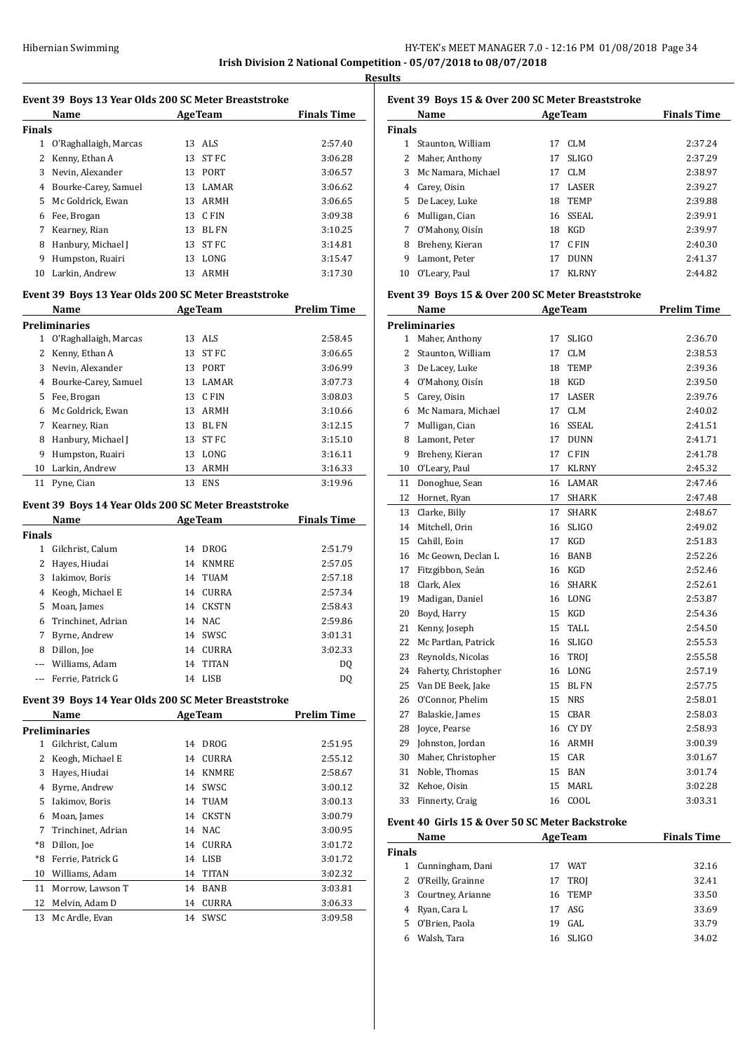**Results**

#### **Event 39 Boys 13 Year Olds 200 SC Meter Breaststroke**

|               | Name                  | <b>AgeTeam</b> |              | <b>Finals Time</b> |
|---------------|-----------------------|----------------|--------------|--------------------|
| <b>Finals</b> |                       |                |              |                    |
| 1             | O'Raghallaigh, Marcas |                | 13 ALS       | 2:57.40            |
| 2             | Kenny, Ethan A        | 13             | ST FC        | 3:06.28            |
| 3             | Nevin, Alexander      | 13.            | PORT         | 3:06.57            |
| 4             | Bourke-Carey, Samuel  | 13.            | <b>LAMAR</b> | 3:06.62            |
| 5             | Mc Goldrick, Ewan     | 13.            | ARMH         | 3:06.65            |
| 6             | Fee, Brogan           | 13.            | C FIN        | 3:09.38            |
| 7             | Kearney, Rian         | 13             | BL FN        | 3:10.25            |
| 8             | Hanbury, Michael J    | 13             | ST FC        | 3:14.81            |
| 9             | Humpston, Ruairi      | 13             | LONG         | 3:15.47            |
| 10            | Larkin, Andrew        | 13             | ARMH         | 3:17.30            |
|               |                       |                |              |                    |

### **Event 39 Boys 13 Year Olds 200 SC Meter Breaststroke**

|    | Name                  | AgeTeam |              | <b>Prelim Time</b> |  |
|----|-----------------------|---------|--------------|--------------------|--|
|    | <b>Preliminaries</b>  |         |              |                    |  |
| 1  | O'Raghallaigh, Marcas |         | 13 ALS       | 2:58.45            |  |
| 2  | Kenny, Ethan A        | 13      | ST FC        | 3:06.65            |  |
| 3  | Nevin, Alexander      | 13      | PORT         | 3:06.99            |  |
| 4  | Bourke-Carey, Samuel  | 13      | <b>LAMAR</b> | 3:07.73            |  |
| 5  | Fee, Brogan           | 13      | C FIN        | 3:08.03            |  |
| 6  | Mc Goldrick, Ewan     | 13      | ARMH         | 3:10.66            |  |
| 7  | Kearney, Rian         | 13      | BL FN        | 3:12.15            |  |
| 8  | Hanbury, Michael J    | 13      | ST FC        | 3:15.10            |  |
| 9  | Humpston, Ruairi      | 13      | LONG         | 3:16.11            |  |
| 10 | Larkin, Andrew        | 13      | <b>ARMH</b>  | 3:16.33            |  |
| 11 | Pyne, Cian            | 13      | <b>ENS</b>   | 3:19.96            |  |

#### **Event 39 Boys 14 Year Olds 200 SC Meter Breaststroke**

| Name          |                    | AgeTeam |              | <b>Finals Time</b> |  |
|---------------|--------------------|---------|--------------|--------------------|--|
| <b>Finals</b> |                    |         |              |                    |  |
| 1             | Gilchrist. Calum   | 14      | <b>DROG</b>  | 2:51.79            |  |
| 2             | Hayes, Hiudai      | 14      | <b>KNMRE</b> | 2:57.05            |  |
| 3             | Iakimov, Boris     | 14      | TUAM         | 2:57.18            |  |
| 4             | Keogh, Michael E   | 14      | <b>CURRA</b> | 2:57.34            |  |
| 5.            | Moan, James        | 14      | <b>CKSTN</b> | 2:58.43            |  |
| 6             | Trinchinet, Adrian | 14      | NAC.         | 2:59.86            |  |
| 7             | Byrne, Andrew      | 14      | SWSC         | 3:01.31            |  |
| 8             | Dillon, Joe        | 14      | <b>CURRA</b> | 3:02.33            |  |
|               | Williams, Adam     | 14      | <b>TITAN</b> | DQ                 |  |
|               | Ferrie, Patrick G  | 14      | LISB         | D0                 |  |

#### **Event 39 Boys 14 Year Olds 200 SC Meter Breaststroke**

|    | Name               |    | <b>AgeTeam</b> | <b>Prelim Time</b> |
|----|--------------------|----|----------------|--------------------|
|    | Preliminaries      |    |                |                    |
| 1  | Gilchrist, Calum   | 14 | <b>DROG</b>    | 2:51.95            |
| 2  | Keogh, Michael E   | 14 | <b>CURRA</b>   | 2:55.12            |
| 3  | Hayes, Hiudai      | 14 | <b>KNMRE</b>   | 2:58.67            |
| 4  | Byrne, Andrew      | 14 | SWSC           | 3:00.12            |
| 5  | Iakimov, Boris     | 14 | TUAM           | 3:00.13            |
| 6  | Moan, James        | 14 | <b>CKSTN</b>   | 3:00.79            |
| 7  | Trinchinet, Adrian | 14 | NAC.           | 3:00.95            |
| *8 | Dillon, Joe        | 14 | <b>CURRA</b>   | 3:01.72            |
| *8 | Ferrie, Patrick G  | 14 | LISB           | 3:01.72            |
| 10 | Williams, Adam     | 14 | <b>TITAN</b>   | 3:02.32            |
| 11 | Morrow, Lawson T   | 14 | <b>BANB</b>    | 3:03.81            |
| 12 | Melvin, Adam D     | 14 | <b>CURRA</b>   | 3:06.33            |
| 13 | Mc Ardle, Evan     | 14 | SWSC           | 3:09.58            |

# **Event 39 Boys 15 & Over 200 SC Meter Breaststroke**

| Name          |                    | <b>AgeTeam</b> |              | <b>Finals Time</b> |  |
|---------------|--------------------|----------------|--------------|--------------------|--|
| <b>Finals</b> |                    |                |              |                    |  |
|               | Staunton, William  | 17             | CLM          | 2:37.24            |  |
| 2             | Maher, Anthony     | 17             | <b>SLIGO</b> | 2:37.29            |  |
| 3             | Mc Namara, Michael | 17             | CLM          | 2:38.97            |  |
| 4             | Carey, Oisin       | 17             | <b>LASER</b> | 2:39.27            |  |
| 5.            | De Lacey, Luke     | 18             | <b>TEMP</b>  | 2:39.88            |  |
| 6             | Mulligan, Cian     |                | 16 SSEAL     | 2:39.91            |  |
| 7             | O'Mahony, Oisín    | 18             | KGD          | 2:39.97            |  |
| 8             | Breheny, Kieran    | 17             | C FIN        | 2:40.30            |  |
| 9             | Lamont. Peter      | 17             | <b>DUNN</b>  | 2:41.37            |  |
| 10            | O'Leary, Paul      | 17             | <b>KLRNY</b> | 2:44.82            |  |

#### **Event 39 Boys 15 & Over 200 SC Meter Breaststroke**

|    | Name                 |    | <b>AgeTeam</b> | <b>Prelim Time</b> |
|----|----------------------|----|----------------|--------------------|
|    | <b>Preliminaries</b> |    |                |                    |
| 1  | Maher, Anthony       | 17 | <b>SLIGO</b>   | 2:36.70            |
| 2  | Staunton, William    | 17 | <b>CLM</b>     | 2:38.53            |
| 3  | De Lacey, Luke       | 18 | <b>TEMP</b>    | 2:39.36            |
| 4  | O'Mahony, Oisín      | 18 | <b>KGD</b>     | 2:39.50            |
| 5  | Carey, Oisin         | 17 | LASER          | 2:39.76            |
| 6  | Mc Namara, Michael   | 17 | <b>CLM</b>     | 2:40.02            |
| 7  | Mulligan, Cian       | 16 | <b>SSEAL</b>   | 2:41.51            |
| 8  | Lamont, Peter        | 17 | <b>DUNN</b>    | 2:41.71            |
| 9  | Breheny, Kieran      | 17 | C FIN          | 2:41.78            |
| 10 | O'Leary, Paul        | 17 | <b>KLRNY</b>   | 2:45.32            |
| 11 | Donoghue, Sean       | 16 | LAMAR          | 2:47.46            |
| 12 | Hornet, Ryan         | 17 | <b>SHARK</b>   | 2:47.48            |
| 13 | Clarke, Billy        | 17 | <b>SHARK</b>   | 2:48.67            |
| 14 | Mitchell, Orin       | 16 | <b>SLIGO</b>   | 2:49.02            |
| 15 | Cahill, Eoin         | 17 | <b>KGD</b>     | 2:51.83            |
| 16 | Mc Geown, Declan L   | 16 | <b>BANB</b>    | 2:52.26            |
| 17 | Fitzgibbon, Seán     | 16 | KGD            | 2:52.46            |
| 18 | Clark, Alex          | 16 | <b>SHARK</b>   | 2:52.61            |
| 19 | Madigan, Daniel      | 16 | LONG           | 2:53.87            |
| 20 | Boyd, Harry          | 15 | <b>KGD</b>     | 2:54.36            |
| 21 | Kenny, Joseph        | 15 | <b>TALL</b>    | 2:54.50            |
| 22 | Mc Partlan, Patrick  | 16 | <b>SLIGO</b>   | 2:55.53            |
| 23 | Reynolds, Nicolas    | 16 | TROI           | 2:55.58            |
| 24 | Faherty, Christopher | 16 | LONG           | 2:57.19            |
| 25 | Van DE Beek, Jake    | 15 | BL FN          | 2:57.75            |
| 26 | O'Connor, Phelim     | 15 | <b>NRS</b>     | 2:58.01            |
| 27 | Balaskie, James      | 15 | CBAR           | 2:58.03            |
| 28 | Joyce, Pearse        | 16 | CY DY          | 2:58.93            |
| 29 | Johnston, Jordan     | 16 | ARMH           | 3:00.39            |
| 30 | Maher, Christopher   | 15 | CAR            | 3:01.67            |
| 31 | Noble, Thomas        | 15 | <b>BAN</b>     | 3:01.74            |
| 32 | Kehoe, Oisin         | 15 | MARL           | 3:02.28            |
| 33 | Finnerty, Craig      | 16 | COOL           | 3:03.31            |

#### **Event 40 Girls 15 & Over 50 SC Meter Backstroke**

| Name          |                     | <b>AgeTeam</b> |          | <b>Finals Time</b> |  |
|---------------|---------------------|----------------|----------|--------------------|--|
| <b>Finals</b> |                     |                |          |                    |  |
| 1             | Cunningham, Dani    |                | 17 WAT   | 32.16              |  |
|               | 2 O'Reilly, Grainne | 17             | TROJ     | 32.41              |  |
|               | 3 Courtney, Arianne |                | 16 TEMP  | 33.50              |  |
|               | 4 Ryan, Cara L      |                | 17 ASG   | 33.69              |  |
| 5.            | O'Brien, Paola      | 19.            | GAL.     | 33.79              |  |
|               | Walsh, Tara         |                | 16 SLIGO | 34.02              |  |